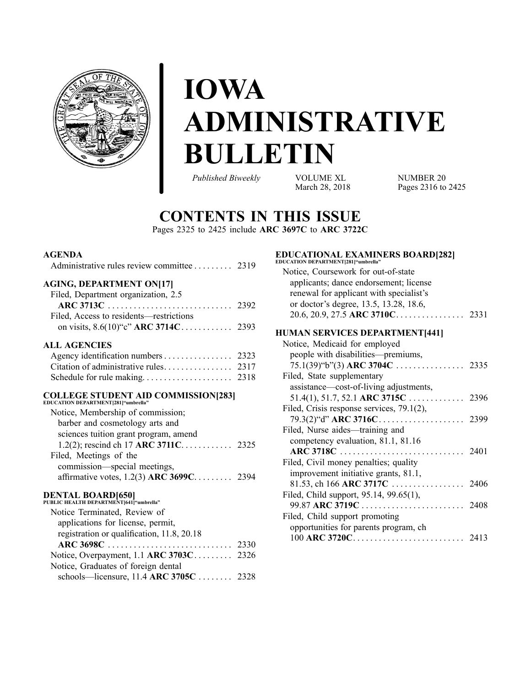

# **IOWA ADMINISTRATIVE BULLETIN**

*Published Biweekly* VOLUME XL

March 28, <sup>2018</sup>

NUMBER 20 Pages 2316 to [2425](#page-110-0)

# **CONTENTS IN THIS ISSUE**

Pages [2325](#page-10-0) to [2425](#page-110-0) include **ARC 3697C** to **ARC 3722C**

### **AGENDA**

| Administrative rules review committee 2319 |  |
|--------------------------------------------|--|
|                                            |  |

### **AGING, DEPARTMENT ON[17]**

| Filed, Department organization, 2.5     |  |
|-----------------------------------------|--|
|                                         |  |
| Filed, Access to residents—restrictions |  |
|                                         |  |
| ALL AGENCIES                            |  |
| Agency identification numbers 2323      |  |

### Agency identification numbers . . . . . . . . . . . . . . . . [2323](#page-8-0)<br>Citation of a durinization rules Citation of administrative rules. . . . . . . . . . . . . . . . [2317](#page-2-0)<br>Salashela fannels malina Schedule for rule making. . . . . . . . . . . . . . . . . . . . . [2318](#page-3-0)

### **COLLEGE STUDENT AID COMMISSION[283]**

| EDUCATION DEPARTMENT[281]"umbrella"   |  |
|---------------------------------------|--|
| Notice, Membership of commission;     |  |
| barber and cosmetology arts and       |  |
| sciences tuition grant program, amend |  |
|                                       |  |
| Filed, Meetings of the                |  |
| commission—special meetings,          |  |
|                                       |  |
|                                       |  |

### **DENTAL BOARD[650]**

| PUBLIC HEALTH DEPARTMENT[641]"umbrella"    |  |
|--------------------------------------------|--|
| Notice Terminated, Review of               |  |
| applications for license, permit,          |  |
| registration or qualification, 11.8, 20.18 |  |
|                                            |  |
|                                            |  |
| Notice, Graduates of foreign dental        |  |
| schools—licensure, $11.4$ ARC 3705C  2328  |  |
|                                            |  |

### **EDUCATIONAL EXAMINERS BOARD[282]**

| <b>EDUCATION DEPARTMENT[281] "umbrella"</b>                           |      |
|-----------------------------------------------------------------------|------|
| Notice, Coursework for out-of-state                                   |      |
| applicants; dance endorsement; license                                |      |
| renewal for applicant with specialist's                               |      |
| or doctor's degree, 13.5, 13.28, 18.6,                                |      |
| $20.6, 20.9, 27.5 \text{ ARC } 3710 \text{C} \dots \dots \dots \dots$ | 2331 |
| <b>HUMAN SERVICES DEPARTMENT[441]</b>                                 |      |
| Notice, Medicaid for employed                                         |      |
| people with disabilities—premiums,                                    |      |
|                                                                       |      |
| Filed, State supplementary                                            |      |
| assistance—cost-of-living adjustments,                                |      |
|                                                                       |      |
| Filed, Crisis response services, 79.1(2),                             |      |
|                                                                       |      |
| Filed, Nurse aides—training and                                       |      |
| competency evaluation, 81.1, 81.16                                    |      |
|                                                                       |      |
| Filed, Civil money penalties; quality                                 |      |
| improvement initiative grants, 81.1,                                  |      |
|                                                                       |      |
| Filed, Child support, 95.14, 99.65(1),                                |      |
|                                                                       |      |
| Filed, Child support promoting                                        |      |
| opportunities for parents program, ch                                 |      |
|                                                                       |      |
|                                                                       |      |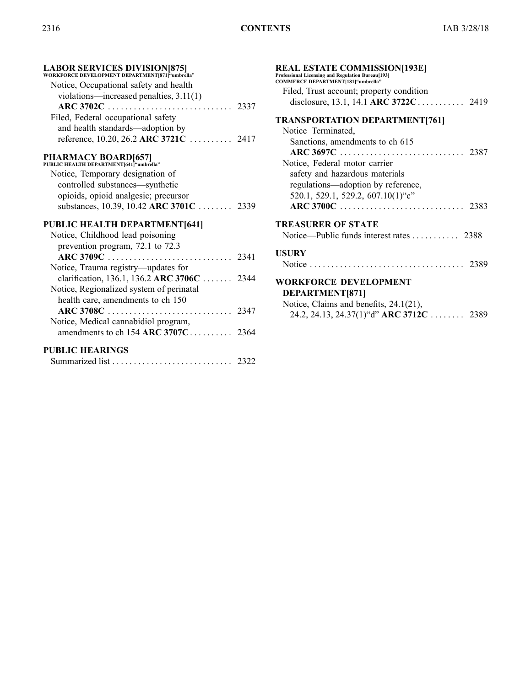# **LABOR SERVICES DIVISION[875] WORKFORCE DEVELOPMENT DEPARTMENT[871]"umbrella"** Notice, Occupational safety and health violations—increased penalties, 3.11(1) **ARC 3702C** . . . . . . . . . . . . . . . . . . . . . . . . . . . . . [2337](#page-22-0) Filed, Federal occupational safety and health standards—adoption by reference, 10.20, 26.2 **ARC 3721C** . . . . . . . . . . [2417](#page-102-0) **PHARMACY BOARD[657] PUBLIC HEALTH DEPARTMENT[641]"umbrella"** Notice, Temporary designation of controlled substances—synthetic opioids, opioid analgesic; precursor substances, 10.39, 10.42 **ARC 3701C** . . . . . . . . [2339](#page-24-0) **PUBLIC HEALTH DEPARTMENT[641]** Notice, Childhood lead poisoning prevention program, 72.1 to 72.3

| Notice, Trauma registry-updates for         |  |
|---------------------------------------------|--|
|                                             |  |
| clarification, 136.1, 136.2 ARC 3706C  2344 |  |
| Notice, Regionalized system of perinatal    |  |
| health care, amendments to ch 150           |  |
|                                             |  |
| Notice, Medical cannabidiol program,        |  |
|                                             |  |
|                                             |  |
| <b>PUBLIC HEARINGS</b>                      |  |

| REAL ESTATE COMMISSION[193E]<br><b>Professional Licensing and Regulation Bureau[193]</b><br><b>COMMERCE DEPARTMENT[181] "umbrella"</b> |
|----------------------------------------------------------------------------------------------------------------------------------------|
| Filed, Trust account; property condition                                                                                               |
|                                                                                                                                        |
| <b>TRANSPORTATION DEPARTMENT[761]</b>                                                                                                  |
| Notice Terminated,                                                                                                                     |
| Sanctions, amendments to ch 615                                                                                                        |
|                                                                                                                                        |
| Notice, Federal motor carrier                                                                                                          |
| safety and hazardous materials                                                                                                         |
| regulations—adoption by reference,                                                                                                     |
| 520.1, 529.1, 529.2, 607.10(1)"c"                                                                                                      |
| 2383                                                                                                                                   |
| <b>TREASURER OF STATE</b>                                                                                                              |
| Notice—Public funds interest rates $\ldots \ldots \ldots$ 2388                                                                         |
| <b>USURY</b>                                                                                                                           |
|                                                                                                                                        |
| <b>WORKFORCE DEVELOPMENT</b><br>DEPARTMENT[871]                                                                                        |
| Notice, Claims and benefits, 24.1(21),<br>24.2, 24.13, 24.37(1)"d" ARC 3712C  2389                                                     |
|                                                                                                                                        |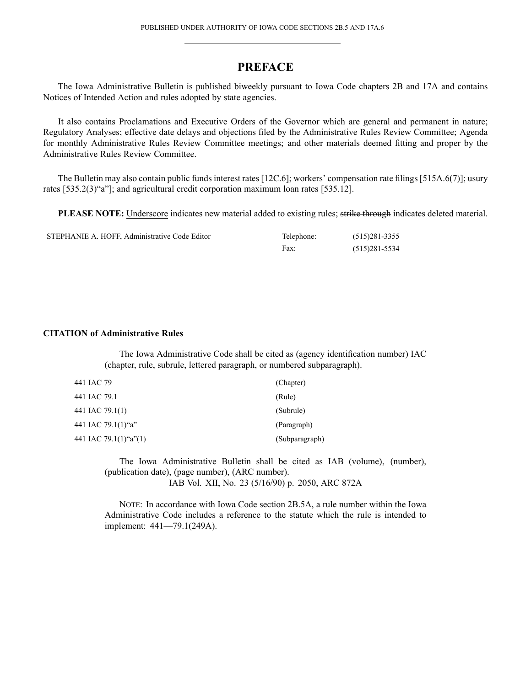### **PREFACE**

<span id="page-2-0"></span>The Iowa Administrative Bulletin is published biweekly pursuan<sup>t</sup> to Iowa Code chapters 2B and 17A and contains Notices of Intended Action and rules adopted by state agencies.

It also contains Proclamations and Executive Orders of the Governor which are general and permanen<sup>t</sup> in nature; Regulatory Analyses; effective date delays and objections filed by the Administrative Rules Review Committee; Agenda for monthly Administrative Rules Review Committee meetings; and other materials deemed fitting and proper by the Administrative Rules Review Committee.

The Bulletin may also contain public funds interest rates [12C.6]; workers' compensation rate filings [515A.6(7)]; usury rates [535.2(3)"a"]; and agricultural credit corporation maximum loan rates [535.12].

**PLEASE NOTE:** Underscore indicates new material added to existing rules; strike through indicates deleted material.

| STEPHANIE A. HOFF. Administrative Code Editor | Telephone: | (515)281-3355     |
|-----------------------------------------------|------------|-------------------|
|                                               | Fax:       | $(515)281 - 5534$ |

### **CITATION of Administrative Rules**

The Iowa Administrative Code shall be cited as (agency identification number) IAC (chapter, rule, subrule, lettered paragraph, or numbered subparagraph).

| 441 IAC 79                | (Chapter)      |
|---------------------------|----------------|
| 441 IAC 79.1              | (Rule)         |
| 441 IAC 79.1(1)           | (Subrule)      |
| 441 IAC 79.1(1)"a"        | (Paragraph)    |
| 441 IAC 79.1(1)" $a$ "(1) | (Subparagraph) |

The Iowa Administrative Bulletin shall be cited as IAB (volume), (number), (publication date), (page number), (ARC number). IAB Vol. XII, No. 23 (5/16/90) p. 2050, ARC 872A

NOTE: In accordance with Iowa Code section 2B.5A, <sup>a</sup> rule number within the Iowa Administrative Code includes <sup>a</sup> reference to the statute which the rule is intended to implement: 441—79.1(249A).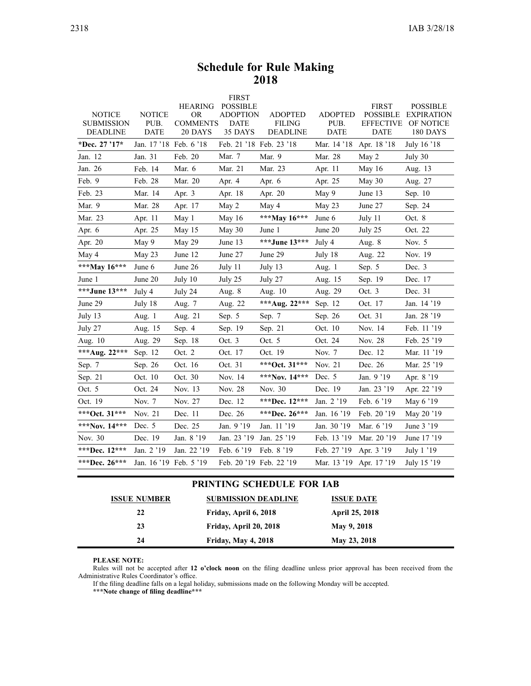### **Schedule for Rule Making 2018**

<span id="page-3-0"></span>

|                                    |                           | <b>HEARING</b>        | <b>FIRST</b><br><b>POSSIBLE</b> |                                 |                        | <b>FIRST</b>                 | <b>POSSIBLE</b>                |
|------------------------------------|---------------------------|-----------------------|---------------------------------|---------------------------------|------------------------|------------------------------|--------------------------------|
| <b>NOTICE</b><br><b>SUBMISSION</b> | <b>NOTICE</b><br>PUB.     | OR<br><b>COMMENTS</b> | <b>ADOPTION</b><br><b>DATE</b>  | <b>ADOPTED</b><br><b>FILING</b> | <b>ADOPTED</b><br>PUB. | <b>POSSIBLE</b><br>EFFECTIVE | <b>EXPIRATION</b><br>OF NOTICE |
| <b>DEADLINE</b>                    | <b>DATE</b>               | 20 DAYS               | 35 DAYS                         | <b>DEADLINE</b>                 | <b>DATE</b>            | <b>DATE</b>                  | 180 DAYS                       |
| *Dec. 27 '17*                      | Jan. 17 '18 Feb. 6 '18    |                       |                                 | Feb. 21 '18 Feb. 23 '18         | Mar. 14 '18            | Apr. 18 '18                  | July 16 '18                    |
| Jan. 12                            | Jan. 31                   | Feb. 20               | Mar. 7                          | Mar. 9                          | Mar. 28                | May 2                        | July 30                        |
| Jan. 26                            | Feb. 14                   | Mar. 6                | Mar. 21                         | Mar. 23                         | Apr. 11                | May 16                       | Aug. 13                        |
| Feb. 9                             | Feb. 28                   | Mar. 20               | Apr. $4$                        | Apr. 6                          | Apr. 25                | May 30                       | Aug. 27                        |
| Feb. 23                            | Mar. 14                   | Apr. 3                | Apr. 18                         | Apr. 20                         | May 9                  | June 13                      | Sep. 10                        |
| Mar. 9                             | Mar. 28                   | Apr. 17               | May 2                           | May 4                           | May 23                 | June 27                      | Sep. 24                        |
| Mar. 23                            | Apr. 11                   | May 1                 | May $16$                        | ***May 16***                    | June 6                 | July 11                      | Oct. 8                         |
| Apr. 6                             | Apr. 25                   | May 15                | May 30                          | June 1                          | June 20                | July 25                      | Oct. 22                        |
| Apr. 20                            | May 9                     | May 29                | June 13                         | ***June 13***                   | July 4                 | Aug. 8                       | Nov. $5$                       |
| May 4                              | May 23                    | June 12               | June 27                         | June 29                         | July 18                | Aug. 22                      | Nov. 19                        |
| ***May 16***                       | June 6                    | June 26               | July 11                         | July 13                         | Aug. 1                 | Sep. 5                       | Dec. 3                         |
| June 1                             | June 20                   | July 10               | July 25                         | July 27                         | Aug. 15                | Sep. 19                      | Dec. 17                        |
| ***June 13***                      | July 4                    | July 24               | Aug. 8                          | Aug. 10                         | Aug. 29                | Oct. 3                       | Dec. 31                        |
| June 29                            | July 18                   | Aug. 7                | Aug. 22                         | *** Aug. 22***                  | Sep. 12                | Oct. 17                      | Jan. 14 '19                    |
| July 13                            | Aug. $1$                  | Aug. 21               | Sep. 5                          | Sep. 7                          | Sep. 26                | Oct. 31                      | Jan. 28 '19                    |
| July 27                            | Aug. 15                   | Sep. 4                | Sep. 19                         | Sep. 21                         | Oct. 10                | Nov. 14                      | Feb. 11 '19                    |
| Aug. 10                            | Aug. 29                   | Sep. 18               | Oct. 3                          | Oct. 5                          | Oct. 24                | Nov. 28                      | Feb. 25 '19                    |
| *** Aug. 22***                     | Sep. 12                   | Oct. 2                | Oct. 17                         | Oct. 19                         | Nov. 7                 | Dec. 12                      | Mar. 11 '19                    |
| Sep. 7                             | Sep. 26                   | Oct. 16               | Oct. 31                         | ***Oct. $31***$                 | Nov. 21                | Dec. 26                      | Mar. 25 '19                    |
| Sep. 21                            | Oct. 10                   | Oct. 30               | Nov. 14                         | ***Nov. $14***$                 | Dec. 5                 | Jan. 9 '19                   | Apr. 8 '19                     |
| Oct. 5                             | Oct. 24                   | Nov. 13               | Nov. 28                         | Nov. 30                         | Dec. 19                | Jan. 23 '19                  | Apr. 22 '19                    |
| Oct. 19                            | Nov. 7                    | Nov. 27               | Dec. 12                         | ***Dec. $12***$                 | Jan. 2 '19             | Feb. 6 '19                   | May 6 '19                      |
| ***Oct. $31***$                    | Nov. 21                   | Dec. 11               | Dec. 26                         | ***Dec. 26***                   | Jan. 16 '19            | Feb. 20 '19                  | May 20 '19                     |
| ***Nov. 14***                      | Dec. 5                    | Dec. 25               | Jan. 9 '19                      | Jan. 11 '19                     | Jan. 30 '19            | Mar. 6 '19                   | June 3 '19                     |
| Nov. 30                            | Dec. 19                   | Jan. 8 '19            | Jan. 23 '19                     | Jan. 25 '19                     | Feb. 13 '19            | Mar. 20 '19                  | June 17 '19                    |
| ***Dec. 12***                      | Jan. 2 '19                | Jan. 22 '19           | Feb. 6 '19                      | Feb. 8 '19                      | Feb. 27 '19            | Apr. 3 '19                   | July 1 '19                     |
| ***Dec. 26***                      | Jan. 16 '19 Feb. 5 '19    |                       |                                 | Feb. 20 '19 Feb. 22 '19         | Mar. 13 '19            | Apr. 17 '19                  | July 15 '19                    |
|                                    | PRINTING SCHEDULE FOR IAB |                       |                                 |                                 |                        |                              |                                |

| <b>ISSUE NUMBER</b> | <b>SUBMISSION DEADLINE</b> | <b>ISSUE DATE</b> |  |
|---------------------|----------------------------|-------------------|--|
| 22                  | Friday, April 6, 2018      | April 25, 2018    |  |
| 23                  | Friday, April 20, 2018     | May 9, 2018       |  |
| 24                  | <b>Friday, May 4, 2018</b> | May 23, 2018      |  |

**PLEASE NOTE:**

Rules will not be accepted after **12 <sup>o</sup>'clock noon** on the filing deadline unless prior approval has been received from the Administrative Rules Coordinator's office.

If the filing deadline falls on <sup>a</sup> legal holiday, submissions made on the following Monday will be accepted.

**\*\*\*Note change of filing deadline\*\*\***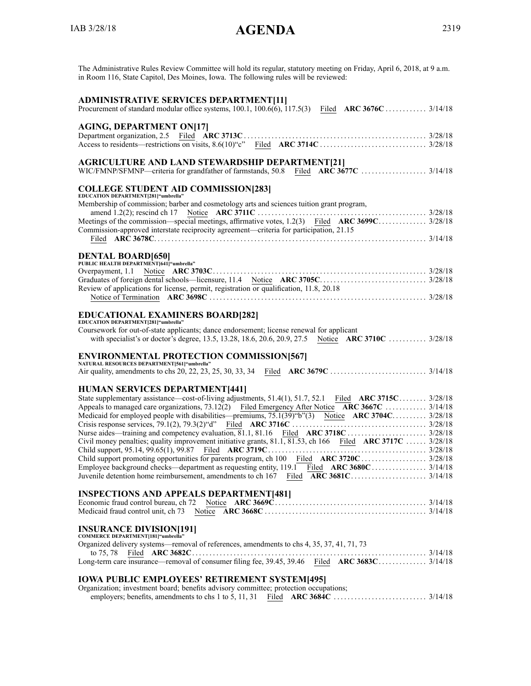<span id="page-4-0"></span>The Administrative Rules Review Committee will hold its regular, statutory meeting on Friday, April 6, 2018, at 9 a.m. in Room 116, State Capitol, Des Moines, Iowa. The following rules will be reviewed:

### **ADMINISTRATIVE SERVICES DEPARTMENT[11]**

| Procurement of standard modular office systems, 100.1, 100.6(6), 117.5(3) Filed ARC 3676C  3/14/18               |  |
|------------------------------------------------------------------------------------------------------------------|--|
| <b>AGING, DEPARTMENT ON[17]</b>                                                                                  |  |
|                                                                                                                  |  |
|                                                                                                                  |  |
| <b>AGRICULTURE AND LAND STEWARDSHIP DEPARTMENT[21]</b>                                                           |  |
|                                                                                                                  |  |
|                                                                                                                  |  |
| <b>COLLEGE STUDENT AID COMMISSION[283]</b><br>EDUCATION DEPARTMENT[281] "umbrella"                               |  |
| Membership of commission; barber and cosmetology arts and sciences tuition grant program,                        |  |
|                                                                                                                  |  |
| Meetings of the commission—special meetings, affirmative votes, 1.2(3) Filed ARC 3699C 3/28/18                   |  |
|                                                                                                                  |  |
| Commission-approved interstate reciprocity agreement—criteria for participation, 21.15                           |  |
|                                                                                                                  |  |
| <b>DENTAL BOARD[650]</b><br>PUBLIC HEALTH DEPARTMENT[641]"umbrella"                                              |  |
|                                                                                                                  |  |
|                                                                                                                  |  |
| Review of applications for license, permit, registration or qualification, 11.8, 20.18                           |  |
|                                                                                                                  |  |
| <b>EDUCATIONAL EXAMINERS BOARD[282]</b>                                                                          |  |
| EDUCATION DEPARTMENT[281] "umbrella"                                                                             |  |
| Coursework for out-of-state applicants; dance endorsement; license renewal for applicant                         |  |
| with specialist's or doctor's degree, 13.5, 13.28, 18.6, 20.6, 20.9, 27.5 Notice ARC 3710C  3/28/18              |  |
|                                                                                                                  |  |
| <b>ENVIRONMENTAL PROTECTION COMMISSION[567]</b><br>NATURAL RESOURCES DEPARTMENT[561]"umbrella"                   |  |
|                                                                                                                  |  |
|                                                                                                                  |  |
| <b>HUMAN SERVICES DEPARTMENT[441]</b>                                                                            |  |
| State supplementary assistance—cost-of-living adjustments, 51.4(1), 51.7, 52.1 Filed ARC 3715C 3/28/18           |  |
| Appeals to managed care organizations, 73.12(2) Filed Emergency After Notice ARC 3667C  3/14/18                  |  |
| Medicaid for employed people with disabilities—premiums, 75.1(39) "b"(3) Notice ARC 3704C 3/28/18                |  |
|                                                                                                                  |  |
|                                                                                                                  |  |
| Civil money penalties; quality improvement initiative grants, $81.1$ , $81.53$ , ch 166 Filed ARC 3717C  3/28/18 |  |
|                                                                                                                  |  |
|                                                                                                                  |  |
|                                                                                                                  |  |
|                                                                                                                  |  |
| <b>INSPECTIONS AND APPEALS DEPARTMENT[481]</b>                                                                   |  |
|                                                                                                                  |  |
| Medicaid fraud control unit, ch 73                                                                               |  |
|                                                                                                                  |  |
| <b>INSURANCE DIVISION[191]</b><br>COMMERCE DEPARTMENT[181]"umbrella"                                             |  |
| Organized delivery systems—removal of references, amendments to chs 4, 35, 37, 41, 71, 73                        |  |
| to 75, 78                                                                                                        |  |
|                                                                                                                  |  |
| <b>IOWA PUBLIC EMPLOYEES' RETIREMENT SYSTEM[495]</b>                                                             |  |
| Organization; investment board; benefits advisory committee; protection occupations;                             |  |
|                                                                                                                  |  |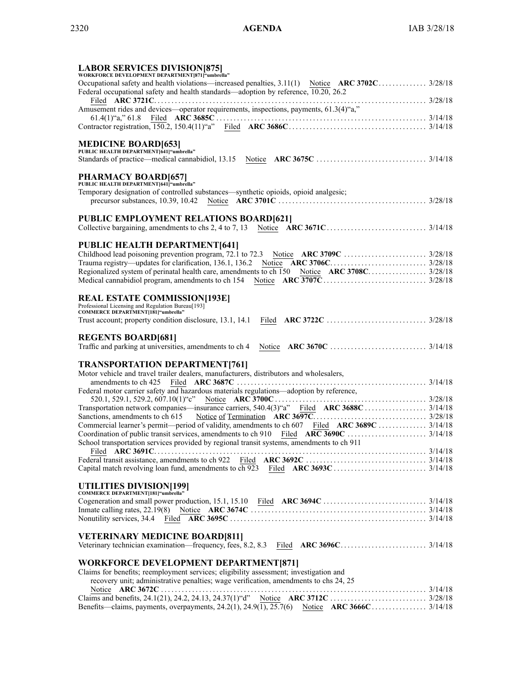## **LABOR SERVICES DIVISION[875]**

| WORKFORCE DEVELOPMENT DEPARTMENT[871] "umbrella"                                                                                                                              |  |
|-------------------------------------------------------------------------------------------------------------------------------------------------------------------------------|--|
|                                                                                                                                                                               |  |
| Federal occupational safety and health standards—adoption by reference, $\overline{10.20}$ , $26.2$                                                                           |  |
|                                                                                                                                                                               |  |
|                                                                                                                                                                               |  |
|                                                                                                                                                                               |  |
|                                                                                                                                                                               |  |
|                                                                                                                                                                               |  |
| <b>MEDICINE BOARD[653]</b>                                                                                                                                                    |  |
| PUBLIC HEALTH DEPARTMENT 641 "umbrella"                                                                                                                                       |  |
| Standards of practice—medical cannabidiol, 13.15                                                                                                                              |  |
|                                                                                                                                                                               |  |
| PHARMACY BOARD[657]<br>PUBLIC HEALTH DEPARTMENT[641] "umbrella"                                                                                                               |  |
| Temporary designation of controlled substances—synthetic opioids, opioid analgesic;                                                                                           |  |
| precursor substances, 10.39, 10.42                                                                                                                                            |  |
|                                                                                                                                                                               |  |
| <b>PUBLIC EMPLOYMENT RELATIONS BOARD[621]</b>                                                                                                                                 |  |
|                                                                                                                                                                               |  |
|                                                                                                                                                                               |  |
| <b>PUBLIC HEALTH DEPARTMENT[641]</b>                                                                                                                                          |  |
|                                                                                                                                                                               |  |
|                                                                                                                                                                               |  |
|                                                                                                                                                                               |  |
|                                                                                                                                                                               |  |
|                                                                                                                                                                               |  |
|                                                                                                                                                                               |  |
| REAL ESTATE COMMISSION[193E]<br>Professional Licensing and Regulation Bureau[193]<br>COMMERCE DEPARTMENT[181]"umbrella"                                                       |  |
|                                                                                                                                                                               |  |
| Trust account; property condition disclosure, 13.1, 14.1                                                                                                                      |  |
|                                                                                                                                                                               |  |
| <b>REGENTS BOARD[681]</b>                                                                                                                                                     |  |
| Traffic and parking at universities, amendments to ch 4<br>Notice                                                                                                             |  |
|                                                                                                                                                                               |  |
| <b>TRANSPORTATION DEPARTMENT[761]</b>                                                                                                                                         |  |
| Motor vehicle and travel trailer dealers, manufacturers, distributors and wholesalers,                                                                                        |  |
|                                                                                                                                                                               |  |
| Federal motor carrier safety and hazardous materials regulations—adoption by reference,                                                                                       |  |
|                                                                                                                                                                               |  |
|                                                                                                                                                                               |  |
|                                                                                                                                                                               |  |
| Commercial learner's permit—period of validity, amendments to ch 607 Filed ARC 3689C  3/14/18                                                                                 |  |
|                                                                                                                                                                               |  |
| School transportation services provided by regional transit systems, amendments to ch 911                                                                                     |  |
|                                                                                                                                                                               |  |
|                                                                                                                                                                               |  |
|                                                                                                                                                                               |  |
|                                                                                                                                                                               |  |
| <b>UTILITIES DIVISION[199]</b>                                                                                                                                                |  |
| COMMERCE DEPARTMENT[181]"umbrella"                                                                                                                                            |  |
|                                                                                                                                                                               |  |
|                                                                                                                                                                               |  |
|                                                                                                                                                                               |  |
|                                                                                                                                                                               |  |
| <b>VETERINARY MEDICINE BOARD[811]</b>                                                                                                                                         |  |
|                                                                                                                                                                               |  |
|                                                                                                                                                                               |  |
|                                                                                                                                                                               |  |
| <b>WORKFORCE DEVELOPMENT DEPARTMENT[871]</b>                                                                                                                                  |  |
| Claims for benefits; reemployment services; eligibility assessment; investigation and<br>recovery unit; administrative penalties; wage verification, amendments to chs 24, 25 |  |
|                                                                                                                                                                               |  |
|                                                                                                                                                                               |  |
|                                                                                                                                                                               |  |
|                                                                                                                                                                               |  |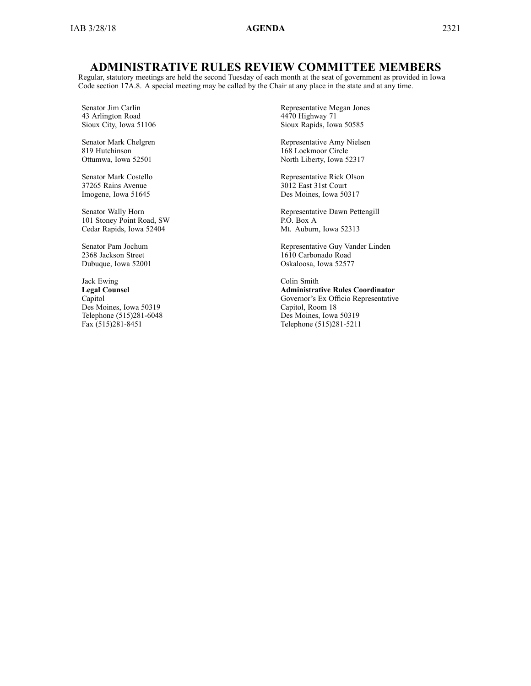### **ADMINISTRATIVE RULES REVIEW COMMITTEE MEMBERS**

Regular, statutory meetings are held the second Tuesday of each month at the seat of governmen<sup>t</sup> as provided in Iowa Code section [17A.8](https://www.legis.iowa.gov/docs/ico/section/17A.8.pdf). A special meeting may be called by the Chair at any place in the state and at any time.

Senator Jim Carlin 43 Arlington Road Sioux City, Iowa 51106

Senator Mark Chelgren 819 Hutchinson Ottumwa, Iowa 52501

Senator Mark Costello 37265 Rains Avenue Imogene, Iowa 51645

Senator Wally Horn 101 Stoney Point Road, SW Cedar Rapids, Iowa 52404

Senator Pam Jochum 2368 Jackson Street Dubuque, Iowa 52001

Jack Ewing **Legal Counsel** Capitol Des Moines, Iowa 50319 Telephone (515)281-6048 Fax (515)281-8451

Representative Megan Jones 4470 Highway 71 Sioux Rapids, Iowa 50585

Representative Amy Nielsen 168 Lockmoor Circle North Liberty, Iowa 52317

Representative Rick Olson 3012 East 31st Court Des Moines, Iowa 50317

Representative Dawn Pettengill P.O. Box A Mt. Auburn, Iowa 52313

Representative Guy Vander Linden 1610 Carbonado Road Oskaloosa, Iowa 52577

Colin Smith **Administrative Rules Coordinator** Governor's Ex Officio Representative Capitol, Room 18 Des Moines, Iowa 50319 Telephone (515)281-5211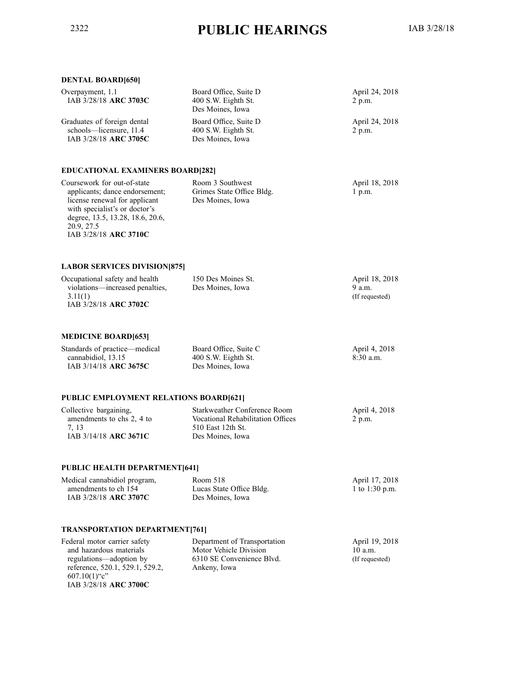# <span id="page-7-0"></span><sup>2322</sup> **PUBLIC HEARINGS** IAB 3/28/18

| <b>DENTAL BOARD[650]</b>                                                                                                                                                                                   |                                                                                                            |                                             |
|------------------------------------------------------------------------------------------------------------------------------------------------------------------------------------------------------------|------------------------------------------------------------------------------------------------------------|---------------------------------------------|
| Overpayment, 1.1<br>IAB 3/28/18 ARC 3703C                                                                                                                                                                  | Board Office, Suite D<br>400 S.W. Eighth St.<br>Des Moines, Iowa                                           | April 24, 2018<br>2 p.m.                    |
| Graduates of foreign dental<br>schools-licensure, 11.4<br>IAB 3/28/18 ARC 3705C                                                                                                                            | Board Office, Suite D<br>400 S.W. Eighth St.<br>Des Moines, Iowa                                           | April 24, 2018<br>2 p.m.                    |
| <b>EDUCATIONAL EXAMINERS BOARD[282]</b>                                                                                                                                                                    |                                                                                                            |                                             |
| Coursework for out-of-state<br>applicants; dance endorsement;<br>license renewal for applicant<br>with specialist's or doctor's<br>degree, 13.5, 13.28, 18.6, 20.6,<br>20.9, 27.5<br>IAB 3/28/18 ARC 3710C | Room 3 Southwest<br>Grimes State Office Bldg.<br>Des Moines, Iowa                                          | April 18, 2018<br>1 p.m.                    |
| <b>LABOR SERVICES DIVISION[875]</b>                                                                                                                                                                        |                                                                                                            |                                             |
| Occupational safety and health<br>violations-increased penalties,<br>3.11(1)<br>IAB 3/28/18 ARC 3702C                                                                                                      | 150 Des Moines St.<br>Des Moines, Iowa                                                                     | April 18, 2018<br>9 a.m.<br>(If requested)  |
| <b>MEDICINE BOARD[653]</b>                                                                                                                                                                                 |                                                                                                            |                                             |
| Standards of practice—medical<br>cannabidiol, 13.15<br>IAB 3/14/18 ARC 3675C                                                                                                                               | Board Office, Suite C<br>400 S.W. Eighth St.<br>Des Moines, Iowa                                           | April 4, 2018<br>$8:30$ a.m.                |
| <b>PUBLIC EMPLOYMENT RELATIONS BOARD[621]</b>                                                                                                                                                              |                                                                                                            |                                             |
| Collective bargaining,<br>amendments to chs 2, 4 to<br>7, 13<br>IAB 3/14/18 ARC 3671C                                                                                                                      | Starkweather Conference Room<br>Vocational Rehabilitation Offices<br>510 East 12th St.<br>Des Moines, Iowa | April 4, 2018<br>2 p.m.                     |
| PUBLIC HEALTH DEPARTMENT[641]                                                                                                                                                                              |                                                                                                            |                                             |
| Medical cannabidiol program,<br>amendments to ch 154<br>IAB 3/28/18 ARC 3707C                                                                                                                              | Room 518<br>Lucas State Office Bldg.<br>Des Moines, Iowa                                                   | April 17, 2018<br>1 to 1:30 p.m.            |
| <b>TRANSPORTATION DEPARTMENT[761]</b>                                                                                                                                                                      |                                                                                                            |                                             |
| Federal motor carrier safety<br>and hazardous materials<br>regulations-adoption by<br>reference, 520.1, 529.1, 529.2,                                                                                      | Department of Transportation<br>Motor Vehicle Division<br>6310 SE Convenience Blvd.<br>Ankeny, Iowa        | April 19, 2018<br>10 a.m.<br>(If requested) |

 $607.10(1)$ "c"

IAB 3/28/18 **ARC 3700C**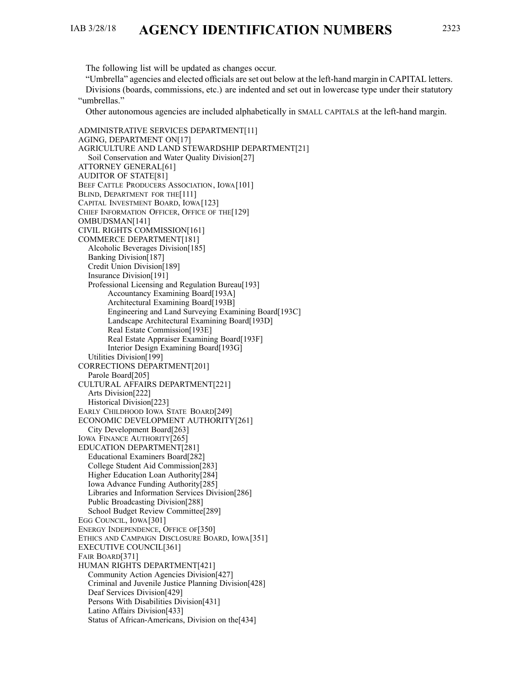### <span id="page-8-0"></span>IAB 3/28/18 **AGENCY IDENTIFICATION NUMBERS** <sup>2323</sup>

"Umbrella" agencies and elected officials are set out below at the left-hand margin in CAPITAL letters.

Divisions (boards, commissions, etc.) are indented and set out in lowercase type under their statutory "umbrellas."

Other autonomous agencies are included alphabetically in SMALL CAPITALS at the left-hand margin.

ADMINISTRATIVE SERVICES DEPARTMENT[11] AGING, DEPARTMENT ON[17] AGRICULTURE AND LAND STEWARDSHIP DEPARTMENT[21] Soil Conservation and Water Quality Division[27] ATTORNEY GENERAL[61] AUDITOR OF STATE[81] BEEF CATTLE PRODUCERS ASSOCIATION, IOWA[101] BLIND, DEPARTMENT FOR THE<sup>[111]</sup> CAPITAL INVESTMENT BOARD, IOWA[123] CHIEF INFORMATION OFFICER, OFFICE OF THE[129] OMBUDSMAN[141] CIVIL RIGHTS COMMISSION[161] COMMERCE DEPARTMENT[181] Alcoholic Beverages Division[185] Banking Division[187] Credit Union Division[189] Insurance Division[191] Professional Licensing and Regulation Bureau[193] Accountancy Examining Board[193A] Architectural Examining Board[193B] Engineering and Land Surveying Examining Board[193C] Landscape Architectural Examining Board[193D] Real Estate Commission[193E] Real Estate Appraiser Examining Board[193F] Interior Design Examining Board[193G] Utilities Division[199] CORRECTIONS DEPARTMENT[201] Parole Board[205] CULTURAL AFFAIRS DEPARTMENT[221] Arts Division[222] Historical Division[223] EARLY CHILDHOOD IOWA STATE BOARD[249] ECONOMIC DEVELOPMENT AUTHORITY[261] City Development Board[263] IOWA FINANCE AUTHORITY[265] EDUCATION DEPARTMENT[281] Educational Examiners Board[282] College Student Aid Commission[283] Higher Education Loan Authority[284] Iowa Advance Funding Authority[285] Libraries and Information Services Division[286] Public Broadcasting Division[288] School Budget Review Committee[289] EGG COUNCIL, IOWA[301] ENERGY INDEPENDENCE, OFFICE OF[350] ETHICS AND CAMPAIGN DISCLOSURE BOARD, IOWA[351] EXECUTIVE COUNCIL[361] FAIR BOARD[371] HUMAN RIGHTS DEPARTMENT[421] Community Action Agencies Division[427] Criminal and Juvenile Justice Planning Division[428] Deaf Services Division[429] Persons With Disabilities Division[431] Latino Affairs Division[433] Status of African-Americans, Division on the[434]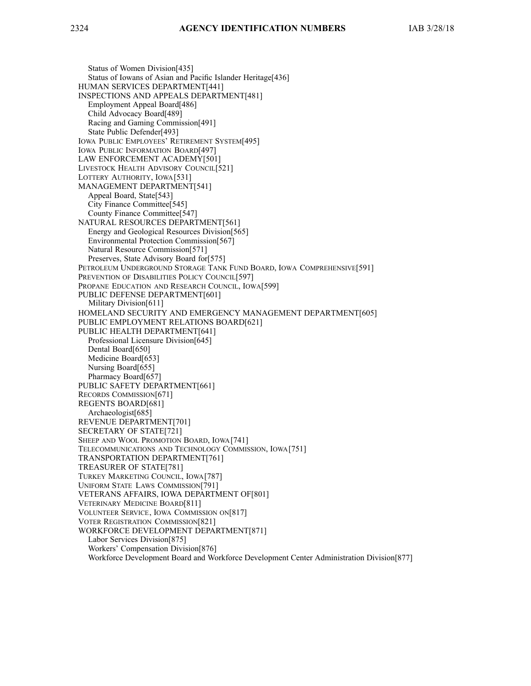Status of Women Division[435] Status of Iowans of Asian and Pacific Islander Heritage<sup>[436]</sup> HUMAN SERVICES DEPARTMENT[441] INSPECTIONS AND APPEALS DEPARTMENT[481] Employment Appeal Board[486] Child Advocacy Board[489] Racing and Gaming Commission[491] State Public Defender[493] <sup>I</sup>OWA <sup>P</sup>UBLIC <sup>E</sup>MPLOYEES' <sup>R</sup>ETIREMENT <sup>S</sup>YSTEM[495] IOWA PUBLIC INFORMATION BOARD[497] LAW ENFORCEMENT ACADEMY[501] LIVESTOCK HEALTH ADVISORY COUNCIL[521] <sup>L</sup>OTTERY <sup>A</sup>UTHORITY, <sup>I</sup>OWA[531] MANAGEMENT DEPARTMENT[541] Appeal Board, State[543] City Finance Committee[545] County Finance Committee[547] NATURAL RESOURCES DEPARTMENT[561] Energy and Geological Resources Division[565] Environmental Protection Commission[567] Natural Resource Commission[571] Preserves, State Advisory Board for[575] PETROLEUM UNDERGROUND STORAGE TANK FUND BOARD, IOWA COMPREHENSIVE[591] PREVENTION OF DISABILITIES POLICY COUNCIL<sup>[597]</sup> PROPANE EDUCATION AND RESEARCH COUNCIL, IOWA[599] PUBLIC DEFENSE DEPARTMENT[601] Military Division[611] HOMELAND SECURITY AND EMERGENCY MANAGEMENT DEPARTMENT[605] PUBLIC EMPLOYMENT RELATIONS BOARD[621] PUBLIC HEALTH DEPARTMENT[641] Professional Licensure Division[645] Dental Board[650] Medicine Board[653] Nursing Board[655] Pharmacy Board[657] PUBLIC SAFETY DEPARTMENT[661] RECORDS COMMISSION[671] REGENTS BOARD[681] Archaeologist[685] REVENUE DEPARTMENT[701] SECRETARY OF STATE[721] <sup>S</sup>HEEP AND <sup>W</sup>OOL <sup>P</sup>ROMOTION <sup>B</sup>OARD, <sup>I</sup>OWA[741] <sup>T</sup>ELECOMMUNICATIONS AND <sup>T</sup>ECHNOLOGY <sup>C</sup>OMMISSION, <sup>I</sup>OWA[751] TRANSPORTATION DEPARTMENT[761] TREASURER OF STATE[781] <sup>T</sup>URKEY <sup>M</sup>ARKETING <sup>C</sup>OUNCIL, <sup>I</sup>OWA[787] UNIFORM STATE LAWS COMMISSION[791] VETERANS AFFAIRS, IOWA DEPARTMENT OF[801] VETERINARY MEDICINE BOARD[811] <sup>V</sup>OLUNTEER <sup>S</sup>ERVICE, <sup>I</sup>OWA <sup>C</sup>OMMISSION ON[817] VOTER REGISTRATION COMMISSION[821] WORKFORCE DEVELOPMENT DEPARTMENT[871] Labor Services Division[875] Workers' Compensation Division[876] Workforce Development Board and Workforce Development Center Administration Division[877]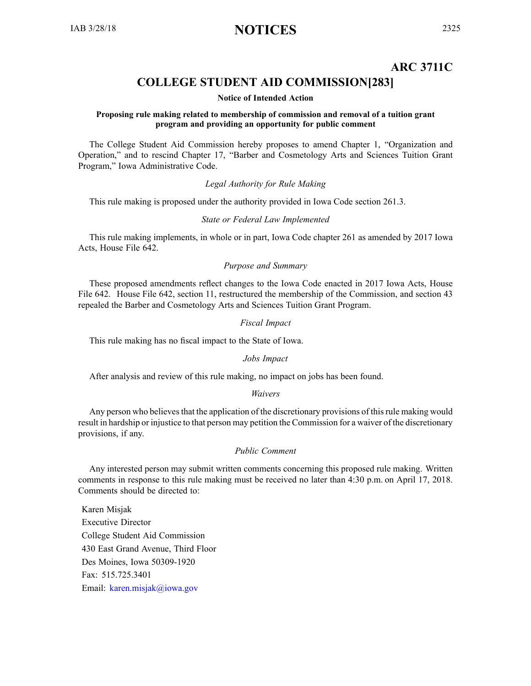### <span id="page-10-0"></span>IAB 3/28/18 **NOTICES** <sup>2325</sup>

### **ARC 3711C**

### **COLLEGE STUDENT AID COMMISSION[283]**

### **Notice of Intended Action**

### **Proposing rule making related to membership of commission and removal of <sup>a</sup> tuition grant program and providing an opportunity for public comment**

The College Student Aid Commission hereby proposes to amend Chapter 1, "Organization and Operation," and to rescind Chapter 17, "Barber and Cosmetology Arts and Sciences Tuition Grant Program," Iowa Administrative Code.

### *Legal Authority for Rule Making*

This rule making is proposed under the authority provided in Iowa Code section 261.3.

### *State or Federal Law Implemented*

This rule making implements, in whole or in part, Iowa Code chapter 261 as amended by 2017 Iowa Acts, House File 642.

### *Purpose and Summary*

These proposed amendments reflect changes to the Iowa Code enacted in 2017 Iowa Acts, House File 642. House File 642, section 11, restructured the membership of the Commission, and section 43 repealed the Barber and Cosmetology Arts and Sciences Tuition Grant Program.

### *Fiscal Impact*

This rule making has no fiscal impact to the State of Iowa.

### *Jobs Impact*

After analysis and review of this rule making, no impact on jobs has been found.

### *Waivers*

Any person who believes that the application of the discretionary provisions of this rule making would result in hardship or injustice to that person may petition the Commission for <sup>a</sup> waiver of the discretionary provisions, if any.

### *Public Comment*

Any interested person may submit written comments concerning this proposed rule making. Written comments in response to this rule making must be received no later than 4:30 p.m. on April 17, 2018. Comments should be directed to:

Karen Misjak Executive Director College Student Aid Commission 430 East Grand Avenue, Third Floor Des Moines, Iowa 50309-1920 Fax: 515.725.3401 Email: [karen.misjak@iowa.gov](mailto:karen.misjak@iowa.gov)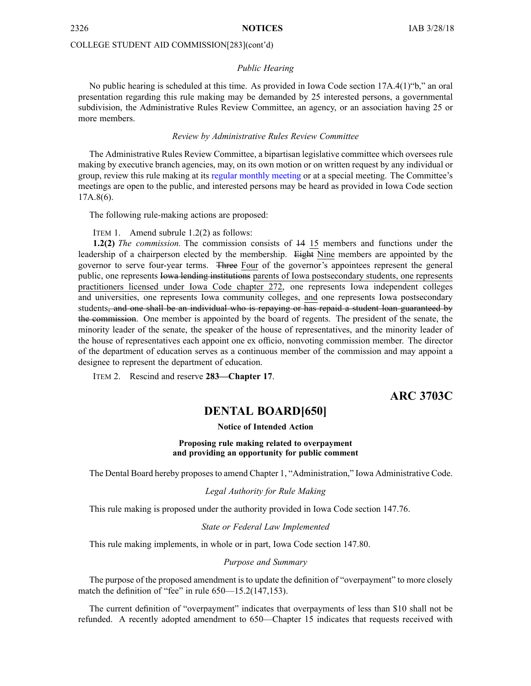### <span id="page-11-0"></span>COLLEGE STUDENT AID COMMISSION[283](cont'd)

### *Public Hearing*

No public hearing is scheduled at this time. As provided in Iowa Code section 17A.4(1)"b," an oral presentation regarding this rule making may be demanded by 25 interested persons, <sup>a</sup> governmental subdivision, the Administrative Rules Review Committee, an agency, or an association having 25 or more members.

#### *Review by Administrative Rules Review Committee*

The Administrative Rules Review Committee, <sup>a</sup> bipartisan legislative committee which oversees rule making by executive branch agencies, may, on its own motion or on written reques<sup>t</sup> by any individual or group, review this rule making at its regular [monthly](https://www.legis.iowa.gov/committees/meetings/meetingsListComm?groupID=705&ga=87) meeting or at <sup>a</sup> special meeting. The Committee's meetings are open to the public, and interested persons may be heard as provided in Iowa Code section 17A.8(6).

The following rule-making actions are proposed:

ITEM 1. Amend subrule 1.2(2) as follows:

**1.2(2)** *The commission.* The commission consists of 14 15 members and functions under the leadership of <sup>a</sup> chairperson elected by the membership. Eight Nine members are appointed by the governor to serve four-year terms. Three Four of the governor's appointees represen<sup>t</sup> the general public, one represents Iowa lending institutions parents of Iowa postsecondary students, one represents practitioners licensed under Iowa Code chapter [272](https://www.legis.iowa.gov/docs/ico/chapter/2018/272.pdf), one represents Iowa independent colleges and universities, one represents Iowa community colleges, and one represents Iowa postsecondary students, and one shall be an individual who is repaying or has repaid <sup>a</sup> student loan guaranteed by the commission. One member is appointed by the board of regents. The president of the senate, the minority leader of the senate, the speaker of the house of representatives, and the minority leader of the house of representatives each appoint one ex officio, nonvoting commission member. The director of the department of education serves as <sup>a</sup> continuous member of the commission and may appoint <sup>a</sup> designee to represen<sup>t</sup> the department of education.

ITEM 2. Rescind and reserve **283—Chapter 17**.

**ARC 3703C**

### **DENTAL BOARD[650]**

**Notice of Intended Action**

### **Proposing rule making related to overpayment and providing an opportunity for public comment**

The Dental Board hereby proposesto amend Chapter 1, "Administration," Iowa Administrative Code.

*Legal Authority for Rule Making*

This rule making is proposed under the authority provided in Iowa Code section 147.76.

*State or Federal Law Implemented*

This rule making implements, in whole or in part, Iowa Code section 147.80.

*Purpose and Summary*

The purpose of the proposed amendment is to update the definition of "overpayment" to more closely match the definition of "fee" in rule 650—15.2(147,153).

The current definition of "overpayment" indicates that overpayments of less than \$10 shall not be refunded. A recently adopted amendment to 650—Chapter 15 indicates that requests received with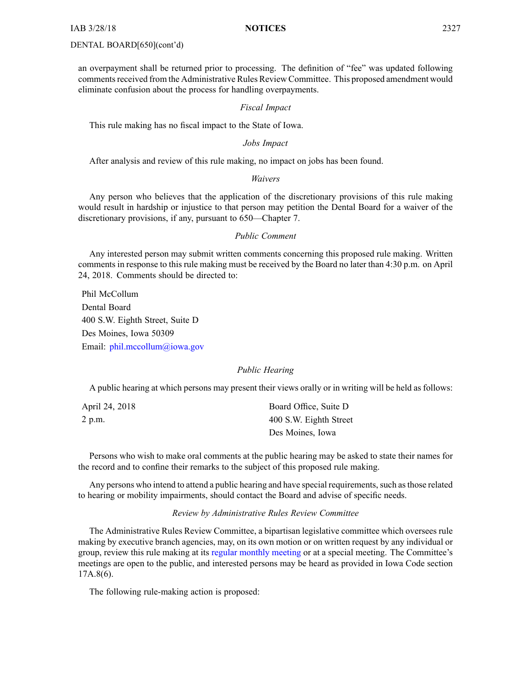### DENTAL BOARD[650](cont'd)

an overpaymen<sup>t</sup> shall be returned prior to processing. The definition of "fee" was updated following comments received from the Administrative Rules Review Committee. This proposed amendment would eliminate confusion about the process for handling overpayments.

### *Fiscal Impact*

This rule making has no fiscal impact to the State of Iowa.

### *Jobs Impact*

After analysis and review of this rule making, no impact on jobs has been found.

### *Waivers*

Any person who believes that the application of the discretionary provisions of this rule making would result in hardship or injustice to that person may petition the Dental Board for <sup>a</sup> waiver of the discretionary provisions, if any, pursuan<sup>t</sup> to 650—Chapter 7.

#### *Public Comment*

Any interested person may submit written comments concerning this proposed rule making. Written comments in response to this rule making must be received by the Board no later than 4:30 p.m. on April 24, 2018. Comments should be directed to:

Phil McCollum Dental Board 400 S.W. Eighth Street, Suite D Des Moines, Iowa 50309 Email: p[hil.mccollum@iowa.gov](mailto:phil.mccollum@iowa.gov)

### *Public Hearing*

A public hearing at which persons may presen<sup>t</sup> their views orally or in writing will be held as follows:

| April 24, 2018 | Board Office, Suite D  |
|----------------|------------------------|
| 2 p.m.         | 400 S.W. Eighth Street |
|                | Des Moines, Iowa       |

Persons who wish to make oral comments at the public hearing may be asked to state their names for the record and to confine their remarks to the subject of this proposed rule making.

Any persons who intend to attend a public hearing and have special requirements, such as those related to hearing or mobility impairments, should contact the Board and advise of specific needs.

### *Review by Administrative Rules Review Committee*

The Administrative Rules Review Committee, <sup>a</sup> bipartisan legislative committee which oversees rule making by executive branch agencies, may, on its own motion or on written reques<sup>t</sup> by any individual or group, review this rule making at its regular [monthly](https://www.legis.iowa.gov/committees/meetings/meetingsListComm?groupID=705&ga=87) meeting or at <sup>a</sup> special meeting. The Committee's meetings are open to the public, and interested persons may be heard as provided in Iowa Code section 17A.8(6).

The following rule-making action is proposed: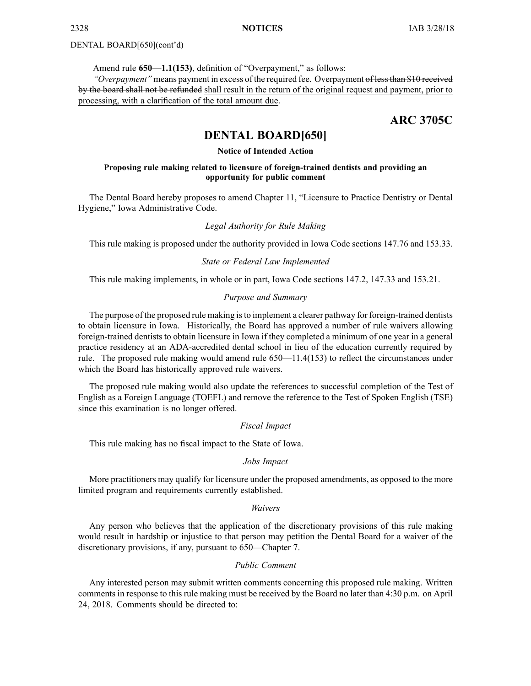### <span id="page-13-0"></span>DENTAL BOARD[650](cont'd)

Amend rule **650—1.1(153)**, definition of "Overpayment," as follows:

*"Overpayment"* means paymen<sup>t</sup> in excess of the required fee. Overpayment of lessthan \$10 received by the board shall not be refunded shall result in the return of the original reques<sup>t</sup> and payment, prior to processing, with <sup>a</sup> clarification of the total amount due.

### **ARC 3705C**

### **DENTAL BOARD[650]**

### **Notice of Intended Action**

### **Proposing rule making related to licensure of foreign-trained dentists and providing an opportunity for public comment**

The Dental Board hereby proposes to amend Chapter 11, "Licensure to Practice Dentistry or Dental Hygiene," Iowa Administrative Code.

### *Legal Authority for Rule Making*

This rule making is proposed under the authority provided in Iowa Code sections 147.76 and 153.33.

### *State or Federal Law Implemented*

This rule making implements, in whole or in part, Iowa Code sections 147.2, 147.33 and 153.21.

#### *Purpose and Summary*

The purpose of the proposed rule making isto implement <sup>a</sup> clearer pathway for foreign-trained dentists to obtain licensure in Iowa. Historically, the Board has approved <sup>a</sup> number of rule waivers allowing foreign-trained dentists to obtain licensure in Iowa if they completed <sup>a</sup> minimum of one year in <sup>a</sup> general practice residency at an ADA-accredited dental school in lieu of the education currently required by rule. The proposed rule making would amend rule 650—11.4(153) to reflect the circumstances under which the Board has historically approved rule waivers.

The proposed rule making would also update the references to successful completion of the Test of English as <sup>a</sup> Foreign Language (TOEFL) and remove the reference to the Test of Spoken English (TSE) since this examination is no longer offered.

#### *Fiscal Impact*

This rule making has no fiscal impact to the State of Iowa.

### *Jobs Impact*

More practitioners may qualify for licensure under the proposed amendments, as opposed to the more limited program and requirements currently established.

#### *Waivers*

Any person who believes that the application of the discretionary provisions of this rule making would result in hardship or injustice to that person may petition the Dental Board for <sup>a</sup> waiver of the discretionary provisions, if any, pursuan<sup>t</sup> to 650—Chapter 7.

#### *Public Comment*

Any interested person may submit written comments concerning this proposed rule making. Written comments in response to this rule making must be received by the Board no later than 4:30 p.m. on April 24, 2018. Comments should be directed to: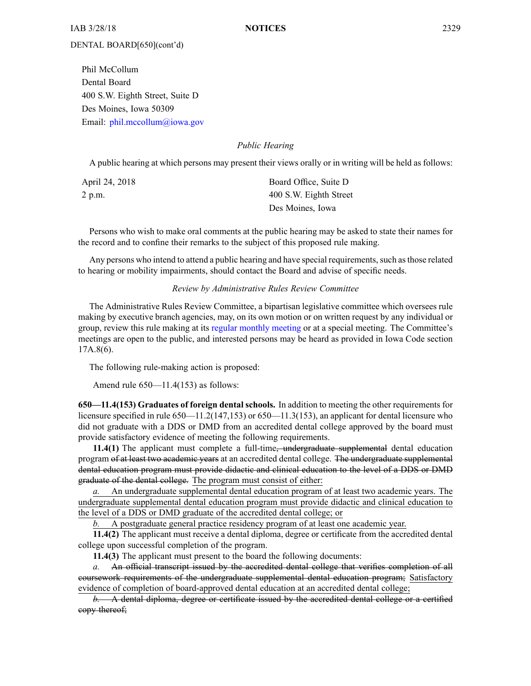Phil McCollum Dental Board 400 S.W. Eighth Street, Suite D Des Moines, Iowa 50309 Email: p[hil.mccollum@iowa.gov](mailto:phil.mccollum@iowa.gov)

*Public Hearing*

A public hearing at which persons may presen<sup>t</sup> their views orally or in writing will be held as follows:

| April 24, 2018 | Board Office, Suite D  |
|----------------|------------------------|
| 2 p.m.         | 400 S.W. Eighth Street |
|                | Des Moines, Iowa       |

Persons who wish to make oral comments at the public hearing may be asked to state their names for the record and to confine their remarks to the subject of this proposed rule making.

Any persons who intend to attend a public hearing and have special requirements, such as those related to hearing or mobility impairments, should contact the Board and advise of specific needs.

*Review by Administrative Rules Review Committee*

The Administrative Rules Review Committee, <sup>a</sup> bipartisan legislative committee which oversees rule making by executive branch agencies, may, on its own motion or on written reques<sup>t</sup> by any individual or group, review this rule making at its regular [monthly](https://www.legis.iowa.gov/committees/meetings/meetingsListComm?groupID=705&ga=87) meeting or at <sup>a</sup> special meeting. The Committee's meetings are open to the public, and interested persons may be heard as provided in Iowa Code section 17A.8(6).

The following rule-making action is proposed:

Amend rule 650—11.4(153) as follows:

**650—11.4(153) Graduates of foreign dental schools.** In addition to meeting the other requirements for licensure specified in rule [650—11.2](https://www.legis.iowa.gov/docs/iac/rule/03-28-2018.650.11.2.pdf)(147,153) or [650—11.3](https://www.legis.iowa.gov/docs/iac/rule/03-28-2018.650.11.3.pdf)(153), an applicant for dental licensure who did not graduate with <sup>a</sup> DDS or DMD from an accredited dental college approved by the board must provide satisfactory evidence of meeting the following requirements.

**11.4(1)** The applicant must complete <sup>a</sup> full-time, undergraduate supplemental dental education program of at least two academic years at an accredited dental college. The undergraduate supplemental dental education program must provide didactic and clinical education to the level of <sup>a</sup> DDS or DMD graduate of the dental college. The program must consist of either:

*a.* An undergraduate supplemental dental education program of at least two academic years. The undergraduate supplemental dental education program must provide didactic and clinical education to the level of <sup>a</sup> DDS or DMD graduate of the accredited dental college; or

*b.* A postgraduate general practice residency program of at least one academic year.

**11.4(2)** The applicant must receive <sup>a</sup> dental diploma, degree or certificate from the accredited dental college upon successful completion of the program.

**11.4(3)** The applicant must presen<sup>t</sup> to the board the following documents:

*a.* An official transcript issued by the accredited dental college that verifies completion of all coursework requirements of the undergraduate supplemental dental education program; Satisfactory evidence of completion of board-approved dental education at an accredited dental college;

*b.* A dental diploma, degree or certificate issued by the accredited dental college or <sup>a</sup> certified copy thereof;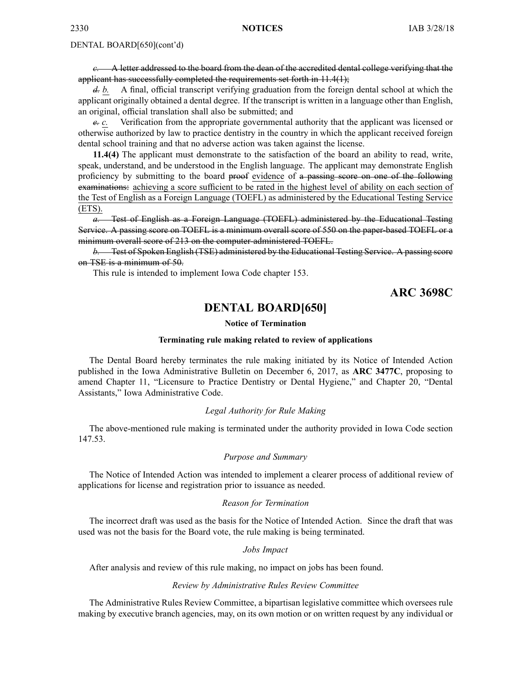<span id="page-15-0"></span>DENTAL BOARD[650](cont'd)

*c.* A letter addressed to the board from the dean of the accredited dental college verifying that the applicant has successfully completed the requirements set forth in [11.4\(1\)](https://www.legis.iowa.gov/docs/iac/rule/03-28-2018.650.11.4.pdf);

*d. b.* A final, official transcript verifying graduation from the foreign dental school at which the applicant originally obtained <sup>a</sup> dental degree. If the transcript is written in <sup>a</sup> language other than English, an original, official translation shall also be submitted; and

*e. c.* Verification from the appropriate governmental authority that the applicant was licensed or otherwise authorized by law to practice dentistry in the country in which the applicant received foreign dental school training and that no adverse action was taken against the license.

**11.4(4)** The applicant must demonstrate to the satisfaction of the board an ability to read, write, speak, understand, and be understood in the English language. The applicant may demonstrate English proficiency by submitting to the board proof evidence of <sup>a</sup> passing score on one of the following examinations: achieving a score sufficient to be rated in the highest level of ability on each section of the Test of English as <sup>a</sup> Foreign Language (TOEFL) as administered by the Educational Testing Service (ETS).

Test of English as a Foreign Language (TOEFL) administered by the Educational Testing Service. A passing score on TOEFL is <sup>a</sup> minimum overall score of 550 on the paper-based TOEFL or <sup>a</sup> minimum overall score of 213 on the computer-administered TOEFL.

*b.* Test of Spoken English (TSE) administered by the Educational Testing Service. A passing score on TSE is <sup>a</sup> minimum of 50.

This rule is intended to implement Iowa Code chapter [153](https://www.legis.iowa.gov/docs/ico/chapter/153.pdf).

**ARC 3698C**

### **DENTAL BOARD[650]**

### **Notice of Termination**

### **Terminating rule making related to review of applications**

The Dental Board hereby terminates the rule making initiated by its Notice of Intended Action published in the Iowa Administrative Bulletin on December 6, 2017, as **ARC 3477C**, proposing to amend Chapter 11, "Licensure to Practice Dentistry or Dental Hygiene," and Chapter 20, "Dental Assistants," Iowa Administrative Code.

### *Legal Authority for Rule Making*

The above-mentioned rule making is terminated under the authority provided in Iowa Code section 147.53.

### *Purpose and Summary*

The Notice of Intended Action was intended to implement <sup>a</sup> clearer process of additional review of applications for license and registration prior to issuance as needed.

### *Reason for Termination*

The incorrect draft was used as the basis for the Notice of Intended Action. Since the draft that was used was not the basis for the Board vote, the rule making is being terminated.

### *Jobs Impact*

After analysis and review of this rule making, no impact on jobs has been found.

### *Review by Administrative Rules Review Committee*

The Administrative Rules Review Committee, <sup>a</sup> bipartisan legislative committee which oversees rule making by executive branch agencies, may, on its own motion or on written reques<sup>t</sup> by any individual or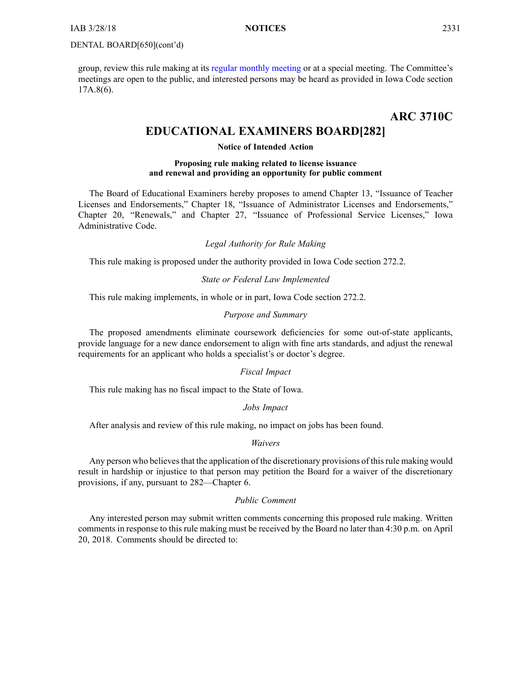### <span id="page-16-0"></span>DENTAL BOARD[650](cont'd)

group, review this rule making at its regular [monthly](https://www.legis.iowa.gov/committees/meetings/meetingsListComm?groupID=705&ga=87) meeting or at <sup>a</sup> special meeting. The Committee's meetings are open to the public, and interested persons may be heard as provided in Iowa Code section 17A.8(6).

### **ARC 3710C**

### **EDUCATIONAL EXAMINERS BOARD[282]**

### **Notice of Intended Action**

### **Proposing rule making related to license issuance and renewal and providing an opportunity for public comment**

The Board of Educational Examiners hereby proposes to amend Chapter 13, "Issuance of Teacher Licenses and Endorsements," Chapter 18, "Issuance of Administrator Licenses and Endorsements," Chapter 20, "Renewals," and Chapter 27, "Issuance of Professional Service Licenses," Iowa Administrative Code.

### *Legal Authority for Rule Making*

This rule making is proposed under the authority provided in Iowa Code section 272.2.

#### *State or Federal Law Implemented*

This rule making implements, in whole or in part, Iowa Code section 272.2.

### *Purpose and Summary*

The proposed amendments eliminate coursework deficiencies for some out-of-state applicants, provide language for <sup>a</sup> new dance endorsement to align with fine arts standards, and adjust the renewal requirements for an applicant who holds <sup>a</sup> specialist's or doctor's degree.

### *Fiscal Impact*

This rule making has no fiscal impact to the State of Iowa.

### *Jobs Impact*

After analysis and review of this rule making, no impact on jobs has been found.

### *Waivers*

Any person who believes that the application of the discretionary provisions of this rule making would result in hardship or injustice to that person may petition the Board for <sup>a</sup> waiver of the discretionary provisions, if any, pursuan<sup>t</sup> to 282—Chapter 6.

### *Public Comment*

Any interested person may submit written comments concerning this proposed rule making. Written comments in response to this rule making must be received by the Board no later than 4:30 p.m. on April 20, 2018. Comments should be directed to: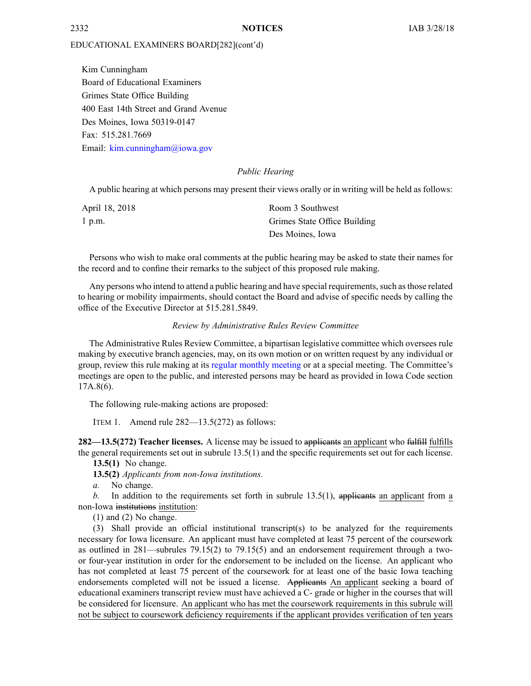Kim Cunningham Board of Educational Examiners Grimes State Office Building 400 East 14th Street and Grand Avenue Des Moines, Iowa 50319-0147 Fax: 515.281.7669 Email: [kim.cunningham@iowa.gov](mailto:kim.cunningham@iowa.gov)

### *Public Hearing*

A public hearing at which persons may presen<sup>t</sup> their views orally or in writing will be held as follows:

| April 18, 2018 | Room 3 Southwest             |
|----------------|------------------------------|
| $1$ p.m.       | Grimes State Office Building |
|                | Des Moines, Iowa             |

Persons who wish to make oral comments at the public hearing may be asked to state their names for the record and to confine their remarks to the subject of this proposed rule making.

Any persons who intend to attend a public hearing and have special requirements, such as those related to hearing or mobility impairments, should contact the Board and advise of specific needs by calling the office of the Executive Director at 515.281.5849.

### *Review by Administrative Rules Review Committee*

The Administrative Rules Review Committee, <sup>a</sup> bipartisan legislative committee which oversees rule making by executive branch agencies, may, on its own motion or on written reques<sup>t</sup> by any individual or group, review this rule making at its regular [monthly](https://www.legis.iowa.gov/committees/meetings/meetingsListComm?groupID=705&ga=87) meeting or at <sup>a</sup> special meeting. The Committee's meetings are open to the public, and interested persons may be heard as provided in Iowa Code section 17A.8(6).

The following rule-making actions are proposed:

ITEM 1. Amend rule 282—13.5(272) as follows:

**282—13.5(272) Teacher licenses.** A license may be issued to applicants an applicant who fulfill fulfills the general requirements set out in subrule [13.5\(1\)](https://www.legis.iowa.gov/docs/iac/rule/03-28-2018.282.13.5.pdf) and the specific requirements set out for each license.

**13.5(1)** No change.

**13.5(2)** *Applicants from non-Iowa institutions.*

*a.* No change.

*b.* In addition to the requirements set forth in subrule [13.5\(1\)](https://www.legis.iowa.gov/docs/iac/rule/03-28-2018.282.13.5.pdf), applicants an applicant from a non-Iowa institutions institution:

(1) and (2) No change.

(3) Shall provide an official institutional transcript(s) to be analyzed for the requirements necessary for Iowa licensure. An applicant must have completed at least 75 percen<sup>t</sup> of the coursework as outlined in [281—subrules](https://www.legis.iowa.gov/docs/iac/rule/03-28-2018.281.79.15.pdf) 79.15(2) to [79.15\(5\)](https://www.legis.iowa.gov/docs/iac/rule/03-28-2018.281.79.15.pdf) and an endorsement requirement through <sup>a</sup> twoor four-year institution in order for the endorsement to be included on the license. An applicant who has not completed at least 75 percen<sup>t</sup> of the coursework for at least one of the basic Iowa teaching endorsements completed will not be issued <sup>a</sup> license. Applicants An applicant seeking <sup>a</sup> board of educational examiners transcript review must have achieved <sup>a</sup> C- grade or higher in the courses that will be considered for licensure. An applicant who has met the coursework requirements in this subrule will not be subject to coursework deficiency requirements if the applicant provides verification of ten years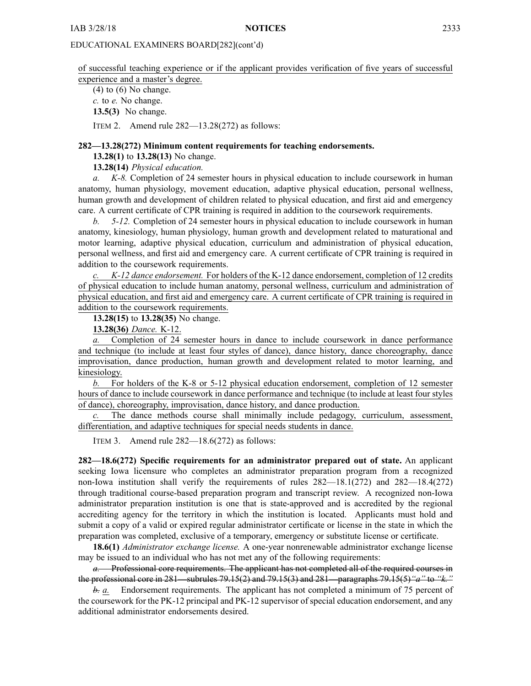of successful teaching experience or if the applicant provides verification of five years of successful experience and <sup>a</sup> master's degree.

 $(4)$  to  $(6)$  No change.

*c.* to *e.* No change.

**13.5(3)** No change.

ITEM 2. Amend rule 282—13.28(272) as follows:

### **282—13.28(272) Minimum content requirements for teaching endorsements.**

**13.28(1)** to **13.28(13)** No change.

**13.28(14)** *Physical education.*

*a. K-8.* Completion of 24 semester hours in physical education to include coursework in human anatomy, human physiology, movement education, adaptive physical education, personal wellness, human growth and development of children related to physical education, and first aid and emergency care. A current certificate of CPR training is required in addition to the coursework requirements.

*b. 5-12.* Completion of 24 semester hours in physical education to include coursework in human anatomy, kinesiology, human physiology, human growth and development related to maturational and motor learning, adaptive physical education, curriculum and administration of physical education, personal wellness, and first aid and emergency care. A current certificate of CPR training is required in addition to the coursework requirements.

*c. K-12 dance endorsement.* For holders of the K-12 dance endorsement, completion of 12 credits of physical education to include human anatomy, personal wellness, curriculum and administration of physical education, and first aid and emergency care. A current certificate of CPR training is required in addition to the coursework requirements.

**13.28(15)** to **13.28(35)** No change.

**13.28(36)** *Dance.* K-12.

Completion of 24 semester hours in dance to include coursework in dance performance and technique (to include at least four styles of dance), dance history, dance choreography, dance improvisation, dance production, human growth and development related to motor learning, and kinesiology.

*b.* For holders of the K-8 or 5-12 physical education endorsement, completion of 12 semester hours of dance to include coursework in dance performance and technique (to include at least four styles of dance), choreography, improvisation, dance history, and dance production.

The dance methods course shall minimally include pedagogy, curriculum, assessment, differentiation, and adaptive techniques for special needs students in dance.

ITEM 3. Amend rule 282—18.6(272) as follows:

**282—18.6(272) Specific requirements for an administrator prepared out of state.** An applicant seeking Iowa licensure who completes an administrator preparation program from <sup>a</sup> recognized non-Iowa institution shall verify the requirements of rules [282—18.1](https://www.legis.iowa.gov/docs/iac/rule/03-28-2018.282.18.1.pdf)(272) and [282—18.4](https://www.legis.iowa.gov/docs/iac/rule/03-28-2018.282.18.4.pdf)(272) through traditional course-based preparation program and transcript review. A recognized non-Iowa administrator preparation institution is one that is state-approved and is accredited by the regional accrediting agency for the territory in which the institution is located. Applicants must hold and submit <sup>a</sup> copy of <sup>a</sup> valid or expired regular administrator certificate or license in the state in which the preparation was completed, exclusive of <sup>a</sup> temporary, emergency or substitute license or certificate.

**18.6(1)** *Administrator exchange license.* A one-year nonrenewable administrator exchange license may be issued to an individual who has not met any of the following requirements:

*a.* Professional core requirements. The applicant has not completed all of the required courses in the professional core in [281—subrules](https://www.legis.iowa.gov/docs/iac/rule/03-28-2018.281.79.15.pdf) 79.15(2) and [79.15\(3\)](https://www.legis.iowa.gov/docs/iac/rule/03-28-2018.281.79.15.pdf) and [281—paragraphs](https://www.legis.iowa.gov/docs/iac/rule/03-28-2018.281.79.15.pdf) 79.15(5)*"a"* to *"k."*

*b. a.* Endorsement requirements. The applicant has not completed <sup>a</sup> minimum of 75 percen<sup>t</sup> of the coursework for the PK-12 principal and PK-12 supervisor of special education endorsement, and any additional administrator endorsements desired.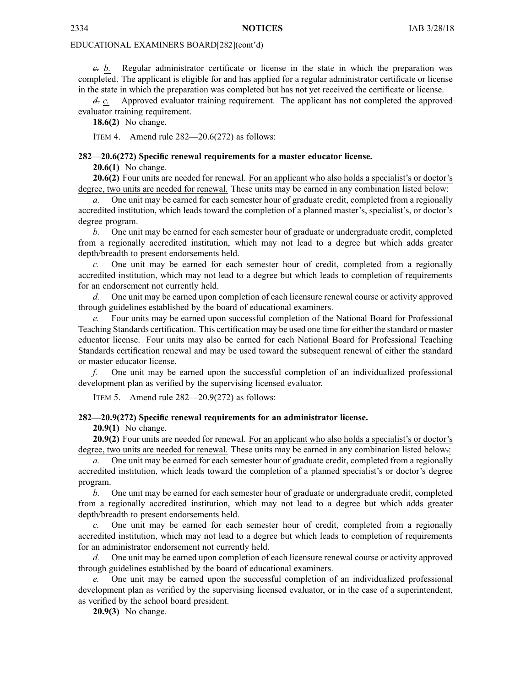*c. b.* Regular administrator certificate or license in the state in which the preparation was completed. The applicant is eligible for and has applied for <sup>a</sup> regular administrator certificate or license in the state in which the preparation was completed but has not ye<sup>t</sup> received the certificate or license.

*d. c.* Approved evaluator training requirement. The applicant has not completed the approved evaluator training requirement.

**18.6(2)** No change.

ITEM 4. Amend rule 282—20.6(272) as follows:

### **282—20.6(272) Specific renewal requirements for <sup>a</sup> master educator license.**

**20.6(1)** No change.

**20.6(2)** Four units are needed for renewal. For an applicant who also holds <sup>a</sup> specialist's or doctor's degree, two units are needed for renewal. These units may be earned in any combination listed below:

*a.* One unit may be earned for each semester hour of graduate credit, completed from <sup>a</sup> regionally accredited institution, which leads toward the completion of <sup>a</sup> planned master's, specialist's, or doctor's degree program.

*b.* One unit may be earned for each semester hour of graduate or undergraduate credit, completed from <sup>a</sup> regionally accredited institution, which may not lead to <sup>a</sup> degree but which adds greater depth/breadth to presen<sup>t</sup> endorsements held.

One unit may be earned for each semester hour of credit, completed from a regionally accredited institution, which may not lead to <sup>a</sup> degree but which leads to completion of requirements for an endorsement not currently held.

*d.* One unit may be earned upon completion of each licensure renewal course or activity approved through guidelines established by the board of educational examiners.

*e.* Four units may be earned upon successful completion of the National Board for Professional Teaching Standards certification. This certification may be used one time for either the standard or master educator license. Four units may also be earned for each National Board for Professional Teaching Standards certification renewal and may be used toward the subsequent renewal of either the standard or master educator license.

*f.* One unit may be earned upon the successful completion of an individualized professional development plan as verified by the supervising licensed evaluator.

ITEM 5. Amend rule 282—20.9(272) as follows:

### **282—20.9(272) Specific renewal requirements for an administrator license.**

**20.9(1)** No change.

**20.9(2)** Four units are needed for renewal. For an applicant who also holds <sup>a</sup> specialist's or doctor's degree, two units are needed for renewal. These units may be earned in any combination listed below.:

*a.* One unit may be earned for each semester hour of graduate credit, completed from <sup>a</sup> regionally accredited institution, which leads toward the completion of <sup>a</sup> planned specialist's or doctor's degree program.

*b.* One unit may be earned for each semester hour of graduate or undergraduate credit, completed from <sup>a</sup> regionally accredited institution, which may not lead to <sup>a</sup> degree but which adds greater depth/breadth to presen<sup>t</sup> endorsements held.

*c.* One unit may be earned for each semester hour of credit, completed from <sup>a</sup> regionally accredited institution, which may not lead to <sup>a</sup> degree but which leads to completion of requirements for an administrator endorsement not currently held.

*d.* One unit may be earned upon completion of each licensure renewal course or activity approved through guidelines established by the board of educational examiners.

*e.* One unit may be earned upon the successful completion of an individualized professional development plan as verified by the supervising licensed evaluator, or in the case of <sup>a</sup> superintendent, as verified by the school board president.

**20.9(3)** No change.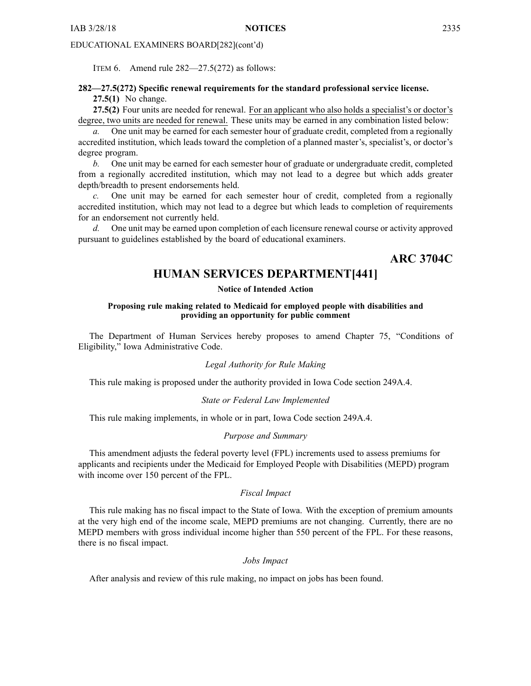<span id="page-20-0"></span>ITEM 6. Amend rule 282—27.5(272) as follows:

### **282—27.5(272) Specific renewal requirements for the standard professional service license. 27.5(1)** No change.

**27.5(2)** Four units are needed for renewal. For an applicant who also holds <sup>a</sup> specialist's or doctor's degree, two units are needed for renewal. These units may be earned in any combination listed below:

*a.* One unit may be earned for each semester hour of graduate credit, completed from <sup>a</sup> regionally accredited institution, which leads toward the completion of <sup>a</sup> planned master's, specialist's, or doctor's degree program.

*b.* One unit may be earned for each semester hour of graduate or undergraduate credit, completed from <sup>a</sup> regionally accredited institution, which may not lead to <sup>a</sup> degree but which adds greater depth/breadth to presen<sup>t</sup> endorsements held.

*c.* One unit may be earned for each semester hour of credit, completed from <sup>a</sup> regionally accredited institution, which may not lead to <sup>a</sup> degree but which leads to completion of requirements for an endorsement not currently held.

*d.* One unit may be earned upon completion of each licensure renewal course or activity approved pursuan<sup>t</sup> to guidelines established by the board of educational examiners.

**ARC 3704C**

### **HUMAN SERVICES DEPARTMENT[441]**

### **Notice of Intended Action**

### **Proposing rule making related to Medicaid for employed people with disabilities and providing an opportunity for public comment**

The Department of Human Services hereby proposes to amend Chapter 75, "Conditions of Eligibility," Iowa Administrative Code.

### *Legal Authority for Rule Making*

This rule making is proposed under the authority provided in Iowa Code section 249A.4.

### *State or Federal Law Implemented*

This rule making implements, in whole or in part, Iowa Code section 249A.4.

### *Purpose and Summary*

This amendment adjusts the federal poverty level (FPL) increments used to assess premiums for applicants and recipients under the Medicaid for Employed People with Disabilities (MEPD) program with income over 150 percen<sup>t</sup> of the FPL.

### *Fiscal Impact*

This rule making has no fiscal impact to the State of Iowa. With the exception of premium amounts at the very high end of the income scale, MEPD premiums are not changing. Currently, there are no MEPD members with gross individual income higher than 550 percen<sup>t</sup> of the FPL. For these reasons, there is no fiscal impact.

### *Jobs Impact*

After analysis and review of this rule making, no impact on jobs has been found.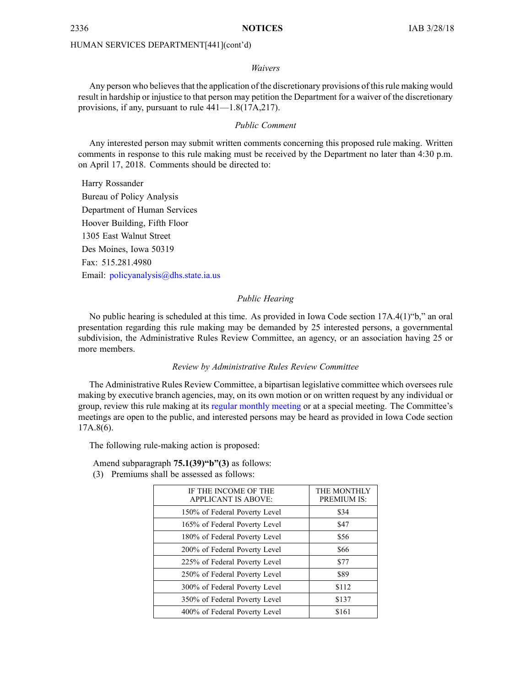### HUMAN SERVICES DEPARTMENT[441](cont'd)

### *Waivers*

Any person who believes that the application of the discretionary provisions of this rule making would result in hardship or injustice to that person may petition the Department for <sup>a</sup> waiver of the discretionary provisions, if any, pursuan<sup>t</sup> to rule 441—1.8(17A,217).

### *Public Comment*

Any interested person may submit written comments concerning this proposed rule making. Written comments in response to this rule making must be received by the Department no later than 4:30 p.m. on April 17, 2018. Comments should be directed to:

Harry Rossander Bureau of Policy Analysis Department of Human Services Hoover Building, Fifth Floor 1305 East Walnut Street Des Moines, Iowa 50319 Fax: 515.281.4980 Email: po[licyanalysis@dhs.state.ia.us](mailto:policyanalysis@dhs.state.ia.us)

### *Public Hearing*

No public hearing is scheduled at this time. As provided in Iowa Code section 17A.4(1)"b," an oral presentation regarding this rule making may be demanded by 25 interested persons, <sup>a</sup> governmental subdivision, the Administrative Rules Review Committee, an agency, or an association having 25 or more members.

### *Review by Administrative Rules Review Committee*

The Administrative Rules Review Committee, <sup>a</sup> bipartisan legislative committee which oversees rule making by executive branch agencies, may, on its own motion or on written reques<sup>t</sup> by any individual or group, review this rule making at its regular [monthly](https://www.legis.iowa.gov/committees/meetings/meetingsListComm?groupID=705&ga=87) meeting or at <sup>a</sup> special meeting. The Committee's meetings are open to the public, and interested persons may be heard as provided in Iowa Code section 17A.8(6).

The following rule-making action is proposed:

Amend subparagraph **75.1(39)"b"(3)** as follows:

(3) Premiums shall be assessed as follows:

| IF THE INCOME OF THE<br><b>APPLICANT IS ABOVE:</b> | THE MONTHLY<br><b>PREMIUM IS:</b> |
|----------------------------------------------------|-----------------------------------|
| 150% of Federal Poverty Level                      | \$34                              |
| 165% of Federal Poverty Level                      | \$47                              |
| 180% of Federal Poverty Level                      | \$56                              |
| 200% of Federal Poverty Level                      | \$66                              |
| 225% of Federal Poverty Level                      | \$77                              |
| 250% of Federal Poverty Level                      | \$89                              |
| 300% of Federal Poverty Level                      | \$112                             |
| 350% of Federal Poverty Level                      | \$137                             |
| 400% of Federal Poverty Level                      | \$161                             |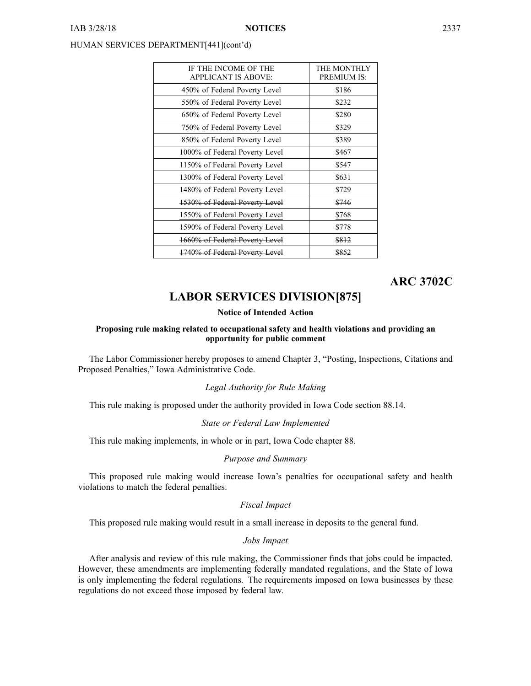### <span id="page-22-0"></span>HUMAN SERVICES DEPARTMENT[441](cont'd)

| IF THE INCOME OF THE<br><b>APPLICANT IS ABOVE:</b> | THE MONTHLY<br><b>PREMIUM IS:</b> |
|----------------------------------------------------|-----------------------------------|
| 450% of Federal Poverty Level                      | \$186                             |
| 550% of Federal Poverty Level                      | \$232                             |
| 650% of Federal Poverty Level                      | \$280                             |
| 750% of Federal Poverty Level                      | \$329                             |
| 850% of Federal Poverty Level                      | \$389                             |
| 1000% of Federal Poverty Level                     | \$467                             |
| 1150% of Federal Poverty Level                     | \$547                             |
| 1300% of Federal Poverty Level                     | \$631                             |
| 1480% of Federal Poverty Level                     | \$729                             |
| 1530% of Federal Poverty Level                     | \$746                             |
| 1550% of Federal Poverty Level                     | \$768                             |
| 1590% of Federal Poverty Level                     | \$778                             |
| 1660% of Federal Poverty Level                     | \$812                             |
| 1740% of Federal Poverty Level                     | \$852                             |
|                                                    |                                   |

### **ARC 3702C**

## **LABOR SERVICES DIVISION[875]**

### **Notice of Intended Action**

### **Proposing rule making related to occupational safety and health violations and providing an opportunity for public comment**

The Labor Commissioner hereby proposes to amend Chapter 3, "Posting, Inspections, Citations and Proposed Penalties," Iowa Administrative Code.

### *Legal Authority for Rule Making*

This rule making is proposed under the authority provided in Iowa Code section 88.14.

### *State or Federal Law Implemented*

This rule making implements, in whole or in part, Iowa Code chapter 88.

### *Purpose and Summary*

This proposed rule making would increase Iowa's penalties for occupational safety and health violations to match the federal penalties.

### *Fiscal Impact*

This proposed rule making would result in <sup>a</sup> small increase in deposits to the general fund.

### *Jobs Impact*

After analysis and review of this rule making, the Commissioner finds that jobs could be impacted. However, these amendments are implementing federally mandated regulations, and the State of Iowa is only implementing the federal regulations. The requirements imposed on Iowa businesses by these regulations do not exceed those imposed by federal law.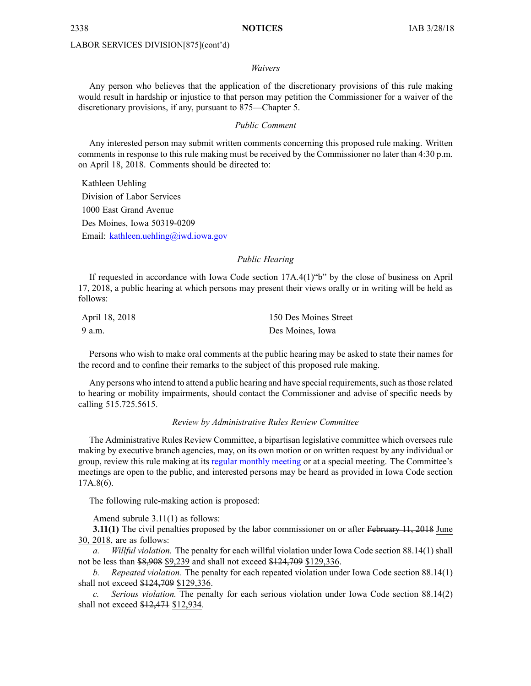### LABOR SERVICES DIVISION[875](cont'd)

### *Waivers*

Any person who believes that the application of the discretionary provisions of this rule making would result in hardship or injustice to that person may petition the Commissioner for <sup>a</sup> waiver of the discretionary provisions, if any, pursuan<sup>t</sup> to 875—Chapter 5.

#### *Public Comment*

Any interested person may submit written comments concerning this proposed rule making. Written comments in response to this rule making must be received by the Commissioner no later than 4:30 p.m. on April 18, 2018. Comments should be directed to:

Kathleen Uehling Division of Labor Services 1000 East Grand Avenue Des Moines, Iowa 50319-0209 Email: [kathleen.uehling@iwd.iowa.gov](mailto:kathleen.uehling@iwd.iowa.gov)

### *Public Hearing*

If requested in accordance with Iowa Code section  $17A.4(1)$ "b" by the close of business on April 17, 2018, <sup>a</sup> public hearing at which persons may presen<sup>t</sup> their views orally or in writing will be held as follows:

| April 18, 2018 | 150 Des Moines Street |
|----------------|-----------------------|
| 9 a.m.         | Des Moines, Iowa      |

Persons who wish to make oral comments at the public hearing may be asked to state their names for the record and to confine their remarks to the subject of this proposed rule making.

Any persons who intend to attend a public hearing and have special requirements, such as those related to hearing or mobility impairments, should contact the Commissioner and advise of specific needs by calling 515.725.5615.

#### *Review by Administrative Rules Review Committee*

The Administrative Rules Review Committee, <sup>a</sup> bipartisan legislative committee which oversees rule making by executive branch agencies, may, on its own motion or on written reques<sup>t</sup> by any individual or group, review this rule making at its regular [monthly](https://www.legis.iowa.gov/committees/meetings/meetingsListComm?groupID=705&ga=87) meeting or at <sup>a</sup> special meeting. The Committee's meetings are open to the public, and interested persons may be heard as provided in Iowa Code section 17A.8(6).

The following rule-making action is proposed:

Amend subrule 3.11(1) as follows:

**3.11(1)** The civil penalties proposed by the labor commissioner on or after February 11, 2018 June 30, 2018, are as follows:

*a. Willful violation.* The penalty for each willful violation under Iowa Code section [88.14\(1\)](https://www.legis.iowa.gov/docs/ico/section/2017/88.14.pdf) shall not be less than \$8,908 \$9,239 and shall not exceed \$124,709 \$129,336.

*b. Repeated violation.* The penalty for each repeated violation under Iowa Code section [88.14\(1\)](https://www.legis.iowa.gov/docs/ico/section/2017/88.14.pdf) shall not exceed \$124,709 \$129,336.

*c. Serious violation.* The penalty for each serious violation under Iowa Code section [88.14\(2\)](https://www.legis.iowa.gov/docs/ico/section/2017/88.14.pdf) shall not exceed \$12,471 \$12,934.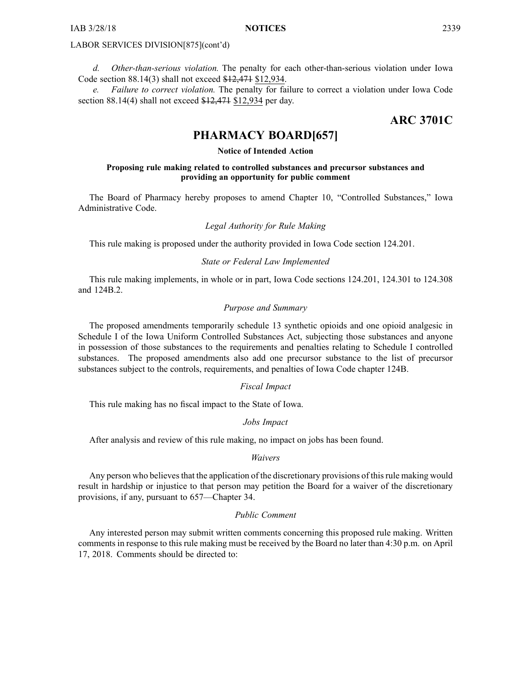### <span id="page-24-0"></span>LABOR SERVICES DIVISION[875](cont'd)

*d. Other-than-serious violation.* The penalty for each other-than-serious violation under Iowa Code section [88.14\(3\)](https://www.legis.iowa.gov/docs/ico/section/2017/88.14.pdf) shall not exceed \$12,471 \$12,934.

*e. Failure to correct violation.* The penalty for failure to correct <sup>a</sup> violation under Iowa Code section [88.14\(4\)](https://www.legis.iowa.gov/docs/ico/section/2017/88.14.pdf) shall not exceed \$12,471 \$12,934 per day.

### **ARC 3701C**

### **PHARMACY BOARD[657]**

### **Notice of Intended Action**

### **Proposing rule making related to controlled substances and precursor substances and providing an opportunity for public comment**

The Board of Pharmacy hereby proposes to amend Chapter 10, "Controlled Substances," Iowa Administrative Code.

### *Legal Authority for Rule Making*

This rule making is proposed under the authority provided in Iowa Code section 124.201.

### *State or Federal Law Implemented*

This rule making implements, in whole or in part, Iowa Code sections 124.201, 124.301 to 124.308 and 124B.2.

#### *Purpose and Summary*

The proposed amendments temporarily schedule 13 synthetic opioids and one opioid analgesic in Schedule I of the Iowa Uniform Controlled Substances Act, subjecting those substances and anyone in possession of those substances to the requirements and penalties relating to Schedule I controlled substances. The proposed amendments also add one precursor substance to the list of precursor substances subject to the controls, requirements, and penalties of Iowa Code chapter 124B.

### *Fiscal Impact*

This rule making has no fiscal impact to the State of Iowa.

#### *Jobs Impact*

After analysis and review of this rule making, no impact on jobs has been found.

### *Waivers*

Any person who believes that the application of the discretionary provisions of this rule making would result in hardship or injustice to that person may petition the Board for <sup>a</sup> waiver of the discretionary provisions, if any, pursuan<sup>t</sup> to 657—Chapter 34.

### *Public Comment*

Any interested person may submit written comments concerning this proposed rule making. Written comments in response to this rule making must be received by the Board no later than 4:30 p.m. on April 17, 2018. Comments should be directed to: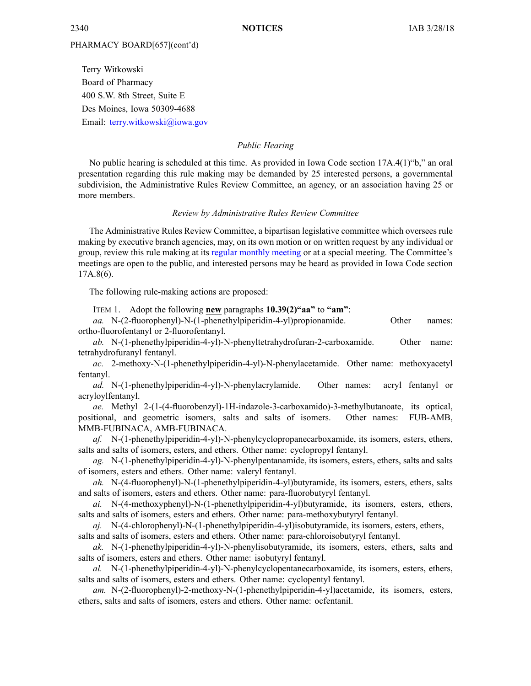### PHARMACY BOARD[657](cont'd)

Terry Witkowski Board of Pharmacy 400 S.W. 8th Street, Suite E Des Moines, Iowa 50309-4688 Email: [terry.witkowski@iowa.gov](mailto:terry.witkowski@iowa.gov)

### *Public Hearing*

No public hearing is scheduled at this time. As provided in Iowa Code section 17A.4(1)"b," an oral presentation regarding this rule making may be demanded by 25 interested persons, <sup>a</sup> governmental subdivision, the Administrative Rules Review Committee, an agency, or an association having 25 or more members.

### *Review by Administrative Rules Review Committee*

The Administrative Rules Review Committee, <sup>a</sup> bipartisan legislative committee which oversees rule making by executive branch agencies, may, on its own motion or on written reques<sup>t</sup> by any individual or group, review this rule making at its regular [monthly](https://www.legis.iowa.gov/committees/meetings/meetingsListComm?groupID=705&ga=87) meeting or at <sup>a</sup> special meeting. The Committee's meetings are open to the public, and interested persons may be heard as provided in Iowa Code section 17A.8(6).

The following rule-making actions are proposed:

ITEM 1. Adopt the following **new** paragraphs **10.39(2)"aa"** to **"am"**:

*aa.* N-(2-fluorophenyl)-N-(1-phenethylpiperidin-4-yl)propionamide. Other names: ortho-fluorofentanyl or 2-fluorofentanyl.

*ab.* N-(1-phenethylpiperidin-4-yl)-N-phenyltetrahydrofuran-2-carboxamide. Other name: tetrahydrofuranyl fentanyl.

*ac.* 2-methoxy-N-(1-phenethylpiperidin-4-yl)-N-phenylacetamide. Other name: methoxyacetyl fentanyl.

*ad.* N-(1-phenethylpiperidin-4-yl)-N-phenylacrylamide. Other names: acryl fentanyl or acryloylfentanyl.

*ae.* Methyl 2-(1-(4-fluorobenzyl)-1H-indazole-3-carboxamido)-3-methylbutanoate, its optical, positional, and geometric isomers, salts and salts of isomers. Other names: FUB-AMB, MMB-FUBINACA, AMB-FUBINACA.

*af.* N-(1-phenethylpiperidin-4-yl)-N-phenylcyclopropanecarboxamide, its isomers, esters, ethers, salts and salts of isomers, esters, and ethers. Other name: cyclopropyl fentanyl.

*ag.* N-(1-phenethylpiperidin-4-yl)-N-phenylpentanamide, its isomers, esters, ethers, salts and salts of isomers, esters and ethers. Other name: valeryl fentanyl.

*ah.* N-(4-fluorophenyl)-N-(1-phenethylpiperidin-4-yl)butyramide, its isomers, esters, ethers, salts and salts of isomers, esters and ethers. Other name: para-fluorobutyryl fentanyl.

*ai.* N-(4-methoxyphenyl)-N-(1-phenethylpiperidin-4-yl)butyramide, its isomers, esters, ethers, salts and salts of isomers, esters and ethers. Other name: para-methoxybutyryl fentanyl.

*aj.* N-(4-chlorophenyl)-N-(1-phenethylpiperidin-4-yl)isobutyramide, its isomers, esters, ethers, salts and salts of isomers, esters and ethers. Other name: para-chloroisobutyryl fentanyl.

*ak.* N-(1-phenethylpiperidin-4-yl)-N-phenylisobutyramide, its isomers, esters, ethers, salts and salts of isomers, esters and ethers. Other name: isobutyryl fentanyl.

*al.* N-(1-phenethylpiperidin-4-yl)-N-phenylcyclopentanecarboxamide, its isomers, esters, ethers, salts and salts of isomers, esters and ethers. Other name: cyclopentyl fentanyl.

*am.* N-(2-fluorophenyl)-2-methoxy-N-(1-phenethylpiperidin-4-yl)acetamide, its isomers, esters, ethers, salts and salts of isomers, esters and ethers. Other name: ocfentanil.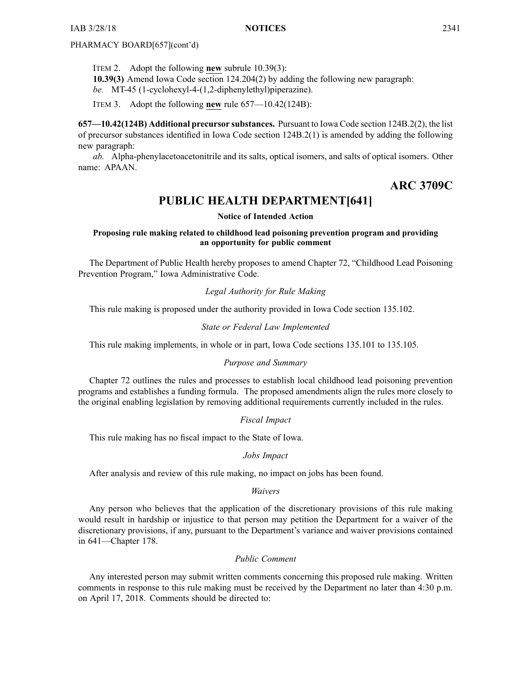### <span id="page-26-0"></span>PHARMACY BOARD[657](cont'd)

ITEM 2. Adopt the following **new** subrule 10.39(3):

**10.39(3)** Amend Iowa Code section [124.204\(2\)](https://www.legis.iowa.gov/docs/ico/section/2018/124.204.pdf) by adding the following new paragraph:

*be.* MT-45 (1-cyclohexyl-4-(1,2-diphenylethyl)piperazine).

ITEM 3. Adopt the following **new** rule 657—10.42(124B):

**657—10.42(124B) Additional precursor substances.** Pursuant to Iowa Code section [124B.2\(2\)](https://www.legis.iowa.gov/docs/ico/section/2018/124B.2.pdf), the list of precursor substances identified in Iowa Code section [124B.2\(1\)](https://www.legis.iowa.gov/docs/ico/section/2018/124B.2.pdf) is amended by adding the following new paragraph:

*ab.* Alpha-phenylacetoacetonitrile and its salts, optical isomers, and salts of optical isomers. Other name: APAAN.

### **ARC 3709C**

## **PUBLIC HEALTH DEPARTMENT[641]**

**Notice of Intended Action**

### **Proposing rule making related to childhood lead poisoning prevention program and providing an opportunity for public comment**

The Department of Public Health hereby proposes to amend Chapter 72, "Childhood Lead Poisoning Prevention Program," Iowa Administrative Code.

### *Legal Authority for Rule Making*

This rule making is proposed under the authority provided in Iowa Code section 135.102.

#### *State or Federal Law Implemented*

This rule making implements, in whole or in part, Iowa Code sections 135.101 to 135.105.

### *Purpose and Summary*

Chapter 72 outlines the rules and processes to establish local childhood lead poisoning prevention programs and establishes <sup>a</sup> funding formula. The proposed amendments align the rules more closely to the original enabling legislation by removing additional requirements currently included in the rules.

### *Fiscal Impact*

This rule making has no fiscal impact to the State of Iowa.

### *Jobs Impact*

After analysis and review of this rule making, no impact on jobs has been found.

### *Waivers*

Any person who believes that the application of the discretionary provisions of this rule making would result in hardship or injustice to that person may petition the Department for <sup>a</sup> waiver of the discretionary provisions, if any, pursuan<sup>t</sup> to the Department's variance and waiver provisions contained in 641—Chapter 178.

### *Public Comment*

Any interested person may submit written comments concerning this proposed rule making. Written comments in response to this rule making must be received by the Department no later than 4:30 p.m. on April 17, 2018. Comments should be directed to: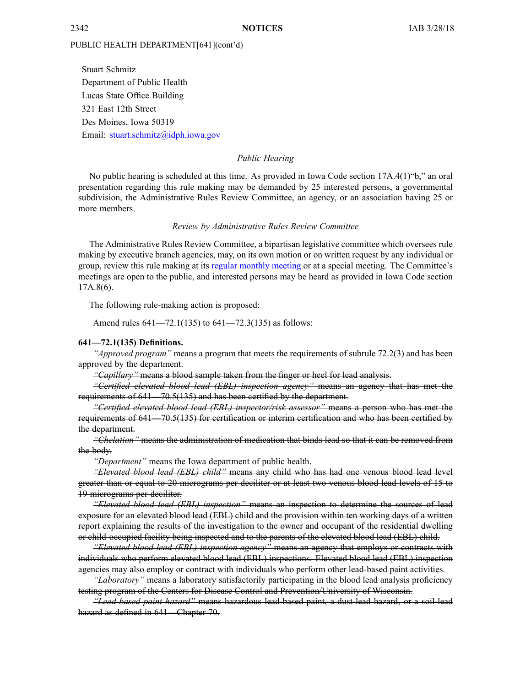Stuart Schmitz Department of Public Health Lucas State Office Building 321 East 12th Street Des Moines, Iowa 50319 Email: [stuart.schmitz@idph.iowa.gov](mailto:stuart.schmitz@idph.iowa.gov)

### *Public Hearing*

No public hearing is scheduled at this time. As provided in Iowa Code section 17A.4(1)"b," an oral presentation regarding this rule making may be demanded by 25 interested persons, <sup>a</sup> governmental subdivision, the Administrative Rules Review Committee, an agency, or an association having 25 or more members.

#### *Review by Administrative Rules Review Committee*

The Administrative Rules Review Committee, <sup>a</sup> bipartisan legislative committee which oversees rule making by executive branch agencies, may, on its own motion or on written reques<sup>t</sup> by any individual or group, review this rule making at its regular [monthly](https://www.legis.iowa.gov/committees/meetings/meetingsListComm?groupID=705&ga=87) meeting or at <sup>a</sup> special meeting. The Committee's meetings are open to the public, and interested persons may be heard as provided in Iowa Code section 17A.8(6).

The following rule-making action is proposed:

Amend rules 641—72.1(135) to 641—72.3(135) as follows:

#### **641—72.1(135) Definitions.**

*"Approved program"* means <sup>a</sup> program that meets the requirements of subrule [72.2\(3\)](https://www.legis.iowa.gov/docs/iac/rule/03-28-2018.641.72.2.pdf) and has been approved by the department.

*"Capillary"* means <sup>a</sup> blood sample taken from the finger or heel for lead analysis.

*"Certified elevated blood lead (EBL) inspection agency"* means an agency that has met the requirements of [641—70.5\(135\)](https://www.legis.iowa.gov/docs/iac/rule/03-28-2018.641.70.5.pdf) and has been certified by the department.

*"Certified elevated blood lead (EBL) inspector/risk assessor"* means <sup>a</sup> person who has met the requirements of [641—70.5\(135\)](https://www.legis.iowa.gov/docs/iac/rule/03-28-2018.641.70.5.pdf) for certification or interim certification and who has been certified by the department.

*"Chelation"* means the administration of medication that binds lead so that it can be removed from the body.

*"Department"* means the Iowa department of public health.

*"Elevated blood lead (EBL) child"* means any child who has had one venous blood lead level greater than or equal to 20 micrograms per deciliter or at least two venous blood lead levels of 15 to 19 micrograms per deciliter.

*"Elevated blood lead (EBL) inspection"* means an inspection to determine the sources of lead exposure for an elevated blood lead (EBL) child and the provision within ten working days of <sup>a</sup> written repor<sup>t</sup> explaining the results of the investigation to the owner and occupan<sup>t</sup> of the residential dwelling or child-occupied facility being inspected and to the parents of the elevated blood lead (EBL) child.

*"Elevated blood lead (EBL) inspection agency"* means an agency that employs or contracts with individuals who perform elevated blood lead (EBL) inspections. Elevated blood lead (EBL) inspection agencies may also employ or contract with individuals who perform other lead-based paint activities.

*"Laboratory"* means <sup>a</sup> laboratory satisfactorily participating in the blood lead analysis proficiency testing program of the Centers for Disease Control and Prevention/University of Wisconsin.

*"Lead-based paint hazard"* means hazardous lead-based paint, <sup>a</sup> dust-lead hazard, or <sup>a</sup> soil-lead hazard as defined in [641—Chapter](https://www.legis.iowa.gov/docs/iac/chapter/03-28-2018.641.70.pdf) 70.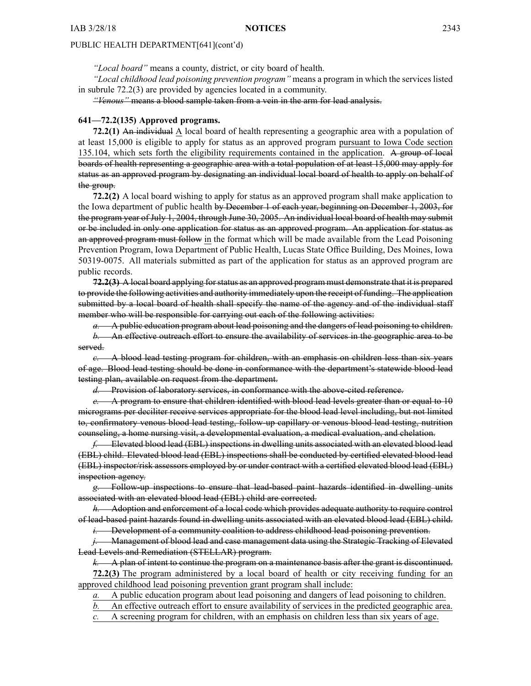*"Local board"* means <sup>a</sup> county, district, or city board of health.

*"Local childhood lead poisoning prevention program"* means <sup>a</sup> program in which the services listed in subrule [72.2\(3\)](https://www.legis.iowa.gov/docs/iac/rule/03-28-2018.641.72.2.pdf) are provided by agencies located in <sup>a</sup> community.

*"Venous"* means <sup>a</sup> blood sample taken from <sup>a</sup> vein in the arm for lead analysis.

#### **641—72.2(135) Approved programs.**

**72.2(1)** An individual A local board of health representing <sup>a</sup> geographic area with <sup>a</sup> population of at least 15,000 is eligible to apply for status as an approved program pursuan<sup>t</sup> to Iowa Code section 135.104, which sets forth the eligibility requirements contained in the application. A group of local boards of health representing <sup>a</sup> geographic area with <sup>a</sup> total population of at least 15,000 may apply for status as an approved program by designating an individual local board of health to apply on behalf of the group.

**72.2(2)** A local board wishing to apply for status as an approved program shall make application to the Iowa department of public health by December 1 of each year, beginning on December 1, 2003, for the program year of July 1, 2004, through June 30, 2005. An individual local board of health may submit or be included in only one application for status as an approved program. An application for status as an approved program must follow in the format which will be made available from the Lead Poisoning Prevention Program, Iowa Department of Public Health, Lucas State Office Building, Des Moines, Iowa 50319-0075. All materials submitted as par<sup>t</sup> of the application for status as an approved program are public records.

**72.2(3)** A local board applying forstatus as an approved program must demonstrate that it is prepared to provide the following activities and authority immediately upon the receipt of funding. The application submitted by a local board of health shall specify the name of the agency and of the individual staff member who will be responsible for carrying out each of the following activities:

*a.* A public education program about lead poisoning and the dangers of lead poisoning to children. *b.* An effective outreach effort to ensure the availability of services in the geographic area to be served.

*c.* A blood lead testing program for children, with an emphasis on children less than six years of age. Blood lead testing should be done in conformance with the department's statewide blood lead testing plan, available on reques<sup>t</sup> from the department.

*d.* Provision of laboratory services, in conformance with the above-cited reference.

*e.* A program to ensure that children identified with blood lead levels greater than or equal to 10 micrograms per deciliter receive services appropriate for the blood lead level including, but not limited to, confirmatory venous blood lead testing, follow-up capillary or venous blood lead testing, nutrition counseling, <sup>a</sup> home nursing visit, <sup>a</sup> developmental evaluation, <sup>a</sup> medical evaluation, and chelation.

*f.* Elevated blood lead (EBL) inspections in dwelling units associated with an elevated blood lead (EBL) child. Elevated blood lead (EBL) inspections shall be conducted by certified elevated blood lead (EBL) inspector/risk assessors employed by or under contract with <sup>a</sup> certified elevated blood lead (EBL) inspection agency.

*g.* Follow-up inspections to ensure that lead-based paint hazards identified in dwelling units associated with an elevated blood lead (EBL) child are corrected.

*h.* Adoption and enforcement of <sup>a</sup> local code which provides adequate authority to require control of lead-based paint hazards found in dwelling units associated with an elevated blood lead (EBL) child.

*i.* Development of a community coalition to address childhood lead poisoning prevention.

*j.* Management of blood lead and case managemen<sup>t</sup> data using the Strategic Tracking of Elevated Lead Levels and Remediation (STELLAR) program.

*k.* A plan of intent to continue the program on <sup>a</sup> maintenance basis after the gran<sup>t</sup> is discontinued. **72.2(3)** The program administered by <sup>a</sup> local board of health or city receiving funding for an approved childhood lead poisoning prevention gran<sup>t</sup> program shall include:

*a.* A public education program about lead poisoning and dangers of lead poisoning to children.

*b.* An effective outreach effort to ensure availability of services in the predicted geographic area.

*c.* A screening program for children, with an emphasis on children less than six years of age.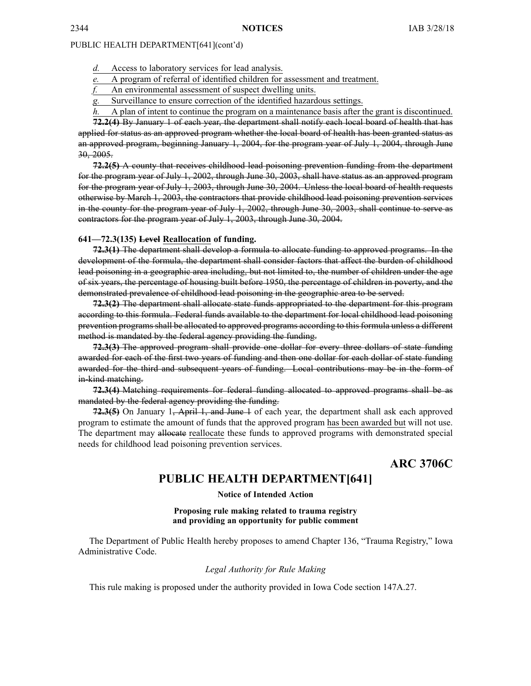- <span id="page-29-0"></span>*d.* Access to laboratory services for lead analysis.
- *e.* A program of referral of identified children for assessment and treatment.
- *f.* An environmental assessment of suspec<sup>t</sup> dwelling units.
- *g.* Surveillance to ensure correction of the identified hazardous settings.
- *h.* A plan of intent to continue the program on <sup>a</sup> maintenance basis after the gran<sup>t</sup> is discontinued.

**72.2(4)** By January 1 of each year, the department shall notify each local board of health that has applied for status as an approved program whether the local board of health has been granted status as an approved program, beginning January 1, 2004, for the program year of July 1, 2004, through June 30, 2005.

**72.2(5)** A county that receives childhood lead poisoning prevention funding from the department for the program year of July 1, 2002, through June 30, 2003, shall have status as an approved program for the program year of July 1, 2003, through June 30, 2004. Unless the local board of health requests otherwise by March 1, 2003, the contractors that provide childhood lead poisoning prevention services in the county for the program year of July 1, 2002, through June 30, 2003, shall continue to serve as contractors for the program year of July 1, 2003, through June 30, 2004.

#### **641—72.3(135) Level Reallocation of funding.**

**72.3(1)** The department shall develop <sup>a</sup> formula to allocate funding to approved programs. In the development of the formula, the department shall consider factors that affect the burden of childhood lead poisoning in <sup>a</sup> geographic area including, but not limited to, the number of children under the age of six years, the percentage of housing built before 1950, the percentage of children in poverty, and the demonstrated prevalence of childhood lead poisoning in the geographic area to be served.

**72.3(2)** The department shall allocate state funds appropriated to the department for this program according to this formula. Federal funds available to the department for local childhood lead poisoning prevention programs shall be allocated to approved programs according to this formula unless <sup>a</sup> different method is mandated by the federal agency providing the funding.

**72.3(3)** The approved program shall provide one dollar for every three dollars of state funding awarded for each of the first two years of funding and then one dollar for each dollar of state funding awarded for the third and subsequent years of funding. Local contributions may be in the form of in-kind matching.

**72.3(4)** Matching requirements for federal funding allocated to approved programs shall be as mandated by the federal agency providing the funding.

**72.3(5)** On January 1, April 1, and June 1 of each year, the department shall ask each approved program to estimate the amount of funds that the approved program has been awarded but will not use. The department may allocate reallocate these funds to approved programs with demonstrated special needs for childhood lead poisoning prevention services.

**ARC 3706C**

### **PUBLIC HEALTH DEPARTMENT[641]**

### **Notice of Intended Action**

**Proposing rule making related to trauma registry and providing an opportunity for public comment**

The Department of Public Health hereby proposes to amend Chapter 136, "Trauma Registry," Iowa Administrative Code.

#### *Legal Authority for Rule Making*

This rule making is proposed under the authority provided in Iowa Code section 147A.27.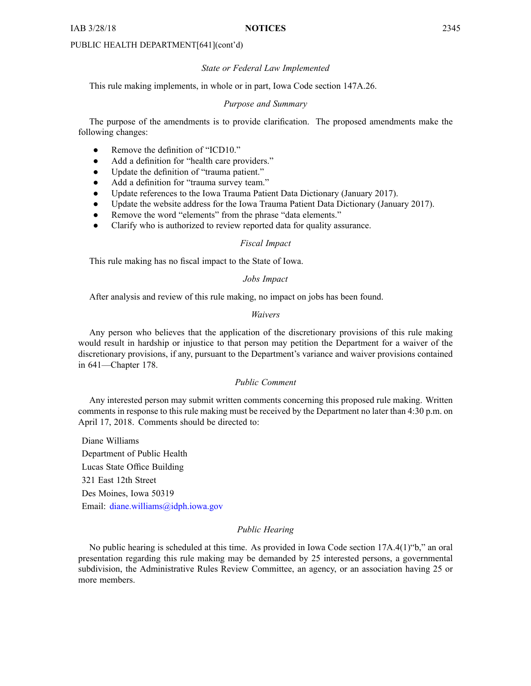### *State or Federal Law Implemented*

This rule making implements, in whole or in part, Iowa Code section 147A.26.

### *Purpose and Summary*

The purpose of the amendments is to provide clarification. The proposed amendments make the following changes:

- ●Remove the definition of "ICD10."
- $\bullet$ Add <sup>a</sup> definition for "health care providers."
- $\bullet$ Update the definition of "trauma patient."
- ●Add <sup>a</sup> definition for "trauma survey team."
- ●Update references to the Iowa Trauma Patient Data Dictionary (January 2017).
- $\bullet$ Update the website address for the Iowa Trauma Patient Data Dictionary (January 2017).
- ●Remove the word "elements" from the phrase "data elements."
- $\bullet$ Clarify who is authorized to review reported data for quality assurance.

### *Fiscal Impact*

This rule making has no fiscal impact to the State of Iowa.

### *Jobs Impact*

After analysis and review of this rule making, no impact on jobs has been found.

### *Waivers*

Any person who believes that the application of the discretionary provisions of this rule making would result in hardship or injustice to that person may petition the Department for <sup>a</sup> waiver of the discretionary provisions, if any, pursuan<sup>t</sup> to the Department's variance and waiver provisions contained in 641—Chapter 178.

### *Public Comment*

Any interested person may submit written comments concerning this proposed rule making. Written comments in response to this rule making must be received by the Department no later than 4:30 p.m. on April 17, 2018. Comments should be directed to:

Diane Williams Department of Public Health Lucas State Office Building 321 East 12th Street Des Moines, Iowa 50319 Email: [diane.williams@idph.iowa.gov](mailto:diane.williams@idph.iowa.gov)

### *Public Hearing*

No public hearing is scheduled at this time. As provided in Iowa Code section 17A.4(1)"b," an oral presentation regarding this rule making may be demanded by 25 interested persons, <sup>a</sup> governmental subdivision, the Administrative Rules Review Committee, an agency, or an association having 25 or more members.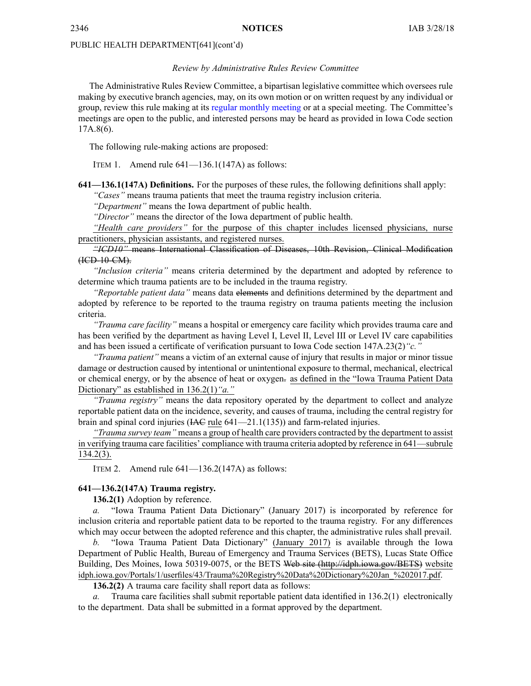### *Review by Administrative Rules Review Committee*

The Administrative Rules Review Committee, <sup>a</sup> bipartisan legislative committee which oversees rule making by executive branch agencies, may, on its own motion or on written reques<sup>t</sup> by any individual or group, review this rule making at its regular [monthly](https://www.legis.iowa.gov/committees/meetings/meetingsListComm?groupID=705&ga=87) meeting or at <sup>a</sup> special meeting. The Committee's meetings are open to the public, and interested persons may be heard as provided in Iowa Code section 17A.8(6).

The following rule-making actions are proposed:

ITEM 1. Amend rule 641—136.1(147A) as follows:

**641—136.1(147A) Definitions.** For the purposes of these rules, the following definitions shall apply: *"Cases"* means trauma patients that meet the trauma registry inclusion criteria.

*"Department"* means the Iowa department of public health.

*"Director"* means the director of the Iowa department of public health.

*"Health care providers"* for the purpose of this chapter includes licensed physicians, nurse practitioners, physician assistants, and registered nurses.

*"ICD10"* means International Classification of Diseases, 10th Revision, Clinical Modification (ICD-10-CM).

*"Inclusion criteria"* means criteria determined by the department and adopted by reference to determine which trauma patients are to be included in the trauma registry.

*"Reportable patient data"* means data elements and definitions determined by the department and adopted by reference to be reported to the trauma registry on trauma patients meeting the inclusion criteria.

*"Trauma care facility"* means <sup>a</sup> hospital or emergency care facility which provides trauma care and has been verified by the department as having Level I, Level II, Level III or Level IV care capabilities and has been issued <sup>a</sup> certificate of verification pursuan<sup>t</sup> to Iowa Code section [147A.23\(2\)](https://www.legis.iowa.gov/docs/ico/section/2017/147A.23.pdf)*"c."*

*"Trauma patient"* means <sup>a</sup> victim of an external cause of injury that results in major or minor tissue damage or destruction caused by intentional or unintentional exposure to thermal, mechanical, electrical or chemical energy, or by the absence of heat or oxygen. as defined in the "Iowa Trauma Patient Data Dictionary" as established in 136.2(1)*"a."*

*"Trauma registry"* means the data repository operated by the department to collect and analyze reportable patient data on the incidence, severity, and causes of trauma, including the central registry for brain and spinal cord injuries (IAC rule [641—21.1\(135\)](https://www.legis.iowa.gov/docs/iac/rule/03-28-2018.641.21.1.pdf)) and farm-related injuries.

*"Trauma survey team"* means <sup>a</sup> group of health care providers contracted by the department to assist in verifying trauma care facilities' compliance with trauma criteria adopted by reference in 641—subrule 134.2(3).

ITEM 2. Amend rule 641—136.2(147A) as follows:

### **641—136.2(147A) Trauma registry.**

**136.2(1)** Adoption by reference.

*a.* "Iowa Trauma Patient Data Dictionary" (January 2017) is incorporated by reference for inclusion criteria and reportable patient data to be reported to the trauma registry. For any differences which may occur between the adopted reference and this chapter, the administrative rules shall prevail.

*b.* "Iowa Trauma Patient Data Dictionary" (January 2017) is available through the Iowa Department of Public Health, Bureau of Emergency and Trauma Services (BETS), Lucas State Office Building, Des Moines, Iowa 50319-0075, or the BETS Web site [\(http://idph.iowa.gov/BETS\)](http://idph.iowa.gov/BETS) website [idph.iowa.gov/Portals/1/userfiles/43/Trauma%20Registry%20Data%20Dictionary%20Jan\\_%202017.pdf](http://idph.iowa.gov/Portals/1/userfiles/43/Trauma Registry Data Dictionary Jan_ 2017.pdf).

**136.2(2)** A trauma care facility shall repor<sup>t</sup> data as follows:

Trauma care facilities shall submit reportable patient data identified in [136.2\(1\)](https://www.legis.iowa.gov/docs/iac/rule/03-28-2018.641.136.2.pdf) electronically to the department. Data shall be submitted in <sup>a</sup> format approved by the department.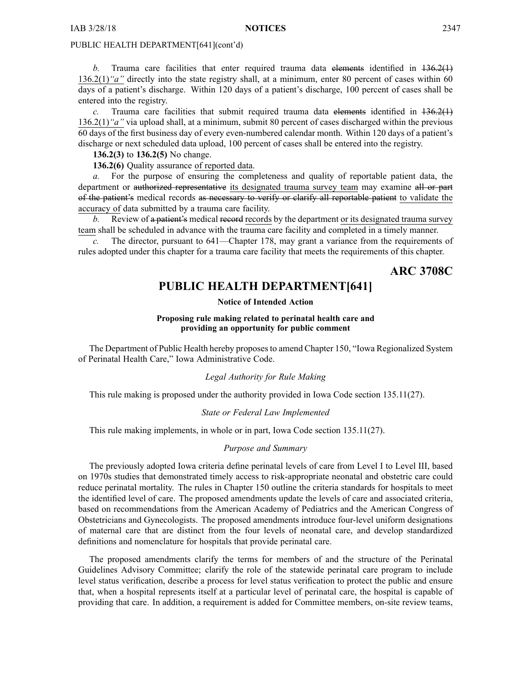<span id="page-32-0"></span>*b.* Trauma care facilities that enter required trauma data elements identified in  $136.2(1)$ 136.2(1)*"a"* directly into the state registry shall, at <sup>a</sup> minimum, enter 80 percen<sup>t</sup> of cases within 60 days of <sup>a</sup> patient's discharge. Within 120 days of <sup>a</sup> patient's discharge, 100 percen<sup>t</sup> of cases shall be entered into the registry.

*c.* Trauma care facilities that submit required trauma data elements identified in  $136.2(1)$ 136.2(1)*"a"* via upload shall, at <sup>a</sup> minimum, submit 80 percen<sup>t</sup> of cases discharged within the previous 60 days of the first business day of every even-numbered calendar month. Within 120 days of <sup>a</sup> patient's discharge or next scheduled data upload, 100 percen<sup>t</sup> of cases shall be entered into the registry.

**136.2(3)** to **136.2(5)** No change.

**136.2(6)** Quality assurance of reported data.

*a.* For the purpose of ensuring the completeness and quality of reportable patient data, the department or authorized representative its designated trauma survey team may examine all or part of the patient's medical records as necessary to verify or clarify all reportable patient to validate the accuracy of data submitted by <sup>a</sup> trauma care facility.

*b.* Review of a patient's medical records by the department or its designated trauma survey team shall be scheduled in advance with the trauma care facility and completed in <sup>a</sup> timely manner.

*c.* The director, pursuan<sup>t</sup> to 641—Chapter 178, may gran<sup>t</sup> <sup>a</sup> variance from the requirements of rules adopted under this chapter for <sup>a</sup> trauma care facility that meets the requirements of this chapter.

**ARC 3708C**

### **PUBLIC HEALTH DEPARTMENT[641]**

#### **Notice of Intended Action**

### **Proposing rule making related to perinatal health care and providing an opportunity for public comment**

The Department of Public Health hereby proposesto amend Chapter 150, "Iowa Regionalized System of Perinatal Health Care," Iowa Administrative Code.

### *Legal Authority for Rule Making*

This rule making is proposed under the authority provided in Iowa Code section 135.11(27).

### *State or Federal Law Implemented*

This rule making implements, in whole or in part, Iowa Code section 135.11(27).

### *Purpose and Summary*

The previously adopted Iowa criteria define perinatal levels of care from Level I to Level III, based on 1970s studies that demonstrated timely access to risk-appropriate neonatal and obstetric care could reduce perinatal mortality. The rules in Chapter 150 outline the criteria standards for hospitals to meet the identified level of care. The proposed amendments update the levels of care and associated criteria, based on recommendations from the American Academy of Pediatrics and the American Congress of Obstetricians and Gynecologists. The proposed amendments introduce four-level uniform designations of maternal care that are distinct from the four levels of neonatal care, and develop standardized definitions and nomenclature for hospitals that provide perinatal care.

The proposed amendments clarify the terms for members of and the structure of the Perinatal Guidelines Advisory Committee; clarify the role of the statewide perinatal care program to include level status verification, describe <sup>a</sup> process for level status verification to protect the public and ensure that, when <sup>a</sup> hospital represents itself at <sup>a</sup> particular level of perinatal care, the hospital is capable of providing that care. In addition, <sup>a</sup> requirement is added for Committee members, on-site review teams,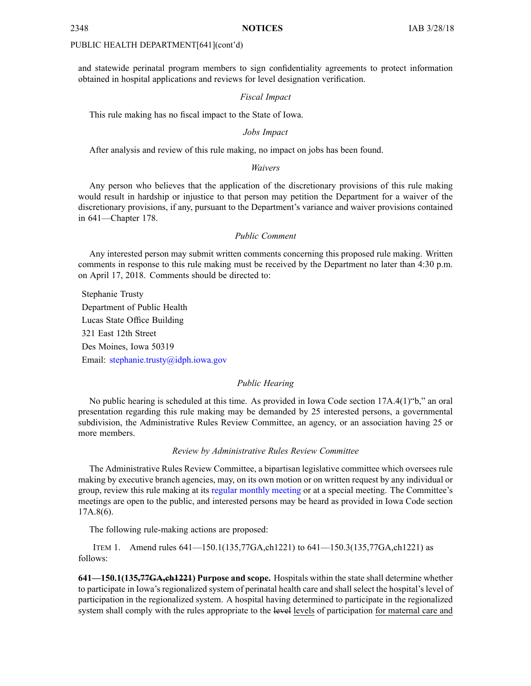and statewide perinatal program members to sign confidentiality agreements to protect information obtained in hospital applications and reviews for level designation verification.

### *Fiscal Impact*

This rule making has no fiscal impact to the State of Iowa.

#### *Jobs Impact*

After analysis and review of this rule making, no impact on jobs has been found.

### *Waivers*

Any person who believes that the application of the discretionary provisions of this rule making would result in hardship or injustice to that person may petition the Department for <sup>a</sup> waiver of the discretionary provisions, if any, pursuan<sup>t</sup> to the Department's variance and waiver provisions contained in 641—Chapter 178.

### *Public Comment*

Any interested person may submit written comments concerning this proposed rule making. Written comments in response to this rule making must be received by the Department no later than 4:30 p.m. on April 17, 2018. Comments should be directed to:

Stephanie Trusty Department of Public Health Lucas State Office Building 321 East 12th Street Des Moines, Iowa 50319 Email: [stephanie.trusty@idph.iowa.gov](mailto:stephanie.trusty@idph.iowa.gov)

### *Public Hearing*

No public hearing is scheduled at this time. As provided in Iowa Code section 17A.4(1)"b," an oral presentation regarding this rule making may be demanded by 25 interested persons, <sup>a</sup> governmental subdivision, the Administrative Rules Review Committee, an agency, or an association having 25 or more members.

#### *Review by Administrative Rules Review Committee*

The Administrative Rules Review Committee, <sup>a</sup> bipartisan legislative committee which oversees rule making by executive branch agencies, may, on its own motion or on written reques<sup>t</sup> by any individual or group, review this rule making at its regular [monthly](https://www.legis.iowa.gov/committees/meetings/meetingsListComm?groupID=705&ga=87) meeting or at <sup>a</sup> special meeting. The Committee's meetings are open to the public, and interested persons may be heard as provided in Iowa Code section 17A.8(6).

The following rule-making actions are proposed:

ITEM 1. Amend rules 641—150.1(135,77GA,ch1221) to 641—150.3(135,77GA,ch1221) as follows:

**641—150.1(135,77GA,ch1221) Purpose and scope.** Hospitals within the state shall determine whether to participate in Iowa's regionalized system of perinatal health care and shall select the hospital's level of participation in the regionalized system. A hospital having determined to participate in the regionalized system shall comply with the rules appropriate to the level levels of participation for maternal care and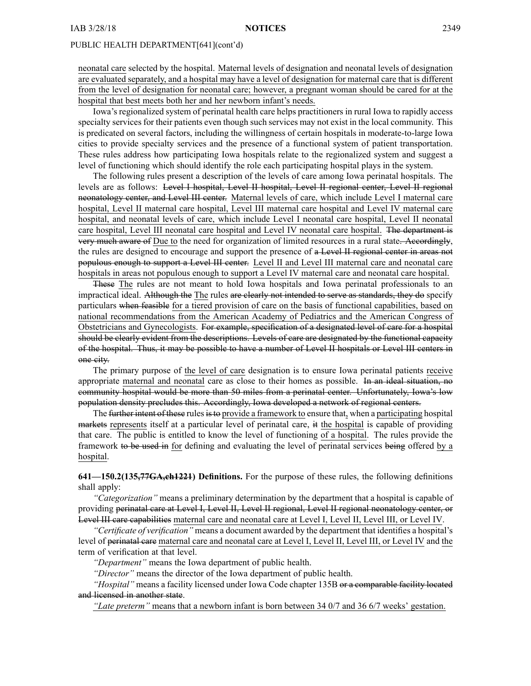neonatal care selected by the hospital. Maternal levels of designation and neonatal levels of designation are evaluated separately, and <sup>a</sup> hospital may have <sup>a</sup> level of designation for maternal care that is different from the level of designation for neonatal care; however, <sup>a</sup> pregnan<sup>t</sup> woman should be cared for at the hospital that best meets both her and her newborn infant's needs.

Iowa's regionalized system of perinatal health care helps practitioners in rural Iowa to rapidly access specialty services for their patients even though such services may not exist in the local community. This is predicated on several factors, including the willingness of certain hospitals in moderate-to-large Iowa cities to provide specialty services and the presence of <sup>a</sup> functional system of patient transportation. These rules address how participating Iowa hospitals relate to the regionalized system and sugges<sup>t</sup> <sup>a</sup> level of functioning which should identify the role each participating hospital plays in the system.

The following rules presen<sup>t</sup> <sup>a</sup> description of the levels of care among Iowa perinatal hospitals. The levels are as follows: Level I hospital, Level II hospital, Level II regional center, Level II regional neonatology center, and Level III center. Maternal levels of care, which include Level I maternal care hospital, Level II maternal care hospital, Level III maternal care hospital and Level IV maternal care hospital, and neonatal levels of care, which include Level I neonatal care hospital, Level II neonatal care hospital, Level III neonatal care hospital and Level IV neonatal care hospital. The department is very much aware of Due to the need for organization of limited resources in <sup>a</sup> rural state. Accordingly, the rules are designed to encourage and support the presence of a Level II regional center in areas not populous enough to suppor<sup>t</sup> <sup>a</sup> Level III center. Level II and Level III maternal care and neonatal care hospitals in areas not populous enough to suppor<sup>t</sup> <sup>a</sup> Level IV maternal care and neonatal care hospital.

These The rules are not meant to hold Iowa hospitals and Iowa perinatal professionals to an impractical ideal. Although the The rules are clearly not intended to serve as standards, they do specify particulars when feasible for <sup>a</sup> tiered provision of care on the basis of functional capabilities, based on national recommendations from the American Academy of Pediatrics and the American Congress of Obstetricians and Gynecologists. For example, specification of <sup>a</sup> designated level of care for <sup>a</sup> hospital should be clearly evident from the descriptions. Levels of care are designated by the functional capacity of the hospital. Thus, it may be possible to have <sup>a</sup> number of Level II hospitals or Level III centers in one city.

The primary purpose of the level of care designation is to ensure Iowa perinatal patients receive appropriate maternal and neonatal care as close to their homes as possible. In an ideal situation, no community hospital would be more than 50 miles from <sup>a</sup> perinatal center. Unfortunately, Iowa's low population density precludes this. Accordingly, Iowa developed <sup>a</sup> network of regional centers.

The further intent of these rules is to provide a framework to ensure that, when a participating hospital markets represents itself at <sup>a</sup> particular level of perinatal care, it the hospital is capable of providing that care. The public is entitled to know the level of functioning of <sup>a</sup> hospital. The rules provide the framework to be used in for defining and evaluating the level of perinatal services being offered by <sup>a</sup> hospital.

**641—150.2(135,77GA,ch1221) Definitions.** For the purpose of these rules, the following definitions shall apply:

*"Categorization"* means <sup>a</sup> preliminary determination by the department that <sup>a</sup> hospital is capable of providing perinatal care at Level I, Level II, Level II regional, Level II regional neonatology center, or Level III care capabilities maternal care and neonatal care at Level I, Level II, Level III, or Level IV.

*"Certificate of verification"* means <sup>a</sup> document awarded by the department that identifies <sup>a</sup> hospital's level of perinatal care maternal care and neonatal care at Level I, Level II, Level III, or Level IV and the term of verification at that level.

*"Department"* means the Iowa department of public health.

*"Director"* means the director of the Iowa department of public health.

*"Hospital"* means <sup>a</sup> facility licensed under Iowa Code chapter [135B](https://www.legis.iowa.gov/docs/ico/chapter/135B.pdf) or <sup>a</sup> comparable facility located and licensed in another state.

*"Late preterm"* means that <sup>a</sup> newborn infant is born between 34 0/7 and 36 6/7 weeks' gestation.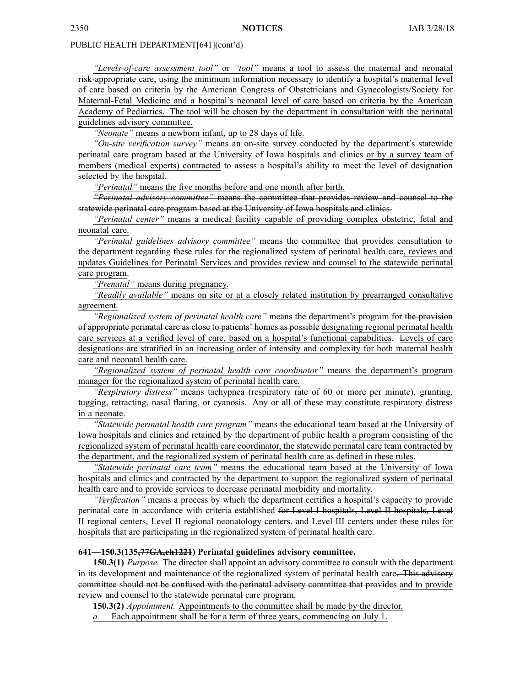*"Levels-of-care assessment tool"* or *"tool"* means <sup>a</sup> tool to assess the maternal and neonatal risk-appropriate care, using the minimum information necessary to identify <sup>a</sup> hospital's maternal level of care based on criteria by the American Congress of Obstetricians and Gynecologists/Society for Maternal-Fetal Medicine and <sup>a</sup> hospital's neonatal level of care based on criteria by the American Academy of Pediatrics. The tool will be chosen by the department in consultation with the perinatal guidelines advisory committee.

*"Neonate"* means <sup>a</sup> newborn infant, up to 28 days of life.

*"On-site verification survey"* means an on-site survey conducted by the department's statewide perinatal care program based at the University of Iowa hospitals and clinics or by <sup>a</sup> survey team of members (medical experts) contracted to assess <sup>a</sup> hospital's ability to meet the level of designation selected by the hospital.

*"Perinatal"* means the five months before and one month after birth.

*"Perinatal advisory committee"* means the committee that provides review and counsel to the statewide perinatal care program based at the University of Iowa hospitals and clinics.

*"Perinatal center"* means <sup>a</sup> medical facility capable of providing complex obstetric, fetal and neonatal care.

*"Perinatal guidelines advisory committee"* means the committee that provides consultation to the department regarding these rules for the regionalized system of perinatal health care, reviews and updates Guidelines for Perinatal Services and provides review and counsel to the statewide perinatal care program.

*"Prenatal"* means during pregnancy.

*"Readily available"* means on site or at <sup>a</sup> closely related institution by prearranged consultative agreement.

*"Regionalized system of perinatal health care"* means the department's program for the provision of appropriate perinatal care as close to patients' homes as possible designating regional perinatal health care services at <sup>a</sup> verified level of care, based on <sup>a</sup> hospital's functional capabilities. Levels of care designations are stratified in an increasing order of intensity and complexity for both maternal health care and neonatal health care.

*"Regionalized system of perinatal health care coordinator"* means the department's program manager for the regionalized system of perinatal health care.

*"Respiratory distress"* means tachypnea (respiratory rate of 60 or more per minute), grunting, tugging, retracting, nasal flaring, or cyanosis. Any or all of these may constitute respiratory distress in <sup>a</sup> neonate.

*"Statewide perinatal health care program"* means the educational team based at the University of Iowa hospitals and clinics and retained by the department of public health <sup>a</sup> program consisting of the regionalized system of perinatal health care coordinator, the statewide perinatal care team contracted by the department, and the regionalized system of perinatal health care as defined in these rules.

*"Statewide perinatal care team"* means the educational team based at the University of Iowa hospitals and clinics and contracted by the department to suppor<sup>t</sup> the regionalized system of perinatal health care and to provide services to decrease perinatal morbidity and mortality.

*"Verification"* means <sup>a</sup> process by which the department certifies <sup>a</sup> hospital's capacity to provide perinatal care in accordance with criteria established for Level I hospitals, Level II hospitals, Level II regional centers, Level II regional neonatology centers, and Level III centers under these rules for hospitals that are participating in the regionalized system of perinatal health care.

### **641—150.3(135,77GA,ch1221) Perinatal guidelines advisory committee.**

**150.3(1)** *Purpose.* The director shall appoint an advisory committee to consult with the department in its development and maintenance of the regionalized system of perinatal health care. This advisory committee should not be confused with the perinatal advisory committee that provides and to provide review and counsel to the statewide perinatal care program.

**150.3(2)** *Appointment.* Appointments to the committee shall be made by the director.

*a.* Each appointment shall be for <sup>a</sup> term of three years, commencing on July 1.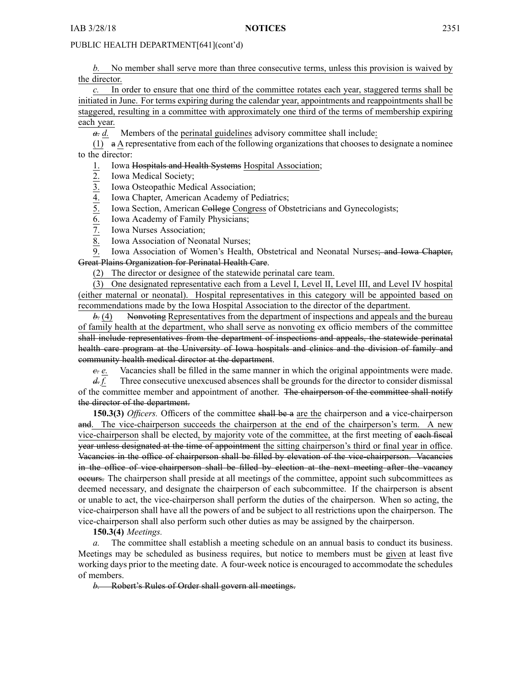*b.* No member shall serve more than three consecutive terms, unless this provision is waived by the director.

*c.* In order to ensure that one third of the committee rotates each year, staggered terms shall be initiated in June. For terms expiring during the calendar year, appointments and reappointments shall be staggered, resulting in <sup>a</sup> committee with approximately one third of the terms of membership expiring each year.

*a. d.* Members of the perinatal guidelines advisory committee shall include:

 $(1)$  a A representative from each of the following organizations that chooses to designate a nominee to the director:

- 
- Iowa Medical Society;
- Iowa Osteopathic Medical Association;
- Iowa Chapter, American Academy of Pediatrics;
- 1. Iowa Hospitals and Health Systems Hospital Association;<br>  $\frac{2}{3}$  Iowa Medical Society;<br>
Iowa Osteopathic Medical Association;<br>
Iowa Chapter, American Academy of Pediatrics;<br>
<u>5.</u> Iowa Section, American College Congre Iowa Section, American College Congress of Obstetricians and Gynecologists;
- Iowa Academy of Family Physicians;
- Iowa Nurses Association;
- Iowa Association of Neonatal Nurses;

9. Iowa Association of Women's Health, Obstetrical and Neonatal Nurses; and Iowa Chapter, Great Plains Organization for Perinatal Health Care.

(2) The director or designee of the statewide perinatal care team.

(3) One designated representative each from <sup>a</sup> Level I, Level II, Level III, and Level IV hospital (either maternal or neonatal). Hospital representatives in this category will be appointed based on recommendations made by the Iowa Hospital Association to the director of the department.

*b.* (4) Nonvoting Representatives from the department of inspections and appeals and the bureau of family health at the department, who shall serve as nonvoting ex officio members of the committee shall include representatives from the department of inspections and appeals, the statewide perinatal health care program at the University of Iowa hospitals and clinics and the division of family and community health medical director at the department.

*c. e.* Vacancies shall be filled in the same manner in which the original appointments were made.

*d. f.* Three consecutive unexcused absences shall be grounds for the director to consider dismissal of the committee member and appointment of another. The chairperson of the committee shall notify the director of the department.

**150.3(3)** *Officers.* Officers of the committee shall be <sup>a</sup> are the chairperson and <sup>a</sup> vice-chairperson and. The vice-chairperson succeeds the chairperson at the end of the chairperson's term. A new vice-chairperson shall be elected, by majority vote of the committee, at the first meeting of each fiscal year unless designated at the time of appointment the sitting chairperson's third or final year in office. Vacancies in the office of chairperson shall be filled by elevation of the vice-chairperson. Vacancies in the office of vice-chairperson shall be filled by election at the next meeting after the vacancy occurs. The chairperson shall preside at all meetings of the committee, appoint such subcommittees as deemed necessary, and designate the chairperson of each subcommittee. If the chairperson is absent or unable to act, the vice-chairperson shall perform the duties of the chairperson. When so acting, the vice-chairperson shall have all the powers of and be subject to all restrictions upon the chairperson. The vice-chairperson shall also perform such other duties as may be assigned by the chairperson.

**150.3(4)** *Meetings.*

*a.* The committee shall establish <sup>a</sup> meeting schedule on an annual basis to conduct its business. Meetings may be scheduled as business requires, but notice to members must be given at least five working days prior to the meeting date. A four-week notice is encouraged to accommodate the schedules of members.

*b.* Robert's Rules of Order shall govern all meetings.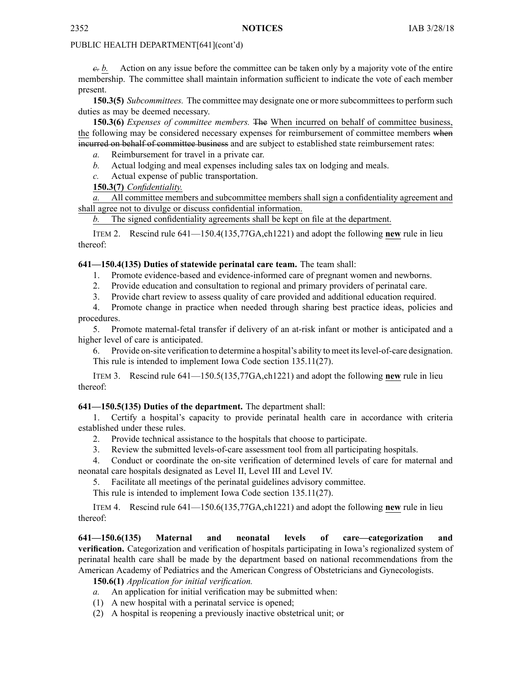*c. b.* Action on any issue before the committee can be taken only by <sup>a</sup> majority vote of the entire membership. The committee shall maintain information sufficient to indicate the vote of each member present.

**150.3(5)** *Subcommittees.* The committee may designate one or more subcommittees to perform such duties as may be deemed necessary.

**150.3(6)** *Expenses of committee members.* The When incurred on behalf of committee business, the following may be considered necessary expenses for reimbursement of committee members when incurred on behalf of committee business and are subject to established state reimbursement rates:

*a.* Reimbursement for travel in <sup>a</sup> private car.

*b.* Actual lodging and meal expenses including sales tax on lodging and meals.

*c.* Actual expense of public transportation.

**150.3(7)** *Confidentiality.*

*a.* All committee members and subcommittee members shall sign <sup>a</sup> confidentiality agreemen<sup>t</sup> and shall agree not to divulge or discuss confidential information.

*b.* The signed confidentiality agreements shall be kept on file at the department.

ITEM 2. Rescind rule 641—150.4(135,77GA,ch1221) and adopt the following **new** rule in lieu thereof:

# **641—150.4(135) Duties of statewide perinatal care team.** The team shall:

- 1. Promote evidence-based and evidence-informed care of pregnan<sup>t</sup> women and newborns.
- 2. Provide education and consultation to regional and primary providers of perinatal care.
- 3. Provide chart review to assess quality of care provided and additional education required.

4. Promote change in practice when needed through sharing best practice ideas, policies and procedures.

5. Promote maternal-fetal transfer if delivery of an at-risk infant or mother is anticipated and <sup>a</sup> higher level of care is anticipated.

6. Provide on-site verification to determine <sup>a</sup> hospital's ability to meet itslevel-of-care designation. This rule is intended to implement Iowa Code section [135.11\(27\)](https://www.legis.iowa.gov/docs/ico/section/2018/135.11.pdf).

ITEM 3. Rescind rule 641—150.5(135,77GA,ch1221) and adopt the following **new** rule in lieu thereof:

# **641—150.5(135) Duties of the department.** The department shall:

1. Certify <sup>a</sup> hospital's capacity to provide perinatal health care in accordance with criteria established under these rules.

- 2. Provide technical assistance to the hospitals that choose to participate.
- 3. Review the submitted levels-of-care assessment tool from all participating hospitals.

4. Conduct or coordinate the on-site verification of determined levels of care for maternal and neonatal care hospitals designated as Level II, Level III and Level IV.

5. Facilitate all meetings of the perinatal guidelines advisory committee.

This rule is intended to implement Iowa Code section [135.11\(27\)](https://www.legis.iowa.gov/docs/ico/section/2018/135.11.pdf).

ITEM 4. Rescind rule 641—150.6(135,77GA,ch1221) and adopt the following **new** rule in lieu thereof:

**641—150.6(135) Maternal and neonatal levels of care—categorization and verification.** Categorization and verification of hospitals participating in Iowa's regionalized system of perinatal health care shall be made by the department based on national recommendations from the American Academy of Pediatrics and the American Congress of Obstetricians and Gynecologists.

**150.6(1)** *Application for initial verification.*

- *a.* An application for initial verification may be submitted when:
- (1) A new hospital with <sup>a</sup> perinatal service is opened;
- (2) A hospital is reopening <sup>a</sup> previously inactive obstetrical unit; or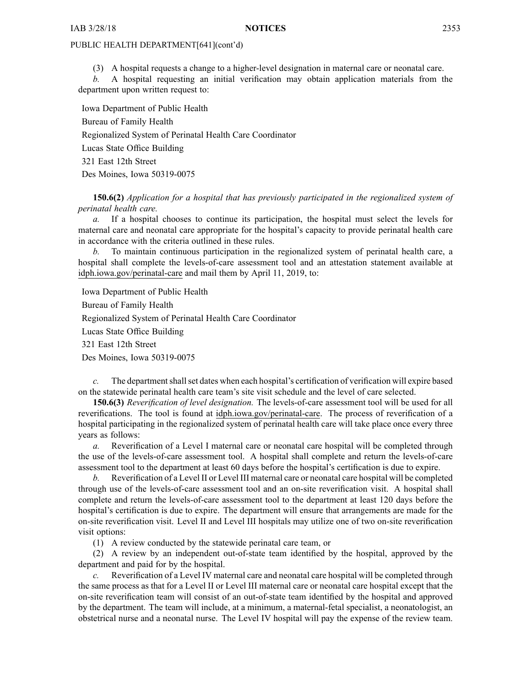(3) A hospital requests a change to a higher-level designation in maternal care or neonatal care.

*b.* A hospital requesting an initial verification may obtain application materials from the department upon written reques<sup>t</sup> to:

Iowa Department of Public Health Bureau of Family Health Regionalized System of Perinatal Health Care Coordinator Lucas State Office Building 321 East 12th Street Des Moines, Iowa 50319-0075

**150.6(2)** *Application for <sup>a</sup> hospital that has previously participated in the regionalized system of perinatal health care.*

*a.* If <sup>a</sup> hospital chooses to continue its participation, the hospital must select the levels for maternal care and neonatal care appropriate for the hospital's capacity to provide perinatal health care in accordance with the criteria outlined in these rules.

*b.* To maintain continuous participation in the regionalized system of perinatal health care, <sup>a</sup> hospital shall complete the levels-of-care assessment tool and an attestation statement available at [idph.iowa.gov/perinatal-care](http://idph.iowa.gov/perinatal-care) and mail them by April 11, 2019, to:

Iowa Department of Public Health

Bureau of Family Health

Regionalized System of Perinatal Health Care Coordinator

Lucas State Office Building

321 East 12th Street

Des Moines, Iowa 50319-0075

*c*. The department shall set dates when each hospital's certification of verification will expire based on the statewide perinatal health care team's site visit schedule and the level of care selected.

**150.6(3)** *Reverification of level designation.* The levels-of-care assessment tool will be used for all reverifications. The tool is found at [idph.iowa.gov/perinatal-care](https://idph.iowa.gov/perinatal-care). The process of reverification of <sup>a</sup> hospital participating in the regionalized system of perinatal health care will take place once every three years as follows:

*a.* Reverification of <sup>a</sup> Level I maternal care or neonatal care hospital will be completed through the use of the levels-of-care assessment tool. A hospital shall complete and return the levels-of-care assessment tool to the department at least 60 days before the hospital's certification is due to expire.

*b.* Reverification of a Level II or Level III maternal care or neonatal care hospital will be completed through use of the levels-of-care assessment tool and an on-site reverification visit. A hospital shall complete and return the levels-of-care assessment tool to the department at least 120 days before the hospital's certification is due to expire. The department will ensure that arrangements are made for the on-site reverification visit. Level II and Level III hospitals may utilize one of two on-site reverification visit options:

(1) A review conducted by the statewide perinatal care team, or

(2) A review by an independent out-of-state team identified by the hospital, approved by the department and paid for by the hospital.

*c.* Reverification of <sup>a</sup> Level IV maternal care and neonatal care hospital will be completed through the same process as that for <sup>a</sup> Level II or Level III maternal care or neonatal care hospital excep<sup>t</sup> that the on-site reverification team will consist of an out-of-state team identified by the hospital and approved by the department. The team will include, at <sup>a</sup> minimum, <sup>a</sup> maternal-fetal specialist, <sup>a</sup> neonatologist, an obstetrical nurse and <sup>a</sup> neonatal nurse. The Level IV hospital will pay the expense of the review team.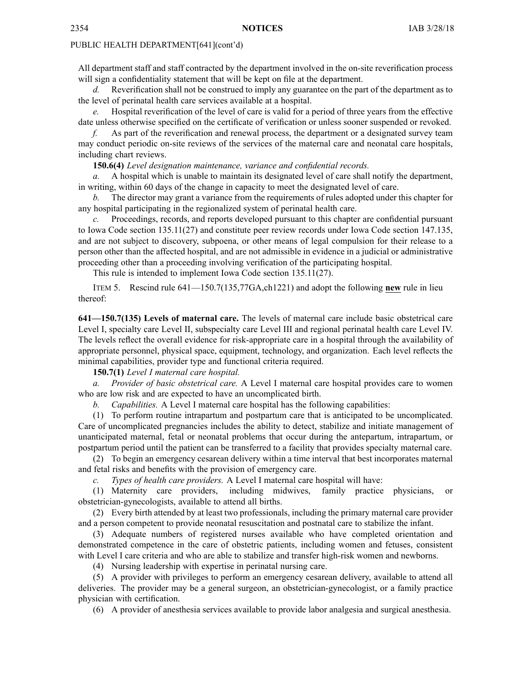All department staff and staff contracted by the department involved in the on-site reverification process will sign <sup>a</sup> confidentiality statement that will be kept on file at the department.

*d.* Reverification shall not be construed to imply any guarantee on the par<sup>t</sup> of the department as to the level of perinatal health care services available at <sup>a</sup> hospital.

*e.* Hospital reverification of the level of care is valid for <sup>a</sup> period of three years from the effective date unless otherwise specified on the certificate of verification or unless sooner suspended or revoked.

*f.* As par<sup>t</sup> of the reverification and renewal process, the department or <sup>a</sup> designated survey team may conduct periodic on-site reviews of the services of the maternal care and neonatal care hospitals, including chart reviews.

**150.6(4)** *Level designation maintenance, variance and confidential records.*

*a.* A hospital which is unable to maintain its designated level of care shall notify the department, in writing, within 60 days of the change in capacity to meet the designated level of care.

*b.* The director may gran<sup>t</sup> <sup>a</sup> variance from the requirements of rules adopted under this chapter for any hospital participating in the regionalized system of perinatal health care.

*c.* Proceedings, records, and reports developed pursuan<sup>t</sup> to this chapter are confidential pursuan<sup>t</sup> to Iowa Code section [135.11\(27\)](https://www.legis.iowa.gov/docs/ico/section/2018/135.11.pdf) and constitute peer review records under Iowa Code section [147.135](https://www.legis.iowa.gov/docs/ico/section/2018/147.135.pdf), and are not subject to discovery, subpoena, or other means of legal compulsion for their release to <sup>a</sup> person other than the affected hospital, and are not admissible in evidence in <sup>a</sup> judicial or administrative proceeding other than <sup>a</sup> proceeding involving verification of the participating hospital.

This rule is intended to implement Iowa Code section [135.11\(27\)](https://www.legis.iowa.gov/docs/ico/section/2018/135.11.pdf).

ITEM 5. Rescind rule 641—150.7(135,77GA,ch1221) and adopt the following **new** rule in lieu thereof:

**641—150.7(135) Levels of maternal care.** The levels of maternal care include basic obstetrical care Level I, specialty care Level II, subspecialty care Level III and regional perinatal health care Level IV. The levels reflect the overall evidence for risk-appropriate care in <sup>a</sup> hospital through the availability of appropriate personnel, physical space, equipment, technology, and organization. Each level reflects the minimal capabilities, provider type and functional criteria required.

**150.7(1)** *Level I maternal care hospital.*

*a. Provider of basic obstetrical care.* A Level I maternal care hospital provides care to women who are low risk and are expected to have an uncomplicated birth.

*b. Capabilities.* A Level I maternal care hospital has the following capabilities:

(1) To perform routine intrapartum and postpartum care that is anticipated to be uncomplicated. Care of uncomplicated pregnancies includes the ability to detect, stabilize and initiate managemen<sup>t</sup> of unanticipated maternal, fetal or neonatal problems that occur during the antepartum, intrapartum, or postpartum period until the patient can be transferred to <sup>a</sup> facility that provides specialty maternal care.

(2) To begin an emergency cesarean delivery within <sup>a</sup> time interval that best incorporates maternal and fetal risks and benefits with the provision of emergency care.

*c. Types of health care providers.* A Level I maternal care hospital will have:

(1) Maternity care providers, including midwives, family practice physicians, or obstetrician-gynecologists, available to attend all births.

(2) Every birth attended by at least two professionals, including the primary maternal care provider and <sup>a</sup> person competent to provide neonatal resuscitation and postnatal care to stabilize the infant.

(3) Adequate numbers of registered nurses available who have completed orientation and demonstrated competence in the care of obstetric patients, including women and fetuses, consistent with Level I care criteria and who are able to stabilize and transfer high-risk women and newborns.

(4) Nursing leadership with expertise in perinatal nursing care.

(5) A provider with privileges to perform an emergency cesarean delivery, available to attend all deliveries. The provider may be <sup>a</sup> general surgeon, an obstetrician-gynecologist, or <sup>a</sup> family practice physician with certification.

(6) A provider of anesthesia services available to provide labor analgesia and surgical anesthesia.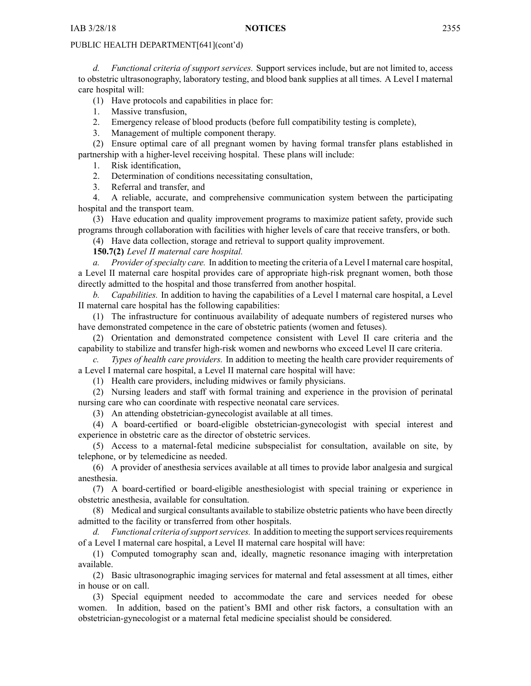#### IAB 3/28/18 **NOTICES** 2355

#### PUBLIC HEALTH DEPARTMENT[641](cont'd)

*d. Functional criteria of suppor<sup>t</sup> services.* Support services include, but are not limited to, access to obstetric ultrasonography, laboratory testing, and blood bank supplies at all times. A Level I maternal care hospital will:

(1) Have protocols and capabilities in place for:

1. Massive transfusion,

2. Emergency release of blood products (before full compatibility testing is complete),

3. Management of multiple componen<sup>t</sup> therapy.

(2) Ensure optimal care of all pregnan<sup>t</sup> women by having formal transfer plans established in partnership with <sup>a</sup> higher-level receiving hospital. These plans will include:

1. Risk identification,

2. Determination of conditions necessitating consultation,

3. Referral and transfer, and

4. A reliable, accurate, and comprehensive communication system between the participating hospital and the transport team.

(3) Have education and quality improvement programs to maximize patient safety, provide such programs through collaboration with facilities with higher levels of care that receive transfers, or both.

(4) Have data collection, storage and retrieval to suppor<sup>t</sup> quality improvement.

**150.7(2)** *Level II maternal care hospital.*

*a. Provider ofspecialty care.* In addition to meeting the criteria of <sup>a</sup> Level I maternal care hospital, <sup>a</sup> Level II maternal care hospital provides care of appropriate high-risk pregnan<sup>t</sup> women, both those directly admitted to the hospital and those transferred from another hospital.

*b. Capabilities.* In addition to having the capabilities of <sup>a</sup> Level I maternal care hospital, <sup>a</sup> Level II maternal care hospital has the following capabilities:

(1) The infrastructure for continuous availability of adequate numbers of registered nurses who have demonstrated competence in the care of obstetric patients (women and fetuses).

(2) Orientation and demonstrated competence consistent with Level II care criteria and the capability to stabilize and transfer high-risk women and newborns who exceed Level II care criteria.

*c. Types of health care providers.* In addition to meeting the health care provider requirements of <sup>a</sup> Level I maternal care hospital, <sup>a</sup> Level II maternal care hospital will have:

(1) Health care providers, including midwives or family physicians.

(2) Nursing leaders and staff with formal training and experience in the provision of perinatal nursing care who can coordinate with respective neonatal care services.

(3) An attending obstetrician-gynecologist available at all times.

(4) A board-certified or board-eligible obstetrician-gynecologist with special interest and experience in obstetric care as the director of obstetric services.

(5) Access to <sup>a</sup> maternal-fetal medicine subspecialist for consultation, available on site, by telephone, or by telemedicine as needed.

(6) A provider of anesthesia services available at all times to provide labor analgesia and surgical anesthesia.

(7) A board-certified or board-eligible anesthesiologist with special training or experience in obstetric anesthesia, available for consultation.

(8) Medical and surgical consultants available to stabilize obstetric patients who have been directly admitted to the facility or transferred from other hospitals.

*d. Functional criteria ofsupportservices.* In addition to meeting the supportservicesrequirements of <sup>a</sup> Level I maternal care hospital, <sup>a</sup> Level II maternal care hospital will have:

(1) Computed tomography scan and, ideally, magnetic resonance imaging with interpretation available.

(2) Basic ultrasonographic imaging services for maternal and fetal assessment at all times, either in house or on call.

(3) Special equipment needed to accommodate the care and services needed for obese women. In addition, based on the patient's BMI and other risk factors, <sup>a</sup> consultation with an obstetrician-gynecologist or <sup>a</sup> maternal fetal medicine specialist should be considered.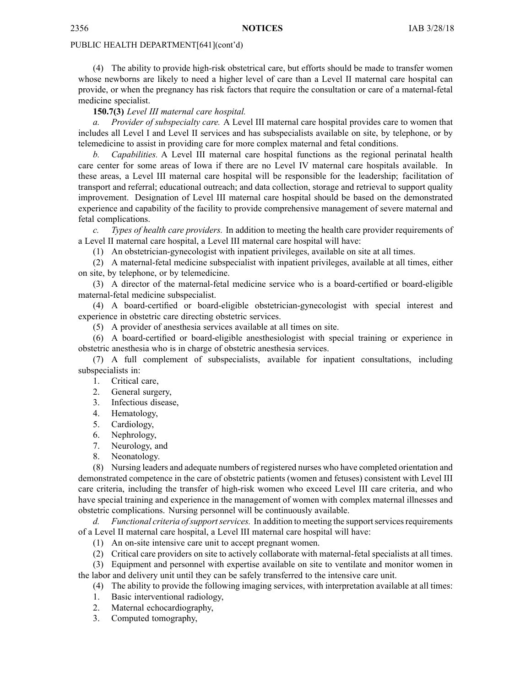(4) The ability to provide high-risk obstetrical care, but efforts should be made to transfer women whose newborns are likely to need <sup>a</sup> higher level of care than <sup>a</sup> Level II maternal care hospital can provide, or when the pregnancy has risk factors that require the consultation or care of <sup>a</sup> maternal-fetal medicine specialist.

**150.7(3)** *Level III maternal care hospital.*

*a. Provider of subspecialty care.* A Level III maternal care hospital provides care to women that includes all Level I and Level II services and has subspecialists available on site, by telephone, or by telemedicine to assist in providing care for more complex maternal and fetal conditions.

*b. Capabilities.* A Level III maternal care hospital functions as the regional perinatal health care center for some areas of Iowa if there are no Level IV maternal care hospitals available. In these areas, <sup>a</sup> Level III maternal care hospital will be responsible for the leadership; facilitation of transport and referral; educational outreach; and data collection, storage and retrieval to suppor<sup>t</sup> quality improvement. Designation of Level III maternal care hospital should be based on the demonstrated experience and capability of the facility to provide comprehensive managemen<sup>t</sup> of severe maternal and fetal complications.

*c. Types of health care providers.* In addition to meeting the health care provider requirements of <sup>a</sup> Level II maternal care hospital, <sup>a</sup> Level III maternal care hospital will have:

(1) An obstetrician-gynecologist with inpatient privileges, available on site at all times.

(2) A maternal-fetal medicine subspecialist with inpatient privileges, available at all times, either on site, by telephone, or by telemedicine.

(3) A director of the maternal-fetal medicine service who is <sup>a</sup> board-certified or board-eligible maternal-fetal medicine subspecialist.

(4) A board-certified or board-eligible obstetrician-gynecologist with special interest and experience in obstetric care directing obstetric services.

(5) A provider of anesthesia services available at all times on site.

(6) A board-certified or board-eligible anesthesiologist with special training or experience in obstetric anesthesia who is in charge of obstetric anesthesia services.

(7) A full complement of subspecialists, available for inpatient consultations, including subspecialists in:

1. Critical care,

- 2. General surgery,
- 3. Infectious disease,
- 4. Hematology,
- 5. Cardiology,
- 6. Nephrology,
- 7. Neurology, and
- 8. Neonatology.

(8) Nursing leaders and adequate numbers of registered nurses who have completed orientation and demonstrated competence in the care of obstetric patients (women and fetuses) consistent with Level III care criteria, including the transfer of high-risk women who exceed Level III care criteria, and who have special training and experience in the managemen<sup>t</sup> of women with complex maternal illnesses and obstetric complications. Nursing personnel will be continuously available.

*d.* Functional criteria of support services. In addition to meeting the support services requirements of <sup>a</sup> Level II maternal care hospital, <sup>a</sup> Level III maternal care hospital will have:

(1) An on-site intensive care unit to accep<sup>t</sup> pregnan<sup>t</sup> women.

(2) Critical care providers on site to actively collaborate with maternal-fetal specialists at all times.

(3) Equipment and personnel with expertise available on site to ventilate and monitor women in the labor and delivery unit until they can be safely transferred to the intensive care unit.

- (4) The ability to provide the following imaging services, with interpretation available at all times:
- 1. Basic interventional radiology,
- 2. Maternal echocardiography,
- 3. Computed tomography,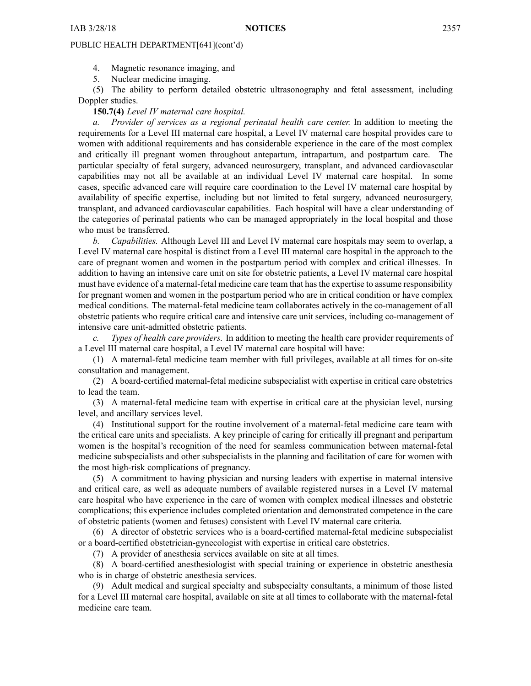4. Magnetic resonance imaging, and

5. Nuclear medicine imaging.

(5) The ability to perform detailed obstetric ultrasonography and fetal assessment, including Doppler studies.

#### **150.7(4)** *Level IV maternal care hospital.*

*a. Provider of services as <sup>a</sup> regional perinatal health care center.* In addition to meeting the requirements for <sup>a</sup> Level III maternal care hospital, <sup>a</sup> Level IV maternal care hospital provides care to women with additional requirements and has considerable experience in the care of the most complex and critically ill pregnan<sup>t</sup> women throughout antepartum, intrapartum, and postpartum care. The particular specialty of fetal surgery, advanced neurosurgery, transplant, and advanced cardiovascular capabilities may not all be available at an individual Level IV maternal care hospital. In some cases, specific advanced care will require care coordination to the Level IV maternal care hospital by availability of specific expertise, including but not limited to fetal surgery, advanced neurosurgery, transplant, and advanced cardiovascular capabilities. Each hospital will have <sup>a</sup> clear understanding of the categories of perinatal patients who can be managed appropriately in the local hospital and those who must be transferred.

*b. Capabilities.* Although Level III and Level IV maternal care hospitals may seem to overlap, <sup>a</sup> Level IV maternal care hospital is distinct from <sup>a</sup> Level III maternal care hospital in the approach to the care of pregnan<sup>t</sup> women and women in the postpartum period with complex and critical illnesses. In addition to having an intensive care unit on site for obstetric patients, <sup>a</sup> Level IV maternal care hospital must have evidence of <sup>a</sup> maternal-fetal medicine care team that hasthe expertise to assume responsibility for pregnan<sup>t</sup> women and women in the postpartum period who are in critical condition or have complex medical conditions. The maternal-fetal medicine team collaborates actively in the co-managemen<sup>t</sup> of all obstetric patients who require critical care and intensive care unit services, including co-managemen<sup>t</sup> of intensive care unit-admitted obstetric patients.

*c. Types of health care providers.* In addition to meeting the health care provider requirements of <sup>a</sup> Level III maternal care hospital, <sup>a</sup> Level IV maternal care hospital will have:

(1) A maternal-fetal medicine team member with full privileges, available at all times for on-site consultation and management.

(2) A board-certified maternal-fetal medicine subspecialist with expertise in critical care obstetrics to lead the team.

(3) A maternal-fetal medicine team with expertise in critical care at the physician level, nursing level, and ancillary services level.

(4) Institutional suppor<sup>t</sup> for the routine involvement of <sup>a</sup> maternal-fetal medicine care team with the critical care units and specialists. A key principle of caring for critically ill pregnan<sup>t</sup> and peripartum women is the hospital's recognition of the need for seamless communication between maternal-fetal medicine subspecialists and other subspecialists in the planning and facilitation of care for women with the most high-risk complications of pregnancy.

(5) A commitment to having physician and nursing leaders with expertise in maternal intensive and critical care, as well as adequate numbers of available registered nurses in <sup>a</sup> Level IV maternal care hospital who have experience in the care of women with complex medical illnesses and obstetric complications; this experience includes completed orientation and demonstrated competence in the care of obstetric patients (women and fetuses) consistent with Level IV maternal care criteria.

(6) A director of obstetric services who is <sup>a</sup> board-certified maternal-fetal medicine subspecialist or <sup>a</sup> board-certified obstetrician-gynecologist with expertise in critical care obstetrics.

(7) A provider of anesthesia services available on site at all times.

(8) A board-certified anesthesiologist with special training or experience in obstetric anesthesia who is in charge of obstetric anesthesia services.

(9) Adult medical and surgical specialty and subspecialty consultants, <sup>a</sup> minimum of those listed for <sup>a</sup> Level III maternal care hospital, available on site at all times to collaborate with the maternal-fetal medicine care team.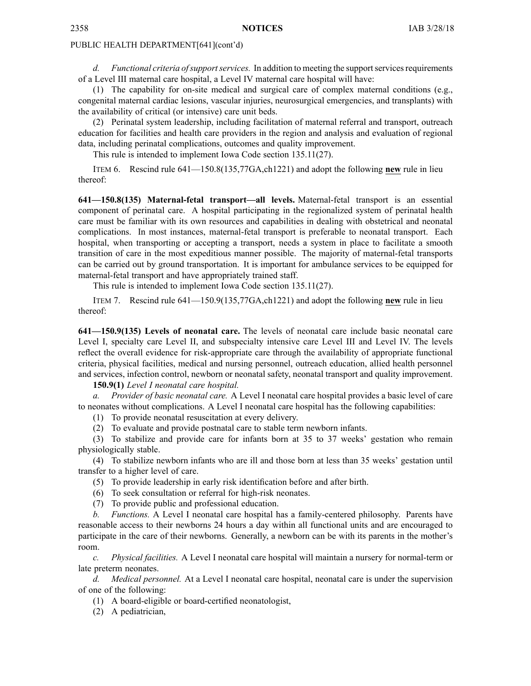*d.* Functional criteria of support services. In addition to meeting the support services requirements of <sup>a</sup> Level III maternal care hospital, <sup>a</sup> Level IV maternal care hospital will have:

(1) The capability for on-site medical and surgical care of complex maternal conditions (e.g., congenital maternal cardiac lesions, vascular injuries, neurosurgical emergencies, and transplants) with the availability of critical (or intensive) care unit beds.

(2) Perinatal system leadership, including facilitation of maternal referral and transport, outreach education for facilities and health care providers in the region and analysis and evaluation of regional data, including perinatal complications, outcomes and quality improvement.

This rule is intended to implement Iowa Code section [135.11\(27\)](https://www.legis.iowa.gov/docs/ico/section/2018/135.11.pdf).

ITEM 6. Rescind rule 641—150.8(135,77GA,ch1221) and adopt the following **new** rule in lieu thereof:

**641—150.8(135) Maternal-fetal transport—all levels.** Maternal-fetal transport is an essential componen<sup>t</sup> of perinatal care. A hospital participating in the regionalized system of perinatal health care must be familiar with its own resources and capabilities in dealing with obstetrical and neonatal complications. In most instances, maternal-fetal transport is preferable to neonatal transport. Each hospital, when transporting or accepting <sup>a</sup> transport, needs <sup>a</sup> system in place to facilitate <sup>a</sup> smooth transition of care in the most expeditious manner possible. The majority of maternal-fetal transports can be carried out by ground transportation. It is important for ambulance services to be equipped for maternal-fetal transport and have appropriately trained staff.

This rule is intended to implement Iowa Code section [135.11\(27\)](https://www.legis.iowa.gov/docs/ico/section/2018/135.11.pdf).

ITEM 7. Rescind rule 641—150.9(135,77GA,ch1221) and adopt the following **new** rule in lieu thereof:

**641—150.9(135) Levels of neonatal care.** The levels of neonatal care include basic neonatal care Level I, specialty care Level II, and subspecialty intensive care Level III and Level IV. The levels reflect the overall evidence for risk-appropriate care through the availability of appropriate functional criteria, physical facilities, medical and nursing personnel, outreach education, allied health personnel and services, infection control, newborn or neonatal safety, neonatal transport and quality improvement.

#### **150.9(1)** *Level I neonatal care hospital.*

*a. Provider of basic neonatal care.* A Level I neonatal care hospital provides <sup>a</sup> basic level of care to neonates without complications. A Level I neonatal care hospital has the following capabilities:

(1) To provide neonatal resuscitation at every delivery.

(2) To evaluate and provide postnatal care to stable term newborn infants.

(3) To stabilize and provide care for infants born at 35 to 37 weeks' gestation who remain physiologically stable.

(4) To stabilize newborn infants who are ill and those born at less than 35 weeks' gestation until transfer to <sup>a</sup> higher level of care.

- (5) To provide leadership in early risk identification before and after birth.
- (6) To seek consultation or referral for high-risk neonates.
- (7) To provide public and professional education.

*b. Functions.* A Level I neonatal care hospital has <sup>a</sup> family-centered philosophy. Parents have reasonable access to their newborns 24 hours <sup>a</sup> day within all functional units and are encouraged to participate in the care of their newborns. Generally, <sup>a</sup> newborn can be with its parents in the mother's room.

*c. Physical facilities.* A Level I neonatal care hospital will maintain <sup>a</sup> nursery for normal-term or late preterm neonates.

*d. Medical personnel.* At <sup>a</sup> Level I neonatal care hospital, neonatal care is under the supervision of one of the following:

(1) A board-eligible or board-certified neonatologist,

(2) A pediatrician,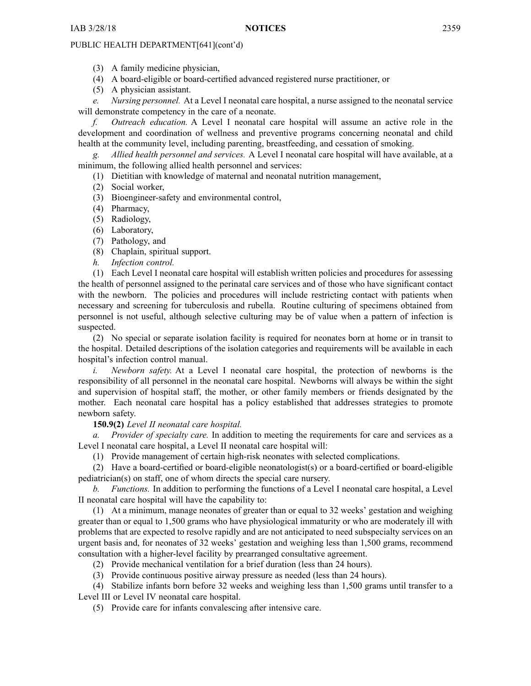- (3) A family medicine physician,
- (4) A board-eligible or board-certified advanced registered nurse practitioner, or
- (5) A physician assistant.

*e. Nursing personnel.* At <sup>a</sup> Level I neonatal care hospital, <sup>a</sup> nurse assigned to the neonatal service will demonstrate competency in the care of <sup>a</sup> neonate.

*f. Outreach education.* A Level I neonatal care hospital will assume an active role in the development and coordination of wellness and preventive programs concerning neonatal and child health at the community level, including parenting, breastfeeding, and cessation of smoking.

*g. Allied health personnel and services.* A Level I neonatal care hospital will have available, at <sup>a</sup> minimum, the following allied health personnel and services:

- (1) Dietitian with knowledge of maternal and neonatal nutrition management,
- (2) Social worker,
- (3) Bioengineer-safety and environmental control,
- (4) Pharmacy,
- (5) Radiology,
- (6) Laboratory,
- (7) Pathology, and
- (8) Chaplain, spiritual support.
- *h. Infection control.*

(1) Each Level I neonatal care hospital will establish written policies and procedures for assessing the health of personnel assigned to the perinatal care services and of those who have significant contact with the newborn. The policies and procedures will include restricting contact with patients when necessary and screening for tuberculosis and rubella. Routine culturing of specimens obtained from personnel is not useful, although selective culturing may be of value when <sup>a</sup> pattern of infection is suspected.

(2) No special or separate isolation facility is required for neonates born at home or in transit to the hospital. Detailed descriptions of the isolation categories and requirements will be available in each hospital's infection control manual.

*i. Newborn safety.* At <sup>a</sup> Level I neonatal care hospital, the protection of newborns is the responsibility of all personnel in the neonatal care hospital. Newborns will always be within the sight and supervision of hospital staff, the mother, or other family members or friends designated by the mother. Each neonatal care hospital has <sup>a</sup> policy established that addresses strategies to promote newborn safety.

# **150.9(2)** *Level II neonatal care hospital.*

*a. Provider of specialty care.* In addition to meeting the requirements for care and services as <sup>a</sup> Level I neonatal care hospital, <sup>a</sup> Level II neonatal care hospital will:

(1) Provide managemen<sup>t</sup> of certain high-risk neonates with selected complications.

(2) Have <sup>a</sup> board-certified or board-eligible neonatologist(s) or <sup>a</sup> board-certified or board-eligible pediatrician(s) on staff, one of whom directs the special care nursery.

*b. Functions.* In addition to performing the functions of <sup>a</sup> Level I neonatal care hospital, <sup>a</sup> Level II neonatal care hospital will have the capability to:

(1) At <sup>a</sup> minimum, manage neonates of greater than or equal to 32 weeks' gestation and weighing greater than or equal to 1,500 grams who have physiological immaturity or who are moderately ill with problems that are expected to resolve rapidly and are not anticipated to need subspecialty services on an urgen<sup>t</sup> basis and, for neonates of 32 weeks' gestation and weighing less than 1,500 grams, recommend consultation with <sup>a</sup> higher-level facility by prearranged consultative agreement.

(2) Provide mechanical ventilation for <sup>a</sup> brief duration (less than 24 hours).

(3) Provide continuous positive airway pressure as needed (less than 24 hours).

(4) Stabilize infants born before 32 weeks and weighing less than 1,500 grams until transfer to <sup>a</sup> Level III or Level IV neonatal care hospital.

(5) Provide care for infants convalescing after intensive care.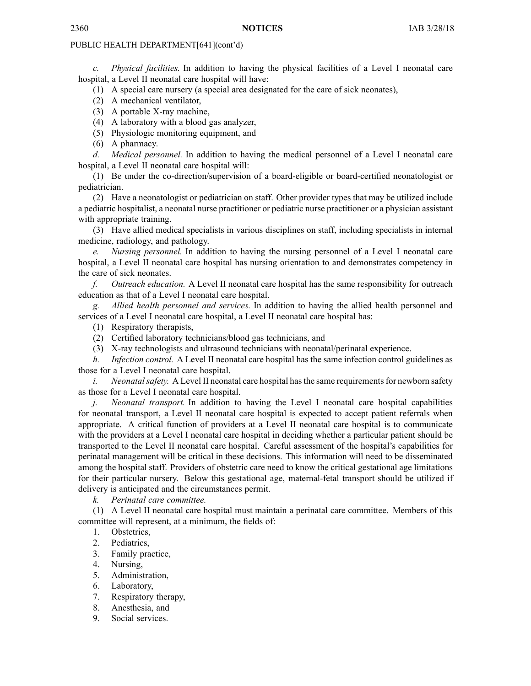*c. Physical facilities.* In addition to having the physical facilities of <sup>a</sup> Level I neonatal care hospital, <sup>a</sup> Level II neonatal care hospital will have:

(1) A special care nursery (a special area designated for the care of sick neonates),

(2) A mechanical ventilator,

(3) A portable X-ray machine,

- (4) A laboratory with <sup>a</sup> blood gas analyzer,
- (5) Physiologic monitoring equipment, and

(6) A pharmacy.

*d. Medical personnel.* In addition to having the medical personnel of <sup>a</sup> Level I neonatal care hospital, <sup>a</sup> Level II neonatal care hospital will:

(1) Be under the co-direction/supervision of <sup>a</sup> board-eligible or board-certified neonatologist or pediatrician.

(2) Have <sup>a</sup> neonatologist or pediatrician on staff. Other provider types that may be utilized include <sup>a</sup> pediatric hospitalist, <sup>a</sup> neonatal nurse practitioner or pediatric nurse practitioner or <sup>a</sup> physician assistant with appropriate training.

(3) Have allied medical specialists in various disciplines on staff, including specialists in internal medicine, radiology, and pathology.

*e. Nursing personnel.* In addition to having the nursing personnel of <sup>a</sup> Level I neonatal care hospital, <sup>a</sup> Level II neonatal care hospital has nursing orientation to and demonstrates competency in the care of sick neonates.

*f. Outreach education.* A Level II neonatal care hospital has the same responsibility for outreach education as that of <sup>a</sup> Level I neonatal care hospital.

*g. Allied health personnel and services.* In addition to having the allied health personnel and services of <sup>a</sup> Level I neonatal care hospital, <sup>a</sup> Level II neonatal care hospital has:

- (1) Respiratory therapists,
- (2) Certified laboratory technicians/blood gas technicians, and
- (3) X-ray technologists and ultrasound technicians with neonatal/perinatal experience.

*h. Infection control.* A Level II neonatal care hospital has the same infection control guidelines as those for <sup>a</sup> Level I neonatal care hospital.

*i. Neonatal safety.* A Level II neonatal care hospital has the same requirements for newborn safety as those for <sup>a</sup> Level I neonatal care hospital.

*j. Neonatal transport.* In addition to having the Level I neonatal care hospital capabilities for neonatal transport, <sup>a</sup> Level II neonatal care hospital is expected to accep<sup>t</sup> patient referrals when appropriate. A critical function of providers at <sup>a</sup> Level II neonatal care hospital is to communicate with the providers at <sup>a</sup> Level I neonatal care hospital in deciding whether <sup>a</sup> particular patient should be transported to the Level II neonatal care hospital. Careful assessment of the hospital's capabilities for perinatal managemen<sup>t</sup> will be critical in these decisions. This information will need to be disseminated among the hospital staff. Providers of obstetric care need to know the critical gestational age limitations for their particular nursery. Below this gestational age, maternal-fetal transport should be utilized if delivery is anticipated and the circumstances permit.

*k. Perinatal care committee.*

(1) A Level II neonatal care hospital must maintain <sup>a</sup> perinatal care committee. Members of this committee will represent, at <sup>a</sup> minimum, the fields of:

- 1. Obstetrics,
- 2. Pediatrics,
- 3. Family practice,
- 4. Nursing,
- 5. Administration,
- 6. Laboratory,
- 7. Respiratory therapy,
- 8. Anesthesia, and
- 9. Social services.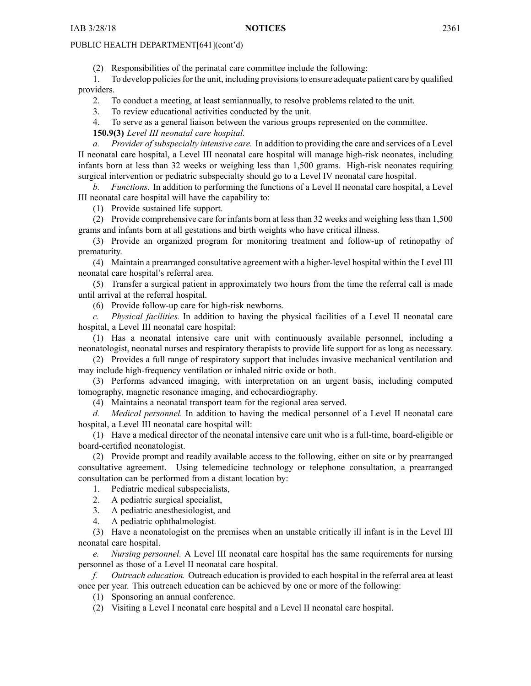(2) Responsibilities of the perinatal care committee include the following:

1. To develop policiesfor the unit, including provisionsto ensure adequate patient care by qualified providers.

2. To conduct <sup>a</sup> meeting, at least semiannually, to resolve problems related to the unit.

3. To review educational activities conducted by the unit.

4. To serve as <sup>a</sup> general liaison between the various groups represented on the committee. **150.9(3)** *Level III neonatal care hospital.*

*a. Provider ofsubspecialty intensive care.* In addition to providing the care and services of <sup>a</sup> Level II neonatal care hospital, <sup>a</sup> Level III neonatal care hospital will manage high-risk neonates, including infants born at less than 32 weeks or weighing less than 1,500 grams. High-risk neonates requiring surgical intervention or pediatric subspecialty should go to <sup>a</sup> Level IV neonatal care hospital.

*b. Functions.* In addition to performing the functions of <sup>a</sup> Level II neonatal care hospital, <sup>a</sup> Level III neonatal care hospital will have the capability to:

(1) Provide sustained life support.

(2) Provide comprehensive care for infants born at less than 32 weeks and weighing less than 1,500 grams and infants born at all gestations and birth weights who have critical illness.

(3) Provide an organized program for monitoring treatment and follow-up of retinopathy of prematurity.

(4) Maintain <sup>a</sup> prearranged consultative agreemen<sup>t</sup> with <sup>a</sup> higher-level hospital within the Level III neonatal care hospital's referral area.

(5) Transfer <sup>a</sup> surgical patient in approximately two hours from the time the referral call is made until arrival at the referral hospital.

(6) Provide follow-up care for high-risk newborns.

*c. Physical facilities.* In addition to having the physical facilities of <sup>a</sup> Level II neonatal care hospital, <sup>a</sup> Level III neonatal care hospital:

(1) Has <sup>a</sup> neonatal intensive care unit with continuously available personnel, including <sup>a</sup> neonatologist, neonatal nurses and respiratory therapists to provide life suppor<sup>t</sup> for as long as necessary.

(2) Provides <sup>a</sup> full range of respiratory suppor<sup>t</sup> that includes invasive mechanical ventilation and may include high-frequency ventilation or inhaled nitric oxide or both.

(3) Performs advanced imaging, with interpretation on an urgen<sup>t</sup> basis, including computed tomography, magnetic resonance imaging, and echocardiography.

(4) Maintains <sup>a</sup> neonatal transport team for the regional area served.

*d. Medical personnel.* In addition to having the medical personnel of <sup>a</sup> Level II neonatal care hospital, <sup>a</sup> Level III neonatal care hospital will:

(1) Have <sup>a</sup> medical director of the neonatal intensive care unit who is <sup>a</sup> full-time, board-eligible or board-certified neonatologist.

(2) Provide promp<sup>t</sup> and readily available access to the following, either on site or by prearranged consultative agreement. Using telemedicine technology or telephone consultation, <sup>a</sup> prearranged consultation can be performed from <sup>a</sup> distant location by:

1. Pediatric medical subspecialists,

2. A pediatric surgical specialist,

3. A pediatric anesthesiologist, and

4. A pediatric ophthalmologist.

(3) Have <sup>a</sup> neonatologist on the premises when an unstable critically ill infant is in the Level III neonatal care hospital.

*e. Nursing personnel.* A Level III neonatal care hospital has the same requirements for nursing personnel as those of <sup>a</sup> Level II neonatal care hospital.

*f. Outreach education.* Outreach education is provided to each hospital in the referral area at least once per year. This outreach education can be achieved by one or more of the following:

- (1) Sponsoring an annual conference.
- (2) Visiting <sup>a</sup> Level I neonatal care hospital and <sup>a</sup> Level II neonatal care hospital.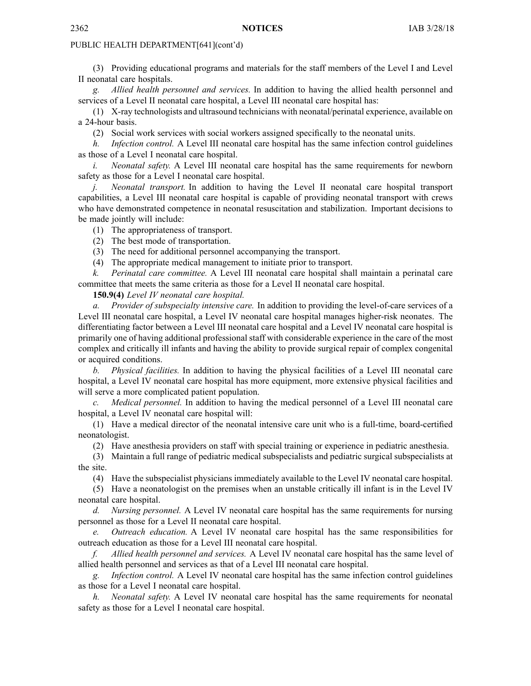(3) Providing educational programs and materials for the staff members of the Level I and Level II neonatal care hospitals.

*g. Allied health personnel and services.* In addition to having the allied health personnel and services of <sup>a</sup> Level II neonatal care hospital, <sup>a</sup> Level III neonatal care hospital has:

(1) X-ray technologists and ultrasound technicians with neonatal/perinatal experience, available on <sup>a</sup> 24-hour basis.

(2) Social work services with social workers assigned specifically to the neonatal units.

*h. Infection control.* A Level III neonatal care hospital has the same infection control guidelines as those of <sup>a</sup> Level I neonatal care hospital.

*i. Neonatal safety.* A Level III neonatal care hospital has the same requirements for newborn safety as those for <sup>a</sup> Level I neonatal care hospital.

*j. Neonatal transport.* In addition to having the Level II neonatal care hospital transport capabilities, <sup>a</sup> Level III neonatal care hospital is capable of providing neonatal transport with crews who have demonstrated competence in neonatal resuscitation and stabilization. Important decisions to be made jointly will include:

(1) The appropriateness of transport.

(2) The best mode of transportation.

(3) The need for additional personnel accompanying the transport.

(4) The appropriate medical managemen<sup>t</sup> to initiate prior to transport.

*k. Perinatal care committee.* A Level III neonatal care hospital shall maintain <sup>a</sup> perinatal care committee that meets the same criteria as those for <sup>a</sup> Level II neonatal care hospital.

**150.9(4)** *Level IV neonatal care hospital.*

*a. Provider of subspecialty intensive care.* In addition to providing the level-of-care services of <sup>a</sup> Level III neonatal care hospital, <sup>a</sup> Level IV neonatal care hospital manages higher-risk neonates. The differentiating factor between <sup>a</sup> Level III neonatal care hospital and <sup>a</sup> Level IV neonatal care hospital is primarily one of having additional professional staff with considerable experience in the care of the most complex and critically ill infants and having the ability to provide surgical repair of complex congenital or acquired conditions.

*b. Physical facilities.* In addition to having the physical facilities of <sup>a</sup> Level III neonatal care hospital, <sup>a</sup> Level IV neonatal care hospital has more equipment, more extensive physical facilities and will serve <sup>a</sup> more complicated patient population.

*c. Medical personnel.* In addition to having the medical personnel of <sup>a</sup> Level III neonatal care hospital, <sup>a</sup> Level IV neonatal care hospital will:

(1) Have <sup>a</sup> medical director of the neonatal intensive care unit who is <sup>a</sup> full-time, board-certified neonatologist.

(2) Have anesthesia providers on staff with special training or experience in pediatric anesthesia.

(3) Maintain <sup>a</sup> full range of pediatric medical subspecialists and pediatric surgical subspecialists at the site.

(4) Have the subspecialist physicians immediately available to the Level IV neonatal care hospital.

(5) Have <sup>a</sup> neonatologist on the premises when an unstable critically ill infant is in the Level IV neonatal care hospital.

*d. Nursing personnel.* A Level IV neonatal care hospital has the same requirements for nursing personnel as those for <sup>a</sup> Level II neonatal care hospital.

*e. Outreach education.* A Level IV neonatal care hospital has the same responsibilities for outreach education as those for <sup>a</sup> Level III neonatal care hospital.

*f. Allied health personnel and services.* A Level IV neonatal care hospital has the same level of allied health personnel and services as that of <sup>a</sup> Level III neonatal care hospital.

*g. Infection control.* A Level IV neonatal care hospital has the same infection control guidelines as those for <sup>a</sup> Level I neonatal care hospital.

*h. Neonatal safety.* A Level IV neonatal care hospital has the same requirements for neonatal safety as those for <sup>a</sup> Level I neonatal care hospital.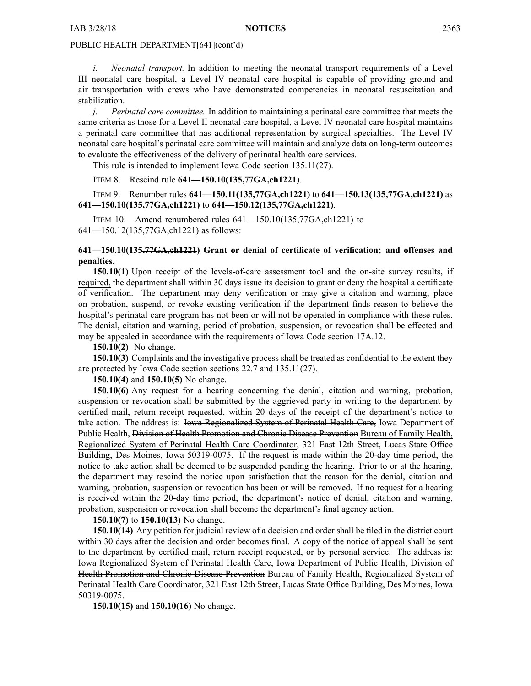*i. Neonatal transport.* In addition to meeting the neonatal transport requirements of <sup>a</sup> Level III neonatal care hospital, <sup>a</sup> Level IV neonatal care hospital is capable of providing ground and air transportation with crews who have demonstrated competencies in neonatal resuscitation and stabilization.

*j. Perinatal care committee.* In addition to maintaining <sup>a</sup> perinatal care committee that meets the same criteria as those for <sup>a</sup> Level II neonatal care hospital, <sup>a</sup> Level IV neonatal care hospital maintains <sup>a</sup> perinatal care committee that has additional representation by surgical specialties. The Level IV neonatal care hospital's perinatal care committee will maintain and analyze data on long-term outcomes to evaluate the effectiveness of the delivery of perinatal health care services.

This rule is intended to implement Iowa Code section [135.11\(27\)](https://www.legis.iowa.gov/docs/ico/section/2018/135.11.pdf).

# ITEM 8. Rescind rule **641—150.10(135,77GA,ch1221)**.

# ITEM 9. Renumber rules **641—150.11(135,77GA,ch1221)** to **641—150.13(135,77GA,ch1221)** as **641—150.10(135,77GA,ch1221)** to **641—150.12(135,77GA,ch1221)**.

ITEM 10. Amend renumbered rules 641—150.10(135,77GA,ch1221) to 641—150.12(135,77GA,ch1221) as follows:

# **641—150.10(135,77GA,ch1221) Grant or denial of certificate of verification; and offenses and penalties.**

**150.10(1)** Upon receipt of the levels-of-care assessment tool and the on-site survey results, if required, the department shall within 30 days issue its decision to gran<sup>t</sup> or deny the hospital <sup>a</sup> certificate of verification. The department may deny verification or may give <sup>a</sup> citation and warning, place on probation, suspend, or revoke existing verification if the department finds reason to believe the hospital's perinatal care program has not been or will not be operated in compliance with these rules. The denial, citation and warning, period of probation, suspension, or revocation shall be effected and may be appealed in accordance with the requirements of Iowa Code section [17A.12](https://www.legis.iowa.gov/docs/ico/section/17A.12.pdf).

**150.10(2)** No change.

**150.10(3)** Complaints and the investigative process shall be treated as confidential to the extent they are protected by Iowa Code section sections [22.7](https://www.legis.iowa.gov/docs/ico/section/22.7.pdf) and 135.11(27).

**150.10(4)** and **150.10(5)** No change.

**150.10(6)** Any reques<sup>t</sup> for <sup>a</sup> hearing concerning the denial, citation and warning, probation, suspension or revocation shall be submitted by the aggrieved party in writing to the department by certified mail, return receipt requested, within 20 days of the receipt of the department's notice to take action. The address is: Iowa Regionalized System of Perinatal Health Care, Iowa Department of Public Health, Division of Health Promotion and Chronic Disease Prevention Bureau of Family Health, Regionalized System of Perinatal Health Care Coordinator, 321 East 12th Street, Lucas State Office Building, Des Moines, Iowa 50319-0075. If the reques<sup>t</sup> is made within the 20-day time period, the notice to take action shall be deemed to be suspended pending the hearing. Prior to or at the hearing, the department may rescind the notice upon satisfaction that the reason for the denial, citation and warning, probation, suspension or revocation has been or will be removed. If no reques<sup>t</sup> for <sup>a</sup> hearing is received within the 20-day time period, the department's notice of denial, citation and warning, probation, suspension or revocation shall become the department's final agency action.

**150.10(7)** to **150.10(13)** No change.

**150.10(14)** Any petition for judicial review of <sup>a</sup> decision and order shall be filed in the district court within 30 days after the decision and order becomes final. A copy of the notice of appeal shall be sent to the department by certified mail, return receipt requested, or by personal service. The address is: Iowa Regionalized System of Perinatal Health Care, Iowa Department of Public Health, Division of Health Promotion and Chronic Disease Prevention Bureau of Family Health, Regionalized System of Perinatal Health Care Coordinator, 321 East 12th Street, Lucas State Office Building, Des Moines, Iowa 50319-0075.

**150.10(15)** and **150.10(16)** No change.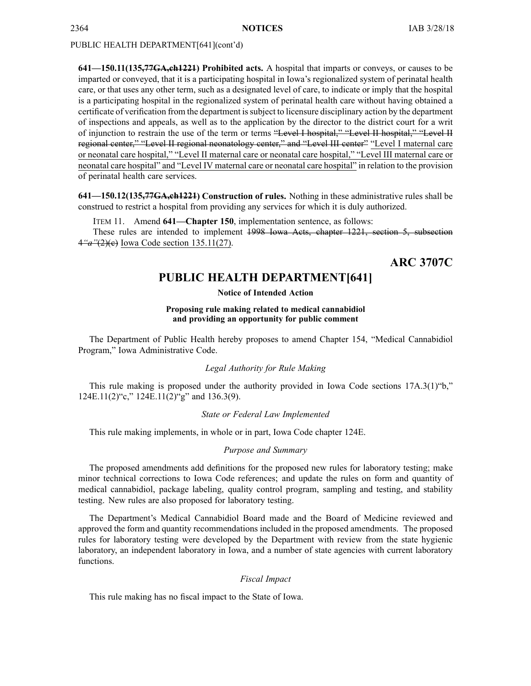**641—150.11(135,77GA,ch1221) Prohibited acts.** A hospital that imparts or conveys, or causes to be imparted or conveyed, that it is <sup>a</sup> participating hospital in Iowa's regionalized system of perinatal health care, or that uses any other term, such as <sup>a</sup> designated level of care, to indicate or imply that the hospital is <sup>a</sup> participating hospital in the regionalized system of perinatal health care without having obtained <sup>a</sup> certificate of verification from the department issubject to licensure disciplinary action by the department of inspections and appeals, as well as to the application by the director to the district court for <sup>a</sup> writ of injunction to restrain the use of the term or terms "Level I hospital," "Level II hospital," "Level II regional center," "Level II regional neonatology center," and "Level III center" "Level I maternal care or neonatal care hospital," "Level II maternal care or neonatal care hospital," "Level III maternal care or neonatal care hospital" and "Level IV maternal care or neonatal care hospital" in relation to the provision of perinatal health care services.

**641—150.12(135,77GA,ch1221) Construction of rules.** Nothing in these administrative rules shall be construed to restrict <sup>a</sup> hospital from providing any services for which it is duly authorized.

ITEM 11. Amend **641—Chapter 150**, implementation sentence, as follows:

These rules are intended to implement 1998 Iowa Acts, chapter 1221, section 5, subsection 4*"a"*(2)(c) Iowa Code section [135.11\(27\)](https://www.legis.iowa.gov/docs/ico/section/2018/135.11.pdf).

**ARC 3707C**

# **PUBLIC HEALTH DEPARTMENT[641]**

## **Notice of Intended Action**

### **Proposing rule making related to medical cannabidiol and providing an opportunity for public comment**

The Department of Public Health hereby proposes to amend Chapter 154, "Medical Cannabidiol Program," Iowa Administrative Code.

# *Legal Authority for Rule Making*

This rule making is proposed under the authority provided in Iowa Code sections 17A.3(1)"b," 124E.11(2)"c," 124E.11(2)"g" and 136.3(9).

# *State or Federal Law Implemented*

This rule making implements, in whole or in part, Iowa Code chapter 124E.

# *Purpose and Summary*

The proposed amendments add definitions for the proposed new rules for laboratory testing; make minor technical corrections to Iowa Code references; and update the rules on form and quantity of medical cannabidiol, package labeling, quality control program, sampling and testing, and stability testing. New rules are also proposed for laboratory testing.

The Department's Medical Cannabidiol Board made and the Board of Medicine reviewed and approved the form and quantity recommendations included in the proposed amendments. The proposed rules for laboratory testing were developed by the Department with review from the state hygienic laboratory, an independent laboratory in Iowa, and <sup>a</sup> number of state agencies with current laboratory functions.

# *Fiscal Impact*

This rule making has no fiscal impact to the State of Iowa.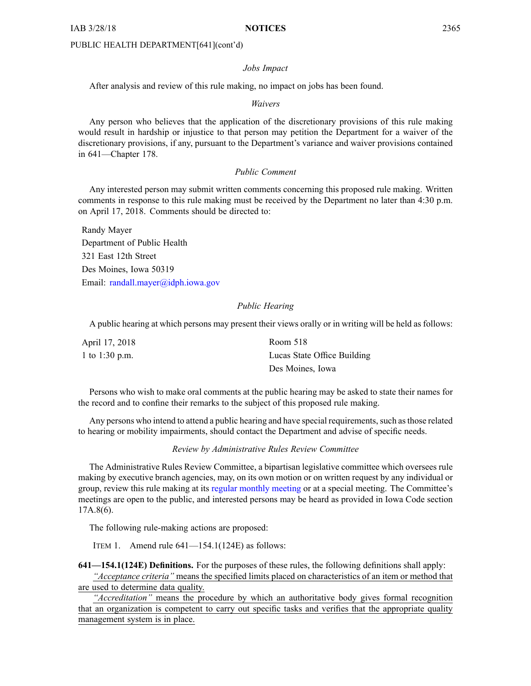#### *Jobs Impact*

After analysis and review of this rule making, no impact on jobs has been found.

#### *Waivers*

Any person who believes that the application of the discretionary provisions of this rule making would result in hardship or injustice to that person may petition the Department for <sup>a</sup> waiver of the discretionary provisions, if any, pursuan<sup>t</sup> to the Department's variance and waiver provisions contained in 641—Chapter 178.

# *Public Comment*

Any interested person may submit written comments concerning this proposed rule making. Written comments in response to this rule making must be received by the Department no later than 4:30 p.m. on April 17, 2018. Comments should be directed to:

Randy Mayer Department of Public Health 321 East 12th Street Des Moines, Iowa 50319 Email: [randall.mayer@idph.iowa.gov](mailto:randall.mayer@idph.iowa.gov)

# *Public Hearing*

A public hearing at which persons may presen<sup>t</sup> their views orally or in writing will be held as follows:

| April 17, 2018 | Room 518                    |
|----------------|-----------------------------|
| 1 to 1:30 p.m. | Lucas State Office Building |
|                | Des Moines, Iowa            |

Persons who wish to make oral comments at the public hearing may be asked to state their names for the record and to confine their remarks to the subject of this proposed rule making.

Any persons who intend to attend a public hearing and have special requirements, such as those related to hearing or mobility impairments, should contact the Department and advise of specific needs.

# *Review by Administrative Rules Review Committee*

The Administrative Rules Review Committee, <sup>a</sup> bipartisan legislative committee which oversees rule making by executive branch agencies, may, on its own motion or on written reques<sup>t</sup> by any individual or group, review this rule making at its regular [monthly](https://www.legis.iowa.gov/committees/meetings/meetingsListComm?groupID=705&ga=87) meeting or at <sup>a</sup> special meeting. The Committee's meetings are open to the public, and interested persons may be heard as provided in Iowa Code section 17A.8(6).

The following rule-making actions are proposed:

ITEM 1. Amend rule 641—154.1(124E) as follows:

**641—154.1(124E) Definitions.** For the purposes of these rules, the following definitions shall apply: *"Acceptance criteria"* means the specified limits placed on characteristics of an item or method that are used to determine data quality.

*"Accreditation"* means the procedure by which an authoritative body gives formal recognition that an organization is competent to carry out specific tasks and verifies that the appropriate quality managemen<sup>t</sup> system is in place.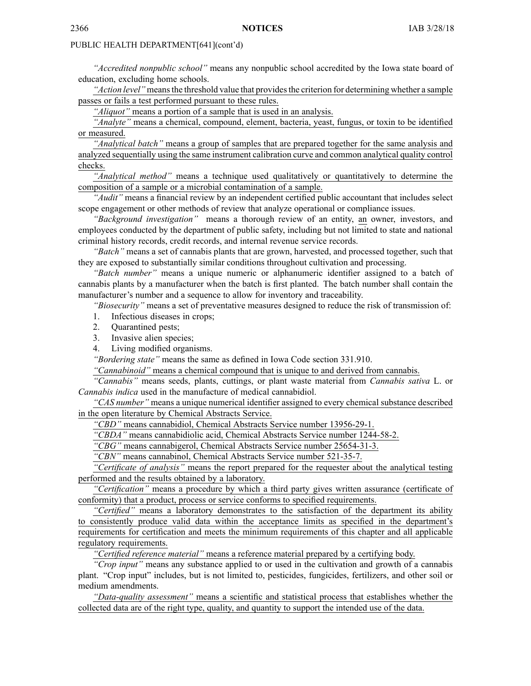*"Accredited nonpublic school"* means any nonpublic school accredited by the Iowa state board of education, excluding home schools.

"Action level" means the threshold value that provides the criterion for determining whether a sample passes or fails <sup>a</sup> test performed pursuan<sup>t</sup> to these rules.

*"Aliquot"* means <sup>a</sup> portion of <sup>a</sup> sample that is used in an analysis.

*"Analyte"* means <sup>a</sup> chemical, compound, element, bacteria, yeast, fungus, or toxin to be identified or measured.

*"Analytical batch"* means <sup>a</sup> group of samples that are prepared together for the same analysis and analyzed sequentially using the same instrument calibration curve and common analytical quality control checks.

*"Analytical method"* means <sup>a</sup> technique used qualitatively or quantitatively to determine the composition of <sup>a</sup> sample or <sup>a</sup> microbial contamination of <sup>a</sup> sample.

*"Audit"* means <sup>a</sup> financial review by an independent certified public accountant that includes select scope engagemen<sup>t</sup> or other methods of review that analyze operational or compliance issues.

*"Background investigation"* means <sup>a</sup> thorough review of an entity, an owner, investors, and employees conducted by the department of public safety, including but not limited to state and national criminal history records, credit records, and internal revenue service records.

*"Batch"* means <sup>a</sup> set of cannabis plants that are grown, harvested, and processed together, such that they are exposed to substantially similar conditions throughout cultivation and processing.

*"Batch number"* means <sup>a</sup> unique numeric or alphanumeric identifier assigned to <sup>a</sup> batch of cannabis plants by <sup>a</sup> manufacturer when the batch is first planted. The batch number shall contain the manufacturer's number and <sup>a</sup> sequence to allow for inventory and traceability.

*"Biosecurity"* means <sup>a</sup> set of preventative measures designed to reduce the risk of transmission of:

- 1. Infectious diseases in crops;
- 2. Quarantined pests;
- 3. Invasive alien species;
- 4. Living modified organisms.

*"Bordering state"* means the same as defined in Iowa Code section [331.910](https://www.legis.iowa.gov/docs/ico/section/2017/331.910.pdf).

*"Cannabinoid"* means <sup>a</sup> chemical compound that is unique to and derived from cannabis.

*"Cannabis"* means seeds, plants, cuttings, or plant waste material from *Cannabis sativa* L. or *Cannabis indica* used in the manufacture of medical cannabidiol.

*"CAS number"* means <sup>a</sup> unique numerical identifier assigned to every chemical substance described in the open literature by Chemical Abstracts Service.

*"CBD"* means cannabidiol, Chemical Abstracts Service number 13956-29-1.

*"CBDA"* means cannabidiolic acid, Chemical Abstracts Service number 1244-58-2.

*"CBG"* means cannabigerol, Chemical Abstracts Service number 25654-31-3.

*"CBN"* means cannabinol, Chemical Abstracts Service number 521-35-7.

*"Certificate of analysis"* means the repor<sup>t</sup> prepared for the requester about the analytical testing performed and the results obtained by <sup>a</sup> laboratory.

*"Certification"* means <sup>a</sup> procedure by which <sup>a</sup> third party gives written assurance (certificate of conformity) that <sup>a</sup> product, process or service conforms to specified requirements.

*"Certified"* means <sup>a</sup> laboratory demonstrates to the satisfaction of the department its ability to consistently produce valid data within the acceptance limits as specified in the department's requirements for certification and meets the minimum requirements of this chapter and all applicable regulatory requirements.

*"Certified reference material"* means <sup>a</sup> reference material prepared by <sup>a</sup> certifying body.

*"Crop input"* means any substance applied to or used in the cultivation and growth of <sup>a</sup> cannabis plant. "Crop input" includes, but is not limited to, pesticides, fungicides, fertilizers, and other soil or medium amendments.

*"Data-quality assessment"* means <sup>a</sup> scientific and statistical process that establishes whether the collected data are of the right type, quality, and quantity to suppor<sup>t</sup> the intended use of the data.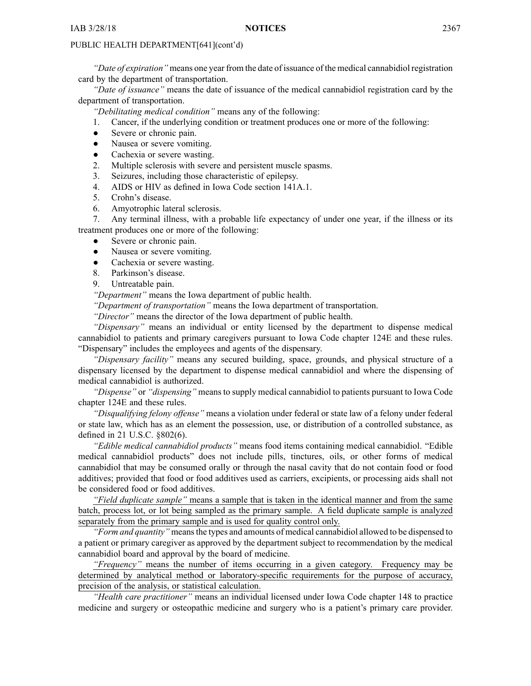*"Date of expiration"* means one year from the date of issuance of the medical cannabidiol registration card by the department of transportation.

*"Date of issuance"* means the date of issuance of the medical cannabidiol registration card by the department of transportation.

*"Debilitating medical condition"* means any of the following:

- 1. Cancer, if the underlying condition or treatment produces one or more of the following:
- $\bullet$ Severe or chronic pain.
- $\bullet$ Nausea or severe vomiting.
- $\bullet$ Cachexia or severe wasting.
- 2. Multiple sclerosis with severe and persistent muscle spasms.
- 3. Seizures, including those characteristic of epilepsy.
- 4. AIDS or HIV as defined in Iowa Code section [141A.1](https://www.legis.iowa.gov/docs/ico/section/2017/141A.1.pdf).
- 5. Crohn's disease.
- 6. Amyotrophic lateral sclerosis.

7. Any terminal illness, with <sup>a</sup> probable life expectancy of under one year, if the illness or its treatment produces one or more of the following:

- ●Severe or chronic pain.
- ●Nausea or severe vomiting.
- Cachexia or severe wasting.
- 8. Parkinson's disease.
- 9. Untreatable pain.

*"Department"* means the Iowa department of public health.

*"Department of transportation"* means the Iowa department of transportation.

*"Director"* means the director of the Iowa department of public health.

*"Dispensary"* means an individual or entity licensed by the department to dispense medical cannabidiol to patients and primary caregivers pursuan<sup>t</sup> to Iowa Code chapter [124E](https://www.legis.iowa.gov/docs/ico/chapter/2018/124E.pdf) and these rules. "Dispensary" includes the employees and agents of the dispensary.

*"Dispensary facility"* means any secured building, space, grounds, and physical structure of <sup>a</sup> dispensary licensed by the department to dispense medical cannabidiol and where the dispensing of medical cannabidiol is authorized.

*"Dispense"* or *"dispensing"* means to supply medical cannabidiol to patients pursuan<sup>t</sup> to Iowa Code chapter [124E](https://www.legis.iowa.gov/docs/ico/chapter/2018/124E.pdf) and these rules.

*"Disqualifying felony offense"* means <sup>a</sup> violation under federal or state law of <sup>a</sup> felony under federal or state law, which has as an element the possession, use, or distribution of <sup>a</sup> controlled substance, as defined in 21 U.S.C. §802(6).

*"Edible medical cannabidiol products"* means food items containing medical cannabidiol. "Edible medical cannabidiol products" does not include pills, tinctures, oils, or other forms of medical cannabidiol that may be consumed orally or through the nasal cavity that do not contain food or food additives; provided that food or food additives used as carriers, excipients, or processing aids shall not be considered food or food additives.

*"Field duplicate sample"* means <sup>a</sup> sample that is taken in the identical manner and from the same batch, process lot, or lot being sampled as the primary sample. A field duplicate sample is analyzed separately from the primary sample and is used for quality control only.

*"Form and quantity"* means the types and amounts of medical cannabidiol allowed to be dispensed to <sup>a</sup> patient or primary caregiver as approved by the department subject to recommendation by the medical cannabidiol board and approval by the board of medicine.

*"Frequency"* means the number of items occurring in <sup>a</sup> given category. Frequency may be determined by analytical method or laboratory-specific requirements for the purpose of accuracy, precision of the analysis, or statistical calculation.

*"Health care practitioner"* means an individual licensed under Iowa Code chapter [148](https://www.legis.iowa.gov/docs/ico/chapter/2017/148.pdf) to practice medicine and surgery or osteopathic medicine and surgery who is <sup>a</sup> patient's primary care provider.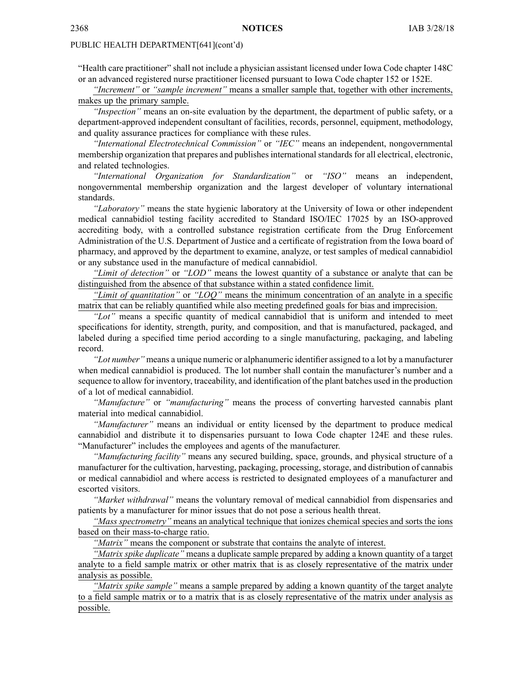"Health care practitioner" shall not include <sup>a</sup> physician assistant licensed under Iowa Code chapter [148C](https://www.legis.iowa.gov/docs/ico/chapter/2017/148C.pdf) or an advanced registered nurse practitioner licensed pursuan<sup>t</sup> to Iowa Code chapter [152](https://www.legis.iowa.gov/docs/ico/chapter/2017/152.pdf) or [152E](https://www.legis.iowa.gov/docs/ico/chapter/2017/152E.pdf).

*"Increment"* or *"sample increment"* means <sup>a</sup> smaller sample that, together with other increments, makes up the primary sample.

*"Inspection"* means an on-site evaluation by the department, the department of public safety, or <sup>a</sup> department-approved independent consultant of facilities, records, personnel, equipment, methodology, and quality assurance practices for compliance with these rules.

*"International Electrotechnical Commission"* or *"IEC"* means an independent, nongovernmental membership organization that prepares and publishes international standards for all electrical, electronic, and related technologies.

*"International Organization for Standardization"* or *"ISO"* means an independent, nongovernmental membership organization and the largest developer of voluntary international standards.

*"Laboratory"* means the state hygienic laboratory at the University of Iowa or other independent medical cannabidiol testing facility accredited to Standard ISO/IEC 17025 by an ISO-approved accrediting body, with <sup>a</sup> controlled substance registration certificate from the Drug Enforcement Administration of the U.S. Department of Justice and <sup>a</sup> certificate of registration from the Iowa board of pharmacy, and approved by the department to examine, analyze, or test samples of medical cannabidiol or any substance used in the manufacture of medical cannabidiol.

*"Limit of detection"* or *"LOD"* means the lowest quantity of <sup>a</sup> substance or analyte that can be distinguished from the absence of that substance within <sup>a</sup> stated confidence limit.

*"Limit of quantitation"* or *"LOQ"* means the minimum concentration of an analyte in <sup>a</sup> specific matrix that can be reliably quantified while also meeting predefined goals for bias and imprecision.

*"Lot"* means <sup>a</sup> specific quantity of medical cannabidiol that is uniform and intended to meet specifications for identity, strength, purity, and composition, and that is manufactured, packaged, and labeled during <sup>a</sup> specified time period according to <sup>a</sup> single manufacturing, packaging, and labeling record.

*"Lot number"* means <sup>a</sup> unique numeric or alphanumeric identifier assigned to <sup>a</sup> lot by <sup>a</sup> manufacturer when medical cannabidiol is produced. The lot number shall contain the manufacturer's number and <sup>a</sup> sequence to allow for inventory, traceability, and identification of the plant batches used in the production of <sup>a</sup> lot of medical cannabidiol.

*"Manufacture"* or *"manufacturing"* means the process of converting harvested cannabis plant material into medical cannabidiol.

*"Manufacturer"* means an individual or entity licensed by the department to produce medical cannabidiol and distribute it to dispensaries pursuan<sup>t</sup> to Iowa Code chapter [124E](https://www.legis.iowa.gov/docs/ico/chapter/2018/124E.pdf) and these rules. "Manufacturer" includes the employees and agents of the manufacturer.

*"Manufacturing facility"* means any secured building, space, grounds, and physical structure of <sup>a</sup> manufacturer for the cultivation, harvesting, packaging, processing, storage, and distribution of cannabis or medical cannabidiol and where access is restricted to designated employees of <sup>a</sup> manufacturer and escorted visitors.

*"Market withdrawal"* means the voluntary removal of medical cannabidiol from dispensaries and patients by <sup>a</sup> manufacturer for minor issues that do not pose <sup>a</sup> serious health threat.

*"Mass spectrometry"* means an analytical technique that ionizes chemical species and sorts the ions based on their mass-to-charge ratio.

*"Matrix"* means the componen<sup>t</sup> or substrate that contains the analyte of interest.

*"Matrix spike duplicate"* means <sup>a</sup> duplicate sample prepared by adding <sup>a</sup> known quantity of <sup>a</sup> target analyte to <sup>a</sup> field sample matrix or other matrix that is as closely representative of the matrix under analysis as possible.

*"Matrix spike sample"* means <sup>a</sup> sample prepared by adding <sup>a</sup> known quantity of the target analyte to <sup>a</sup> field sample matrix or to <sup>a</sup> matrix that is as closely representative of the matrix under analysis as possible.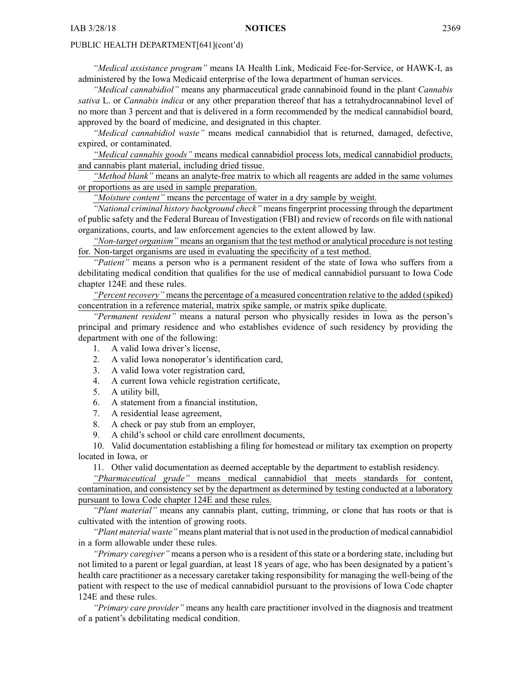*"Medical assistance program"* means IA Health Link, Medicaid Fee-for-Service, or HAWK-I, as administered by the Iowa Medicaid enterprise of the Iowa department of human services.

*"Medical cannabidiol"* means any pharmaceutical grade cannabinoid found in the plant *Cannabis sativa* L. or *Cannabis indica* or any other preparation thereof that has <sup>a</sup> tetrahydrocannabinol level of no more than 3 percen<sup>t</sup> and that is delivered in <sup>a</sup> form recommended by the medical cannabidiol board, approved by the board of medicine, and designated in this chapter.

*"Medical cannabidiol waste"* means medical cannabidiol that is returned, damaged, defective, expired, or contaminated.

*"Medical cannabis goods"* means medical cannabidiol process lots, medical cannabidiol products, and cannabis plant material, including dried tissue.

*"Method blank"* means an analyte-free matrix to which all reagents are added in the same volumes or proportions as are used in sample preparation.

*"Moisture content"* means the percentage of water in <sup>a</sup> dry sample by weight.

*"National criminal history background check"* means fingerprint processing through the department of public safety and the Federal Bureau of Investigation (FBI) and review of records on file with national organizations, courts, and law enforcement agencies to the extent allowed by law.

*"Non-target organism"* means an organism that the test method or analytical procedure is not testing for. Non-target organisms are used in evaluating the specificity of <sup>a</sup> test method.

*"Patient"* means <sup>a</sup> person who is <sup>a</sup> permanen<sup>t</sup> resident of the state of Iowa who suffers from <sup>a</sup> debilitating medical condition that qualifies for the use of medical cannabidiol pursuan<sup>t</sup> to Iowa Code chapter [124E](https://www.legis.iowa.gov/docs/ico/chapter/2018/124E.pdf) and these rules.

*"Percent recovery"* means the percentage of <sup>a</sup> measured concentration relative to the added (spiked) concentration in <sup>a</sup> reference material, matrix spike sample, or matrix spike duplicate.

*"Permanent resident"* means <sup>a</sup> natural person who physically resides in Iowa as the person's principal and primary residence and who establishes evidence of such residency by providing the department with one of the following:

- 1. A valid Iowa driver's license,
- 2. A valid Iowa nonoperator's identification card,
- 3. A valid Iowa voter registration card,
- 4. A current Iowa vehicle registration certificate,
- 5. A utility bill,
- 6. A statement from <sup>a</sup> financial institution,
- 7. A residential lease agreement,
- 8. A check or pay stub from an employer,
- 9. A child's school or child care enrollment documents,

10. Valid documentation establishing <sup>a</sup> filing for homestead or military tax exemption on property located in Iowa, or

11. Other valid documentation as deemed acceptable by the department to establish residency.

*"Pharmaceutical grade"* means medical cannabidiol that meets standards for content, contamination, and consistency set by the department as determined by testing conducted at <sup>a</sup> laboratory pursuan<sup>t</sup> to Iowa Code chapter [124E](https://www.legis.iowa.gov/docs/ico/chapter/2018/124E.pdf) and these rules.

*"Plant material"* means any cannabis plant, cutting, trimming, or clone that has roots or that is cultivated with the intention of growing roots.

*"Plant material waste"* means plant material that is not used in the production of medical cannabidiol in <sup>a</sup> form allowable under these rules.

*"Primary caregiver"* means <sup>a</sup> person who is <sup>a</sup> resident of this state or <sup>a</sup> bordering state, including but not limited to <sup>a</sup> paren<sup>t</sup> or legal guardian, at least 18 years of age, who has been designated by <sup>a</sup> patient's health care practitioner as <sup>a</sup> necessary caretaker taking responsibility for managing the well-being of the patient with respec<sup>t</sup> to the use of medical cannabidiol pursuan<sup>t</sup> to the provisions of Iowa Code chapter [124E](https://www.legis.iowa.gov/docs/ico/chapter/2018/124E.pdf) and these rules.

*"Primary care provider"* means any health care practitioner involved in the diagnosis and treatment of <sup>a</sup> patient's debilitating medical condition.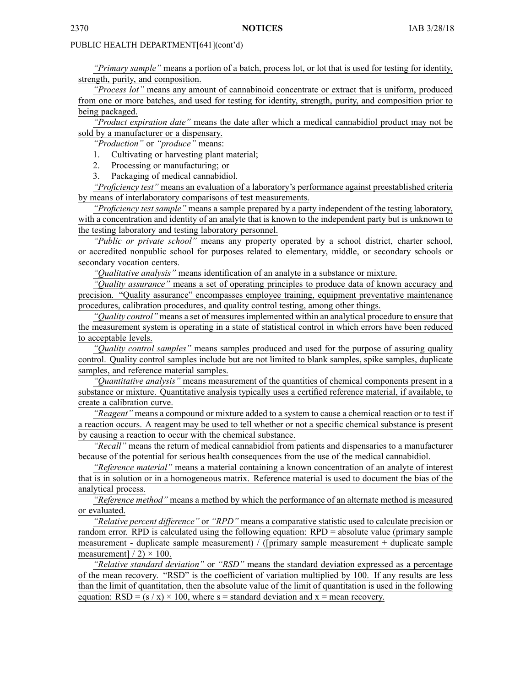*"Primary sample"* means <sup>a</sup> portion of <sup>a</sup> batch, process lot, or lot that is used for testing for identity, strength, purity, and composition.

*"Process lot"* means any amount of cannabinoid concentrate or extract that is uniform, produced from one or more batches, and used for testing for identity, strength, purity, and composition prior to being packaged.

*"Product expiration date"* means the date after which <sup>a</sup> medical cannabidiol product may not be sold by <sup>a</sup> manufacturer or <sup>a</sup> dispensary.

*"Production"* or *"produce"* means:

1. Cultivating or harvesting plant material;

2. Processing or manufacturing; or

3. Packaging of medical cannabidiol.

*"Proficiency test"* means an evaluation of <sup>a</sup> laboratory's performance against preestablished criteria by means of interlaboratory comparisons of test measurements.

*"Proficiency test sample"* means <sup>a</sup> sample prepared by <sup>a</sup> party independent of the testing laboratory, with <sup>a</sup> concentration and identity of an analyte that is known to the independent party but is unknown to the testing laboratory and testing laboratory personnel.

*"Public or private school"* means any property operated by <sup>a</sup> school district, charter school, or accredited nonpublic school for purposes related to elementary, middle, or secondary schools or secondary vocation centers.

*"Qualitative analysis"* means identification of an analyte in <sup>a</sup> substance or mixture.

*"Quality assurance"* means <sup>a</sup> set of operating principles to produce data of known accuracy and precision. "Quality assurance" encompasses employee training, equipment preventative maintenance procedures, calibration procedures, and quality control testing, among other things.

*"Quality control"* means <sup>a</sup> set of measuresimplemented within an analytical procedure to ensure that the measurement system is operating in <sup>a</sup> state of statistical control in which errors have been reduced to acceptable levels.

*"Quality control samples"* means samples produced and used for the purpose of assuring quality control. Quality control samples include but are not limited to blank samples, spike samples, duplicate samples, and reference material samples.

*"Quantitative analysis"* means measurement of the quantities of chemical components presen<sup>t</sup> in <sup>a</sup> substance or mixture. Quantitative analysis typically uses <sup>a</sup> certified reference material, if available, to create <sup>a</sup> calibration curve.

*"Reagent"* means <sup>a</sup> compound or mixture added to <sup>a</sup> system to cause <sup>a</sup> chemical reaction or to test if <sup>a</sup> reaction occurs. A reagen<sup>t</sup> may be used to tell whether or not <sup>a</sup> specific chemical substance is presen<sup>t</sup> by causing <sup>a</sup> reaction to occur with the chemical substance.

*"Recall"* means the return of medical cannabidiol from patients and dispensaries to <sup>a</sup> manufacturer because of the potential for serious health consequences from the use of the medical cannabidiol.

*"Reference material"* means <sup>a</sup> material containing <sup>a</sup> known concentration of an analyte of interest that is in solution or in <sup>a</sup> homogeneous matrix. Reference material is used to document the bias of the analytical process.

*"Reference method"* means <sup>a</sup> method by which the performance of an alternate method is measured or evaluated.

*"Relative percen<sup>t</sup> difference"* or *"RPD"* means <sup>a</sup> comparative statistic used to calculate precision or random error. RPD is calculated using the following equation: RPD <sup>=</sup> absolute value (primary sample measurement - duplicate sample measurement) / ([primary sample measurement <sup>+</sup> duplicate sample measurement]  $/ 2$ )  $\times$  100.

*"Relative standard deviation"* or *"RSD"* means the standard deviation expressed as <sup>a</sup> percentage of the mean recovery. "RSD" is the coefficient of variation multiplied by 100. If any results are less than the limit of quantitation, then the absolute value of the limit of quantitation is used in the following equation:  $RSD = (s / x) \times 100$ , where  $s =$  standard deviation and  $x =$  mean recovery.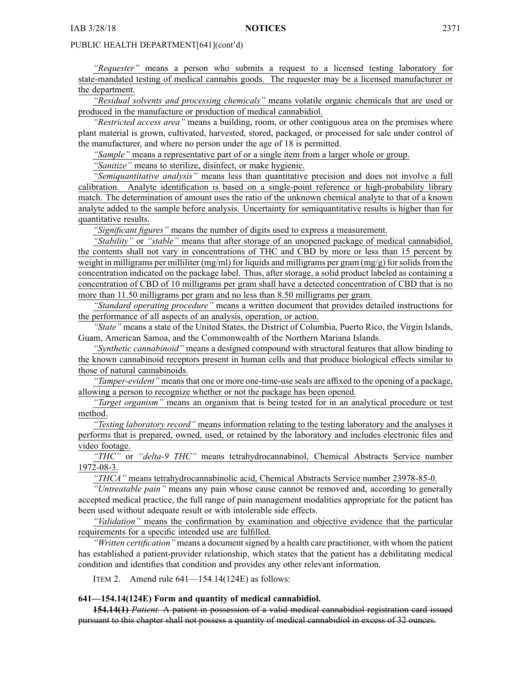*"Requester"* means <sup>a</sup> person who submits <sup>a</sup> reques<sup>t</sup> to <sup>a</sup> licensed testing laboratory for state-mandated testing of medical cannabis goods. The requester may be <sup>a</sup> licensed manufacturer or the department.

*"Residual solvents and processing chemicals"* means volatile organic chemicals that are used or produced in the manufacture or production of medical cannabidiol.

*"Restricted access area"* means <sup>a</sup> building, room, or other contiguous area on the premises where plant material is grown, cultivated, harvested, stored, packaged, or processed for sale under control of the manufacturer, and where no person under the age of 18 is permitted.

*"Sample"* means <sup>a</sup> representative par<sup>t</sup> of or <sup>a</sup> single item from <sup>a</sup> larger whole or group.

*"Sanitize"* means to sterilize, disinfect, or make hygienic.

*"Semiquantitative analysis"* means less than quantitative precision and does not involve <sup>a</sup> full calibration. Analyte identification is based on <sup>a</sup> single-point reference or high-probability library match. The determination of amount uses the ratio of the unknown chemical analyte to that of <sup>a</sup> known analyte added to the sample before analysis. Uncertainty for semiquantitative results is higher than for quantitative results.

*"Significant figures"* means the number of digits used to express <sup>a</sup> measurement.

*"Stability"* or *"stable"* means that after storage of an unopened package of medical cannabidiol, the contents shall not vary in concentrations of THC and CBD by more or less than 15 percen<sup>t</sup> by weight in milligrams per milliliter (mg/ml) for liquids and milligrams per gram (mg/g) for solids from the concentration indicated on the package label. Thus, after storage, <sup>a</sup> solid product labeled as containing <sup>a</sup> concentration of CBD of 10 milligrams per gram shall have <sup>a</sup> detected concentration of CBD that is no more than 11.50 milligrams per gram and no less than 8.50 milligrams per gram.

*"Standard operating procedure"* means <sup>a</sup> written document that provides detailed instructions for the performance of all aspects of an analysis, operation, or action.

*"State"* means <sup>a</sup> state of the United States, the District of Columbia, Puerto Rico, the Virgin Islands, Guam, American Samoa, and the Commonwealth of the Northern Mariana Islands.

*"Synthetic cannabinoid"* means <sup>a</sup> designed compound with structural features that allow binding to the known cannabinoid receptors presen<sup>t</sup> in human cells and that produce biological effects similar to those of natural cannabinoids.

*"Tamper-evident"* meansthat one or more one-time-use seals are affixed to the opening of <sup>a</sup> package, allowing <sup>a</sup> person to recognize whether or not the package has been opened.

*"Target organism"* means an organism that is being tested for in an analytical procedure or test method.

*"Testing laboratory record"* means information relating to the testing laboratory and the analyses it performs that is prepared, owned, used, or retained by the laboratory and includes electronic files and video footage.

*"THC"* or *"delta-9 THC"* means tetrahydrocannabinol, Chemical Abstracts Service number 1972-08-3.

*"THCA"* means tetrahydrocannabinolic acid, Chemical Abstracts Service number 23978-85-0.

*"Untreatable pain"* means any pain whose cause cannot be removed and, according to generally accepted medical practice, the full range of pain managemen<sup>t</sup> modalities appropriate for the patient has been used without adequate result or with intolerable side effects.

*"Validation"* means the confirmation by examination and objective evidence that the particular requirements for <sup>a</sup> specific intended use are fulfilled.

*"Written certification"* means a document signed by a health care practitioner, with whom the patient has established <sup>a</sup> patient-provider relationship, which states that the patient has <sup>a</sup> debilitating medical condition and identifies that condition and provides any other relevant information.

ITEM 2. Amend rule 641—154.14(124E) as follows:

#### **641—154.14(124E) Form and quantity of medical cannabidiol.**

**154.14(1)** *Patient.* A patient in possession of <sup>a</sup> valid medical cannabidiol registration card issued pursuan<sup>t</sup> to this chapter shall not possess <sup>a</sup> quantity of medical cannabidiol in excess of 32 ounces.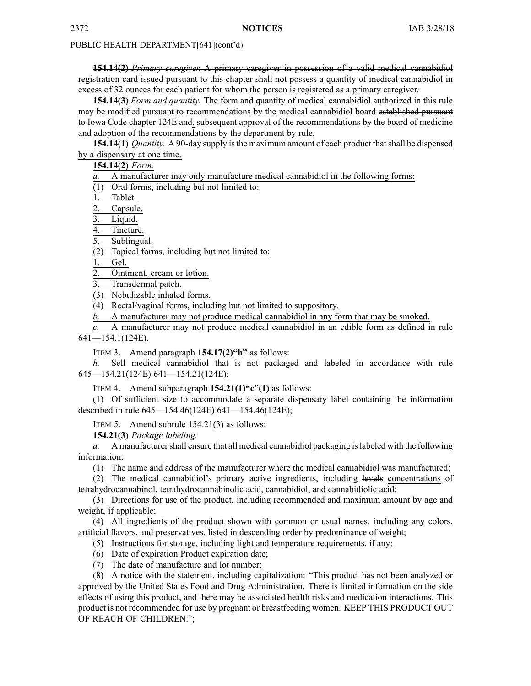**154.14(2)** *Primary caregiver.* A primary caregiver in possession of <sup>a</sup> valid medical cannabidiol registration card issued pursuan<sup>t</sup> to this chapter shall not possess <sup>a</sup> quantity of medical cannabidiol in excess of 32 ounces for each patient for whom the person is registered as <sup>a</sup> primary caregiver.

**154.14(3)** *Form and quantity.* The form and quantity of medical cannabidiol authorized in this rule may be modified pursuan<sup>t</sup> to recommendations by the medical cannabidiol board established pursuan<sup>t</sup> to Iowa Code chapter [124E](https://www.legis.iowa.gov/docs/ico/chapter/2018/124E.pdf) and, subsequent approval of the recommendations by the board of medicine and adoption of the recommendations by the department by rule.

**154.14(1)** *Quantity.* A 90-day supply isthe maximum amount of each product thatshall be dispensed by <sup>a</sup> dispensary at one time.

**154.14(2)** *Form.*

*a.* A manufacturer may only manufacture medical cannabidiol in the following forms:

(1) Oral forms, including but not limited to:

1. Tablet.

2. Capsule.

3. Liquid.

4. Tincture.

5. Sublingual.

(2) Topical forms, including but not limited to:

1. Gel.

2. Ointment, cream or lotion.

3. Transdermal patch.

(3) Nebulizable inhaled forms.

(4) Rectal/vaginal forms, including but not limited to suppository.

*b.* A manufacturer may not produce medical cannabidiol in any form that may be smoked.

*c.* A manufacturer may not produce medical cannabidiol in an edible form as defined in rule 641—154.1(124E).

ITEM 3. Amend paragraph **154.17(2)"h"** as follows:

*h.* Sell medical cannabidiol that is not packaged and labeled in accordance with rule 645—154.21(124E) 641—154.21(124E);

ITEM 4. Amend subparagraph **154.21(1)"c"(1)** as follows:

(1) Of sufficient size to accommodate <sup>a</sup> separate dispensary label containing the information described in rule 645—154.46(124E) 641—154.46(124E);

ITEM 5. Amend subrule 154.21(3) as follows:

**154.21(3)** *Package labeling.*

*a.* A manufacturershall ensure that all medical cannabidiol packaging islabeled with the following information:

(1) The name and address of the manufacturer where the medical cannabidiol was manufactured;

(2) The medical cannabidiol's primary active ingredients, including levels concentrations of tetrahydrocannabinol, tetrahydrocannabinolic acid, cannabidiol, and cannabidiolic acid;

(3) Directions for use of the product, including recommended and maximum amount by age and weight, if applicable;

(4) All ingredients of the product shown with common or usual names, including any colors, artificial flavors, and preservatives, listed in descending order by predominance of weight;

(5) Instructions for storage, including light and temperature requirements, if any;

(6) Date of expiration Product expiration date;

(7) The date of manufacture and lot number;

(8) A notice with the statement, including capitalization: "This product has not been analyzed or approved by the United States Food and Drug Administration. There is limited information on the side effects of using this product, and there may be associated health risks and medication interactions. This product is not recommended for use by pregnan<sup>t</sup> or breastfeeding women. KEEP THIS PRODUCT OUT OF REACH OF CHILDREN.";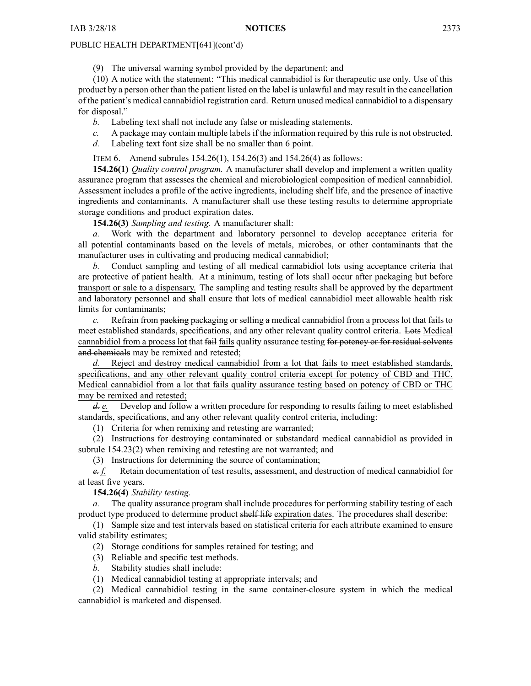(9) The universal warning symbol provided by the department; and

(10) A notice with the statement: "This medical cannabidiol is for therapeutic use only. Use of this product by <sup>a</sup> person other than the patient listed on the label is unlawful and may result in the cancellation of the patient's medical cannabidiol registration card. Return unused medical cannabidiol to <sup>a</sup> dispensary for disposal."

*b.* Labeling text shall not include any false or misleading statements.

- *c.* A package may contain multiple labels if the information required by this rule is not obstructed.
- *d.* Labeling text font size shall be no smaller than 6 point.

ITEM 6. Amend subrules 154.26(1), 154.26(3) and 154.26(4) as follows:

**154.26(1)** *Quality control program.* A manufacturer shall develop and implement <sup>a</sup> written quality assurance program that assesses the chemical and microbiological composition of medical cannabidiol. Assessment includes <sup>a</sup> profile of the active ingredients, including shelf life, and the presence of inactive ingredients and contaminants. A manufacturer shall use these testing results to determine appropriate storage conditions and product expiration dates.

**154.26(3)** *Sampling and testing.* A manufacturer shall:

*a.* Work with the department and laboratory personnel to develop acceptance criteria for all potential contaminants based on the levels of metals, microbes, or other contaminants that the manufacturer uses in cultivating and producing medical cannabidiol;

*b.* Conduct sampling and testing of all medical cannabidiol lots using acceptance criteria that are protective of patient health. At <sup>a</sup> minimum, testing of lots shall occur after packaging but before transport or sale to <sup>a</sup> dispensary. The sampling and testing results shall be approved by the department and laboratory personnel and shall ensure that lots of medical cannabidiol meet allowable health risk limits for contaminants;

*c.* Refrain from packing packaging or selling <sup>a</sup> medical cannabidiol from <sup>a</sup> process lot that fails to meet established standards, specifications, and any other relevant quality control criteria. Lots Medical cannabidiol from <sup>a</sup> process lot that fail fails quality assurance testing for potency or for residual solvents and chemicals may be remixed and retested;

*d.* Reject and destroy medical cannabidiol from <sup>a</sup> lot that fails to meet established standards, specifications, and any other relevant quality control criteria excep<sup>t</sup> for potency of CBD and THC. Medical cannabidiol from <sup>a</sup> lot that fails quality assurance testing based on potency of CBD or THC may be remixed and retested;

*d. e.* Develop and follow <sup>a</sup> written procedure for responding to results failing to meet established standards, specifications, and any other relevant quality control criteria, including:

(1) Criteria for when remixing and retesting are warranted;

(2) Instructions for destroying contaminated or substandard medical cannabidiol as provided in subrule 154.23(2) when remixing and retesting are not warranted; and

(3) Instructions for determining the source of contamination;  $e$ - $f$ . Retain documentation of test results, assessment, and de *e. f.* Retain documentation of test results, assessment, and destruction of medical cannabidiol for at least five years.

**154.26(4)** *Stability testing.*

*a.* The quality assurance program shall include procedures for performing stability testing of each product type produced to determine product shelf life expiration dates. The procedures shall describe:

(1) Sample size and test intervals based on statistical criteria for each attribute examined to ensure valid stability estimates;

- (2) Storage conditions for samples retained for testing; and
- (3) Reliable and specific test methods.
- *b.* Stability studies shall include:
- (1) Medical cannabidiol testing at appropriate intervals; and

(2) Medical cannabidiol testing in the same container-closure system in which the medical cannabidiol is marketed and dispensed.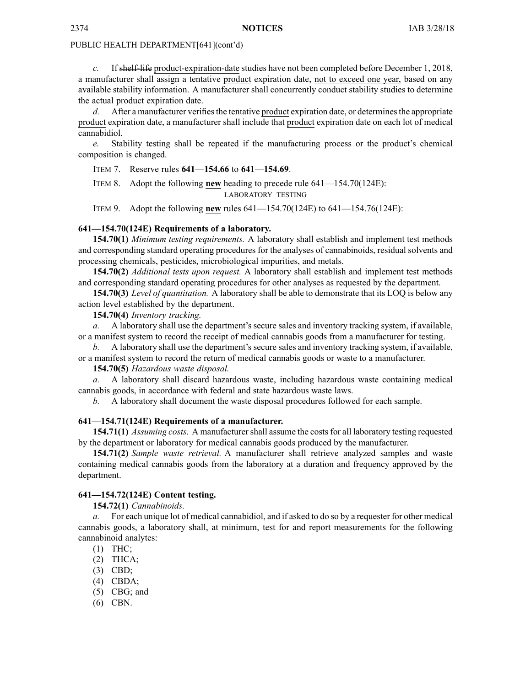*c.* If shelf-life product-expiration-date studies have not been completed before December 1, 2018, <sup>a</sup> manufacturer shall assign <sup>a</sup> tentative product expiration date, not to exceed one year, based on any available stability information. A manufacturer shall concurrently conduct stability studies to determine the actual product expiration date.

*d.* After a manufacturer verifies the tentative product expiration date, or determines the appropriate product expiration date, <sup>a</sup> manufacturer shall include that product expiration date on each lot of medical cannabidiol.

Stability testing shall be repeated if the manufacturing process or the product's chemical composition is changed.

ITEM 7. Reserve rules **641—154.66** to **641—154.69**.

ITEM 8. Adopt the following **new** heading to precede rule 641—154.70(124E): LABORATORY TESTING

ITEM 9. Adopt the following **new** rules 641—154.70(124E) to 641—154.76(124E):

#### **641—154.70(124E) Requirements of <sup>a</sup> laboratory.**

**154.70(1)** *Minimum testing requirements.* A laboratory shall establish and implement test methods and corresponding standard operating procedures for the analyses of cannabinoids, residual solvents and processing chemicals, pesticides, microbiological impurities, and metals.

**154.70(2)** *Additional tests upon request.* A laboratory shall establish and implement test methods and corresponding standard operating procedures for other analyses as requested by the department.

**154.70(3)** *Level of quantitation.* A laboratory shall be able to demonstrate that its LOQ is below any action level established by the department.

**154.70(4)** *Inventory tracking.*

*a.* A laboratory shall use the department's secure sales and inventory tracking system, if available, or <sup>a</sup> manifest system to record the receipt of medical cannabis goods from <sup>a</sup> manufacturer for testing.

*b.* A laboratory shall use the department's secure sales and inventory tracking system, if available, or <sup>a</sup> manifest system to record the return of medical cannabis goods or waste to <sup>a</sup> manufacturer.

**154.70(5)** *Hazardous waste disposal.*

*a.* A laboratory shall discard hazardous waste, including hazardous waste containing medical cannabis goods, in accordance with federal and state hazardous waste laws.

*b.* A laboratory shall document the waste disposal procedures followed for each sample.

# **641—154.71(124E) Requirements of <sup>a</sup> manufacturer.**

**154.71(1)** *Assuming costs.* A manufacturershall assume the costsfor all laboratory testing requested by the department or laboratory for medical cannabis goods produced by the manufacturer.

**154.71(2)** *Sample waste retrieval.* A manufacturer shall retrieve analyzed samples and waste containing medical cannabis goods from the laboratory at <sup>a</sup> duration and frequency approved by the department.

# **641—154.72(124E) Content testing.**

**154.72(1)** *Cannabinoids.*

*a.* For each unique lot of medical cannabidiol, and if asked to do so by <sup>a</sup> requester for other medical cannabis goods, <sup>a</sup> laboratory shall, at minimum, test for and repor<sup>t</sup> measurements for the following cannabinoid analytes:

- (1) THC;
- $(2)$  THCA;
- (3) CBD;
- (4) CBDA;
- (5) CBG; and
- (6) CBN.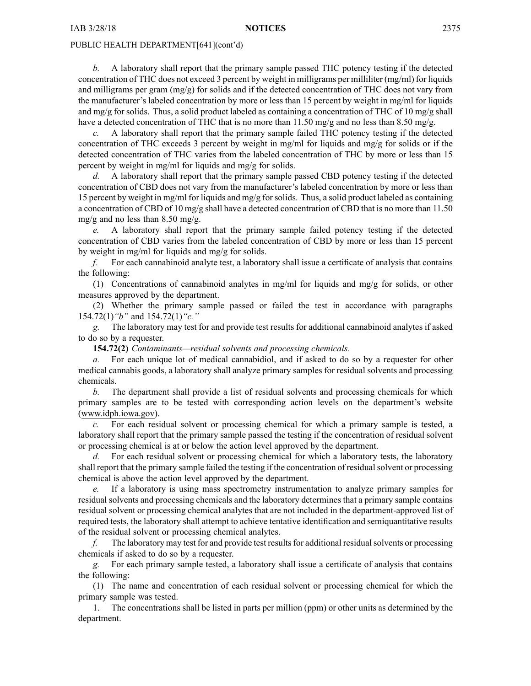*b.* A laboratory shall repor<sup>t</sup> that the primary sample passed THC potency testing if the detected concentration of THC does not exceed 3 percen<sup>t</sup> by weight in milligrams per milliliter (mg/ml) for liquids and milligrams per gram (mg/g) for solids and if the detected concentration of THC does not vary from the manufacturer's labeled concentration by more or less than 15 percen<sup>t</sup> by weight in mg/ml for liquids and mg/g for solids. Thus, a solid product labeled as containing a concentration of THC of 10 mg/g shall have a detected concentration of THC that is no more than 11.50 mg/g and no less than 8.50 mg/g.

*c.* A laboratory shall repor<sup>t</sup> that the primary sample failed THC potency testing if the detected concentration of THC exceeds 3 percent by weight in mg/ml for liquids and mg/g for solids or if the detected concentration of THC varies from the labeled concentration of THC by more or less than 15 percen<sup>t</sup> by weight in mg/ml for liquids and mg/g for solids.

*d.* A laboratory shall repor<sup>t</sup> that the primary sample passed CBD potency testing if the detected concentration of CBD does not vary from the manufacturer's labeled concentration by more or less than 15 percen<sup>t</sup> by weight in mg/ml for liquids and mg/g forsolids. Thus, <sup>a</sup> solid product labeled as containing <sup>a</sup> concentration of CBD of 10 mg/g shall have <sup>a</sup> detected concentration of CBD that is no more than 11.50 mg/g and no less than  $8.50$  mg/g.

*e.* A laboratory shall repor<sup>t</sup> that the primary sample failed potency testing if the detected concentration of CBD varies from the labeled concentration of CBD by more or less than 15 percen<sup>t</sup> by weight in mg/ml for liquids and mg/g for solids.

*f.* For each cannabinoid analyte test, <sup>a</sup> laboratory shall issue <sup>a</sup> certificate of analysis that contains the following:

(1) Concentrations of cannabinoid analytes in mg/ml for liquids and mg/g for solids, or other measures approved by the department.

(2) Whether the primary sample passed or failed the test in accordance with paragraphs 154.72(1)*"b"* and 154.72(1)*"c."*

*g.* The laboratory may test for and provide test results for additional cannabinoid analytes if asked to do so by <sup>a</sup> requester.

**154.72(2)** *Contaminants—residual solvents and processing chemicals.*

*a.* For each unique lot of medical cannabidiol, and if asked to do so by <sup>a</sup> requester for other medical cannabis goods, <sup>a</sup> laboratory shall analyze primary samples for residual solvents and processing chemicals.

*b.* The department shall provide <sup>a</sup> list of residual solvents and processing chemicals for which primary samples are to be tested with corresponding action levels on the department's website ([www.idph.iowa.gov](http://www.idph.iowa.gov)).

*c.* For each residual solvent or processing chemical for which <sup>a</sup> primary sample is tested, <sup>a</sup> laboratory shall repor<sup>t</sup> that the primary sample passed the testing if the concentration of residual solvent or processing chemical is at or below the action level approved by the department.

*d.* For each residual solvent or processing chemical for which <sup>a</sup> laboratory tests, the laboratory shall report that the primary sample failed the testing if the concentration of residual solvent or processing chemical is above the action level approved by the department.

*e.* If <sup>a</sup> laboratory is using mass spectrometry instrumentation to analyze primary samples for residual solvents and processing chemicals and the laboratory determines that <sup>a</sup> primary sample contains residual solvent or processing chemical analytes that are not included in the department-approved list of required tests, the laboratory shall attempt to achieve tentative identification and semiquantitative results of the residual solvent or processing chemical analytes.

*f.* The laboratory may test for and provide test results for additional residual solvents or processing chemicals if asked to do so by <sup>a</sup> requester.

*g.* For each primary sample tested, <sup>a</sup> laboratory shall issue <sup>a</sup> certificate of analysis that contains the following:

(1) The name and concentration of each residual solvent or processing chemical for which the primary sample was tested.

1. The concentrations shall be listed in parts per million (ppm) or other units as determined by the department.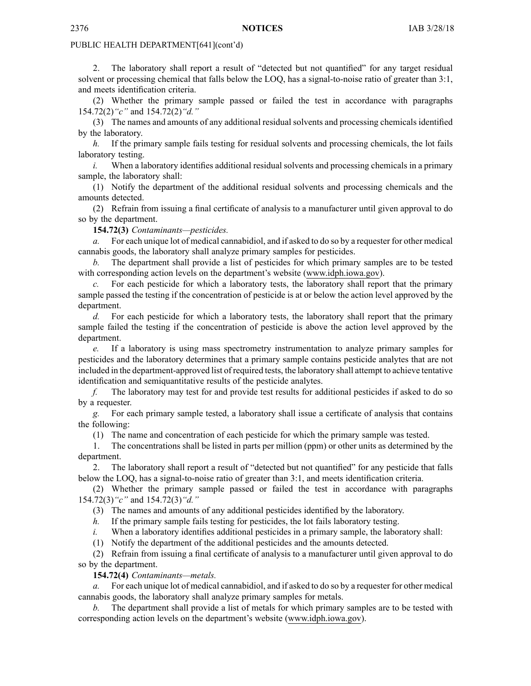2. The laboratory shall repor<sup>t</sup> <sup>a</sup> result of "detected but not quantified" for any target residual solvent or processing chemical that falls below the LOQ, has <sup>a</sup> signal-to-noise ratio of greater than 3:1, and meets identification criteria.

(2) Whether the primary sample passed or failed the test in accordance with paragraphs 154.72(2)*"c"* and 154.72(2)*"d."*

(3) The names and amounts of any additional residual solvents and processing chemicals identified by the laboratory.

*h.* If the primary sample fails testing for residual solvents and processing chemicals, the lot fails laboratory testing.

*i.* When a laboratory identifies additional residual solvents and processing chemicals in a primary sample, the laboratory shall:

(1) Notify the department of the additional residual solvents and processing chemicals and the amounts detected.

(2) Refrain from issuing <sup>a</sup> final certificate of analysis to <sup>a</sup> manufacturer until given approval to do so by the department.

**154.72(3)** *Contaminants—pesticides.*

*a.* For each unique lot of medical cannabidiol, and if asked to do so by <sup>a</sup> requester for other medical cannabis goods, the laboratory shall analyze primary samples for pesticides.

*b.* The department shall provide <sup>a</sup> list of pesticides for which primary samples are to be tested with corresponding action levels on the department's website [\(www.idph.iowa.gov\)](http://www.idph.iowa.gov).

*c.* For each pesticide for which <sup>a</sup> laboratory tests, the laboratory shall repor<sup>t</sup> that the primary sample passed the testing if the concentration of pesticide is at or below the action level approved by the department.

*d.* For each pesticide for which <sup>a</sup> laboratory tests, the laboratory shall repor<sup>t</sup> that the primary sample failed the testing if the concentration of pesticide is above the action level approved by the department.

*e.* If <sup>a</sup> laboratory is using mass spectrometry instrumentation to analyze primary samples for pesticides and the laboratory determines that <sup>a</sup> primary sample contains pesticide analytes that are not included in the department-approved list of required tests, the laboratory shall attempt to achieve tentative identification and semiquantitative results of the pesticide analytes.

*f.* The laboratory may test for and provide test results for additional pesticides if asked to do so by <sup>a</sup> requester.

*g.* For each primary sample tested, <sup>a</sup> laboratory shall issue <sup>a</sup> certificate of analysis that contains the following:

(1) The name and concentration of each pesticide for which the primary sample was tested.

1. The concentrations shall be listed in parts per million (ppm) or other units as determined by the department.

2. The laboratory shall repor<sup>t</sup> <sup>a</sup> result of "detected but not quantified" for any pesticide that falls below the LOQ, has <sup>a</sup> signal-to-noise ratio of greater than 3:1, and meets identification criteria.

(2) Whether the primary sample passed or failed the test in accordance with paragraphs 154.72(3)*"c"* and 154.72(3)*"d."*

(3) The names and amounts of any additional pesticides identified by the laboratory.

*h.* If the primary sample fails testing for pesticides, the lot fails laboratory testing.

*i.* When a laboratory identifies additional pesticides in a primary sample, the laboratory shall:

(1) Notify the department of the additional pesticides and the amounts detected.

(2) Refrain from issuing <sup>a</sup> final certificate of analysis to <sup>a</sup> manufacturer until given approval to do so by the department.

## **154.72(4)** *Contaminants—metals.*

*a.* For each unique lot of medical cannabidiol, and if asked to do so by <sup>a</sup> requester for other medical cannabis goods, the laboratory shall analyze primary samples for metals.

*b.* The department shall provide <sup>a</sup> list of metals for which primary samples are to be tested with corresponding action levels on the department's website ([www.idph.iowa.gov\)](http://www.idph.iowa.gov).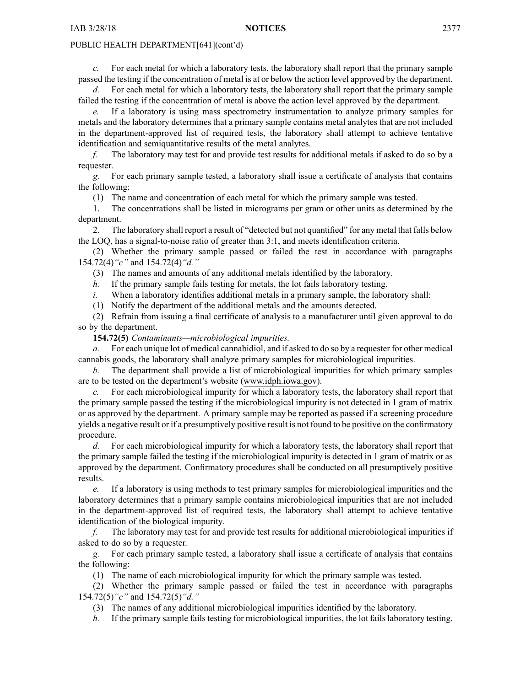*c.* For each metal for which <sup>a</sup> laboratory tests, the laboratory shall repor<sup>t</sup> that the primary sample passed the testing if the concentration of metal is at or below the action level approved by the department.

*d.* For each metal for which <sup>a</sup> laboratory tests, the laboratory shall repor<sup>t</sup> that the primary sample failed the testing if the concentration of metal is above the action level approved by the department.

*e.* If <sup>a</sup> laboratory is using mass spectrometry instrumentation to analyze primary samples for metals and the laboratory determines that <sup>a</sup> primary sample contains metal analytes that are not included in the department-approved list of required tests, the laboratory shall attempt to achieve tentative identification and semiquantitative results of the metal analytes.

*f.* The laboratory may test for and provide test results for additional metals if asked to do so by <sup>a</sup> requester.

*g.* For each primary sample tested, <sup>a</sup> laboratory shall issue <sup>a</sup> certificate of analysis that contains the following:

(1) The name and concentration of each metal for which the primary sample was tested.

1. The concentrations shall be listed in micrograms per gram or other units as determined by the department.

2. The laboratory shall repor<sup>t</sup> <sup>a</sup> result of "detected but not quantified" for any metal that falls below the LOQ, has <sup>a</sup> signal-to-noise ratio of greater than 3:1, and meets identification criteria.

(2) Whether the primary sample passed or failed the test in accordance with paragraphs 154.72(4)*"c"* and 154.72(4)*"d."*

(3) The names and amounts of any additional metals identified by the laboratory.

*h.* If the primary sample fails testing for metals, the lot fails laboratory testing.

*i.* When a laboratory identifies additional metals in a primary sample, the laboratory shall:

(1) Notify the department of the additional metals and the amounts detected.

(2) Refrain from issuing <sup>a</sup> final certificate of analysis to <sup>a</sup> manufacturer until given approval to do so by the department.

**154.72(5)** *Contaminants—microbiological impurities.*

*a.* For each unique lot of medical cannabidiol, and if asked to do so by <sup>a</sup> requester for other medical cannabis goods, the laboratory shall analyze primary samples for microbiological impurities.

*b.* The department shall provide <sup>a</sup> list of microbiological impurities for which primary samples are to be tested on the department's website ([www.idph.iowa.gov](http://www.idph.iowa.gov)).

*c.* For each microbiological impurity for which <sup>a</sup> laboratory tests, the laboratory shall repor<sup>t</sup> that the primary sample passed the testing if the microbiological impurity is not detected in 1 gram of matrix or as approved by the department. A primary sample may be reported as passed if <sup>a</sup> screening procedure yields <sup>a</sup> negative result or if <sup>a</sup> presumptively positive result is not found to be positive on the confirmatory procedure.

*d.* For each microbiological impurity for which <sup>a</sup> laboratory tests, the laboratory shall repor<sup>t</sup> that the primary sample failed the testing if the microbiological impurity is detected in 1 gram of matrix or as approved by the department. Confirmatory procedures shall be conducted on all presumptively positive results.

*e.* If <sup>a</sup> laboratory is using methods to test primary samples for microbiological impurities and the laboratory determines that <sup>a</sup> primary sample contains microbiological impurities that are not included in the department-approved list of required tests, the laboratory shall attempt to achieve tentative identification of the biological impurity.

*f.* The laboratory may test for and provide test results for additional microbiological impurities if asked to do so by <sup>a</sup> requester.

*g.* For each primary sample tested, <sup>a</sup> laboratory shall issue <sup>a</sup> certificate of analysis that contains the following:

(1) The name of each microbiological impurity for which the primary sample was tested.

(2) Whether the primary sample passed or failed the test in accordance with paragraphs 154.72(5)*"c"* and 154.72(5)*"d."*

(3) The names of any additional microbiological impurities identified by the laboratory.

*h.* If the primary sample fails testing for microbiological impurities, the lot fails laboratory testing.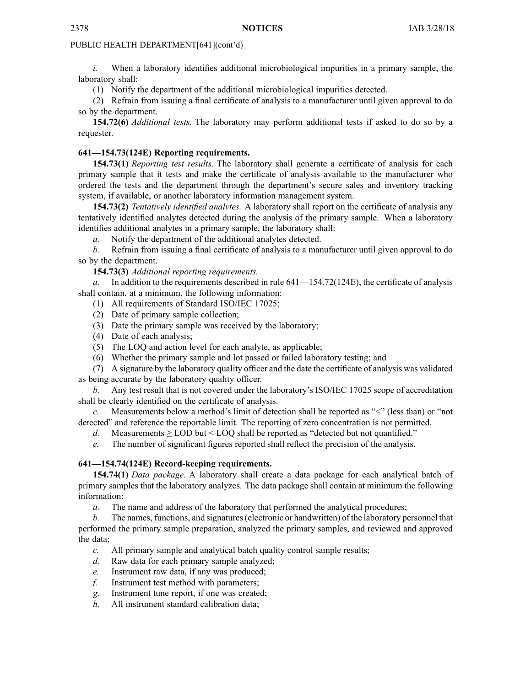*i.* When a laboratory identifies additional microbiological impurities in a primary sample, the laboratory shall:

(1) Notify the department of the additional microbiological impurities detected.

(2) Refrain from issuing <sup>a</sup> final certificate of analysis to <sup>a</sup> manufacturer until given approval to do so by the department.

**154.72(6)** *Additional tests.* The laboratory may perform additional tests if asked to do so by <sup>a</sup> requester.

# **641—154.73(124E) Reporting requirements.**

**154.73(1)** *Reporting test results.* The laboratory shall generate <sup>a</sup> certificate of analysis for each primary sample that it tests and make the certificate of analysis available to the manufacturer who ordered the tests and the department through the department's secure sales and inventory tracking system, if available, or another laboratory information managemen<sup>t</sup> system.

**154.73(2)** *Tentatively identified analytes.* A laboratory shall repor<sup>t</sup> on the certificate of analysis any tentatively identified analytes detected during the analysis of the primary sample. When <sup>a</sup> laboratory identifies additional analytes in <sup>a</sup> primary sample, the laboratory shall:

*a.* Notify the department of the additional analytes detected.

*b.* Refrain from issuing <sup>a</sup> final certificate of analysis to <sup>a</sup> manufacturer until given approval to do so by the department.

**154.73(3)** *Additional reporting requirements.*

*a.* In addition to the requirements described in rule 641—154.72(124E), the certificate of analysis shall contain, at <sup>a</sup> minimum, the following information:

(1) All requirements of Standard ISO/IEC 17025;

- (2) Date of primary sample collection;
- (3) Date the primary sample was received by the laboratory;
- (4) Date of each analysis;
- (5) The LOQ and action level for each analyte, as applicable;
- (6) Whether the primary sample and lot passed or failed laboratory testing; and

(7) A signature by the laboratory quality officer and the date the certificate of analysis was validated as being accurate by the laboratory quality officer.

*b.* Any test result that is not covered under the laboratory's ISO/IEC 17025 scope of accreditation shall be clearly identified on the certificate of analysis.

*c.* Measurements below <sup>a</sup> method's limit of detection shall be reported as "<" (less than) or "not detected" and reference the reportable limit. The reporting of zero concentration is not permitted.

*d.* Measurements  $\geq$  LOD but < LOQ shall be reported as "detected but not quantified."

*e.* The number of significant figures reported shall reflect the precision of the analysis.

# **641—154.74(124E) Record-keeping requirements.**

**154.74(1)** *Data package.* A laboratory shall create <sup>a</sup> data package for each analytical batch of primary samples that the laboratory analyzes. The data package shall contain at minimum the following information:

*a.* The name and address of the laboratory that performed the analytical procedures;

*b.* The names, functions, and signatures(electronic or handwritten) of the laboratory personnel that performed the primary sample preparation, analyzed the primary samples, and reviewed and approved the data;

- *c.* All primary sample and analytical batch quality control sample results;
- *d.* Raw data for each primary sample analyzed;
- *e.* Instrument raw data, if any was produced;
- *f.* Instrument test method with parameters;
- *g.* Instrument tune report, if one was created;
- *h.* All instrument standard calibration data;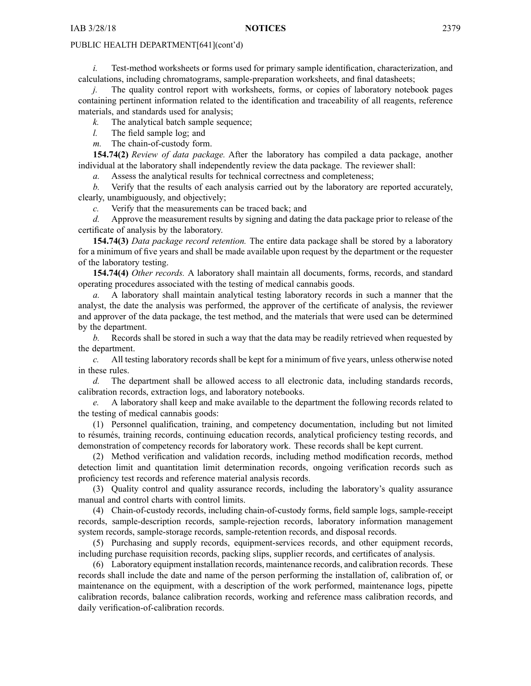*i.* Test-method worksheets or forms used for primary sample identification, characterization, and calculations, including chromatograms, sample-preparation worksheets, and final datasheets;

*j.* The quality control report with worksheets, forms, or copies of laboratory notebook pages containing pertinent information related to the identification and traceability of all reagents, reference materials, and standards used for analysis;

*k.* The analytical batch sample sequence;

*l.* The field sample log; and

*m.* The chain-of-custody form.

**154.74(2)** *Review of data package.* After the laboratory has compiled <sup>a</sup> data package, another individual at the laboratory shall independently review the data package. The reviewer shall:

*a.* Assess the analytical results for technical correctness and completeness;

*b.* Verify that the results of each analysis carried out by the laboratory are reported accurately, clearly, unambiguously, and objectively;

*c.* Verify that the measurements can be traced back; and

*d.* Approve the measurement results by signing and dating the data package prior to release of the certificate of analysis by the laboratory.

**154.74(3)** *Data package record retention.* The entire data package shall be stored by <sup>a</sup> laboratory for <sup>a</sup> minimum of five years and shall be made available upon reques<sup>t</sup> by the department or the requester of the laboratory testing.

**154.74(4)** *Other records.* A laboratory shall maintain all documents, forms, records, and standard operating procedures associated with the testing of medical cannabis goods.

*a.* A laboratory shall maintain analytical testing laboratory records in such <sup>a</sup> manner that the analyst, the date the analysis was performed, the approver of the certificate of analysis, the reviewer and approver of the data package, the test method, and the materials that were used can be determined by the department.

*b.* Records shall be stored in such <sup>a</sup> way that the data may be readily retrieved when requested by the department.

*c.* All testing laboratory records shall be kept for <sup>a</sup> minimum of five years, unless otherwise noted in these rules.

*d.* The department shall be allowed access to all electronic data, including standards records, calibration records, extraction logs, and laboratory notebooks.

*e.* A laboratory shall keep and make available to the department the following records related to the testing of medical cannabis goods:

(1) Personnel qualification, training, and competency documentation, including but not limited to résumés, training records, continuing education records, analytical proficiency testing records, and demonstration of competency records for laboratory work. These records shall be kept current.

(2) Method verification and validation records, including method modification records, method detection limit and quantitation limit determination records, ongoing verification records such as proficiency test records and reference material analysis records.

(3) Quality control and quality assurance records, including the laboratory's quality assurance manual and control charts with control limits.

(4) Chain-of-custody records, including chain-of-custody forms, field sample logs, sample-receipt records, sample-description records, sample-rejection records, laboratory information managemen<sup>t</sup> system records, sample-storage records, sample-retention records, and disposal records.

(5) Purchasing and supply records, equipment-services records, and other equipment records, including purchase requisition records, packing slips, supplier records, and certificates of analysis.

(6) Laboratory equipment installation records, maintenance records, and calibration records. These records shall include the date and name of the person performing the installation of, calibration of, or maintenance on the equipment, with <sup>a</sup> description of the work performed, maintenance logs, pipette calibration records, balance calibration records, working and reference mass calibration records, and daily verification-of-calibration records.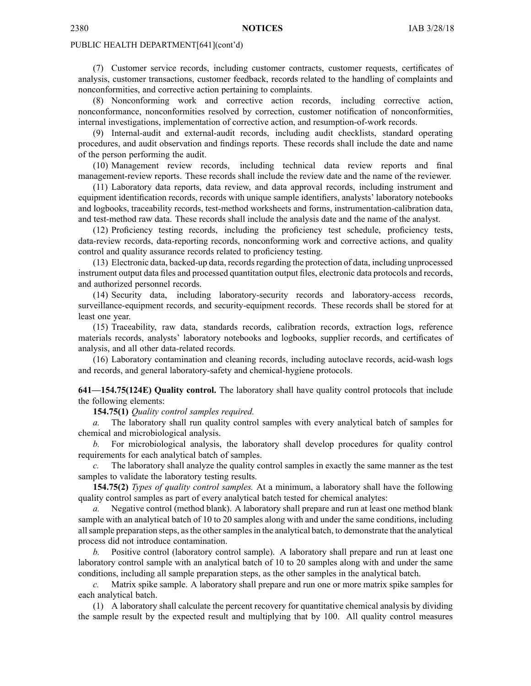(7) Customer service records, including customer contracts, customer requests, certificates of analysis, customer transactions, customer feedback, records related to the handling of complaints and nonconformities, and corrective action pertaining to complaints.

(8) Nonconforming work and corrective action records, including corrective action, nonconformance, nonconformities resolved by correction, customer notification of nonconformities, internal investigations, implementation of corrective action, and resumption-of-work records.

(9) Internal-audit and external-audit records, including audit checklists, standard operating procedures, and audit observation and findings reports. These records shall include the date and name of the person performing the audit.

(10) Management review records, including technical data review reports and final management-review reports. These records shall include the review date and the name of the reviewer.

(11) Laboratory data reports, data review, and data approval records, including instrument and equipment identification records, records with unique sample identifiers, analysts' laboratory notebooks and logbooks, traceability records, test-method worksheets and forms, instrumentation-calibration data, and test-method raw data. These records shall include the analysis date and the name of the analyst.

(12) Proficiency testing records, including the proficiency test schedule, proficiency tests, data-review records, data-reporting records, nonconforming work and corrective actions, and quality control and quality assurance records related to proficiency testing.

(13) Electronic data, backed-up data, recordsregarding the protection of data, including unprocessed instrument output data files and processed quantitation output files, electronic data protocols and records, and authorized personnel records.

(14) Security data, including laboratory-security records and laboratory-access records, surveillance-equipment records, and security-equipment records. These records shall be stored for at least one year.

(15) Traceability, raw data, standards records, calibration records, extraction logs, reference materials records, analysts' laboratory notebooks and logbooks, supplier records, and certificates of analysis, and all other data-related records.

(16) Laboratory contamination and cleaning records, including autoclave records, acid-wash logs and records, and general laboratory-safety and chemical-hygiene protocols.

**641—154.75(124E) Quality control.** The laboratory shall have quality control protocols that include the following elements:

**154.75(1)** *Quality control samples required.*

*a.* The laboratory shall run quality control samples with every analytical batch of samples for chemical and microbiological analysis.

*b.* For microbiological analysis, the laboratory shall develop procedures for quality control requirements for each analytical batch of samples.

*c.* The laboratory shall analyze the quality control samples in exactly the same manner as the test samples to validate the laboratory testing results.

**154.75(2)** *Types of quality control samples.* At <sup>a</sup> minimum, <sup>a</sup> laboratory shall have the following quality control samples as par<sup>t</sup> of every analytical batch tested for chemical analytes:

*a.* Negative control (method blank). A laboratory shall prepare and run at least one method blank sample with an analytical batch of 10 to 20 samples along with and under the same conditions, including allsample preparation steps, asthe othersamplesin the analytical batch, to demonstrate that the analytical process did not introduce contamination.

*b.* Positive control (laboratory control sample). A laboratory shall prepare and run at least one laboratory control sample with an analytical batch of 10 to 20 samples along with and under the same conditions, including all sample preparation steps, as the other samples in the analytical batch.

*c.* Matrix spike sample. A laboratory shall prepare and run one or more matrix spike samples for each analytical batch.

(1) A laboratory shall calculate the percen<sup>t</sup> recovery for quantitative chemical analysis by dividing the sample result by the expected result and multiplying that by 100. All quality control measures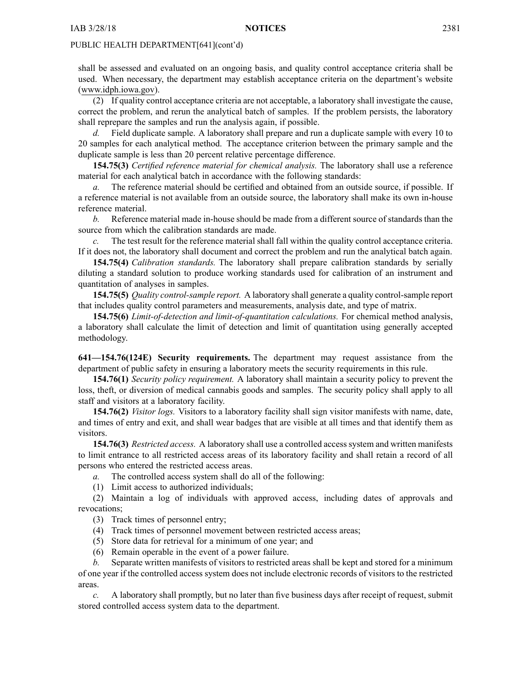shall be assessed and evaluated on an ongoing basis, and quality control acceptance criteria shall be used. When necessary, the department may establish acceptance criteria on the department's website ([www.idph.iowa.gov](http://www.idph.iowa.gov)).

(2) If quality control acceptance criteria are not acceptable, <sup>a</sup> laboratory shall investigate the cause, correct the problem, and rerun the analytical batch of samples. If the problem persists, the laboratory shall reprepare the samples and run the analysis again, if possible.

*d.* Field duplicate sample. A laboratory shall prepare and run <sup>a</sup> duplicate sample with every 10 to 20 samples for each analytical method. The acceptance criterion between the primary sample and the duplicate sample is less than 20 percen<sup>t</sup> relative percentage difference.

**154.75(3)** *Certified reference material for chemical analysis.* The laboratory shall use <sup>a</sup> reference material for each analytical batch in accordance with the following standards:

*a.* The reference material should be certified and obtained from an outside source, if possible. If <sup>a</sup> reference material is not available from an outside source, the laboratory shall make its own in-house reference material.

*b.* Reference material made in-house should be made from <sup>a</sup> different source of standards than the source from which the calibration standards are made.

*c.* The test result for the reference material shall fall within the quality control acceptance criteria. If it does not, the laboratory shall document and correct the problem and run the analytical batch again.

**154.75(4)** *Calibration standards.* The laboratory shall prepare calibration standards by serially diluting <sup>a</sup> standard solution to produce working standards used for calibration of an instrument and quantitation of analyses in samples.

**154.75(5)** *Quality control-sample report.* A laboratory shall generate <sup>a</sup> quality control-sample repor<sup>t</sup> that includes quality control parameters and measurements, analysis date, and type of matrix.

**154.75(6)** *Limit-of-detection and limit-of-quantitation calculations.* For chemical method analysis, <sup>a</sup> laboratory shall calculate the limit of detection and limit of quantitation using generally accepted methodology.

**641—154.76(124E) Security requirements.** The department may reques<sup>t</sup> assistance from the department of public safety in ensuring <sup>a</sup> laboratory meets the security requirements in this rule.

**154.76(1)** *Security policy requirement.* A laboratory shall maintain <sup>a</sup> security policy to preven<sup>t</sup> the loss, theft, or diversion of medical cannabis goods and samples. The security policy shall apply to all staff and visitors at <sup>a</sup> laboratory facility.

**154.76(2)** *Visitor logs.* Visitors to <sup>a</sup> laboratory facility shall sign visitor manifests with name, date, and times of entry and exit, and shall wear badges that are visible at all times and that identify them as visitors.

**154.76(3)** *Restricted access.* A laboratory shall use <sup>a</sup> controlled access system and written manifests to limit entrance to all restricted access areas of its laboratory facility and shall retain <sup>a</sup> record of all persons who entered the restricted access areas.

*a.* The controlled access system shall do all of the following:

(1) Limit access to authorized individuals;

(2) Maintain <sup>a</sup> log of individuals with approved access, including dates of approvals and revocations;

(3) Track times of personnel entry;

(4) Track times of personnel movement between restricted access areas;

(5) Store data for retrieval for <sup>a</sup> minimum of one year; and

(6) Remain operable in the event of <sup>a</sup> power failure.

*b.* Separate written manifests of visitors to restricted areas shall be kept and stored for <sup>a</sup> minimum of one year if the controlled access system does not include electronic records of visitors to the restricted areas.

*c.* A laboratory shall promptly, but no later than five business days after receipt of request, submit stored controlled access system data to the department.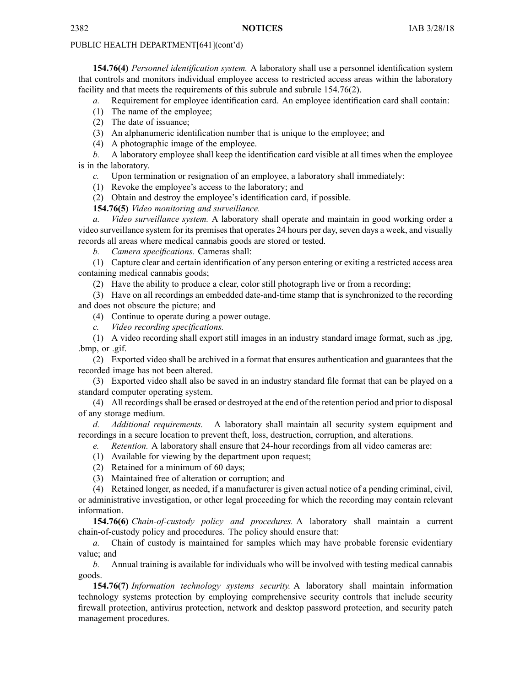**154.76(4)** *Personnel identification system.* A laboratory shall use <sup>a</sup> personnel identification system that controls and monitors individual employee access to restricted access areas within the laboratory facility and that meets the requirements of this subrule and subrule 154.76(2).

*a.* Requirement for employee identification card. An employee identification card shall contain:

- (1) The name of the employee;
- (2) The date of issuance;
- (3) An alphanumeric identification number that is unique to the employee; and

(4) A photographic image of the employee.

*b.* A laboratory employee shall keep the identification card visible at all times when the employee is in the laboratory.

*c.* Upon termination or resignation of an employee, <sup>a</sup> laboratory shall immediately:

(1) Revoke the employee's access to the laboratory; and

(2) Obtain and destroy the employee's identification card, if possible.

**154.76(5)** *Video monitoring and surveillance.*

*a. Video surveillance system.* A laboratory shall operate and maintain in good working order <sup>a</sup> video surveillance system for its premises that operates 24 hours per day, seven days a week, and visually records all areas where medical cannabis goods are stored or tested.

*b. Camera specifications.* Cameras shall:

(1) Capture clear and certain identification of any person entering or exiting <sup>a</sup> restricted access area containing medical cannabis goods;

(2) Have the ability to produce <sup>a</sup> clear, color still photograph live or from <sup>a</sup> recording;

(3) Have on all recordings an embedded date-and-time stamp that is synchronized to the recording and does not obscure the picture; and

- (4) Continue to operate during <sup>a</sup> power outage.
- *c. Video recording specifications.*

(1) A video recording shall expor<sup>t</sup> still images in an industry standard image format, such as .jpg, .bmp, or .gif.

(2) Exported video shall be archived in <sup>a</sup> format that ensures authentication and guarantees that the recorded image has not been altered.

(3) Exported video shall also be saved in an industry standard file format that can be played on <sup>a</sup> standard computer operating system.

(4) All recordingsshall be erased or destroyed at the end of the retention period and prior to disposal of any storage medium.

*d. Additional requirements.* A laboratory shall maintain all security system equipment and recordings in <sup>a</sup> secure location to preven<sup>t</sup> theft, loss, destruction, corruption, and alterations.

*e. Retention.* A laboratory shall ensure that 24-hour recordings from all video cameras are:

(1) Available for viewing by the department upon request;

- (2) Retained for <sup>a</sup> minimum of 60 days;
- (3) Maintained free of alteration or corruption; and

(4) Retained longer, as needed, if <sup>a</sup> manufacturer is given actual notice of <sup>a</sup> pending criminal, civil, or administrative investigation, or other legal proceeding for which the recording may contain relevant information.

**154.76(6)** *Chain-of-custody policy and procedures.* A laboratory shall maintain <sup>a</sup> current chain-of-custody policy and procedures. The policy should ensure that:

*a.* Chain of custody is maintained for samples which may have probable forensic evidentiary value; and

*b.* Annual training is available for individuals who will be involved with testing medical cannabis goods.

**154.76(7)** *Information technology systems security.* A laboratory shall maintain information technology systems protection by employing comprehensive security controls that include security firewall protection, antivirus protection, network and desktop password protection, and security patch managemen<sup>t</sup> procedures.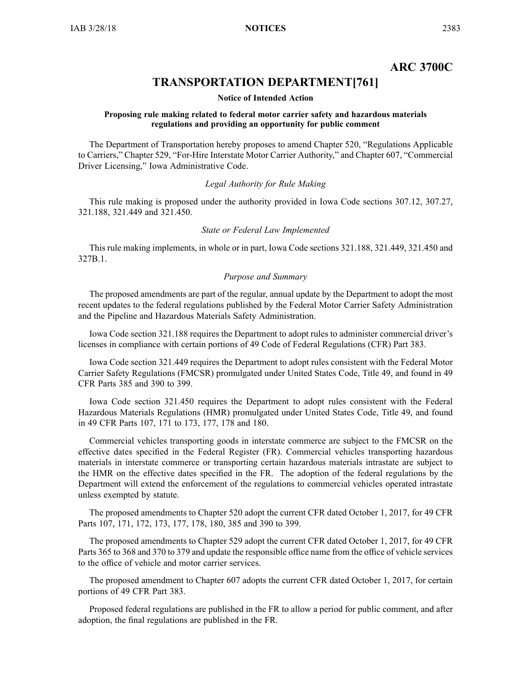# **ARC 3700C**

# **TRANSPORTATION DEPARTMENT[761]**

#### **Notice of Intended Action**

#### **Proposing rule making related to federal motor carrier safety and hazardous materials regulations and providing an opportunity for public comment**

The Department of Transportation hereby proposes to amend Chapter 520, "Regulations Applicable to Carriers," Chapter 529, "For-Hire Interstate Motor Carrier Authority," and Chapter 607, "Commercial Driver Licensing," Iowa Administrative Code.

# *Legal Authority for Rule Making*

This rule making is proposed under the authority provided in Iowa Code sections 307.12, 307.27, 321.188, 321.449 and 321.450.

## *State or Federal Law Implemented*

This rule making implements, in whole or in part, Iowa Code sections 321.188, 321.449, 321.450 and 327B.1.

## *Purpose and Summary*

The proposed amendments are par<sup>t</sup> of the regular, annual update by the Department to adopt the most recent updates to the federal regulations published by the Federal Motor Carrier Safety Administration and the Pipeline and Hazardous Materials Safety Administration.

Iowa Code section 321.188 requires the Department to adopt rules to administer commercial driver's licenses in compliance with certain portions of 49 Code of Federal Regulations (CFR) Part 383.

Iowa Code section 321.449 requires the Department to adopt rules consistent with the Federal Motor Carrier Safety Regulations (FMCSR) promulgated under United States Code, Title 49, and found in 49 CFR Parts 385 and 390 to 399.

Iowa Code section 321.450 requires the Department to adopt rules consistent with the Federal Hazardous Materials Regulations (HMR) promulgated under United States Code, Title 49, and found in 49 CFR Parts 107, 171 to 173, 177, 178 and 180.

Commercial vehicles transporting goods in interstate commerce are subject to the FMCSR on the effective dates specified in the Federal Register (FR). Commercial vehicles transporting hazardous materials in interstate commerce or transporting certain hazardous materials intrastate are subject to the HMR on the effective dates specified in the FR. The adoption of the federal regulations by the Department will extend the enforcement of the regulations to commercial vehicles operated intrastate unless exempted by statute.

The proposed amendments to Chapter 520 adopt the current CFR dated October 1, 2017, for 49 CFR Parts 107, 171, 172, 173, 177, 178, 180, 385 and 390 to 399.

The proposed amendments to Chapter 529 adopt the current CFR dated October 1, 2017, for 49 CFR Parts 365 to 368 and 370 to 379 and update the responsible office name from the office of vehicle services to the office of vehicle and motor carrier services.

The proposed amendment to Chapter 607 adopts the current CFR dated October 1, 2017, for certain portions of 49 CFR Part 383.

Proposed federal regulations are published in the FR to allow <sup>a</sup> period for public comment, and after adoption, the final regulations are published in the FR.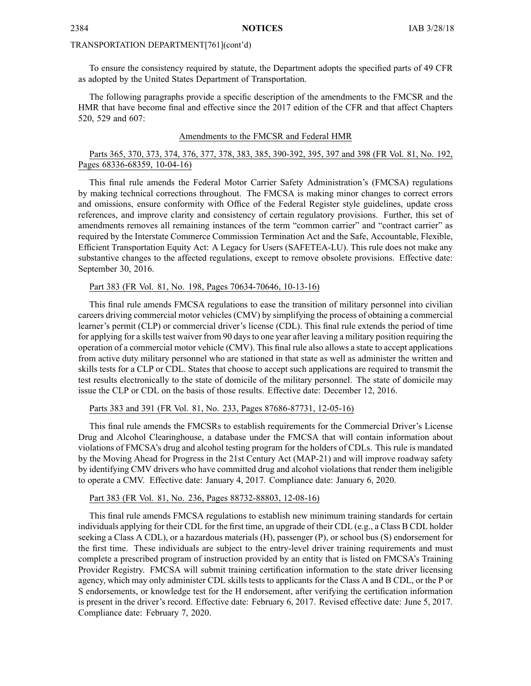#### TRANSPORTATION DEPARTMENT[761](cont'd)

To ensure the consistency required by statute, the Department adopts the specified parts of 49 CFR as adopted by the United States Department of Transportation.

The following paragraphs provide <sup>a</sup> specific description of the amendments to the FMCSR and the HMR that have become final and effective since the 2017 edition of the CFR and that affect Chapters 520, 529 and 607:

#### Amendments to the FMCSR and Federal HMR

# Parts 365, 370, 373, 374, 376, 377, 378, 383, 385, 390-392, 395, 397 and 398 (FR Vol. 81, No. 192, Pages 68336-68359, 10-04-16)

This final rule amends the Federal Motor Carrier Safety Administration's (FMCSA) regulations by making technical corrections throughout. The FMCSA is making minor changes to correct errors and omissions, ensure conformity with Office of the Federal Register style guidelines, update cross references, and improve clarity and consistency of certain regulatory provisions. Further, this set of amendments removes all remaining instances of the term "common carrier" and "contract carrier" as required by the Interstate Commerce Commission Termination Act and the Safe, Accountable, Flexible, Efficient Transportation Equity Act: A Legacy for Users (SAFETEA-LU). This rule does not make any substantive changes to the affected regulations, excep<sup>t</sup> to remove obsolete provisions. Effective date: September 30, 2016.

### Part 383 (FR Vol. 81, No. 198, Pages 70634-70646, 10-13-16)

This final rule amends FMCSA regulations to ease the transition of military personnel into civilian careers driving commercial motor vehicles (CMV) by simplifying the process of obtaining <sup>a</sup> commercial learner's permit (CLP) or commercial driver's license (CDL). This final rule extends the period of time for applying for a skills test waiver from 90 days to one year after leaving a military position requiring the operation of <sup>a</sup> commercial motor vehicle (CMV). This final rule also allows <sup>a</sup> state to accep<sup>t</sup> applications from active duty military personnel who are stationed in that state as well as administer the written and skills tests for <sup>a</sup> CLP or CDL. States that choose to accep<sup>t</sup> such applications are required to transmit the test results electronically to the state of domicile of the military personnel. The state of domicile may issue the CLP or CDL on the basis of those results. Effective date: December 12, 2016.

#### Parts 383 and 391 (FR Vol. 81, No. 233, Pages 87686-87731, 12-05-16)

This final rule amends the FMCSRs to establish requirements for the Commercial Driver's License Drug and Alcohol Clearinghouse, <sup>a</sup> database under the FMCSA that will contain information about violations of FMCSA's drug and alcohol testing program for the holders of CDLs. This rule is mandated by the Moving Ahead for Progress in the 21st Century Act (MAP-21) and will improve roadway safety by identifying CMV drivers who have committed drug and alcohol violations that render them ineligible to operate <sup>a</sup> CMV. Effective date: January 4, 2017. Compliance date: January 6, 2020.

# Part 383 (FR Vol. 81, No. 236, Pages 88732-88803, 12-08-16)

This final rule amends FMCSA regulations to establish new minimum training standards for certain individuals applying for their CDL for the first time, an upgrade of their CDL (e.g., <sup>a</sup> Class B CDL holder seeking <sup>a</sup> Class A CDL), or <sup>a</sup> hazardous materials (H), passenger (P), or school bus (S) endorsement for the first time. These individuals are subject to the entry-level driver training requirements and must complete <sup>a</sup> prescribed program of instruction provided by an entity that is listed on FMCSA's Training Provider Registry. FMCSA will submit training certification information to the state driver licensing agency, which may only administer CDL skills tests to applicants for the Class A and B CDL, or the P or S endorsements, or knowledge test for the H endorsement, after verifying the certification information is presen<sup>t</sup> in the driver's record. Effective date: February 6, 2017. Revised effective date: June 5, 2017. Compliance date: February 7, 2020.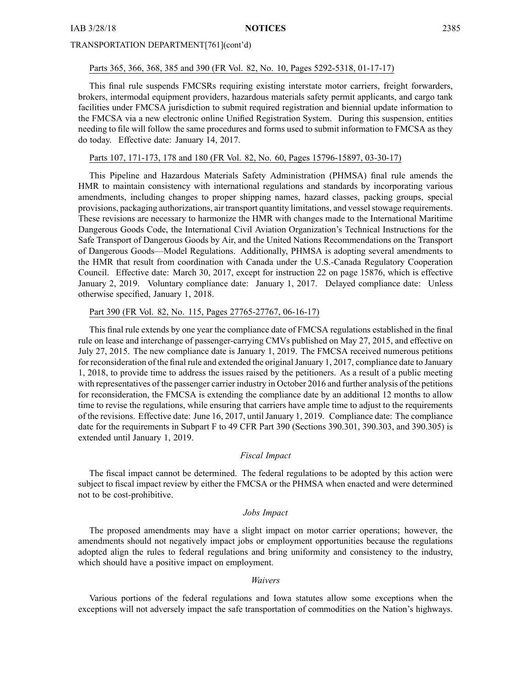#### TRANSPORTATION DEPARTMENT[761](cont'd)

# Parts 365, 366, 368, 385 and 390 (FR Vol. 82, No. 10, Pages 5292-5318, 01-17-17)

This final rule suspends FMCSRs requiring existing interstate motor carriers, freight forwarders, brokers, intermodal equipment providers, hazardous materials safety permit applicants, and cargo tank facilities under FMCSA jurisdiction to submit required registration and biennial update information to the FMCSA via <sup>a</sup> new electronic online Unified Registration System. During this suspension, entities needing to file will follow the same procedures and forms used to submit information to FMCSA as they do today. Effective date: January 14, 2017.

# Parts 107, 171-173, 178 and 180 (FR Vol. 82, No. 60, Pages 15796-15897, 03-30-17)

This Pipeline and Hazardous Materials Safety Administration (PHMSA) final rule amends the HMR to maintain consistency with international regulations and standards by incorporating various amendments, including changes to proper shipping names, hazard classes, packing groups, special provisions, packaging authorizations, air transport quantity limitations, and vesselstowage requirements. These revisions are necessary to harmonize the HMR with changes made to the International Maritime Dangerous Goods Code, the International Civil Aviation Organization's Technical Instructions for the Safe Transport of Dangerous Goods by Air, and the United Nations Recommendations on the Transport of Dangerous Goods—Model Regulations. Additionally, PHMSA is adopting several amendments to the HMR that result from coordination with Canada under the U.S.-Canada Regulatory Cooperation Council. Effective date: March 30, 2017, excep<sup>t</sup> for instruction 22 on page 15876, which is effective January 2, 2019. Voluntary compliance date: January 1, 2017. Delayed compliance date: Unless otherwise specified, January 1, 2018.

# Part 390 (FR Vol. 82, No. 115, Pages 27765-27767, 06-16-17)

This final rule extends by one year the compliance date of FMCSA regulations established in the final rule on lease and interchange of passenger-carrying CMVs published on May 27, 2015, and effective on July 27, 2015. The new compliance date is January 1, 2019. The FMCSA received numerous petitions for reconsideration of the final rule and extended the original January 1, 2017, compliance date to January 1, 2018, to provide time to address the issues raised by the petitioners. As <sup>a</sup> result of <sup>a</sup> public meeting with representatives of the passenger carrier industry in October 2016 and further analysis of the petitions for reconsideration, the FMCSA is extending the compliance date by an additional 12 months to allow time to revise the regulations, while ensuring that carriers have ample time to adjust to the requirements of the revisions. Effective date: June 16, 2017, untilJanuary 1, 2019. Compliance date: The compliance date for the requirements in Subpart F to 49 CFR Part 390 (Sections 390.301, 390.303, and 390.305) is extended until January 1, 2019.

## *Fiscal Impact*

The fiscal impact cannot be determined. The federal regulations to be adopted by this action were subject to fiscal impact review by either the FMCSA or the PHMSA when enacted and were determined not to be cost-prohibitive.

#### *Jobs Impact*

The proposed amendments may have <sup>a</sup> slight impact on motor carrier operations; however, the amendments should not negatively impact jobs or employment opportunities because the regulations adopted align the rules to federal regulations and bring uniformity and consistency to the industry, which should have <sup>a</sup> positive impact on employment.

#### *Waivers*

Various portions of the federal regulations and Iowa statutes allow some exceptions when the exceptions will not adversely impact the safe transportation of commodities on the Nation's highways.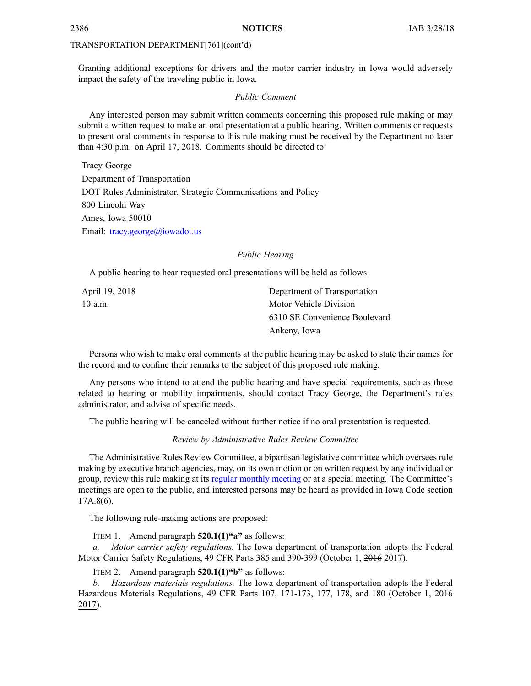#### TRANSPORTATION DEPARTMENT[761](cont'd)

Granting additional exceptions for drivers and the motor carrier industry in Iowa would adversely impact the safety of the traveling public in Iowa.

#### *Public Comment*

Any interested person may submit written comments concerning this proposed rule making or may submit <sup>a</sup> written reques<sup>t</sup> to make an oral presentation at <sup>a</sup> public hearing. Written comments or requests to presen<sup>t</sup> oral comments in response to this rule making must be received by the Department no later than 4:30 p.m. on April 17, 2018. Comments should be directed to:

Tracy George Department of Transportation DOT Rules Administrator, Strategic Communications and Policy 800 Lincoln Way Ames, Iowa 50010 Email: [tracy.george@iowadot.us](mailto:tracy.george@iowadot.us)

#### *Public Hearing*

A public hearing to hear requested oral presentations will be held as follows:

April 19, 2018 Department of Transportation 10 a.m. Motor Vehicle Division 6310 SE Convenience Boulevard Ankeny, Iowa

Persons who wish to make oral comments at the public hearing may be asked to state their names for the record and to confine their remarks to the subject of this proposed rule making.

Any persons who intend to attend the public hearing and have special requirements, such as those related to hearing or mobility impairments, should contact Tracy George, the Department's rules administrator, and advise of specific needs.

The public hearing will be canceled without further notice if no oral presentation is requested.

#### *Review by Administrative Rules Review Committee*

The Administrative Rules Review Committee, <sup>a</sup> bipartisan legislative committee which oversees rule making by executive branch agencies, may, on its own motion or on written reques<sup>t</sup> by any individual or group, review this rule making at its regular [monthly](https://www.legis.iowa.gov/committees/meetings/meetingsListComm?groupID=705&ga=87) meeting or at <sup>a</sup> special meeting. The Committee's meetings are open to the public, and interested persons may be heard as provided in Iowa Code section 17A.8(6).

The following rule-making actions are proposed:

ITEM 1. Amend paragraph **520.1(1)"a"** as follows:

*a. Motor carrier safety regulations.* The Iowa department of transportation adopts the Federal Motor Carrier Safety Regulations, 49 CFR Parts 385 and 390-399 (October 1, 2016 2017).

ITEM 2. Amend paragraph **520.1(1)"b"** as follows:

*b. Hazardous materials regulations.* The Iowa department of transportation adopts the Federal Hazardous Materials Regulations, 49 CFR Parts 107, 171-173, 177, 178, and 180 (October 1, 2016 2017).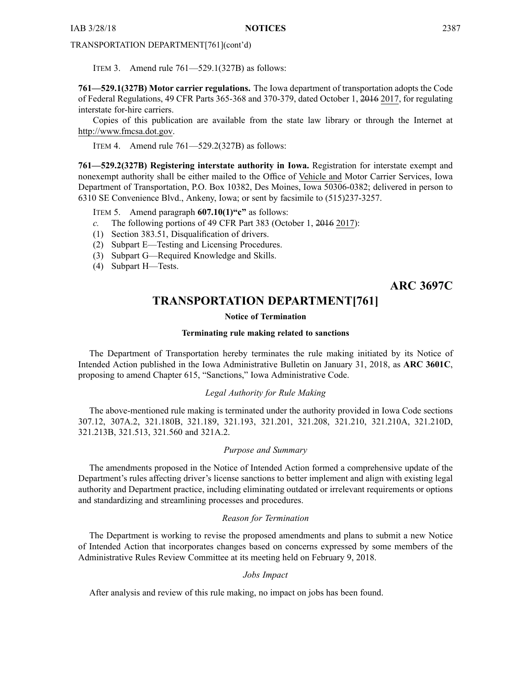TRANSPORTATION DEPARTMENT[761](cont'd)

ITEM 3. Amend rule 761—529.1(327B) as follows:

**761—529.1(327B) Motor carrier regulations.** The Iowa department of transportation adopts the Code of Federal Regulations, 49 CFR Parts 365-368 and 370-379, dated October 1, 2016 2017, for regulating interstate for-hire carriers.

Copies of this publication are available from the state law library or through the Internet at <http://www.fmcsa.dot.gov>.

ITEM 4. Amend rule 761—529.2(327B) as follows:

**761—529.2(327B) Registering interstate authority in Iowa.** Registration for interstate exemp<sup>t</sup> and nonexemp<sup>t</sup> authority shall be either mailed to the Office of Vehicle and Motor Carrier Services, Iowa Department of Transportation, P.O. Box 10382, Des Moines, Iowa 50306-0382; delivered in person to 6310 SE Convenience Blvd., Ankeny, Iowa; or sent by facsimile to (515)237-3257.

ITEM 5. Amend paragraph **607.10(1)"c"** as follows:

- *c.* The following portions of 49 CFR Part 383 (October 1, 2016 2017):
- (1) Section 383.51, Disqualification of drivers.
- (2) Subpart E—Testing and Licensing Procedures.
- (3) Subpart G—Required Knowledge and Skills.
- (4) Subpart H—Tests.

**ARC 3697C**

# **TRANSPORTATION DEPARTMENT[761]**

### **Notice of Termination**

### **Terminating rule making related to sanctions**

The Department of Transportation hereby terminates the rule making initiated by its Notice of Intended Action published in the Iowa Administrative Bulletin on January 31, 2018, as **ARC 3601C**, proposing to amend Chapter 615, "Sanctions," Iowa Administrative Code.

### *Legal Authority for Rule Making*

The above-mentioned rule making is terminated under the authority provided in Iowa Code sections 307.12, 307A.2, 321.180B, 321.189, 321.193, 321.201, 321.208, 321.210, 321.210A, 321.210D, 321.213B, 321.513, 321.560 and 321A.2.

### *Purpose and Summary*

The amendments proposed in the Notice of Intended Action formed <sup>a</sup> comprehensive update of the Department's rules affecting driver's license sanctions to better implement and align with existing legal authority and Department practice, including eliminating outdated or irrelevant requirements or options and standardizing and streamlining processes and procedures.

### *Reason for Termination*

The Department is working to revise the proposed amendments and plans to submit <sup>a</sup> new Notice of Intended Action that incorporates changes based on concerns expressed by some members of the Administrative Rules Review Committee at its meeting held on February 9, 2018.

### *Jobs Impact*

After analysis and review of this rule making, no impact on jobs has been found.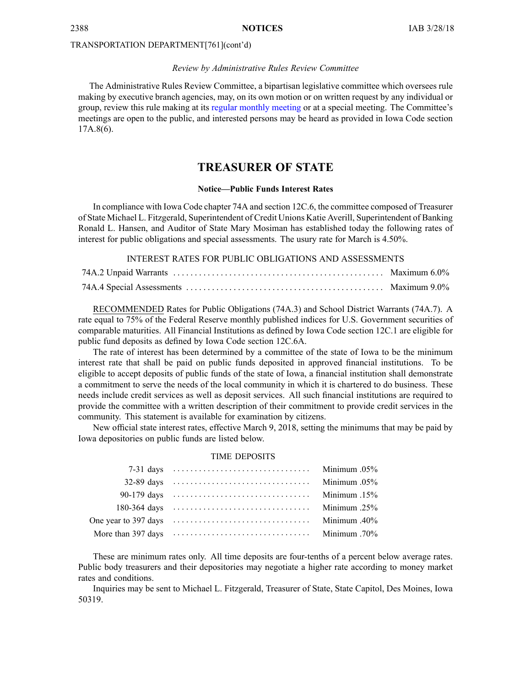### TRANSPORTATION DEPARTMENT[761](cont'd)

### *Review by Administrative Rules Review Committee*

The Administrative Rules Review Committee, <sup>a</sup> bipartisan legislative committee which oversees rule making by executive branch agencies, may, on its own motion or on written reques<sup>t</sup> by any individual or group, review this rule making at its regular [monthly](https://www.legis.iowa.gov/committees/meetings/meetingsListComm?groupID=705&ga=87) meeting or at <sup>a</sup> special meeting. The Committee's meetings are open to the public, and interested persons may be heard as provided in Iowa Code section 17A.8(6).

## **TREASURER OF STATE**

### **Notice—Public Funds Interest Rates**

In compliance with Iowa Code chapter 74A and section 12C.6, the committee composed of Treasurer of State Michael L. Fitzgerald, Superintendent of Credit Unions Katie Averill, Superintendent of Banking Ronald L. Hansen, and Auditor of State Mary Mosiman has established today the following rates of interest for public obligations and special assessments. The usury rate for March is 4.50%.

| INTEREST RATES FOR PUBLIC OBLIGATIONS AND ASSESSMENTS |  |
|-------------------------------------------------------|--|
|                                                       |  |
|                                                       |  |

RECOMMENDED Rates for Public Obligations (74A.3) and School District Warrants (74A.7). A rate equal to 75% of the Federal Reserve monthly published indices for U.S. Government securities of comparable maturities. All Financial Institutions as defined by Iowa Code section 12C.1 are eligible for public fund deposits as defined by Iowa Code section 12C.6A.

The rate of interest has been determined by <sup>a</sup> committee of the state of Iowa to be the minimum interest rate that shall be paid on public funds deposited in approved financial institutions. To be eligible to accep<sup>t</sup> deposits of public funds of the state of Iowa, <sup>a</sup> financial institution shall demonstrate <sup>a</sup> commitment to serve the needs of the local community in which it is chartered to do business. These needs include credit services as well as deposit services. All such financial institutions are required to provide the committee with <sup>a</sup> written description of their commitment to provide credit services in the community. This statement is available for examination by citizens.

New official state interest rates, effective March 9, 2018, setting the minimums that may be paid by Iowa depositories on public funds are listed below.

### TIME DEPOSITS

| $32-89$ days $\ldots \ldots \ldots \ldots \ldots \ldots \ldots \ldots \ldots$            | .05% Minimum    |
|------------------------------------------------------------------------------------------|-----------------|
| 90-179 days $\ldots \ldots \ldots \ldots \ldots \ldots \ldots \ldots \ldots \ldots$      | Minimum $.15\%$ |
|                                                                                          |                 |
|                                                                                          | .40% Minimum    |
| More than $397 \text{ days} \dots \dots \dots \dots \dots \dots \dots \dots \dots \dots$ | .70% Minimum    |

These are minimum rates only. All time deposits are four-tenths of <sup>a</sup> percen<sup>t</sup> below average rates. Public body treasurers and their depositories may negotiate <sup>a</sup> higher rate according to money market rates and conditions.

Inquiries may be sent to Michael L. Fitzgerald, Treasurer of State, State Capitol, Des Moines, Iowa 50319.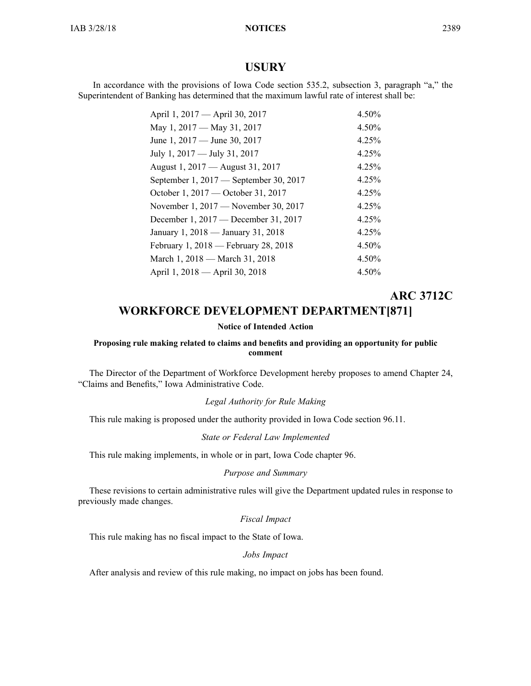## **USURY**

In accordance with the provisions of Iowa Code section 535.2, subsection 3, paragraph "a," the Superintendent of Banking has determined that the maximum lawful rate of interest shall be:

| April 1, 2017 — April 30, 2017         | 4.50% |
|----------------------------------------|-------|
| May 1, 2017 - May 31, 2017             | 4.50% |
| June 1, 2017 — June 30, 2017           | 4.25% |
| July 1, 2017 — July 31, 2017           | 4.25% |
| August 1, 2017 — August 31, 2017       | 4.25% |
| September 1, 2017 — September 30, 2017 | 4.25% |
| October 1, 2017 — October 31, 2017     | 4.25% |
| November 1, 2017 – November 30, 2017   | 4.25% |
| December 1, 2017 — December 31, 2017   | 4.25% |
| January 1, 2018 — January 31, 2018     | 4.25% |
| February 1, 2018 — February 28, 2018   | 4.50% |
| March 1, 2018 — March 31, 2018         | 4.50% |
| April 1, 2018 - April 30, 2018         | 4.50% |
|                                        |       |

# **ARC 3712C**

# **WORKFORCE DEVELOPMENT DEPARTMENT[871]**

### **Notice of Intended Action**

### **Proposing rule making related to claims and benefits and providing an opportunity for public comment**

The Director of the Department of Workforce Development hereby proposes to amend Chapter 24, "Claims and Benefits," Iowa Administrative Code.

### *Legal Authority for Rule Making*

This rule making is proposed under the authority provided in Iowa Code section 96.11.

### *State or Federal Law Implemented*

This rule making implements, in whole or in part, Iowa Code chapter 96.

### *Purpose and Summary*

These revisions to certain administrative rules will give the Department updated rules in response to previously made changes.

## *Fiscal Impact*

This rule making has no fiscal impact to the State of Iowa.

### *Jobs Impact*

After analysis and review of this rule making, no impact on jobs has been found.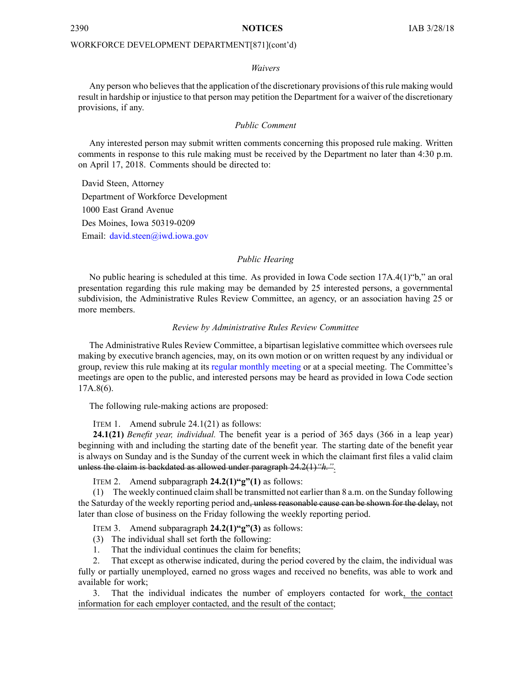### WORKFORCE DEVELOPMENT DEPARTMENT[871](cont'd)

### *Waivers*

Any person who believes that the application of the discretionary provisions of this rule making would result in hardship or injustice to that person may petition the Department for <sup>a</sup> waiver of the discretionary provisions, if any.

### *Public Comment*

Any interested person may submit written comments concerning this proposed rule making. Written comments in response to this rule making must be received by the Department no later than 4:30 p.m. on April 17, 2018. Comments should be directed to:

David Steen, Attorney Department of Workforce Development 1000 East Grand Avenue Des Moines, Iowa 50319-0209 Email: [david.steen@iwd.iowa.gov](mailto:david.steen@iwd.iowa.gov)

### *Public Hearing*

No public hearing is scheduled at this time. As provided in Iowa Code section 17A.4(1)"b," an oral presentation regarding this rule making may be demanded by 25 interested persons, <sup>a</sup> governmental subdivision, the Administrative Rules Review Committee, an agency, or an association having 25 or more members.

### *Review by Administrative Rules Review Committee*

The Administrative Rules Review Committee, <sup>a</sup> bipartisan legislative committee which oversees rule making by executive branch agencies, may, on its own motion or on written reques<sup>t</sup> by any individual or group, review this rule making at its regular [monthly](https://www.legis.iowa.gov/committees/meetings/meetingsListComm?groupID=705&ga=87) meeting or at <sup>a</sup> special meeting. The Committee's meetings are open to the public, and interested persons may be heard as provided in Iowa Code section 17A.8(6).

The following rule-making actions are proposed:

ITEM 1. Amend subrule 24.1(21) as follows:

**24.1(21)** *Benefit year, individual.* The benefit year is <sup>a</sup> period of 365 days (366 in <sup>a</sup> leap year) beginning with and including the starting date of the benefit year. The starting date of the benefit year is always on Sunday and is the Sunday of the current week in which the claimant first files <sup>a</sup> valid claim unless the claim is backdated as allowed under paragraph 24.2(1)*"h."*.

ITEM 2. Amend subparagraph **24.2(1)"g"(1)** as follows:

(1) The weekly continued claim shall be transmitted not earlier than 8 a.m. on the Sunday following the Saturday of the weekly reporting period and, unless reasonable cause can be shown for the delay, not later than close of business on the Friday following the weekly reporting period.

ITEM 3. Amend subparagraph **24.2(1)"g"(3)** as follows:

- (3) The individual shall set forth the following:
- 1. That the individual continues the claim for benefits;

2. That excep<sup>t</sup> as otherwise indicated, during the period covered by the claim, the individual was fully or partially unemployed, earned no gross wages and received no benefits, was able to work and available for work;

3. That the individual indicates the number of employers contacted for work, the contact information for each employer contacted, and the result of the contact;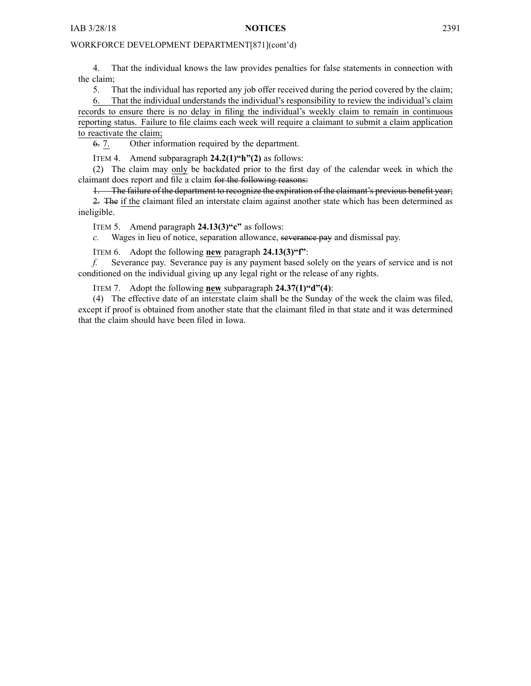### WORKFORCE DEVELOPMENT DEPARTMENT[871](cont'd)

4. That the individual knows the law provides penalties for false statements in connection with the claim;

5. That the individual has reported any job offer received during the period covered by the claim;

6. That the individual understands the individual's responsibility to review the individual's claim records to ensure there is no delay in filing the individual's weekly claim to remain in continuous reporting status. Failure to file claims each week will require <sup>a</sup> claimant to submit <sup>a</sup> claim application to reactivate the claim;

6. 7. Other information required by the department.

ITEM 4. Amend subparagraph **24.2(1)"h"(2)** as follows:

(2) The claim may only be backdated prior to the first day of the calendar week in which the claimant does repor<sup>t</sup> and file <sup>a</sup> claim for the following reasons:

1. The failure of the department to recognize the expiration of the claimant's previous benefit year; 2. The if the claimant filed an interstate claim against another state which has been determined as ineligible.

ITEM 5. Amend paragraph **24.13(3)"c"** as follows:

*c.* Wages in lieu of notice, separation allowance, severance pay and dismissal pay.

ITEM 6. Adopt the following **new** paragraph **24.13(3)"f"**:

*f.* Severance pay. Severance pay is any paymen<sup>t</sup> based solely on the years of service and is not conditioned on the individual giving up any legal right or the release of any rights.

ITEM 7. Adopt the following **new** subparagraph **24.37(1)"d"(4)**:

(4) The effective date of an interstate claim shall be the Sunday of the week the claim was filed, excep<sup>t</sup> if proof is obtained from another state that the claimant filed in that state and it was determined that the claim should have been filed in Iowa.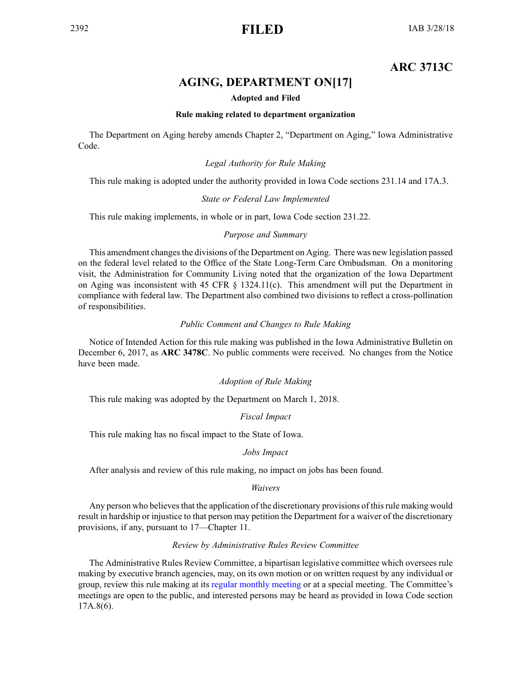# <sup>2392</sup> **FILED** IAB 3/28/18

# **ARC 3713C**

# **AGING, DEPARTMENT ON[17]**

### **Adopted and Filed**

### **Rule making related to department organization**

The Department on Aging hereby amends Chapter 2, "Department on Aging," Iowa Administrative Code.

### *Legal Authority for Rule Making*

This rule making is adopted under the authority provided in Iowa Code sections 231.14 and 17A.3.

### *State or Federal Law Implemented*

This rule making implements, in whole or in part, Iowa Code section 231.22.

### *Purpose and Summary*

This amendment changes the divisions of the Department on Aging. There was new legislation passed on the federal level related to the Office of the State Long-Term Care Ombudsman. On <sup>a</sup> monitoring visit, the Administration for Community Living noted that the organization of the Iowa Department on Aging was inconsistent with 45 CFR  $\S$  1324.11(c). This amendment will put the Department in compliance with federal law. The Department also combined two divisions to reflect <sup>a</sup> cross-pollination of responsibilities.

### *Public Comment and Changes to Rule Making*

Notice of Intended Action for this rule making was published in the Iowa Administrative Bulletin on December 6, 2017, as **ARC 3478C**. No public comments were received. No changes from the Notice have been made.

### *Adoption of Rule Making*

This rule making was adopted by the Department on March 1, 2018.

*Fiscal Impact*

This rule making has no fiscal impact to the State of Iowa.

### *Jobs Impact*

After analysis and review of this rule making, no impact on jobs has been found.

### *Waivers*

Any person who believes that the application of the discretionary provisions of this rule making would result in hardship or injustice to that person may petition the Department for <sup>a</sup> waiver of the discretionary provisions, if any, pursuan<sup>t</sup> to 17—Chapter 11.

### *Review by Administrative Rules Review Committee*

The Administrative Rules Review Committee, <sup>a</sup> bipartisan legislative committee which oversees rule making by executive branch agencies, may, on its own motion or on written reques<sup>t</sup> by any individual or group, review this rule making at its regular [monthly](https://www.legis.iowa.gov/committees/meetings/meetingsListComm?groupID=705&ga=87) meeting or at <sup>a</sup> special meeting. The Committee's meetings are open to the public, and interested persons may be heard as provided in Iowa Code section 17A.8(6).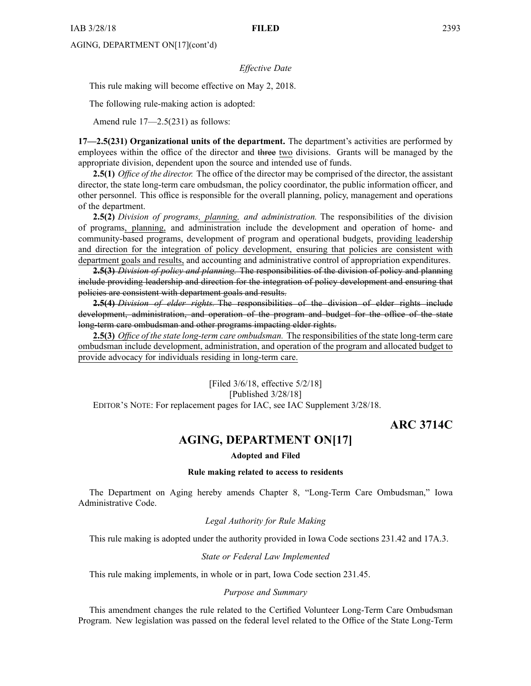AGING, DEPARTMENT ON[17](cont'd)

### *Effective Date*

This rule making will become effective on May 2, 2018.

The following rule-making action is adopted:

Amend rule 17—2.5(231) as follows:

**17—2.5(231) Organizational units of the department.** The department's activities are performed by employees within the office of the director and three two divisions. Grants will be managed by the appropriate division, dependent upon the source and intended use of funds.

**2.5(1)** *Office of the director.* The office of the director may be comprised of the director, the assistant director, the state long-term care ombudsman, the policy coordinator, the public information officer, and other personnel. This office is responsible for the overall planning, policy, managemen<sup>t</sup> and operations of the department.

**2.5(2)** *Division of programs, planning, and administration.* The responsibilities of the division of programs, planning, and administration include the development and operation of home- and community-based programs, development of program and operational budgets, providing leadership and direction for the integration of policy development, ensuring that policies are consistent with department goals and results, and accounting and administrative control of appropriation expenditures.

**2.5(3)** *Division of policy and planning.* The responsibilities of the division of policy and planning include providing leadership and direction for the integration of policy development and ensuring that policies are consistent with department goals and results.

**2.5(4)** *Division of elder rights.* The responsibilities of the division of elder rights include development, administration, and operation of the program and budget for the office of the state long-term care ombudsman and other programs impacting elder rights.

**2.5(3)** *Office of the state long-term care ombudsman.* The responsibilities of the state long-term care ombudsman include development, administration, and operation of the program and allocated budget to provide advocacy for individuals residing in long-term care.

[Filed 3/6/18, effective 5/2/18]

[Published 3/28/18]

EDITOR'<sup>S</sup> NOTE: For replacement pages for IAC, see IAC Supplement 3/28/18.

**ARC 3714C**

# **AGING, DEPARTMENT ON[17]**

**Adopted and Filed**

### **Rule making related to access to residents**

The Department on Aging hereby amends Chapter 8, "Long-Term Care Ombudsman," Iowa Administrative Code.

*Legal Authority for Rule Making*

This rule making is adopted under the authority provided in Iowa Code sections 231.42 and 17A.3.

### *State or Federal Law Implemented*

This rule making implements, in whole or in part, Iowa Code section 231.45.

### *Purpose and Summary*

This amendment changes the rule related to the Certified Volunteer Long-Term Care Ombudsman Program. New legislation was passed on the federal level related to the Office of the State Long-Term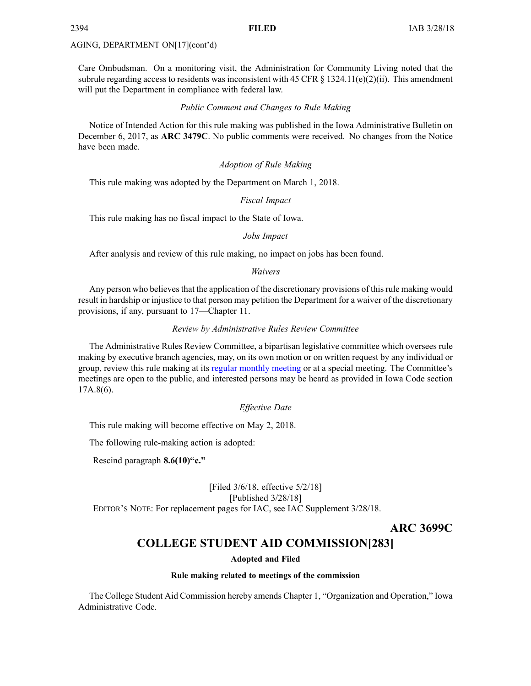### AGING, DEPARTMENT ON[17](cont'd)

Care Ombudsman. On <sup>a</sup> monitoring visit, the Administration for Community Living noted that the subrule regarding access to residents was inconsistent with 45 CFR  $\S$  1324.11(e)(2)(ii). This amendment will pu<sup>t</sup> the Department in compliance with federal law.

### *Public Comment and Changes to Rule Making*

Notice of Intended Action for this rule making was published in the Iowa Administrative Bulletin on December 6, 2017, as **ARC 3479C**. No public comments were received. No changes from the Notice have been made.

### *Adoption of Rule Making*

This rule making was adopted by the Department on March 1, 2018.

### *Fiscal Impact*

This rule making has no fiscal impact to the State of Iowa.

### *Jobs Impact*

After analysis and review of this rule making, no impact on jobs has been found.

### *Waivers*

Any person who believes that the application of the discretionary provisions of this rule making would result in hardship or injustice to that person may petition the Department for <sup>a</sup> waiver of the discretionary provisions, if any, pursuan<sup>t</sup> to 17—Chapter 11.

### *Review by Administrative Rules Review Committee*

The Administrative Rules Review Committee, <sup>a</sup> bipartisan legislative committee which oversees rule making by executive branch agencies, may, on its own motion or on written reques<sup>t</sup> by any individual or group, review this rule making at its regular [monthly](https://www.legis.iowa.gov/committees/meetings/meetingsListComm?groupID=705&ga=87) meeting or at <sup>a</sup> special meeting. The Committee's meetings are open to the public, and interested persons may be heard as provided in Iowa Code section 17A.8(6).

### *Effective Date*

This rule making will become effective on May 2, 2018.

The following rule-making action is adopted:

Rescind paragraph **8.6(10)"c."**

[Filed 3/6/18, effective 5/2/18] [Published 3/28/18]

EDITOR'<sup>S</sup> NOTE: For replacement pages for IAC, see IAC Supplement 3/28/18.

**ARC 3699C**

# **COLLEGE STUDENT AID COMMISSION[283]**

### **Adopted and Filed**

### **Rule making related to meetings of the commission**

The College Student Aid Commission hereby amends Chapter 1, "Organization and Operation," Iowa Administrative Code.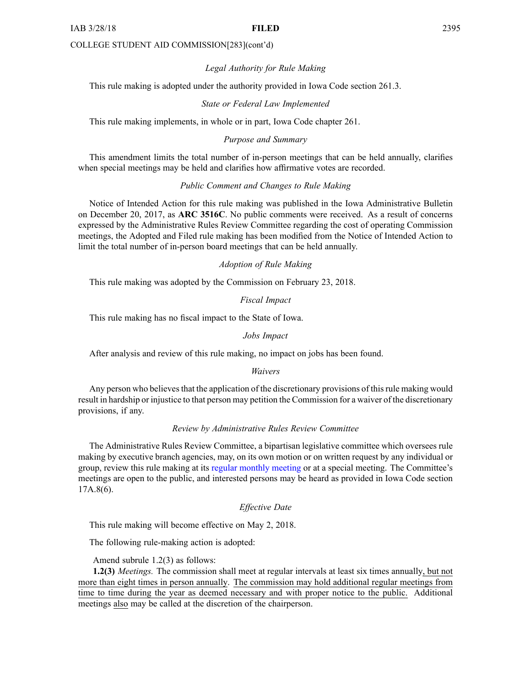### COLLEGE STUDENT AID COMMISSION[283](cont'd)

### *Legal Authority for Rule Making*

This rule making is adopted under the authority provided in Iowa Code section 261.3.

### *State or Federal Law Implemented*

This rule making implements, in whole or in part, Iowa Code chapter 261.

### *Purpose and Summary*

This amendment limits the total number of in-person meetings that can be held annually, clarifies when special meetings may be held and clarifies how affirmative votes are recorded.

### *Public Comment and Changes to Rule Making*

Notice of Intended Action for this rule making was published in the Iowa Administrative Bulletin on December 20, 2017, as **ARC 3516C**. No public comments were received. As <sup>a</sup> result of concerns expressed by the Administrative Rules Review Committee regarding the cost of operating Commission meetings, the Adopted and Filed rule making has been modified from the Notice of Intended Action to limit the total number of in-person board meetings that can be held annually.

### *Adoption of Rule Making*

This rule making was adopted by the Commission on February 23, 2018.

### *Fiscal Impact*

This rule making has no fiscal impact to the State of Iowa.

### *Jobs Impact*

After analysis and review of this rule making, no impact on jobs has been found.

### *Waivers*

Any person who believes that the application of the discretionary provisions of this rule making would result in hardship or injustice to that person may petition the Commission for <sup>a</sup> waiver of the discretionary provisions, if any.

### *Review by Administrative Rules Review Committee*

The Administrative Rules Review Committee, <sup>a</sup> bipartisan legislative committee which oversees rule making by executive branch agencies, may, on its own motion or on written reques<sup>t</sup> by any individual or group, review this rule making at its regular [monthly](https://www.legis.iowa.gov/committees/meetings/meetingsListComm?groupID=705&ga=87) meeting or at <sup>a</sup> special meeting. The Committee's meetings are open to the public, and interested persons may be heard as provided in Iowa Code section 17A.8(6).

### *Effective Date*

This rule making will become effective on May 2, 2018.

The following rule-making action is adopted:

Amend subrule 1.2(3) as follows:

**1.2(3)** *Meetings.* The commission shall meet at regular intervals at least six times annually, but not more than eight times in person annually. The commission may hold additional regular meetings from time to time during the year as deemed necessary and with proper notice to the public. Additional meetings also may be called at the discretion of the chairperson.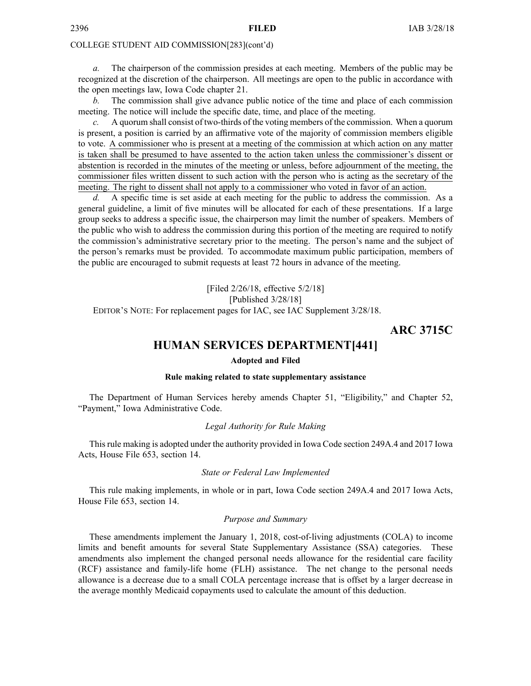### COLLEGE STUDENT AID COMMISSION[283](cont'd)

*a.* The chairperson of the commission presides at each meeting. Members of the public may be recognized at the discretion of the chairperson. All meetings are open to the public in accordance with the open meetings law, Iowa Code chapter [21](https://www.legis.iowa.gov/docs/ico/chapter/21.pdf).

*b.* The commission shall give advance public notice of the time and place of each commission meeting. The notice will include the specific date, time, and place of the meeting.

*c.* A quorum shall consist of two-thirds of the voting members of the commission. When <sup>a</sup> quorum is present, <sup>a</sup> position is carried by an affirmative vote of the majority of commission members eligible to vote. A commissioner who is presen<sup>t</sup> at <sup>a</sup> meeting of the commission at which action on any matter is taken shall be presumed to have assented to the action taken unless the commissioner's dissent or abstention is recorded in the minutes of the meeting or unless, before adjournment of the meeting, the commissioner files written dissent to such action with the person who is acting as the secretary of the meeting. The right to dissent shall not apply to <sup>a</sup> commissioner who voted in favor of an action.

*d.* A specific time is set aside at each meeting for the public to address the commission. As <sup>a</sup> general guideline, <sup>a</sup> limit of five minutes will be allocated for each of these presentations. If <sup>a</sup> large group seeks to address <sup>a</sup> specific issue, the chairperson may limit the number of speakers. Members of the public who wish to address the commission during this portion of the meeting are required to notify the commission's administrative secretary prior to the meeting. The person's name and the subject of the person's remarks must be provided. To accommodate maximum public participation, members of the public are encouraged to submit requests at least 72 hours in advance of the meeting.

[Filed 2/26/18, effective 5/2/18] [Published 3/28/18] EDITOR'<sup>S</sup> NOTE: For replacement pages for IAC, see IAC Supplement 3/28/18.

## **ARC 3715C**

# **HUMAN SERVICES DEPARTMENT[441]**

### **Adopted and Filed**

### **Rule making related to state supplementary assistance**

The Department of Human Services hereby amends Chapter 51, "Eligibility," and Chapter 52, "Payment," Iowa Administrative Code.

### *Legal Authority for Rule Making*

Thisrule making is adopted under the authority provided in Iowa Code section 249A.4 and 2017 Iowa Acts, House File 653, section 14.

### *State or Federal Law Implemented*

This rule making implements, in whole or in part, Iowa Code section 249A.4 and 2017 Iowa Acts, House File 653, section 14.

### *Purpose and Summary*

These amendments implement the January 1, 2018, cost-of-living adjustments (COLA) to income limits and benefit amounts for several State Supplementary Assistance (SSA) categories. These amendments also implement the changed personal needs allowance for the residential care facility (RCF) assistance and family-life home (FLH) assistance. The net change to the personal needs allowance is <sup>a</sup> decrease due to <sup>a</sup> small COLA percentage increase that is offset by <sup>a</sup> larger decrease in the average monthly Medicaid copayments used to calculate the amount of this deduction.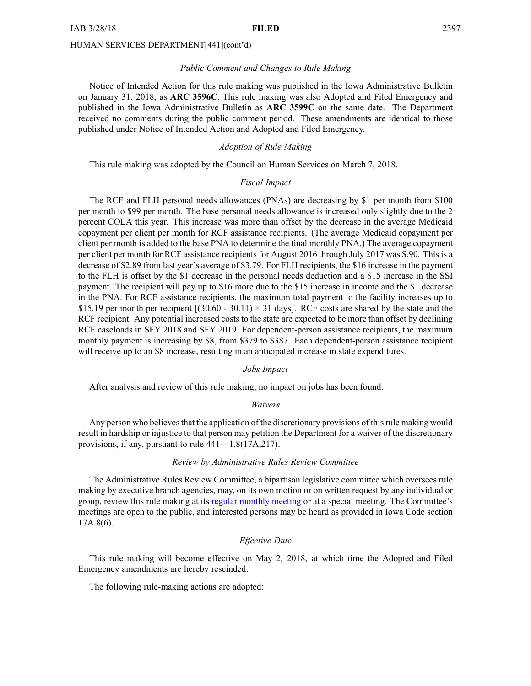### *Public Comment and Changes to Rule Making*

Notice of Intended Action for this rule making was published in the Iowa Administrative Bulletin on January 31, 2018, as **ARC 3596C**. This rule making was also Adopted and Filed Emergency and published in the Iowa Administrative Bulletin as **ARC 3599C** on the same date. The Department received no comments during the public comment period. These amendments are identical to those published under Notice of Intended Action and Adopted and Filed Emergency.

### *Adoption of Rule Making*

This rule making was adopted by the Council on Human Services on March 7, 2018.

### *Fiscal Impact*

The RCF and FLH personal needs allowances (PNAs) are decreasing by \$1 per month from \$100 per month to \$99 per month. The base personal needs allowance is increased only slightly due to the 2 percen<sup>t</sup> COLA this year. This increase was more than offset by the decrease in the average Medicaid copaymen<sup>t</sup> per client per month for RCF assistance recipients. (The average Medicaid copaymen<sup>t</sup> per client per month is added to the base PNA to determine the final monthly PNA.) The average copaymen<sup>t</sup> per client per month for RCF assistance recipients for August 2016 through July 2017 was \$.90. This is <sup>a</sup> decrease of \$2.89 from last year's average of \$3.79. For FLH recipients, the \$16 increase in the paymen<sup>t</sup> to the FLH is offset by the \$1 decrease in the personal needs deduction and <sup>a</sup> \$15 increase in the SSI payment. The recipient will pay up to \$16 more due to the \$15 increase in income and the \$1 decrease in the PNA. For RCF assistance recipients, the maximum total paymen<sup>t</sup> to the facility increases up to \$15.19 per month per recipient  $[(30.60 - 30.11) \times 31$  days]. RCF costs are shared by the state and the RCF recipient. Any potential increased costs to the state are expected to be more than offset by declining RCF caseloads in SFY 2018 and SFY 2019. For dependent-person assistance recipients, the maximum monthly paymen<sup>t</sup> is increasing by \$8, from \$379 to \$387. Each dependent-person assistance recipient will receive up to an \$8 increase, resulting in an anticipated increase in state expenditures.

### *Jobs Impact*

After analysis and review of this rule making, no impact on jobs has been found.

### *Waivers*

Any person who believes that the application of the discretionary provisions of this rule making would result in hardship or injustice to that person may petition the Department for <sup>a</sup> waiver of the discretionary provisions, if any, pursuan<sup>t</sup> to rule 441—1.8(17A,217).

### *Review by Administrative Rules Review Committee*

The Administrative Rules Review Committee, <sup>a</sup> bipartisan legislative committee which oversees rule making by executive branch agencies, may, on its own motion or on written reques<sup>t</sup> by any individual or group, review this rule making at its regular [monthly](https://www.legis.iowa.gov/committees/meetings/meetingsListComm?groupID=705&ga=87) meeting or at <sup>a</sup> special meeting. The Committee's meetings are open to the public, and interested persons may be heard as provided in Iowa Code section 17A.8(6).

### *Effective Date*

This rule making will become effective on May 2, 2018, at which time the Adopted and Filed Emergency amendments are hereby rescinded.

The following rule-making actions are adopted: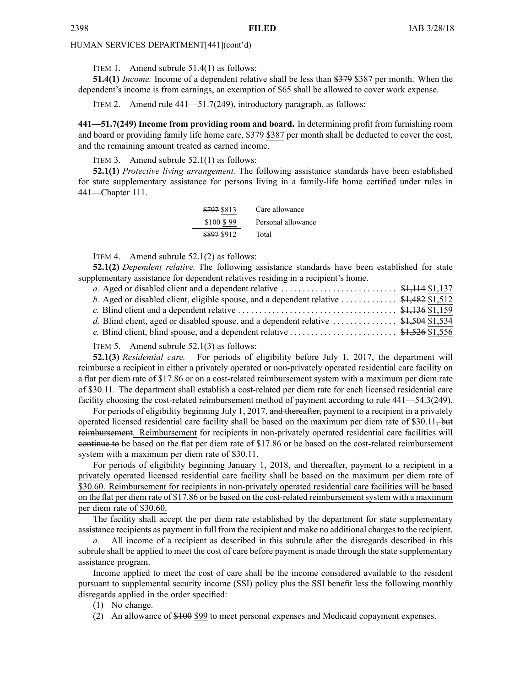ITEM 1. Amend subrule 51.4(1) as follows:

**51.4(1)** *Income.* Income of <sup>a</sup> dependent relative shall be less than \$379 \$387 per month. When the dependent's income is from earnings, an exemption of \$65 shall be allowed to cover work expense.

ITEM 2. Amend rule 441—51.7(249), introductory paragraph, as follows:

**441—51.7(249) Income from providing room and board.** In determining profit from furnishing room and board or providing family life home care, \$379 \$387 per month shall be deducted to cover the cost, and the remaining amount treated as earned income.

ITEM 3. Amend subrule 52.1(1) as follows:

**52.1(1)** *Protective living arrangement.* The following assistance standards have been established for state supplementary assistance for persons living in <sup>a</sup> family-life home certified under rules in [441—Chapter](https://www.legis.iowa.gov/docs/iac/chapter/03-28-2018.441.111.pdf) 111.

| \$797 \$813 | Care allowance     |
|-------------|--------------------|
| \$100 \$99  | Personal allowance |
| \$897 \$912 | Total              |

ITEM 4. Amend subrule 52.1(2) as follows:

**52.1(2)** *Dependent relative.* The following assistance standards have been established for state supplementary assistance for dependent relatives residing in <sup>a</sup> recipient's home.

| b. Aged or disabled client, eligible spouse, and a dependent relative $\frac{$1,482}{$1,512}$ |  |
|-----------------------------------------------------------------------------------------------|--|
|                                                                                               |  |
|                                                                                               |  |
|                                                                                               |  |
|                                                                                               |  |

ITEM 5. Amend subrule 52.1(3) as follows:

**52.1(3)** *Residential care.* For periods of eligibility before July 1, 2017, the department will reimburse <sup>a</sup> recipient in either <sup>a</sup> privately operated or non-privately operated residential care facility on <sup>a</sup> flat per diem rate of \$17.86 or on <sup>a</sup> cost-related reimbursement system with <sup>a</sup> maximum per diem rate of \$30.11. The department shall establish <sup>a</sup> cost-related per diem rate for each licensed residential care facility choosing the cost-related reimbursement method of paymen<sup>t</sup> according to rule [441—54.3](https://www.legis.iowa.gov/docs/iac/rule/03-28-2018.441.54.3.pdf)(249).

For periods of eligibility beginning July 1, 2017, and thereafter, payment to a recipient in a privately operated licensed residential care facility shall be based on the maximum per diem rate of \$30.11, but reimbursement. Reimbursement for recipients in non-privately operated residential care facilities will continue to be based on the flat per diem rate of \$17.86 or be based on the cost-related reimbursement system with <sup>a</sup> maximum per diem rate of \$30.11.

For periods of eligibility beginning January 1, 2018, and thereafter, paymen<sup>t</sup> to <sup>a</sup> recipient in <sup>a</sup> privately operated licensed residential care facility shall be based on the maximum per diem rate of \$30.60. Reimbursement for recipients in non-privately operated residential care facilities will be based on the flat per diem rate of \$17.86 or be based on the cost-related reimbursement system with a maximum per diem rate of \$30.60.

The facility shall accep<sup>t</sup> the per diem rate established by the department for state supplementary assistance recipients as paymen<sup>t</sup> in full from the recipient and make no additional chargesto the recipient.

*a.* All income of <sup>a</sup> recipient as described in this subrule after the disregards described in this subrule shall be applied to meet the cost of care before paymen<sup>t</sup> is made through the state supplementary assistance program.

Income applied to meet the cost of care shall be the income considered available to the resident pursuan<sup>t</sup> to supplemental security income (SSI) policy plus the SSI benefit less the following monthly disregards applied in the order specified:

(1) No change.

(2) An allowance of \$100 \$99 to meet personal expenses and Medicaid copaymen<sup>t</sup> expenses.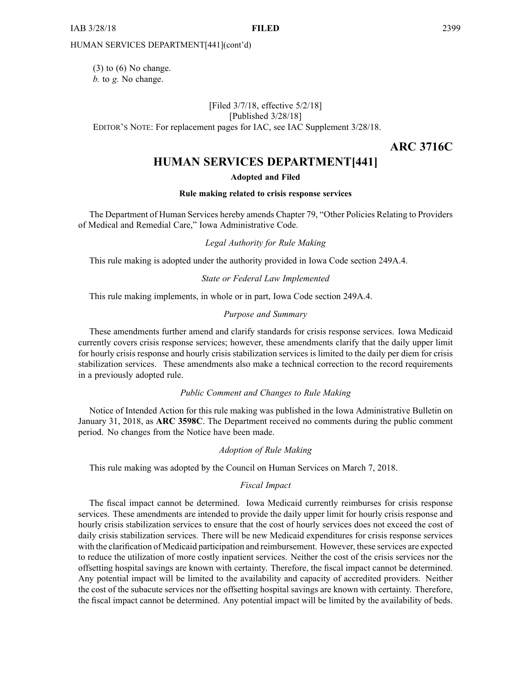$(3)$  to  $(6)$  No change. *b.* to *g.* No change.

# [Filed 3/7/18, effective 5/2/18]

[Published 3/28/18]

EDITOR'<sup>S</sup> NOTE: For replacement pages for IAC, see IAC Supplement 3/28/18.

**ARC 3716C**

# **HUMAN SERVICES DEPARTMENT[441]**

### **Adopted and Filed**

### **Rule making related to crisis response services**

The Department of Human Services hereby amends Chapter 79, "Other Policies Relating to Providers of Medical and Remedial Care," Iowa Administrative Code.

### *Legal Authority for Rule Making*

This rule making is adopted under the authority provided in Iowa Code section 249A.4.

*State or Federal Law Implemented*

This rule making implements, in whole or in part, Iowa Code section 249A.4.

### *Purpose and Summary*

These amendments further amend and clarify standards for crisis response services. Iowa Medicaid currently covers crisis response services; however, these amendments clarify that the daily upper limit for hourly crisis response and hourly crisis stabilization services is limited to the daily per diem for crisis stabilization services. These amendments also make <sup>a</sup> technical correction to the record requirements in <sup>a</sup> previously adopted rule.

### *Public Comment and Changes to Rule Making*

Notice of Intended Action for this rule making was published in the Iowa Administrative Bulletin on January 31, 2018, as **ARC 3598C**. The Department received no comments during the public comment period. No changes from the Notice have been made.

### *Adoption of Rule Making*

This rule making was adopted by the Council on Human Services on March 7, 2018.

### *Fiscal Impact*

The fiscal impact cannot be determined. Iowa Medicaid currently reimburses for crisis response services. These amendments are intended to provide the daily upper limit for hourly crisis response and hourly crisis stabilization services to ensure that the cost of hourly services does not exceed the cost of daily crisis stabilization services. There will be new Medicaid expenditures for crisis response services with the clarification of Medicaid participation and reimbursement. However, these services are expected to reduce the utilization of more costly inpatient services. Neither the cost of the crisis services nor the offsetting hospital savings are known with certainty. Therefore, the fiscal impact cannot be determined. Any potential impact will be limited to the availability and capacity of accredited providers. Neither the cost of the subacute services nor the offsetting hospital savings are known with certainty. Therefore, the fiscal impact cannot be determined. Any potential impact will be limited by the availability of beds.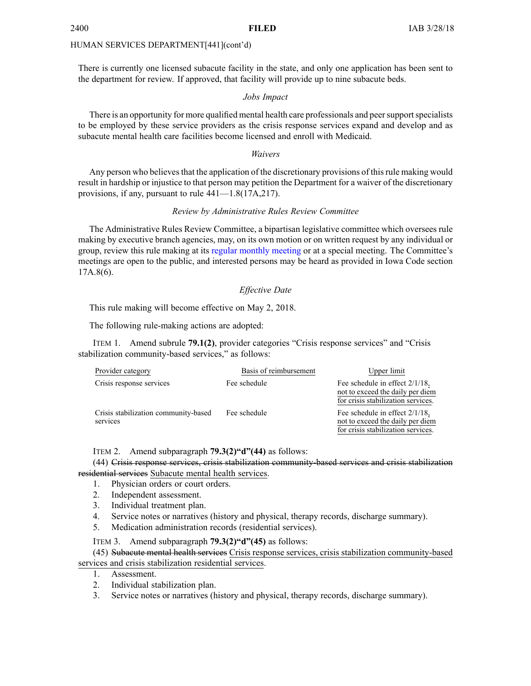There is currently one licensed subacute facility in the state, and only one application has been sent to the department for review. If approved, that facility will provide up to nine subacute beds.

### *Jobs Impact*

There is an opportunity for more qualified mental health care professionals and peersupportspecialists to be employed by these service providers as the crisis response services expand and develop and as subacute mental health care facilities become licensed and enroll with Medicaid.

### *Waivers*

Any person who believes that the application of the discretionary provisions of this rule making would result in hardship or injustice to that person may petition the Department for <sup>a</sup> waiver of the discretionary provisions, if any, pursuan<sup>t</sup> to rule 441—1.8(17A,217).

### *Review by Administrative Rules Review Committee*

The Administrative Rules Review Committee, <sup>a</sup> bipartisan legislative committee which oversees rule making by executive branch agencies, may, on its own motion or on written reques<sup>t</sup> by any individual or group, review this rule making at its regular [monthly](https://www.legis.iowa.gov/committees/meetings/meetingsListComm?groupID=705&ga=87) meeting or at <sup>a</sup> special meeting. The Committee's meetings are open to the public, and interested persons may be heard as provided in Iowa Code section 17A.8(6).

### *Effective Date*

This rule making will become effective on May 2, 2018.

The following rule-making actions are adopted:

ITEM 1. Amend subrule **79.1(2)**, provider categories "Crisis response services" and "Crisis stabilization community-based services," as follows:

| Provider category                                | Basis of reimbursement | Upper limit                                                                                                 |
|--------------------------------------------------|------------------------|-------------------------------------------------------------------------------------------------------------|
| Crisis response services                         | Fee schedule           | Fee schedule in effect $2/1/18$ ,<br>not to exceed the daily per diem<br>for crisis stabilization services. |
| Crisis stabilization community-based<br>services | Fee schedule           | Fee schedule in effect $2/1/18$ ,<br>not to exceed the daily per diem<br>for crisis stabilization services. |

ITEM 2. Amend subparagraph **79.3(2)"d"(44)** as follows:

(44) Crisis response services, crisis stabilization community-based services and crisis stabilization residential services Subacute mental health services.

- 1. Physician orders or court orders.
- 2. Independent assessment.
- 3. Individual treatment plan.
- 4. Service notes or narratives (history and physical, therapy records, discharge summary).
- 5. Medication administration records (residential services).

ITEM 3. Amend subparagraph **79.3(2)"d"(45)** as follows:

(45) Subacute mental health services Crisis response services, crisis stabilization community-based services and crisis stabilization residential services.

- 1. Assessment.
- 2. Individual stabilization plan.
- 3. Service notes or narratives (history and physical, therapy records, discharge summary).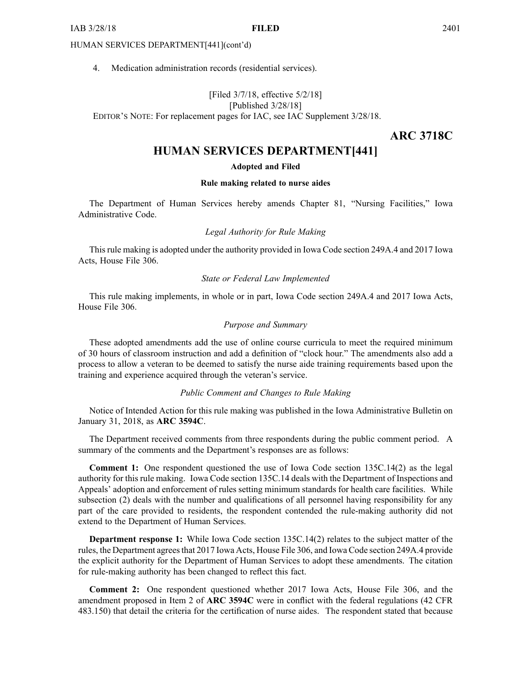4. Medication administration records (residential services).

## [Filed 3/7/18, effective 5/2/18] [Published 3/28/18] EDITOR'<sup>S</sup> NOTE: For replacement pages for IAC, see IAC Supplement 3/28/18.

# **ARC 3718C**

# **HUMAN SERVICES DEPARTMENT[441]**

### **Adopted and Filed**

### **Rule making related to nurse aides**

The Department of Human Services hereby amends Chapter 81, "Nursing Facilities," Iowa Administrative Code.

### *Legal Authority for Rule Making*

Thisrule making is adopted under the authority provided in Iowa Code section 249A.4 and 2017 Iowa Acts, House File 306.

### *State or Federal Law Implemented*

This rule making implements, in whole or in part, Iowa Code section 249A.4 and 2017 Iowa Acts, House File 306.

### *Purpose and Summary*

These adopted amendments add the use of online course curricula to meet the required minimum of 30 hours of classroom instruction and add <sup>a</sup> definition of "clock hour." The amendments also add <sup>a</sup> process to allow <sup>a</sup> veteran to be deemed to satisfy the nurse aide training requirements based upon the training and experience acquired through the veteran's service.

### *Public Comment and Changes to Rule Making*

Notice of Intended Action for this rule making was published in the Iowa Administrative Bulletin on January 31, 2018, as **ARC 3594C**.

The Department received comments from three respondents during the public comment period. A summary of the comments and the Department's responses are as follows:

**Comment 1:** One respondent questioned the use of Iowa Code section 135C.14(2) as the legal authority for this rule making. Iowa Code section 135C.14 deals with the Department of Inspections and Appeals' adoption and enforcement of rules setting minimum standards for health care facilities. While subsection (2) deals with the number and qualifications of all personnel having responsibility for any par<sup>t</sup> of the care provided to residents, the respondent contended the rule-making authority did not extend to the Department of Human Services.

**Department response 1:** While Iowa Code section 135C.14(2) relates to the subject matter of the rules, the Department agreesthat 2017 Iowa Acts, House File 306, and Iowa Code section 249A.4 provide the explicit authority for the Department of Human Services to adopt these amendments. The citation for rule-making authority has been changed to reflect this fact.

**Comment 2:** One respondent questioned whether 2017 Iowa Acts, House File 306, and the amendment proposed in Item 2 of **ARC 3594C** were in conflict with the federal regulations (42 CFR 483.150) that detail the criteria for the certification of nurse aides. The respondent stated that because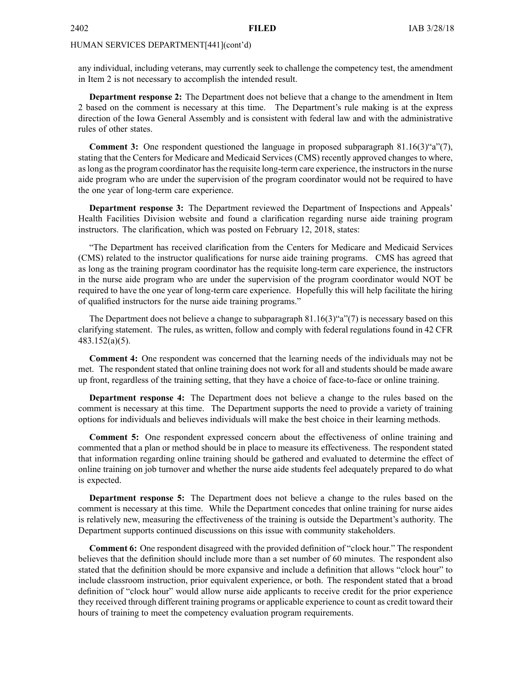any individual, including veterans, may currently seek to challenge the competency test, the amendment in Item 2 is not necessary to accomplish the intended result.

**Department response 2:** The Department does not believe that <sup>a</sup> change to the amendment in Item 2 based on the comment is necessary at this time. The Department's rule making is at the express direction of the Iowa General Assembly and is consistent with federal law and with the administrative rules of other states.

**Comment 3:** One respondent questioned the language in proposed subparagraph 81.16(3)"a"(7), stating that the Centers for Medicare and Medicaid Services (CMS) recently approved changes to where, aslong asthe program coordinator hasthe requisite long-term care experience, the instructorsin the nurse aide program who are under the supervision of the program coordinator would not be required to have the one year of long-term care experience.

**Department response 3:** The Department reviewed the Department of Inspections and Appeals' Health Facilities Division website and found <sup>a</sup> clarification regarding nurse aide training program instructors. The clarification, which was posted on February 12, 2018, states:

"The Department has received clarification from the Centers for Medicare and Medicaid Services (CMS) related to the instructor qualifications for nurse aide training programs. CMS has agreed that as long as the training program coordinator has the requisite long-term care experience, the instructors in the nurse aide program who are under the supervision of the program coordinator would NOT be required to have the one year of long-term care experience. Hopefully this will help facilitate the hiring of qualified instructors for the nurse aide training programs."

The Department does not believe <sup>a</sup> change to subparagraph 81.16(3)"a"(7) is necessary based on this clarifying statement. The rules, as written, follow and comply with federal regulations found in 42 CFR 483.152(a)(5).

**Comment 4:** One respondent was concerned that the learning needs of the individuals may not be met. The respondent stated that online training does not work for all and students should be made aware up front, regardless of the training setting, that they have <sup>a</sup> choice of face-to-face or online training.

**Department response 4:** The Department does not believe <sup>a</sup> change to the rules based on the comment is necessary at this time. The Department supports the need to provide <sup>a</sup> variety of training options for individuals and believes individuals will make the best choice in their learning methods.

**Comment 5:** One respondent expressed concern about the effectiveness of online training and commented that <sup>a</sup> plan or method should be in place to measure its effectiveness. The respondent stated that information regarding online training should be gathered and evaluated to determine the effect of online training on job turnover and whether the nurse aide students feel adequately prepared to do what is expected.

**Department response 5:** The Department does not believe <sup>a</sup> change to the rules based on the comment is necessary at this time. While the Department concedes that online training for nurse aides is relatively new, measuring the effectiveness of the training is outside the Department's authority. The Department supports continued discussions on this issue with community stakeholders.

**Comment 6:** One respondent disagreed with the provided definition of "clock hour." The respondent believes that the definition should include more than <sup>a</sup> set number of 60 minutes. The respondent also stated that the definition should be more expansive and include <sup>a</sup> definition that allows "clock hour" to include classroom instruction, prior equivalent experience, or both. The respondent stated that <sup>a</sup> broad definition of "clock hour" would allow nurse aide applicants to receive credit for the prior experience they received through different training programs or applicable experience to count as credit toward their hours of training to meet the competency evaluation program requirements.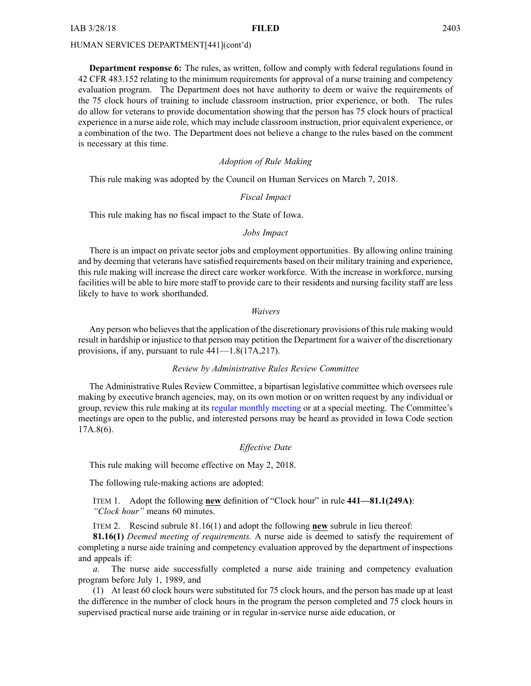**Department response 6:** The rules, as written, follow and comply with federal regulations found in 42 CFR 483.152 relating to the minimum requirements for approval of <sup>a</sup> nurse training and competency evaluation program. The Department does not have authority to deem or waive the requirements of the 75 clock hours of training to include classroom instruction, prior experience, or both. The rules do allow for veterans to provide documentation showing that the person has 75 clock hours of practical experience in <sup>a</sup> nurse aide role, which may include classroom instruction, prior equivalent experience, or <sup>a</sup> combination of the two. The Department does not believe <sup>a</sup> change to the rules based on the comment is necessary at this time.

### *Adoption of Rule Making*

This rule making was adopted by the Council on Human Services on March 7, 2018.

### *Fiscal Impact*

This rule making has no fiscal impact to the State of Iowa.

### *Jobs Impact*

There is an impact on private sector jobs and employment opportunities. By allowing online training and by deeming that veterans have satisfied requirements based on their military training and experience, this rule making will increase the direct care worker workforce. With the increase in workforce, nursing facilities will be able to hire more staff to provide care to their residents and nursing facility staff are less likely to have to work shorthanded.

### *Waivers*

Any person who believes that the application of the discretionary provisions of this rule making would result in hardship or injustice to that person may petition the Department for <sup>a</sup> waiver of the discretionary provisions, if any, pursuan<sup>t</sup> to rule 441—1.8(17A,217).

### *Review by Administrative Rules Review Committee*

The Administrative Rules Review Committee, <sup>a</sup> bipartisan legislative committee which oversees rule making by executive branch agencies, may, on its own motion or on written reques<sup>t</sup> by any individual or group, review this rule making at its regular [monthly](https://www.legis.iowa.gov/committees/meetings/meetingsListComm?groupID=705&ga=87) meeting or at <sup>a</sup> special meeting. The Committee's meetings are open to the public, and interested persons may be heard as provided in Iowa Code section 17A.8(6).

### *Effective Date*

This rule making will become effective on May 2, 2018.

The following rule-making actions are adopted:

ITEM 1. Adopt the following **new** definition of "Clock hour" in rule **441—81.1(249A)**: *"Clock hour"* means 60 minutes.

ITEM 2. Rescind subrule 81.16(1) and adopt the following **new** subrule in lieu thereof:

**81.16(1)** *Deemed meeting of requirements.* A nurse aide is deemed to satisfy the requirement of completing <sup>a</sup> nurse aide training and competency evaluation approved by the department of inspections and appeals if:

*a.* The nurse aide successfully completed <sup>a</sup> nurse aide training and competency evaluation program before July 1, 1989, and

(1) At least 60 clock hours were substituted for 75 clock hours, and the person has made up at least the difference in the number of clock hours in the program the person completed and 75 clock hours in supervised practical nurse aide training or in regular in-service nurse aide education, or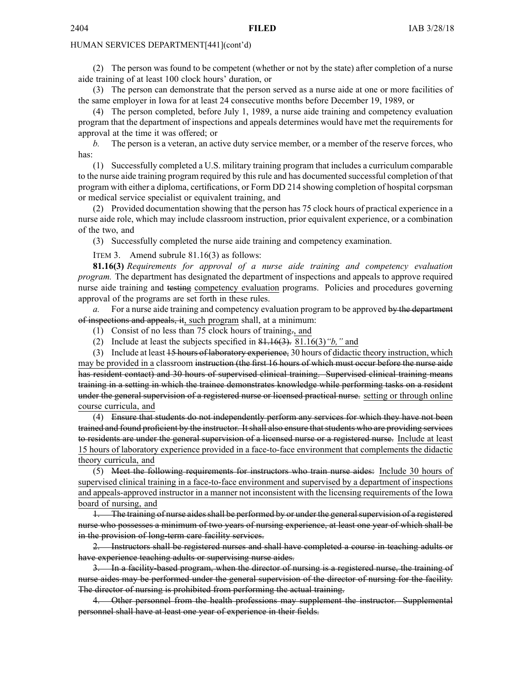(2) The person was found to be competent (whether or not by the state) after completion of <sup>a</sup> nurse aide training of at least 100 clock hours' duration, or

(3) The person can demonstrate that the person served as <sup>a</sup> nurse aide at one or more facilities of the same employer in Iowa for at least 24 consecutive months before December 19, 1989, or

(4) The person completed, before July 1, 1989, <sup>a</sup> nurse aide training and competency evaluation program that the department of inspections and appeals determines would have met the requirements for approval at the time it was offered; or

*b.* The person is <sup>a</sup> veteran, an active duty service member, or <sup>a</sup> member of the reserve forces, who has:

(1) Successfully completed <sup>a</sup> U.S. military training program that includes <sup>a</sup> curriculum comparable to the nurse aide training program required by thisrule and has documented successful completion of that program with either <sup>a</sup> diploma, certifications, or Form DD 214 showing completion of hospital corpsman or medical service specialist or equivalent training, and

(2) Provided documentation showing that the person has 75 clock hours of practical experience in <sup>a</sup> nurse aide role, which may include classroom instruction, prior equivalent experience, or <sup>a</sup> combination of the two, and

(3) Successfully completed the nurse aide training and competency examination.

ITEM 3. Amend subrule 81.16(3) as follows:

**81.16(3)** *Requirements for approval of <sup>a</sup> nurse aide training and competency evaluation program.* The department has designated the department of inspections and appeals to approve required nurse aide training and testing competency evaluation programs. Policies and procedures governing approval of the programs are set forth in these rules.

*a.* For <sup>a</sup> nurse aide training and competency evaluation program to be approved by the department of inspections and appeals, it, such program shall, at <sup>a</sup> minimum:

- (1) Consist of no less than 75 clock hours of training., and
- (2) Include at least the subjects specified in [81.16\(3\)](https://www.legis.iowa.gov/docs/iac/rule/03-28-2018.441.81.16.pdf). 81.16(3)*"b,"* and

(3) Include at least 15 hours of laboratory experience, 30 hours of didactic theory instruction, which may be provided in <sup>a</sup> classroom instruction (the first 16 hours of which must occur before the nurse aide has resident contact) and 30 hours of supervised clinical training. Supervised clinical training means training in <sup>a</sup> setting in which the trainee demonstrates knowledge while performing tasks on <sup>a</sup> resident under the general supervision of a registered nurse or licensed practical nurse. setting or through online course curricula, and

(4) Ensure that students do not independently perform any services for which they have not been trained and found proficient by the instructor. Itshall also ensure thatstudents who are providing services to residents are under the general supervision of <sup>a</sup> licensed nurse or <sup>a</sup> registered nurse. Include at least 15 hours of laboratory experience provided in <sup>a</sup> face-to-face environment that complements the didactic theory curricula, and

(5) Meet the following requirements for instructors who train nurse aides: Include 30 hours of supervised clinical training in <sup>a</sup> face-to-face environment and supervised by <sup>a</sup> department of inspections and appeals-approved instructor in <sup>a</sup> manner not inconsistent with the licensing requirements of the Iowa board of nursing, and

1. The training of nurse aidesshall be performed by or under the generalsupervision of <sup>a</sup> registered nurse who possesses <sup>a</sup> minimum of two years of nursing experience, at least one year of which shall be in the provision of long-term care facility services.

2. Instructors shall be registered nurses and shall have completed <sup>a</sup> course in teaching adults or have experience teaching adults or supervising nurse aides.

3. In <sup>a</sup> facility-based program, when the director of nursing is <sup>a</sup> registered nurse, the training of nurse aides may be performed under the general supervision of the director of nursing for the facility. The director of nursing is prohibited from performing the actual training.

4. Other personnel from the health professions may supplement the instructor. Supplemental personnel shall have at least one year of experience in their fields.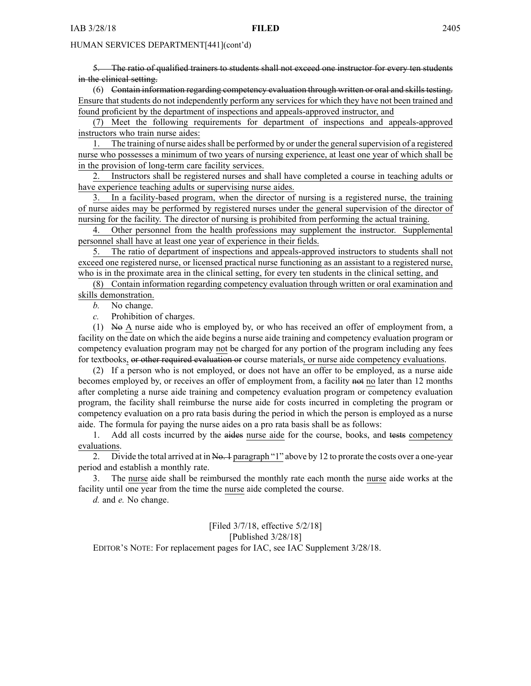5. The ratio of qualified trainers to students shall not exceed one instructor for every ten students in the clinical setting.

(6) Contain information regarding competency evaluation through written or oral and skillstesting. Ensure that students do not independently perform any services for which they have not been trained and found proficient by the department of inspections and appeals-approved instructor, and

(7) Meet the following requirements for department of inspections and appeals-approved instructors who train nurse aides:

1. The training of nurse aidesshall be performed by or under the generalsupervision of <sup>a</sup> registered nurse who possesses <sup>a</sup> minimum of two years of nursing experience, at least one year of which shall be in the provision of long-term care facility services.

2. Instructors shall be registered nurses and shall have completed <sup>a</sup> course in teaching adults or have experience teaching adults or supervising nurse aides.

3. In <sup>a</sup> facility-based program, when the director of nursing is <sup>a</sup> registered nurse, the training of nurse aides may be performed by registered nurses under the general supervision of the director of nursing for the facility. The director of nursing is prohibited from performing the actual training.

4. Other personnel from the health professions may supplement the instructor. Supplemental personnel shall have at least one year of experience in their fields.

The ratio of department of inspections and appeals-approved instructors to students shall not exceed one registered nurse, or licensed practical nurse functioning as an assistant to <sup>a</sup> registered nurse, who is in the proximate area in the clinical setting, for every ten students in the clinical setting, and

(8) Contain information regarding competency evaluation through written or oral examination and skills demonstration.

*b.* No change.

*c.* Prohibition of charges.

(1) No A nurse aide who is employed by, or who has received an offer of employment from, <sup>a</sup> facility on the date on which the aide begins <sup>a</sup> nurse aide training and competency evaluation program or competency evaluation program may not be charged for any portion of the program including any fees for textbooks, or other required evaluation or course materials, or nurse aide competency evaluations.

(2) If <sup>a</sup> person who is not employed, or does not have an offer to be employed, as <sup>a</sup> nurse aide becomes employed by, or receives an offer of employment from, <sup>a</sup> facility not no later than 12 months after completing <sup>a</sup> nurse aide training and competency evaluation program or competency evaluation program, the facility shall reimburse the nurse aide for costs incurred in completing the program or competency evaluation on <sup>a</sup> pro rata basis during the period in which the person is employed as <sup>a</sup> nurse aide. The formula for paying the nurse aides on <sup>a</sup> pro rata basis shall be as follows:

1. Add all costs incurred by the aides nurse aide for the course, books, and tests competency evaluations.

2. Divide the total arrived at in No. 1 paragraph "1" above by 12 to prorate the costs over a one-year period and establish <sup>a</sup> monthly rate.

3. The nurse aide shall be reimbursed the monthly rate each month the nurse aide works at the facility until one year from the time the nurse aide completed the course.

*d.* and *e.* No change.

[Filed 3/7/18, effective 5/2/18] [Published 3/28/18] EDITOR'<sup>S</sup> NOTE: For replacement pages for IAC, see IAC Supplement 3/28/18.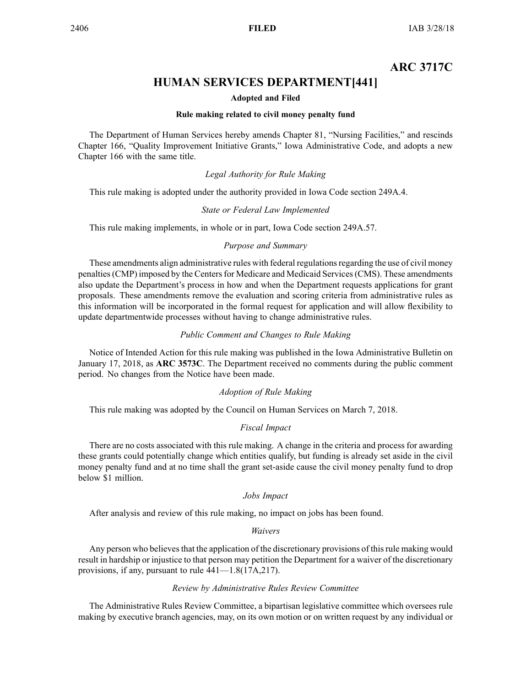# **ARC 3717C**

# **HUMAN SERVICES DEPARTMENT[441]**

### **Adopted and Filed**

### **Rule making related to civil money penalty fund**

The Department of Human Services hereby amends Chapter 81, "Nursing Facilities," and rescinds Chapter 166, "Quality Improvement Initiative Grants," Iowa Administrative Code, and adopts <sup>a</sup> new Chapter 166 with the same title.

### *Legal Authority for Rule Making*

This rule making is adopted under the authority provided in Iowa Code section 249A.4.

### *State or Federal Law Implemented*

This rule making implements, in whole or in part, Iowa Code section 249A.57.

### *Purpose and Summary*

These amendments align administrative rules with federal regulations regarding the use of civil money penalties (CMP) imposed by the Centers for Medicare and Medicaid Services (CMS). These amendments also update the Department's process in how and when the Department requests applications for gran<sup>t</sup> proposals. These amendments remove the evaluation and scoring criteria from administrative rules as this information will be incorporated in the formal reques<sup>t</sup> for application and will allow flexibility to update departmentwide processes without having to change administrative rules.

### *Public Comment and Changes to Rule Making*

Notice of Intended Action for this rule making was published in the Iowa Administrative Bulletin on January 17, 2018, as **ARC 3573C**. The Department received no comments during the public comment period. No changes from the Notice have been made.

### *Adoption of Rule Making*

This rule making was adopted by the Council on Human Services on March 7, 2018.

### *Fiscal Impact*

There are no costs associated with this rule making. A change in the criteria and process for awarding these grants could potentially change which entities qualify, but funding is already set aside in the civil money penalty fund and at no time shall the gran<sup>t</sup> set-aside cause the civil money penalty fund to drop below \$1 million.

### *Jobs Impact*

After analysis and review of this rule making, no impact on jobs has been found.

### *Waivers*

Any person who believes that the application of the discretionary provisions of this rule making would result in hardship or injustice to that person may petition the Department for <sup>a</sup> waiver of the discretionary provisions, if any, pursuan<sup>t</sup> to rule 441—1.8(17A,217).

### *Review by Administrative Rules Review Committee*

The Administrative Rules Review Committee, <sup>a</sup> bipartisan legislative committee which oversees rule making by executive branch agencies, may, on its own motion or on written reques<sup>t</sup> by any individual or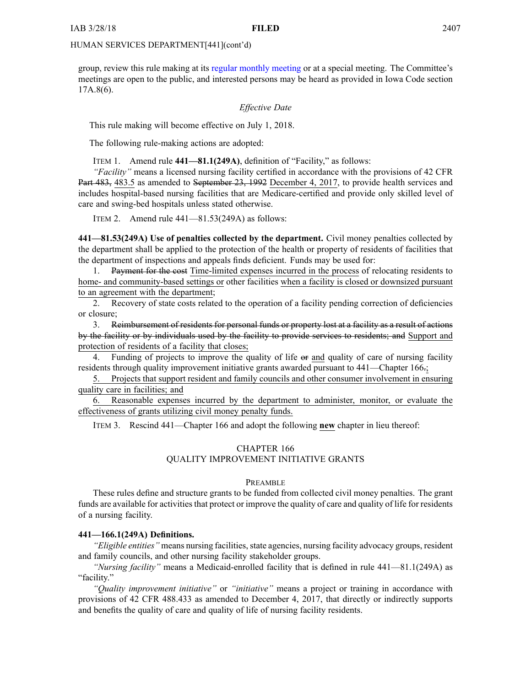group, review this rule making at its regular [monthly](https://www.legis.iowa.gov/committees/meetings/meetingsListComm?groupID=705&ga=87) meeting or at <sup>a</sup> special meeting. The Committee's meetings are open to the public, and interested persons may be heard as provided in Iowa Code section 17A.8(6).

### *Effective Date*

This rule making will become effective on July 1, 2018.

The following rule-making actions are adopted:

ITEM 1. Amend rule **441—81.1(249A)**, definition of "Facility," as follows:

*"Facility"* means <sup>a</sup> licensed nursing facility certified in accordance with the provisions of 42 CFR Part 483, 483.5 as amended to September 23, 1992 December 4, 2017, to provide health services and includes hospital-based nursing facilities that are Medicare-certified and provide only skilled level of care and swing-bed hospitals unless stated otherwise.

ITEM 2. Amend rule 441—81.53(249A) as follows:

**441—81.53(249A) Use of penalties collected by the department.** Civil money penalties collected by the department shall be applied to the protection of the health or property of residents of facilities that the department of inspections and appeals finds deficient. Funds may be used for:

1. Payment for the cost Time-limited expenses incurred in the process of relocating residents to home- and community-based settings or other facilities when <sup>a</sup> facility is closed or downsized pursuan<sup>t</sup> to an agreemen<sup>t</sup> with the department;

2. Recovery of state costs related to the operation of <sup>a</sup> facility pending correction of deficiencies or closure;

3. Reimbursement of residents for personal funds or property lost at <sup>a</sup> facility as <sup>a</sup> result of actions by the facility or by individuals used by the facility to provide services to residents; and Support and protection of residents of <sup>a</sup> facility that closes;

4. Funding of projects to improve the quality of life or and quality of care of nursing facility residents through quality improvement initiative grants awarded pursuant to 441—Chapter 166.;

5. Projects that suppor<sup>t</sup> resident and family councils and other consumer involvement in ensuring quality care in facilities; and

Reasonable expenses incurred by the department to administer, monitor, or evaluate the effectiveness of grants utilizing civil money penalty funds.

ITEM 3. Rescind 441—Chapter 166 and adopt the following **new** chapter in lieu thereof:

### CHAPTER 166 QUALITY IMPROVEMENT INITIATIVE GRANTS

### PREAMBLE

These rules define and structure grants to be funded from collected civil money penalties. The gran<sup>t</sup> funds are available for activities that protect or improve the quality of care and quality of life for residents of <sup>a</sup> nursing facility.

## **441—166.1(249A) Definitions.**

*"Eligible entities"* means nursing facilities, state agencies, nursing facility advocacy groups, resident and family councils, and other nursing facility stakeholder groups.

*"Nursing facility"* means <sup>a</sup> Medicaid-enrolled facility that is defined in rule 441—81.1(249A) as "facility."

*"Quality improvement initiative"* or *"initiative"* means <sup>a</sup> project or training in accordance with provisions of 42 CFR 488.433 as amended to December 4, 2017, that directly or indirectly supports and benefits the quality of care and quality of life of nursing facility residents.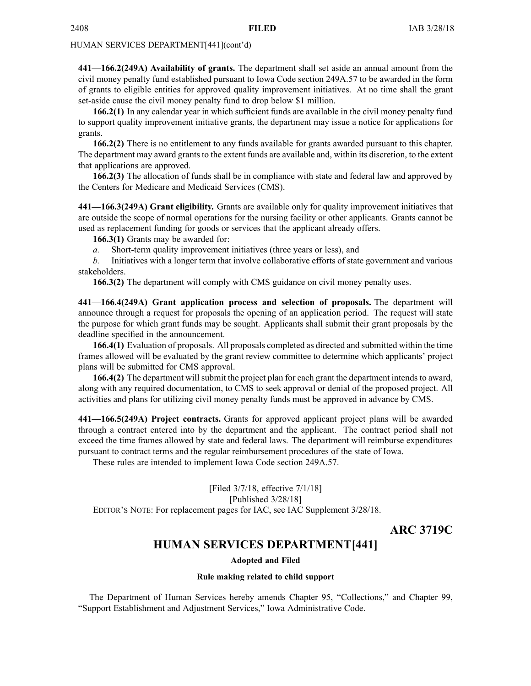**441—166.2(249A) Availability of grants.** The department shall set aside an annual amount from the civil money penalty fund established pursuan<sup>t</sup> to Iowa Code section 249A.57 to be awarded in the form of grants to eligible entities for approved quality improvement initiatives. At no time shall the gran<sup>t</sup> set-aside cause the civil money penalty fund to drop below \$1 million.

**166.2(1)** In any calendar year in which sufficient funds are available in the civil money penalty fund to suppor<sup>t</sup> quality improvement initiative grants, the department may issue <sup>a</sup> notice for applications for grants.

**166.2(2)** There is no entitlement to any funds available for grants awarded pursuan<sup>t</sup> to this chapter. The department may award grants to the extent funds are available and, within its discretion, to the extent that applications are approved.

**166.2(3)** The allocation of funds shall be in compliance with state and federal law and approved by the Centers for Medicare and Medicaid Services (CMS).

**441—166.3(249A) Grant eligibility.** Grants are available only for quality improvement initiatives that are outside the scope of normal operations for the nursing facility or other applicants. Grants cannot be used as replacement funding for goods or services that the applicant already offers.

**166.3(1)** Grants may be awarded for:

*a.* Short-term quality improvement initiatives (three years or less), and

*b.* Initiatives with <sup>a</sup> longer term that involve collaborative efforts of state governmen<sup>t</sup> and various stakeholders.

**166.3(2)** The department will comply with CMS guidance on civil money penalty uses.

**441—166.4(249A) Grant application process and selection of proposals.** The department will announce through <sup>a</sup> reques<sup>t</sup> for proposals the opening of an application period. The reques<sup>t</sup> will state the purpose for which gran<sup>t</sup> funds may be sought. Applicants shall submit their gran<sup>t</sup> proposals by the deadline specified in the announcement.

**166.4(1)** Evaluation of proposals. All proposals completed as directed and submitted within the time frames allowed will be evaluated by the gran<sup>t</sup> review committee to determine which applicants' project plans will be submitted for CMS approval.

**166.4(2)** The department will submit the project plan for each gran<sup>t</sup> the department intends to award, along with any required documentation, to CMS to seek approval or denial of the proposed project. All activities and plans for utilizing civil money penalty funds must be approved in advance by CMS.

**441—166.5(249A) Project contracts.** Grants for approved applicant project plans will be awarded through <sup>a</sup> contract entered into by the department and the applicant. The contract period shall not exceed the time frames allowed by state and federal laws. The department will reimburse expenditures pursuan<sup>t</sup> to contract terms and the regular reimbursement procedures of the state of Iowa.

These rules are intended to implement Iowa Code section [249A.57](https://www.legis.iowa.gov/docs/ico/section/2018/249A.57.pdf).

[Filed 3/7/18, effective 7/1/18] [Published 3/28/18] EDITOR'<sup>S</sup> NOTE: For replacement pages for IAC, see IAC Supplement 3/28/18.

**ARC 3719C**

# **HUMAN SERVICES DEPARTMENT[441]**

### **Adopted and Filed**

### **Rule making related to child support**

The Department of Human Services hereby amends Chapter 95, "Collections," and Chapter 99, "Support Establishment and Adjustment Services," Iowa Administrative Code.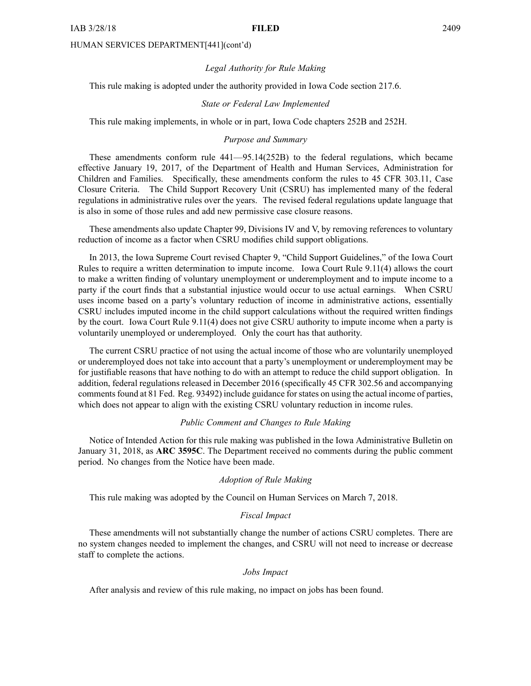### *Legal Authority for Rule Making*

This rule making is adopted under the authority provided in Iowa Code section 217.6.

### *State or Federal Law Implemented*

This rule making implements, in whole or in part, Iowa Code chapters 252B and 252H.

### *Purpose and Summary*

These amendments conform rule 441—95.14(252B) to the federal regulations, which became effective January 19, 2017, of the Department of Health and Human Services, Administration for Children and Families. Specifically, these amendments conform the rules to 45 CFR 303.11, Case Closure Criteria. The Child Support Recovery Unit (CSRU) has implemented many of the federal regulations in administrative rules over the years. The revised federal regulations update language that is also in some of those rules and add new permissive case closure reasons.

These amendments also update Chapter 99, Divisions IV and V, by removing references to voluntary reduction of income as <sup>a</sup> factor when CSRU modifies child suppor<sup>t</sup> obligations.

In 2013, the Iowa Supreme Court revised Chapter 9, "Child Support Guidelines," of the Iowa Court Rules to require <sup>a</sup> written determination to impute income. Iowa Court Rule 9.11(4) allows the court to make <sup>a</sup> written finding of voluntary unemployment or underemployment and to impute income to <sup>a</sup> party if the court finds that <sup>a</sup> substantial injustice would occur to use actual earnings. When CSRU uses income based on <sup>a</sup> party's voluntary reduction of income in administrative actions, essentially CSRU includes imputed income in the child suppor<sup>t</sup> calculations without the required written findings by the court. Iowa Court Rule 9.11(4) does not give CSRU authority to impute income when <sup>a</sup> party is voluntarily unemployed or underemployed. Only the court has that authority.

The current CSRU practice of not using the actual income of those who are voluntarily unemployed or underemployed does not take into account that <sup>a</sup> party's unemployment or underemployment may be for justifiable reasons that have nothing to do with an attempt to reduce the child suppor<sup>t</sup> obligation. In addition, federal regulations released in December 2016 (specifically 45 CFR 302.56 and accompanying commentsfound at 81 Fed. Reg. 93492) include guidance forstates on using the actual income of parties, which does not appear to align with the existing CSRU voluntary reduction in income rules.

### *Public Comment and Changes to Rule Making*

Notice of Intended Action for this rule making was published in the Iowa Administrative Bulletin on January 31, 2018, as **ARC 3595C**. The Department received no comments during the public comment period. No changes from the Notice have been made.

### *Adoption of Rule Making*

This rule making was adopted by the Council on Human Services on March 7, 2018.

### *Fiscal Impact*

These amendments will not substantially change the number of actions CSRU completes. There are no system changes needed to implement the changes, and CSRU will not need to increase or decrease staff to complete the actions.

### *Jobs Impact*

After analysis and review of this rule making, no impact on jobs has been found.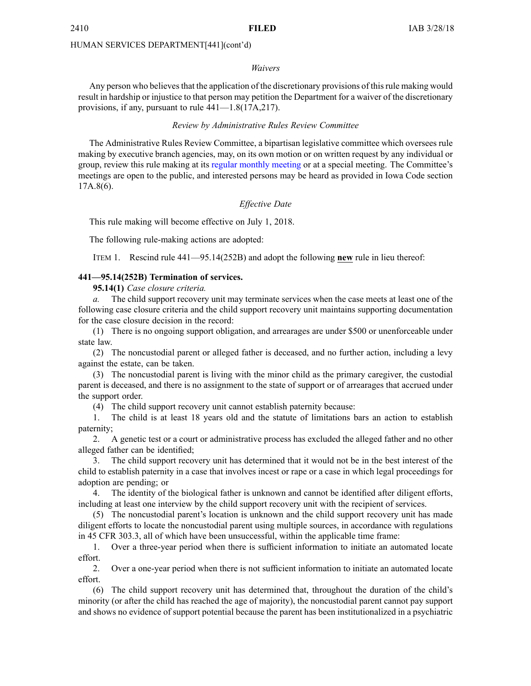### *Waivers*

Any person who believes that the application of the discretionary provisions of this rule making would result in hardship or injustice to that person may petition the Department for <sup>a</sup> waiver of the discretionary provisions, if any, pursuan<sup>t</sup> to rule 441—1.8(17A,217).

### *Review by Administrative Rules Review Committee*

The Administrative Rules Review Committee, <sup>a</sup> bipartisan legislative committee which oversees rule making by executive branch agencies, may, on its own motion or on written reques<sup>t</sup> by any individual or group, review this rule making at its regular [monthly](https://www.legis.iowa.gov/committees/meetings/meetingsListComm?groupID=705&ga=87) meeting or at <sup>a</sup> special meeting. The Committee's meetings are open to the public, and interested persons may be heard as provided in Iowa Code section 17A.8(6).

### *Effective Date*

This rule making will become effective on July 1, 2018.

The following rule-making actions are adopted:

ITEM 1. Rescind rule 441—95.14(252B) and adopt the following **new** rule in lieu thereof:

### **441—95.14(252B) Termination of services.**

**95.14(1)** *Case closure criteria.*

*a.* The child suppor<sup>t</sup> recovery unit may terminate services when the case meets at least one of the following case closure criteria and the child suppor<sup>t</sup> recovery unit maintains supporting documentation for the case closure decision in the record:

(1) There is no ongoing suppor<sup>t</sup> obligation, and arrearages are under \$500 or unenforceable under state law.

(2) The noncustodial paren<sup>t</sup> or alleged father is deceased, and no further action, including <sup>a</sup> levy against the estate, can be taken.

(3) The noncustodial paren<sup>t</sup> is living with the minor child as the primary caregiver, the custodial paren<sup>t</sup> is deceased, and there is no assignment to the state of suppor<sup>t</sup> or of arrearages that accrued under the suppor<sup>t</sup> order.

(4) The child suppor<sup>t</sup> recovery unit cannot establish paternity because:

1. The child is at least 18 years old and the statute of limitations bars an action to establish paternity;

2. A genetic test or <sup>a</sup> court or administrative process has excluded the alleged father and no other alleged father can be identified;

3. The child suppor<sup>t</sup> recovery unit has determined that it would not be in the best interest of the child to establish paternity in <sup>a</sup> case that involves incest or rape or <sup>a</sup> case in which legal proceedings for adoption are pending; or

4. The identity of the biological father is unknown and cannot be identified after diligent efforts, including at least one interview by the child suppor<sup>t</sup> recovery unit with the recipient of services.

(5) The noncustodial parent's location is unknown and the child suppor<sup>t</sup> recovery unit has made diligent efforts to locate the noncustodial paren<sup>t</sup> using multiple sources, in accordance with regulations in 45 CFR 303.3, all of which have been unsuccessful, within the applicable time frame:

1. Over <sup>a</sup> three-year period when there is sufficient information to initiate an automated locate effort.

2. Over <sup>a</sup> one-year period when there is not sufficient information to initiate an automated locate effort.

(6) The child suppor<sup>t</sup> recovery unit has determined that, throughout the duration of the child's minority (or after the child has reached the age of majority), the noncustodial paren<sup>t</sup> cannot pay suppor<sup>t</sup> and shows no evidence of suppor<sup>t</sup> potential because the paren<sup>t</sup> has been institutionalized in <sup>a</sup> psychiatric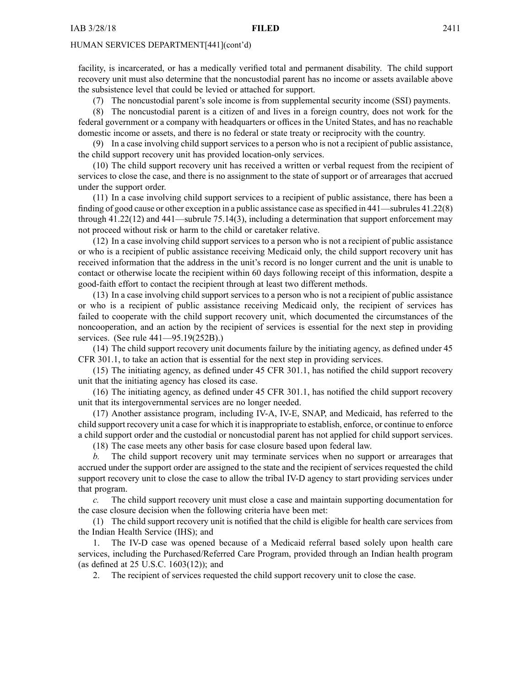facility, is incarcerated, or has <sup>a</sup> medically verified total and permanen<sup>t</sup> disability. The child suppor<sup>t</sup> recovery unit must also determine that the noncustodial paren<sup>t</sup> has no income or assets available above the subsistence level that could be levied or attached for support.

(7) The noncustodial parent's sole income is from supplemental security income (SSI) payments.

(8) The noncustodial paren<sup>t</sup> is <sup>a</sup> citizen of and lives in <sup>a</sup> foreign country, does not work for the federal governmen<sup>t</sup> or <sup>a</sup> company with headquarters or offices in the United States, and has no reachable domestic income or assets, and there is no federal or state treaty or reciprocity with the country.

(9) In <sup>a</sup> case involving child suppor<sup>t</sup> services to <sup>a</sup> person who is not <sup>a</sup> recipient of public assistance, the child suppor<sup>t</sup> recovery unit has provided location-only services.

(10) The child suppor<sup>t</sup> recovery unit has received <sup>a</sup> written or verbal reques<sup>t</sup> from the recipient of services to close the case, and there is no assignment to the state of suppor<sup>t</sup> or of arrearages that accrued under the suppor<sup>t</sup> order.

(11) In <sup>a</sup> case involving child suppor<sup>t</sup> services to <sup>a</sup> recipient of public assistance, there has been <sup>a</sup> finding of good cause or other exception in <sup>a</sup> public assistance case asspecified in [441—subrules](https://www.legis.iowa.gov/docs/iac/rule/03-28-2018.441.41.22.pdf) 41.22(8) through [41.22\(12\)](https://www.legis.iowa.gov/docs/iac/rule/03-28-2018.441.41.22.pdf) and [441—subrule](https://www.legis.iowa.gov/docs/iac/rule/03-28-2018.441.75.14.pdf) 75.14(3), including <sup>a</sup> determination that suppor<sup>t</sup> enforcement may not proceed without risk or harm to the child or caretaker relative.

(12) In <sup>a</sup> case involving child suppor<sup>t</sup> services to <sup>a</sup> person who is not <sup>a</sup> recipient of public assistance or who is <sup>a</sup> recipient of public assistance receiving Medicaid only, the child suppor<sup>t</sup> recovery unit has received information that the address in the unit's record is no longer current and the unit is unable to contact or otherwise locate the recipient within 60 days following receipt of this information, despite <sup>a</sup> good-faith effort to contact the recipient through at least two different methods.

(13) In <sup>a</sup> case involving child suppor<sup>t</sup> services to <sup>a</sup> person who is not <sup>a</sup> recipient of public assistance or who is <sup>a</sup> recipient of public assistance receiving Medicaid only, the recipient of services has failed to cooperate with the child suppor<sup>t</sup> recovery unit, which documented the circumstances of the noncooperation, and an action by the recipient of services is essential for the next step in providing services. (See rule [441—95.19](https://www.legis.iowa.gov/docs/iac/rule/03-28-2018.441.95.19.pdf)(252B).)

(14) The child suppor<sup>t</sup> recovery unit documents failure by the initiating agency, as defined under 45 CFR 301.1, to take an action that is essential for the next step in providing services.

(15) The initiating agency, as defined under 45 CFR 301.1, has notified the child suppor<sup>t</sup> recovery unit that the initiating agency has closed its case.

(16) The initiating agency, as defined under 45 CFR 301.1, has notified the child suppor<sup>t</sup> recovery unit that its intergovernmental services are no longer needed.

(17) Another assistance program, including IV-A, IV-E, SNAP, and Medicaid, has referred to the child suppor<sup>t</sup> recovery unit <sup>a</sup> case for which it isinappropriate to establish, enforce, or continue to enforce <sup>a</sup> child suppor<sup>t</sup> order and the custodial or noncustodial paren<sup>t</sup> has not applied for child suppor<sup>t</sup> services.

(18) The case meets any other basis for case closure based upon federal law.

The child support recovery unit may terminate services when no support or arrearages that accrued under the suppor<sup>t</sup> order are assigned to the state and the recipient of services requested the child suppor<sup>t</sup> recovery unit to close the case to allow the tribal IV-D agency to start providing services under that program.

*c.* The child suppor<sup>t</sup> recovery unit must close <sup>a</sup> case and maintain supporting documentation for the case closure decision when the following criteria have been met:

(1) The child suppor<sup>t</sup> recovery unit is notified that the child is eligible for health care services from the Indian Health Service (IHS); and

1. The IV-D case was opened because of <sup>a</sup> Medicaid referral based solely upon health care services, including the Purchased/Referred Care Program, provided through an Indian health program (as defined at 25 U.S.C. 1603(12)); and

2. The recipient of services requested the child suppor<sup>t</sup> recovery unit to close the case.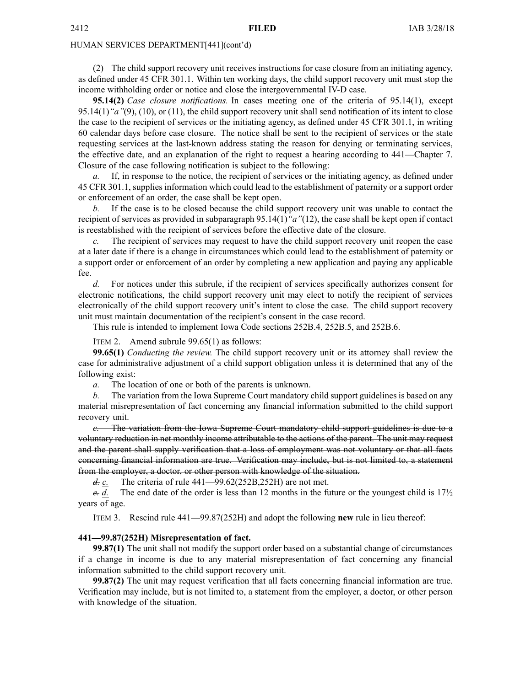(2) The child suppor<sup>t</sup> recovery unit receives instructions for case closure from an initiating agency, as defined under 45 CFR 301.1. Within ten working days, the child suppor<sup>t</sup> recovery unit must stop the income withholding order or notice and close the intergovernmental IV-D case.

**95.14(2)** *Case closure notifications.* In cases meeting one of the criteria of [95.14\(1\)](https://www.legis.iowa.gov/docs/iac/rule/03-28-2018.441.95.14.pdf), excep<sup>t</sup> [95.14\(1\)](https://www.legis.iowa.gov/docs/iac/rule/03-28-2018.441.95.14.pdf)*"a"*(9), (10), or (11), the child suppor<sup>t</sup> recovery unit shall send notification of its intent to close the case to the recipient of services or the initiating agency, as defined under 45 CFR 301.1, in writing 60 calendar days before case closure. The notice shall be sent to the recipient of services or the state requesting services at the last-known address stating the reason for denying or terminating services, the effective date, and an explanation of the right to reques<sup>t</sup> <sup>a</sup> hearing according to [441—Chapter](https://www.legis.iowa.gov/docs/iac/chapter/03-28-2018.441.7.pdf) 7. Closure of the case following notification is subject to the following:

*a.* If, in response to the notice, the recipient of services or the initiating agency, as defined under 45 CFR 301.1, supplies information which could lead to the establishment of paternity or <sup>a</sup> suppor<sup>t</sup> order or enforcement of an order, the case shall be kept open.

*b.* If the case is to be closed because the child suppor<sup>t</sup> recovery unit was unable to contact the recipient of services as provided in [subparagraph](https://www.legis.iowa.gov/docs/iac/rule/03-28-2018.441.95.14.pdf) 95.14(1)*"a"*(12), the case shall be kept open if contact is reestablished with the recipient of services before the effective date of the closure.

*c.* The recipient of services may reques<sup>t</sup> to have the child suppor<sup>t</sup> recovery unit reopen the case at <sup>a</sup> later date if there is <sup>a</sup> change in circumstances which could lead to the establishment of paternity or <sup>a</sup> suppor<sup>t</sup> order or enforcement of an order by completing <sup>a</sup> new application and paying any applicable fee.

*d.* For notices under this subrule, if the recipient of services specifically authorizes consent for electronic notifications, the child suppor<sup>t</sup> recovery unit may elect to notify the recipient of services electronically of the child suppor<sup>t</sup> recovery unit's intent to close the case. The child suppor<sup>t</sup> recovery unit must maintain documentation of the recipient's consent in the case record.

This rule is intended to implement Iowa Code sections [252B.4](https://www.legis.iowa.gov/docs/ico/section/2018/252B.4.pdf), [252B.5](https://www.legis.iowa.gov/docs/ico/section/2018/252B.5.pdf), and [252B.6](https://www.legis.iowa.gov/docs/ico/section/2018/252B.6.pdf).

### ITEM 2. Amend subrule 99.65(1) as follows:

**99.65(1)** *Conducting the review.* The child suppor<sup>t</sup> recovery unit or its attorney shall review the case for administrative adjustment of <sup>a</sup> child suppor<sup>t</sup> obligation unless it is determined that any of the following exist:

*a.* The location of one or both of the parents is unknown.

*b.* The variation from the Iowa Supreme Court mandatory child suppor<sup>t</sup> guidelines is based on any material misrepresentation of fact concerning any financial information submitted to the child suppor<sup>t</sup> recovery unit.

*c.* The variation from the Iowa Supreme Court mandatory child suppor<sup>t</sup> guidelines is due to <sup>a</sup> voluntary reduction in net monthly income attributable to the actions of the parent. The unit may reques<sup>t</sup> and the paren<sup>t</sup> shall supply verification that <sup>a</sup> loss of employment was not voluntary or that all facts concerning financial information are true. Verification may include, but is not limited to, <sup>a</sup> statement from the employer, <sup>a</sup> doctor, or other person with knowledge of the situation.

*d. c.* The criteria of rule [441—99.62](https://www.legis.iowa.gov/docs/iac/rule/03-28-2018.441.99.62.pdf)(252B,252H) are not met.

*e. d.* The end date of the order is less than 12 months in the future or the younges<sup>t</sup> child is 17½ years of age.

ITEM 3. Rescind rule 441—99.87(252H) and adopt the following **new** rule in lieu thereof:

### **441—99.87(252H) Misrepresentation of fact.**

**99.87(1)** The unit shall not modify the suppor<sup>t</sup> order based on <sup>a</sup> substantial change of circumstances if <sup>a</sup> change in income is due to any material misrepresentation of fact concerning any financial information submitted to the child suppor<sup>t</sup> recovery unit.

**99.87(2)** The unit may reques<sup>t</sup> verification that all facts concerning financial information are true. Verification may include, but is not limited to, <sup>a</sup> statement from the employer, <sup>a</sup> doctor, or other person with knowledge of the situation.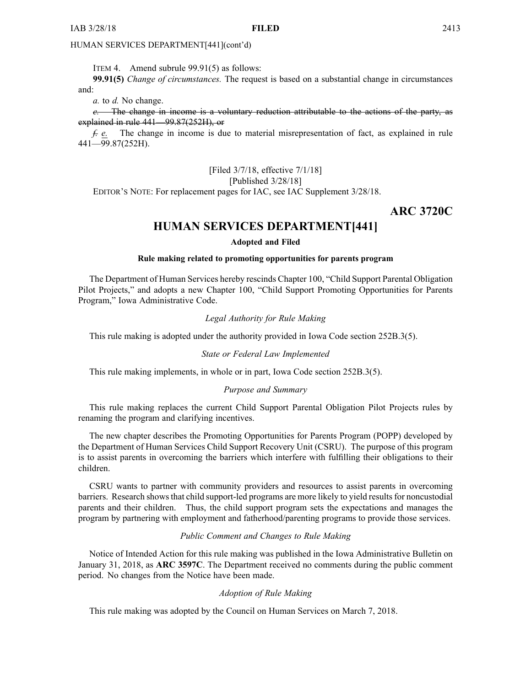ITEM 4. Amend subrule 99.91(5) as follows:

**99.91(5)** *Change of circumstances.* The reques<sup>t</sup> is based on <sup>a</sup> substantial change in circumstances and:

*a.* to *d.* No change.

*e.* The change in income is <sup>a</sup> voluntary reduction attributable to the actions of the party, as explained in rule [441—99.87](https://www.legis.iowa.gov/docs/iac/rule/03-28-2018.441.99.87.pdf)(252H), or

*f. e.* The change in income is due to material misrepresentation of fact, as explained in rule [441—99.87](https://www.legis.iowa.gov/docs/iac/rule/03-28-2018.441.99.87.pdf)(252H).

# [Filed 3/7/18, effective 7/1/18]

## [Published 3/28/18]

EDITOR'<sup>S</sup> NOTE: For replacement pages for IAC, see IAC Supplement 3/28/18.

## **ARC 3720C**

## **HUMAN SERVICES DEPARTMENT[441]**

### **Adopted and Filed**

### **Rule making related to promoting opportunities for parents program**

The Department of Human Services hereby rescinds Chapter 100, "Child Support Parental Obligation Pilot Projects," and adopts <sup>a</sup> new Chapter 100, "Child Support Promoting Opportunities for Parents Program," Iowa Administrative Code.

### *Legal Authority for Rule Making*

This rule making is adopted under the authority provided in Iowa Code section 252B.3(5).

### *State or Federal Law Implemented*

This rule making implements, in whole or in part, Iowa Code section 252B.3(5).

### *Purpose and Summary*

This rule making replaces the current Child Support Parental Obligation Pilot Projects rules by renaming the program and clarifying incentives.

The new chapter describes the Promoting Opportunities for Parents Program (POPP) developed by the Department of Human Services Child Support Recovery Unit (CSRU). The purpose of this program is to assist parents in overcoming the barriers which interfere with fulfilling their obligations to their children.

CSRU wants to partner with community providers and resources to assist parents in overcoming barriers. Research shows that child support-led programs are more likely to yield results for noncustodial parents and their children. Thus, the child suppor<sup>t</sup> program sets the expectations and manages the program by partnering with employment and fatherhood/parenting programs to provide those services.

### *Public Comment and Changes to Rule Making*

Notice of Intended Action for this rule making was published in the Iowa Administrative Bulletin on January 31, 2018, as **ARC 3597C**. The Department received no comments during the public comment period. No changes from the Notice have been made.

### *Adoption of Rule Making*

This rule making was adopted by the Council on Human Services on March 7, 2018.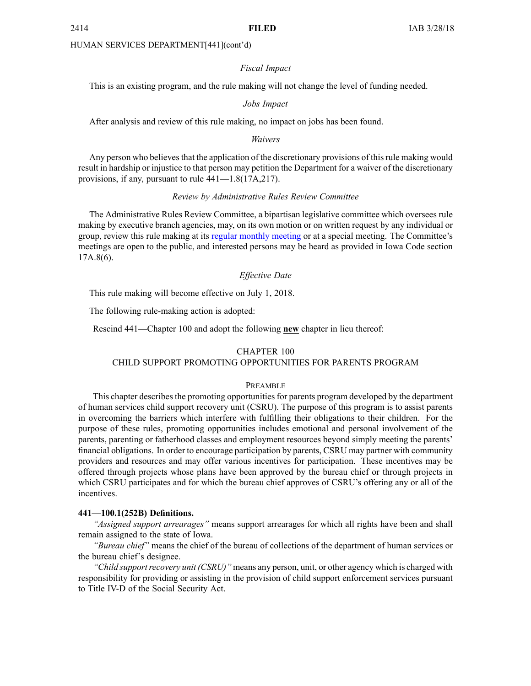### *Fiscal Impact*

This is an existing program, and the rule making will not change the level of funding needed.

### *Jobs Impact*

After analysis and review of this rule making, no impact on jobs has been found.

*Waivers*

Any person who believes that the application of the discretionary provisions of this rule making would result in hardship or injustice to that person may petition the Department for <sup>a</sup> waiver of the discretionary provisions, if any, pursuan<sup>t</sup> to rule 441—1.8(17A,217).

### *Review by Administrative Rules Review Committee*

The Administrative Rules Review Committee, <sup>a</sup> bipartisan legislative committee which oversees rule making by executive branch agencies, may, on its own motion or on written reques<sup>t</sup> by any individual or group, review this rule making at its regular [monthly](https://www.legis.iowa.gov/committees/meetings/meetingsListComm?groupID=705&ga=87) meeting or at <sup>a</sup> special meeting. The Committee's meetings are open to the public, and interested persons may be heard as provided in Iowa Code section 17A.8(6).

### *Effective Date*

This rule making will become effective on July 1, 2018.

The following rule-making action is adopted:

Rescind 441—Chapter 100 and adopt the following **new** chapter in lieu thereof:

### CHAPTER 100

## CHILD SUPPORT PROMOTING OPPORTUNITIES FOR PARENTS PROGRAM

### PREAMBLE

This chapter describes the promoting opportunities for parents program developed by the department of human services child suppor<sup>t</sup> recovery unit (CSRU). The purpose of this program is to assist parents in overcoming the barriers which interfere with fulfilling their obligations to their children. For the purpose of these rules, promoting opportunities includes emotional and personal involvement of the parents, parenting or fatherhood classes and employment resources beyond simply meeting the parents' financial obligations. In order to encourage participation by parents, CSRU may partner with community providers and resources and may offer various incentives for participation. These incentives may be offered through projects whose plans have been approved by the bureau chief or through projects in which CSRU participates and for which the bureau chief approves of CSRU's offering any or all of the incentives.

### **441—100.1(252B) Definitions.**

*"Assigned suppor<sup>t</sup> arrearages"* means suppor<sup>t</sup> arrearages for which all rights have been and shall remain assigned to the state of Iowa.

*"Bureau chief"* means the chief of the bureau of collections of the department of human services or the bureau chief's designee.

*"Child supportrecovery unit (CSRU)"* means any person, unit, or other agency which is charged with responsibility for providing or assisting in the provision of child suppor<sup>t</sup> enforcement services pursuan<sup>t</sup> to Title IV-D of the Social Security Act.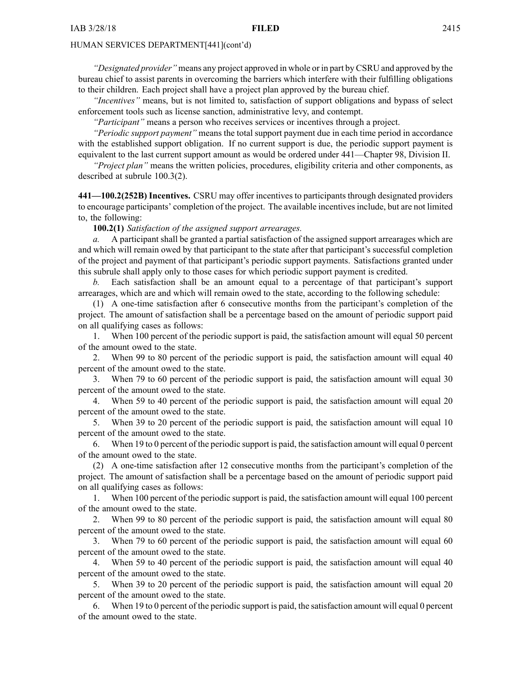*"Designated provider"* means any project approved in whole or in par<sup>t</sup> by CSRU and approved by the bureau chief to assist parents in overcoming the barriers which interfere with their fulfilling obligations to their children. Each project shall have <sup>a</sup> project plan approved by the bureau chief.

*"Incentives"* means, but is not limited to, satisfaction of suppor<sup>t</sup> obligations and bypass of select enforcement tools such as license sanction, administrative levy, and contempt.

*"Participant"* means <sup>a</sup> person who receives services or incentives through <sup>a</sup> project.

*"Periodic suppor<sup>t</sup> payment"* means the total suppor<sup>t</sup> paymen<sup>t</sup> due in each time period in accordance with the established suppor<sup>t</sup> obligation. If no current suppor<sup>t</sup> is due, the periodic suppor<sup>t</sup> paymen<sup>t</sup> is equivalent to the last current suppor<sup>t</sup> amount as would be ordered under 441—Chapter 98, Division II.

*"Project plan"* means the written policies, procedures, eligibility criteria and other components, as described at subrule 100.3(2).

**441—100.2(252B) Incentives.** CSRU may offer incentives to participants through designated providers to encourage participants' completion of the project. The available incentivesinclude, but are not limited to, the following:

**100.2(1)** *Satisfaction of the assigned suppor<sup>t</sup> arrearages.*

*a.* A participant shall be granted <sup>a</sup> partial satisfaction of the assigned suppor<sup>t</sup> arrearages which are and which will remain owed by that participant to the state after that participant's successful completion of the project and paymen<sup>t</sup> of that participant's periodic suppor<sup>t</sup> payments. Satisfactions granted under this subrule shall apply only to those cases for which periodic suppor<sup>t</sup> paymen<sup>t</sup> is credited.

*b.* Each satisfaction shall be an amount equal to <sup>a</sup> percentage of that participant's suppor<sup>t</sup> arrearages, which are and which will remain owed to the state, according to the following schedule:

(1) A one-time satisfaction after 6 consecutive months from the participant's completion of the project. The amount of satisfaction shall be <sup>a</sup> percentage based on the amount of periodic suppor<sup>t</sup> paid on all qualifying cases as follows:

1. When 100 percen<sup>t</sup> of the periodic suppor<sup>t</sup> is paid, the satisfaction amount will equal 50 percen<sup>t</sup> of the amount owed to the state.

2. When 99 to 80 percen<sup>t</sup> of the periodic suppor<sup>t</sup> is paid, the satisfaction amount will equal 40 percen<sup>t</sup> of the amount owed to the state.

3. When 79 to 60 percen<sup>t</sup> of the periodic suppor<sup>t</sup> is paid, the satisfaction amount will equal 30 percen<sup>t</sup> of the amount owed to the state.

4. When 59 to 40 percen<sup>t</sup> of the periodic suppor<sup>t</sup> is paid, the satisfaction amount will equal 20 percen<sup>t</sup> of the amount owed to the state.

5. When 39 to 20 percen<sup>t</sup> of the periodic suppor<sup>t</sup> is paid, the satisfaction amount will equal 10 percen<sup>t</sup> of the amount owed to the state.

6. When 19 to 0 percen<sup>t</sup> of the periodic suppor<sup>t</sup> is paid, the satisfaction amount will equal 0 percen<sup>t</sup> of the amount owed to the state.

(2) A one-time satisfaction after 12 consecutive months from the participant's completion of the project. The amount of satisfaction shall be <sup>a</sup> percentage based on the amount of periodic suppor<sup>t</sup> paid on all qualifying cases as follows:

1. When 100 percen<sup>t</sup> of the periodic suppor<sup>t</sup> is paid, the satisfaction amount will equal 100 percen<sup>t</sup> of the amount owed to the state.

2. When 99 to 80 percen<sup>t</sup> of the periodic suppor<sup>t</sup> is paid, the satisfaction amount will equal 80 percen<sup>t</sup> of the amount owed to the state.

3. When 79 to 60 percen<sup>t</sup> of the periodic suppor<sup>t</sup> is paid, the satisfaction amount will equal 60 percen<sup>t</sup> of the amount owed to the state.

4. When 59 to 40 percen<sup>t</sup> of the periodic suppor<sup>t</sup> is paid, the satisfaction amount will equal 40 percen<sup>t</sup> of the amount owed to the state.

5. When 39 to 20 percen<sup>t</sup> of the periodic suppor<sup>t</sup> is paid, the satisfaction amount will equal 20 percen<sup>t</sup> of the amount owed to the state.

6. When 19 to 0 percen<sup>t</sup> of the periodic suppor<sup>t</sup> is paid, the satisfaction amount will equal 0 percen<sup>t</sup> of the amount owed to the state.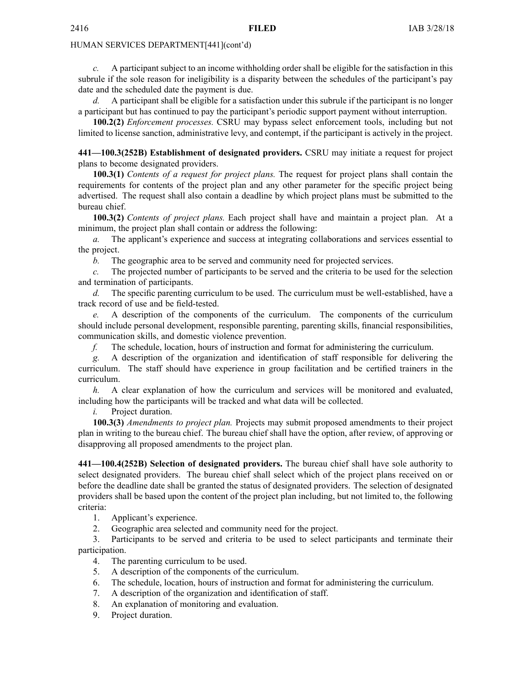*c.* A participant subject to an income withholding order shall be eligible for the satisfaction in this subrule if the sole reason for ineligibility is <sup>a</sup> disparity between the schedules of the participant's pay date and the scheduled date the paymen<sup>t</sup> is due.

*d.* A participant shall be eligible for a satisfaction under this subrule if the participant is no longer <sup>a</sup> participant but has continued to pay the participant's periodic suppor<sup>t</sup> paymen<sup>t</sup> without interruption.

**100.2(2)** *Enforcement processes.* CSRU may bypass select enforcement tools, including but not limited to license sanction, administrative levy, and contempt, if the participant is actively in the project.

**441—100.3(252B) Establishment of designated providers.** CSRU may initiate <sup>a</sup> reques<sup>t</sup> for project plans to become designated providers.

**100.3(1)** *Contents of <sup>a</sup> reques<sup>t</sup> for project plans.* The reques<sup>t</sup> for project plans shall contain the requirements for contents of the project plan and any other parameter for the specific project being advertised. The reques<sup>t</sup> shall also contain <sup>a</sup> deadline by which project plans must be submitted to the bureau chief.

**100.3(2)** *Contents of project plans.* Each project shall have and maintain <sup>a</sup> project plan. At <sup>a</sup> minimum, the project plan shall contain or address the following:

*a.* The applicant's experience and success at integrating collaborations and services essential to the project.

*b.* The geographic area to be served and community need for projected services.

*c.* The projected number of participants to be served and the criteria to be used for the selection and termination of participants.

*d.* The specific parenting curriculum to be used. The curriculum must be well-established, have a track record of use and be field-tested.

*e.* A description of the components of the curriculum. The components of the curriculum should include personal development, responsible parenting, parenting skills, financial responsibilities, communication skills, and domestic violence prevention.

*f.* The schedule, location, hours of instruction and format for administering the curriculum.

*g.* A description of the organization and identification of staff responsible for delivering the curriculum. The staff should have experience in group facilitation and be certified trainers in the curriculum.

*h.* A clear explanation of how the curriculum and services will be monitored and evaluated, including how the participants will be tracked and what data will be collected.

*i.* Project duration.

**100.3(3)** *Amendments to project plan.* Projects may submit proposed amendments to their project plan in writing to the bureau chief. The bureau chief shall have the option, after review, of approving or disapproving all proposed amendments to the project plan.

**441—100.4(252B) Selection of designated providers.** The bureau chief shall have sole authority to select designated providers. The bureau chief shall select which of the project plans received on or before the deadline date shall be granted the status of designated providers. The selection of designated providers shall be based upon the content of the project plan including, but not limited to, the following criteria:

1. Applicant's experience.

2. Geographic area selected and community need for the project.

3. Participants to be served and criteria to be used to select participants and terminate their participation.

- 4. The parenting curriculum to be used.
- 5. A description of the components of the curriculum.
- 6. The schedule, location, hours of instruction and format for administering the curriculum.
- 7. A description of the organization and identification of staff.
- 8. An explanation of monitoring and evaluation.
- 9. Project duration.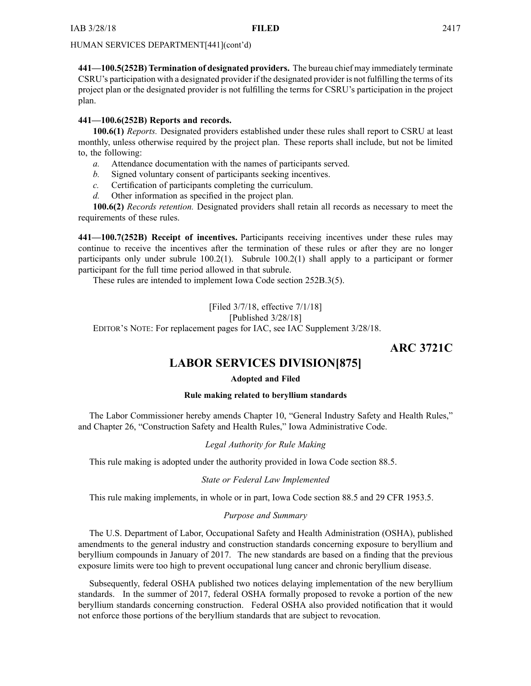**441—100.5(252B) Termination of designated providers.** The bureau chief may immediately terminate CSRU's participation with <sup>a</sup> designated provider if the designated provider is not fulfilling the terms of its project plan or the designated provider is not fulfilling the terms for CSRU's participation in the project plan.

### **441—100.6(252B) Reports and records.**

**100.6(1)** *Reports.* Designated providers established under these rules shall repor<sup>t</sup> to CSRU at least monthly, unless otherwise required by the project plan. These reports shall include, but not be limited to, the following:

- *a.* Attendance documentation with the names of participants served.
- *b.* Signed voluntary consent of participants seeking incentives.
- *c.* Certification of participants completing the curriculum.
- *d.* Other information as specified in the project plan.

**100.6(2)** *Records retention.* Designated providers shall retain all records as necessary to meet the requirements of these rules.

**441—100.7(252B) Receipt of incentives.** Participants receiving incentives under these rules may continue to receive the incentives after the termination of these rules or after they are no longer participants only under subrule 100.2(1). Subrule 100.2(1) shall apply to <sup>a</sup> participant or former participant for the full time period allowed in that subrule.

These rules are intended to implement Iowa Code section [252B.3\(5\)](https://www.legis.iowa.gov/docs/ico/section/2018/252B.3.pdf).

[Filed 3/7/18, effective 7/1/18]

### [Published 3/28/18]

EDITOR'<sup>S</sup> NOTE: For replacement pages for IAC, see IAC Supplement 3/28/18.

# **ARC 3721C**

# **LABOR SERVICES DIVISION[875]**

### **Adopted and Filed**

### **Rule making related to beryllium standards**

The Labor Commissioner hereby amends Chapter 10, "General Industry Safety and Health Rules," and Chapter 26, "Construction Safety and Health Rules," Iowa Administrative Code.

### *Legal Authority for Rule Making*

This rule making is adopted under the authority provided in Iowa Code section 88.5.

### *State or Federal Law Implemented*

This rule making implements, in whole or in part, Iowa Code section 88.5 and 29 CFR 1953.5.

### *Purpose and Summary*

The U.S. Department of Labor, Occupational Safety and Health Administration (OSHA), published amendments to the general industry and construction standards concerning exposure to beryllium and beryllium compounds in January of 2017. The new standards are based on <sup>a</sup> finding that the previous exposure limits were too high to preven<sup>t</sup> occupational lung cancer and chronic beryllium disease.

Subsequently, federal OSHA published two notices delaying implementation of the new beryllium standards. In the summer of 2017, federal OSHA formally proposed to revoke <sup>a</sup> portion of the new beryllium standards concerning construction. Federal OSHA also provided notification that it would not enforce those portions of the beryllium standards that are subject to revocation.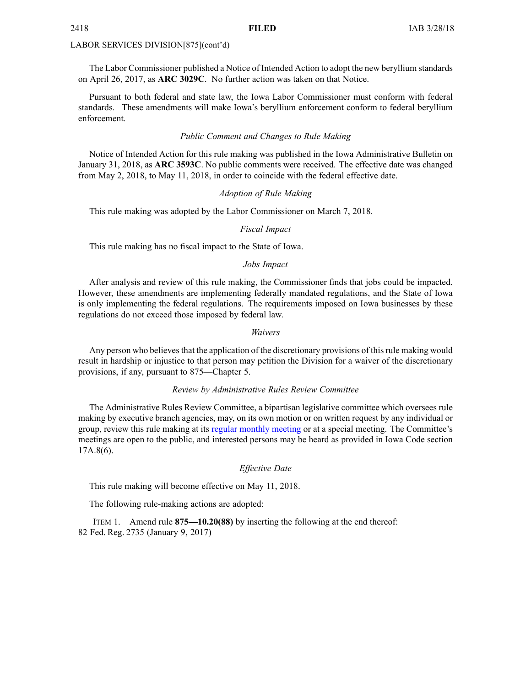### LABOR SERVICES DIVISION[875](cont'd)

The Labor Commissioner published <sup>a</sup> Notice of Intended Action to adopt the new beryllium standards on April 26, 2017, as **ARC 3029C**. No further action was taken on that Notice.

Pursuant to both federal and state law, the Iowa Labor Commissioner must conform with federal standards. These amendments will make Iowa's beryllium enforcement conform to federal beryllium enforcement.

### *Public Comment and Changes to Rule Making*

Notice of Intended Action for this rule making was published in the Iowa Administrative Bulletin on January 31, 2018, as **ARC 3593C**. No public comments were received. The effective date was changed from May 2, 2018, to May 11, 2018, in order to coincide with the federal effective date.

### *Adoption of Rule Making*

This rule making was adopted by the Labor Commissioner on March 7, 2018.

### *Fiscal Impact*

This rule making has no fiscal impact to the State of Iowa.

### *Jobs Impact*

After analysis and review of this rule making, the Commissioner finds that jobs could be impacted. However, these amendments are implementing federally mandated regulations, and the State of Iowa is only implementing the federal regulations. The requirements imposed on Iowa businesses by these regulations do not exceed those imposed by federal law.

### *Waivers*

Any person who believes that the application of the discretionary provisions of this rule making would result in hardship or injustice to that person may petition the Division for <sup>a</sup> waiver of the discretionary provisions, if any, pursuan<sup>t</sup> to 875—Chapter 5.

### *Review by Administrative Rules Review Committee*

The Administrative Rules Review Committee, <sup>a</sup> bipartisan legislative committee which oversees rule making by executive branch agencies, may, on its own motion or on written reques<sup>t</sup> by any individual or group, review this rule making at its regular [monthly](https://www.legis.iowa.gov/committees/meetings/meetingsListComm?groupID=705&ga=87) meeting or at <sup>a</sup> special meeting. The Committee's meetings are open to the public, and interested persons may be heard as provided in Iowa Code section 17A.8(6).

### *Effective Date*

This rule making will become effective on May 11, 2018.

The following rule-making actions are adopted:

ITEM 1. Amend rule **875—10.20(88)** by inserting the following at the end thereof: 82 Fed. Reg. 2735 (January 9, 2017)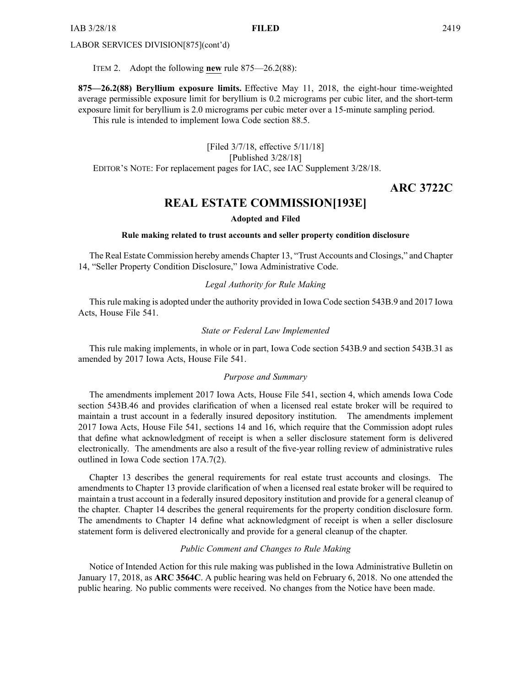LABOR SERVICES DIVISION[875](cont'd)

ITEM 2. Adopt the following **new** rule 875—26.2(88):

**875—26.2(88) Beryllium exposure limits.** Effective May 11, 2018, the eight-hour time-weighted average permissible exposure limit for beryllium is 0.2 micrograms per cubic liter, and the short-term exposure limit for beryllium is 2.0 micrograms per cubic meter over <sup>a</sup> 15-minute sampling period.

This rule is intended to implement Iowa Code section [88.5](https://www.legis.iowa.gov/docs/ico/section/2018/88.5.pdf).

[Filed 3/7/18, effective 5/11/18] [Published 3/28/18] EDITOR'<sup>S</sup> NOTE: For replacement pages for IAC, see IAC Supplement 3/28/18.

# **ARC 3722C**

# **REAL ESTATE COMMISSION[193E]**

### **Adopted and Filed**

### **Rule making related to trust accounts and seller property condition disclosure**

The Real Estate Commission hereby amends Chapter 13, "Trust Accounts and Closings," and Chapter 14, "Seller Property Condition Disclosure," Iowa Administrative Code.

### *Legal Authority for Rule Making*

This rule making is adopted under the authority provided in Iowa Code section 543B.9 and 2017 Iowa Acts, House File 541.

### *State or Federal Law Implemented*

This rule making implements, in whole or in part, Iowa Code section 543B.9 and section 543B.31 as amended by 2017 Iowa Acts, House File 541.

### *Purpose and Summary*

The amendments implement 2017 Iowa Acts, House File 541, section 4, which amends Iowa Code section 543B.46 and provides clarification of when <sup>a</sup> licensed real estate broker will be required to maintain <sup>a</sup> trust account in <sup>a</sup> federally insured depository institution. The amendments implement 2017 Iowa Acts, House File 541, sections 14 and 16, which require that the Commission adopt rules that define what acknowledgment of receipt is when <sup>a</sup> seller disclosure statement form is delivered electronically. The amendments are also <sup>a</sup> result of the five-year rolling review of administrative rules outlined in Iowa Code section 17A.7(2).

Chapter 13 describes the general requirements for real estate trust accounts and closings. The amendments to Chapter 13 provide clarification of when <sup>a</sup> licensed real estate broker will be required to maintain <sup>a</sup> trust account in <sup>a</sup> federally insured depository institution and provide for <sup>a</sup> general cleanup of the chapter. Chapter 14 describes the general requirements for the property condition disclosure form. The amendments to Chapter 14 define what acknowledgment of receipt is when <sup>a</sup> seller disclosure statement form is delivered electronically and provide for <sup>a</sup> general cleanup of the chapter.

### *Public Comment and Changes to Rule Making*

Notice of Intended Action for this rule making was published in the Iowa Administrative Bulletin on January 17, 2018, as **ARC 3564C**. Apublic hearing was held on February 6, 2018. No one attended the public hearing. No public comments were received. No changes from the Notice have been made.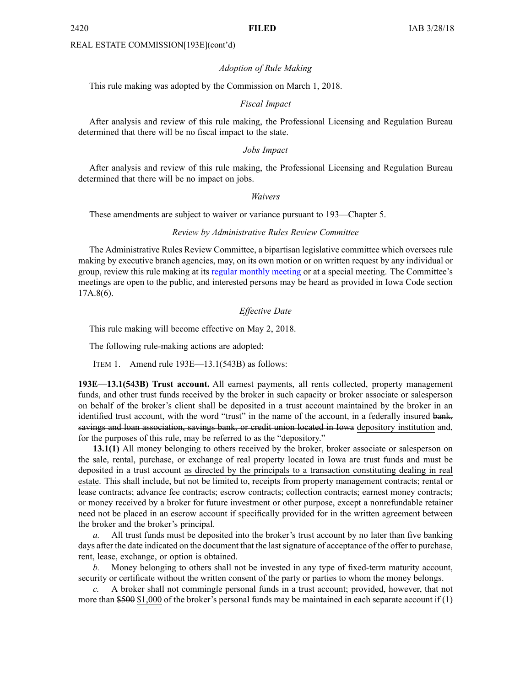### REAL ESTATE COMMISSION[193E](cont'd)

### *Adoption of Rule Making*

This rule making was adopted by the Commission on March 1, 2018.

### *Fiscal Impact*

After analysis and review of this rule making, the Professional Licensing and Regulation Bureau determined that there will be no fiscal impact to the state.

### *Jobs Impact*

After analysis and review of this rule making, the Professional Licensing and Regulation Bureau determined that there will be no impact on jobs.

### *Waivers*

These amendments are subject to waiver or variance pursuan<sup>t</sup> to 193—Chapter 5.

### *Review by Administrative Rules Review Committee*

The Administrative Rules Review Committee, <sup>a</sup> bipartisan legislative committee which oversees rule making by executive branch agencies, may, on its own motion or on written reques<sup>t</sup> by any individual or group, review this rule making at its regular [monthly](https://www.legis.iowa.gov/committees/meetings/meetingsListComm?groupID=705&ga=87) meeting or at <sup>a</sup> special meeting. The Committee's meetings are open to the public, and interested persons may be heard as provided in Iowa Code section 17A.8(6).

### *Effective Date*

This rule making will become effective on May 2, 2018.

The following rule-making actions are adopted:

ITEM 1. Amend rule 193E—13.1(543B) as follows:

**193E—13.1(543B) Trust account.** All earnest payments, all rents collected, property managemen<sup>t</sup> funds, and other trust funds received by the broker in such capacity or broker associate or salesperson on behalf of the broker's client shall be deposited in <sup>a</sup> trust account maintained by the broker in an identified trust account, with the word "trust" in the name of the account, in a federally insured bank, savings and loan association, savings bank, or credit union located in Iowa depository institution and, for the purposes of this rule, may be referred to as the "depository."

**13.1(1)** All money belonging to others received by the broker, broker associate or salesperson on the sale, rental, purchase, or exchange of real property located in Iowa are trust funds and must be deposited in <sup>a</sup> trust account as directed by the principals to <sup>a</sup> transaction constituting dealing in real estate. This shall include, but not be limited to, receipts from property managemen<sup>t</sup> contracts; rental or lease contracts; advance fee contracts; escrow contracts; collection contracts; earnest money contracts; or money received by <sup>a</sup> broker for future investment or other purpose, excep<sup>t</sup> <sup>a</sup> nonrefundable retainer need not be placed in an escrow account if specifically provided for in the written agreemen<sup>t</sup> between the broker and the broker's principal.

*a.* All trust funds must be deposited into the broker's trust account by no later than five banking days after the date indicated on the document that the last signature of acceptance of the offer to purchase, rent, lease, exchange, or option is obtained.

*b.* Money belonging to others shall not be invested in any type of fixed-term maturity account, security or certificate without the written consent of the party or parties to whom the money belongs.

*c.* A broker shall not commingle personal funds in <sup>a</sup> trust account; provided, however, that not more than \$500 \$1,000 of the broker's personal funds may be maintained in each separate account if (1)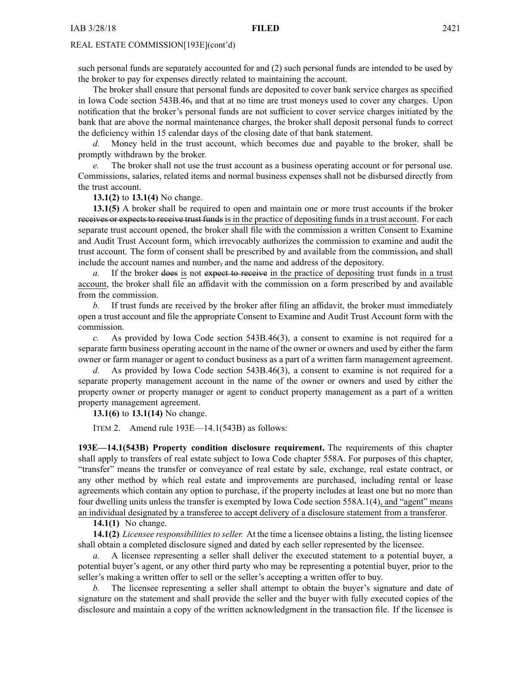### REAL ESTATE COMMISSION[193E](cont'd)

such personal funds are separately accounted for and (2) such personal funds are intended to be used by the broker to pay for expenses directly related to maintaining the account.

The broker shall ensure that personal funds are deposited to cover bank service charges as specified in Iowa Code section [543B.46](https://www.legis.iowa.gov/docs/ico/section/543B.46.pdf), and that at no time are trust moneys used to cover any charges. Upon notification that the broker's personal funds are not sufficient to cover service charges initiated by the bank that are above the normal maintenance charges, the broker shall deposit personal funds to correct the deficiency within 15 calendar days of the closing date of that bank statement.

*d.* Money held in the trust account, which becomes due and payable to the broker, shall be promptly withdrawn by the broker.

*e.* The broker shall not use the trust account as a business operating account or for personal use. Commissions, salaries, related items and normal business expenses shall not be disbursed directly from the trust account.

**13.1(2)** to **13.1(4)** No change.

**13.1(5)** A broker shall be required to open and maintain one or more trust accounts if the broker receives or expects to receive trust funds is in the practice of depositing funds in <sup>a</sup> trust account. For each separate trust account opened, the broker shall file with the commission <sup>a</sup> written Consent to Examine and Audit Trust Account form, which irrevocably authorizes the commission to examine and audit the trust account. The form of consent shall be prescribed by and available from the commission, and shall include the account names and number, and the name and address of the depository.

*a.* If the broker does is not expect to receive in the practice of depositing trust funds in a trust account, the broker shall file an affidavit with the commission on <sup>a</sup> form prescribed by and available from the commission.

*b.* If trust funds are received by the broker after filing an affidavit, the broker must immediately open <sup>a</sup> trust account and file the appropriate Consent to Examine and Audit Trust Account form with the commission.

*c.* As provided by Iowa Code section [543B.46\(3\)](https://www.legis.iowa.gov/docs/ico/section/543B.46.pdf), <sup>a</sup> consent to examine is not required for <sup>a</sup> separate farm business operating account in the name of the owner or owners and used by either the farm owner or farm manager or agen<sup>t</sup> to conduct business as <sup>a</sup> par<sup>t</sup> of <sup>a</sup> written farm managemen<sup>t</sup> agreement.

*d.* As provided by Iowa Code section [543B.46\(3\)](https://www.legis.iowa.gov/docs/ico/section/543B.46.pdf), <sup>a</sup> consent to examine is not required for <sup>a</sup> separate property managemen<sup>t</sup> account in the name of the owner or owners and used by either the property owner or property manager or agen<sup>t</sup> to conduct property managemen<sup>t</sup> as <sup>a</sup> par<sup>t</sup> of <sup>a</sup> written property management agreement.

**13.1(6)** to **13.1(14)** No change.

ITEM 2. Amend rule 193E—14.1(543B) as follows:

**193E—14.1(543B) Property condition disclosure requirement.** The requirements of this chapter shall apply to transfers of real estate subject to Iowa Code chapter [558A](https://www.legis.iowa.gov/docs/ico/chapter/558A.pdf). For purposes of this chapter, "transfer" means the transfer or conveyance of real estate by sale, exchange, real estate contract, or any other method by which real estate and improvements are purchased, including rental or lease agreements which contain any option to purchase, if the property includes at least one but no more than four dwelling units unless the transfer is exempted by Iowa Code section [558A.1\(4\)](https://www.legis.iowa.gov/docs/ico/section/558A.1.pdf), and "agent" means an individual designated by <sup>a</sup> transferee to accep<sup>t</sup> delivery of <sup>a</sup> disclosure statement from <sup>a</sup> transferor.

**14.1(1)** No change.

**14.1(2)** *Licensee responsibilities to seller.* At the time <sup>a</sup> licensee obtains <sup>a</sup> listing, the listing licensee shall obtain <sup>a</sup> completed disclosure signed and dated by each seller represented by the licensee.

*a.* A licensee representing <sup>a</sup> seller shall deliver the executed statement to <sup>a</sup> potential buyer, <sup>a</sup> potential buyer's agent, or any other third party who may be representing <sup>a</sup> potential buyer, prior to the seller's making <sup>a</sup> written offer to sell or the seller's accepting <sup>a</sup> written offer to buy.

*b.* The licensee representing <sup>a</sup> seller shall attempt to obtain the buyer's signature and date of signature on the statement and shall provide the seller and the buyer with fully executed copies of the disclosure and maintain <sup>a</sup> copy of the written acknowledgment in the transaction file. If the licensee is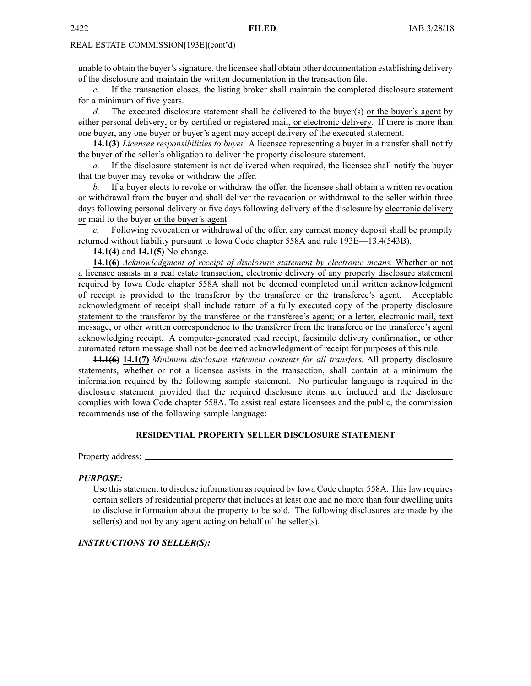### REAL ESTATE COMMISSION[193E](cont'd)

unable to obtain the buyer'ssignature, the licensee shall obtain other documentation establishing delivery of the disclosure and maintain the written documentation in the transaction file.

*c.* If the transaction closes, the listing broker shall maintain the completed disclosure statement for <sup>a</sup> minimum of five years.

*d.* The executed disclosure statement shall be delivered to the buyer(s) or the buyer's agent by either personal delivery, or by certified or registered mail, or electronic delivery. If there is more than one buyer, any one buyer or buyer's agen<sup>t</sup> may accep<sup>t</sup> delivery of the executed statement.

**14.1(3)** *Licensee responsibilities to buyer.* A licensee representing <sup>a</sup> buyer in <sup>a</sup> transfer shall notify the buyer of the seller's obligation to deliver the property disclosure statement.

*a.* If the disclosure statement is not delivered when required, the licensee shall notify the buyer that the buyer may revoke or withdraw the offer.

*b.* If <sup>a</sup> buyer elects to revoke or withdraw the offer, the licensee shall obtain <sup>a</sup> written revocation or withdrawal from the buyer and shall deliver the revocation or withdrawal to the seller within three days following personal delivery or five days following delivery of the disclosure by electronic delivery or mail to the buyer or the buyer's agent.

*c.* Following revocation or withdrawal of the offer, any earnest money deposit shall be promptly returned without liability pursuan<sup>t</sup> to Iowa Code chapter [558A](https://www.legis.iowa.gov/docs/ico/chapter/558A.pdf) and rule [193E—13.4\(543B\)](https://www.legis.iowa.gov/docs/iac/rule/03-28-2018.193E.13.4.pdf).

**14.1(4)** and **14.1(5)** No change.

**14.1(6)** *Acknowledgment of receipt of disclosure statement by electronic means.* Whether or not <sup>a</sup> licensee assists in <sup>a</sup> real estate transaction, electronic delivery of any property disclosure statement required by Iowa Code chapter [558A](https://www.legis.iowa.gov/docs/ico/chapter/2018/558A.pdf) shall not be deemed completed until written acknowledgment of receipt is provided to the transferor by the transferee or the transferee's agent. Acceptable acknowledgment of receipt shall include return of <sup>a</sup> fully executed copy of the property disclosure statement to the transferor by the transferee or the transferee's agent; or <sup>a</sup> letter, electronic mail, text message, or other written correspondence to the transferor from the transferee or the transferee's agen<sup>t</sup> acknowledging receipt. A computer-generated read receipt, facsimile delivery confirmation, or other automated return message shall not be deemed acknowledgment of receipt for purposes of this rule.

**14.1(6) 14.1(7)** *Minimum disclosure statement contents for all transfers.* All property disclosure statements, whether or not <sup>a</sup> licensee assists in the transaction, shall contain at <sup>a</sup> minimum the information required by the following sample statement. No particular language is required in the disclosure statement provided that the required disclosure items are included and the disclosure complies with Iowa Code chapter [558A](https://www.legis.iowa.gov/docs/ico/chapter/558A.pdf). To assist real estate licensees and the public, the commission recommends use of the following sample language:

### **RESIDENTIAL PROPERTY SELLER DISCLOSURE STATEMENT**

Property address:

### *PURPOSE:*

Use this statement to disclose information as required by Iowa Code chapter [558A](https://www.legis.iowa.gov/docs/ico/chapter/558A.pdf). This law requires certain sellers of residential property that includes at least one and no more than four dwelling units to disclose information about the property to be sold. The following disclosures are made by the seller(s) and not by any agen<sup>t</sup> acting on behalf of the seller(s).

## *INSTRUCTIONS TO SELLER(S):*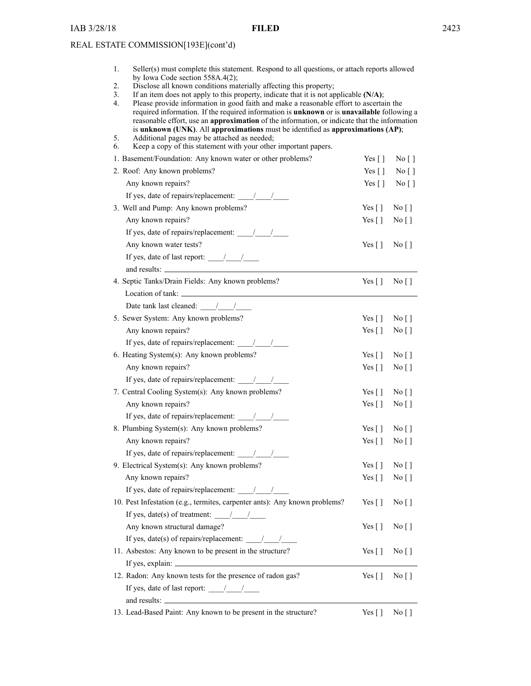## IAB 3/28/18 **FILED** 2423

REAL ESTATE COMMISSION[193E](cont'd)

| Seller(s) must complete this statement. Respond to all questions, or attach reports allowed<br>1.<br>by Iowa Code section $558A.4(2)$ ;<br>2.<br>Disclose all known conditions materially affecting this property;                                                                                                                                                                                                                                                                            |                                   |                                   |  |
|-----------------------------------------------------------------------------------------------------------------------------------------------------------------------------------------------------------------------------------------------------------------------------------------------------------------------------------------------------------------------------------------------------------------------------------------------------------------------------------------------|-----------------------------------|-----------------------------------|--|
| 3.<br>If an item does not apply to this property, indicate that it is not applicable $(N/A)$ ;<br>4.<br>Please provide information in good faith and make a reasonable effort to ascertain the<br>required information. If the required information is <b>unknown</b> or is <b>unavailable</b> following a<br>reasonable effort, use an approximation of the information, or indicate that the information<br>is unknown (UNK). All approximations must be identified as approximations (AP); |                                   |                                   |  |
| 5.<br>Additional pages may be attached as needed;<br>Keep a copy of this statement with your other important papers.<br>6.                                                                                                                                                                                                                                                                                                                                                                    |                                   |                                   |  |
| 1. Basement/Foundation: Any known water or other problems?                                                                                                                                                                                                                                                                                                                                                                                                                                    | Yes $\lceil \cdot \rceil$         | $\overline{N_0}$   $\overline{)}$ |  |
| 2. Roof: Any known problems?                                                                                                                                                                                                                                                                                                                                                                                                                                                                  | Yes $\lceil \rceil$               | No [ ]                            |  |
| Any known repairs?                                                                                                                                                                                                                                                                                                                                                                                                                                                                            | Yes $[ ]$                         | No [ ]                            |  |
| If yes, date of repairs/replacement: $\frac{1}{\sqrt{2\pi}}$                                                                                                                                                                                                                                                                                                                                                                                                                                  |                                   |                                   |  |
| 3. Well and Pump: Any known problems?                                                                                                                                                                                                                                                                                                                                                                                                                                                         | Yes $\lceil \rceil$               | $\overline{N_0}$   $\overline{)}$ |  |
| Any known repairs?                                                                                                                                                                                                                                                                                                                                                                                                                                                                            | Yes [ ]                           | No [ ]                            |  |
| If yes, date of repairs/replacement: $\frac{1}{\sqrt{2}}$                                                                                                                                                                                                                                                                                                                                                                                                                                     |                                   |                                   |  |
| Any known water tests?                                                                                                                                                                                                                                                                                                                                                                                                                                                                        | Yes $[ ]$ No $[ ]$                |                                   |  |
| If yes, date of last report: $\frac{\ }{\ }$                                                                                                                                                                                                                                                                                                                                                                                                                                                  |                                   |                                   |  |
|                                                                                                                                                                                                                                                                                                                                                                                                                                                                                               |                                   |                                   |  |
| 4. Septic Tanks/Drain Fields: Any known problems?                                                                                                                                                                                                                                                                                                                                                                                                                                             | Yes $\lceil$ No $\lceil$ $\rceil$ |                                   |  |
|                                                                                                                                                                                                                                                                                                                                                                                                                                                                                               |                                   |                                   |  |
| Date tank last cleaned: $\frac{1}{\sqrt{2}}$                                                                                                                                                                                                                                                                                                                                                                                                                                                  |                                   |                                   |  |
| 5. Sewer System: Any known problems?                                                                                                                                                                                                                                                                                                                                                                                                                                                          | Yes $\lceil \rceil$               | $\overline{N_0}$   $\overline{)}$ |  |
| Any known repairs?                                                                                                                                                                                                                                                                                                                                                                                                                                                                            | Yes [ ]                           | No [ ]                            |  |
| If yes, date of repairs/replacement: $\frac{1}{\sqrt{2\pi}}$                                                                                                                                                                                                                                                                                                                                                                                                                                  |                                   |                                   |  |
| 6. Heating System(s): Any known problems?                                                                                                                                                                                                                                                                                                                                                                                                                                                     | Yes $\lceil \cdot \rceil$         | $\overline{N_0}$   $\overline{)}$ |  |
| Any known repairs?                                                                                                                                                                                                                                                                                                                                                                                                                                                                            | Yes [ ]                           | No [ ]                            |  |
| If yes, date of repairs/replacement: $\frac{\ }{\ }$                                                                                                                                                                                                                                                                                                                                                                                                                                          |                                   |                                   |  |
| 7. Central Cooling System(s): Any known problems?                                                                                                                                                                                                                                                                                                                                                                                                                                             | Yes $\lceil \cdot \rceil$         | $\overline{N}$ o [ ]              |  |
| Any known repairs?                                                                                                                                                                                                                                                                                                                                                                                                                                                                            | Yes [ ]                           | No [ ]                            |  |
| If yes, date of repairs/replacement: $\frac{1}{\sqrt{2\pi}}$                                                                                                                                                                                                                                                                                                                                                                                                                                  |                                   |                                   |  |
| 8. Plumbing System(s): Any known problems?                                                                                                                                                                                                                                                                                                                                                                                                                                                    | Yes $\lceil \rceil$               | $\overline{N}$ o [ ]              |  |
| Any known repairs?                                                                                                                                                                                                                                                                                                                                                                                                                                                                            | Yes [ ]                           | No [ ]                            |  |
| If yes, date of repairs/replacement: $\frac{1}{\sqrt{2\pi}}$                                                                                                                                                                                                                                                                                                                                                                                                                                  |                                   |                                   |  |
| 9. Electrical System(s): Any known problems?                                                                                                                                                                                                                                                                                                                                                                                                                                                  | Yes $\lceil \cdot \rceil$         | $\overline{N}$ o $\left[\right]$  |  |
| Any known repairs?                                                                                                                                                                                                                                                                                                                                                                                                                                                                            | Yes $\lceil \cdot \rceil$         | No [ ]                            |  |
| If yes, date of repairs/replacement: $\frac{1}{\sqrt{2}}$                                                                                                                                                                                                                                                                                                                                                                                                                                     |                                   |                                   |  |
| 10. Pest Infestation (e.g., termites, carpenter ants): Any known problems?                                                                                                                                                                                                                                                                                                                                                                                                                    | Yes [ ]                           | No [ ]                            |  |
| If yes, date(s) of treatment: $\frac{1}{\sqrt{2\pi}}$                                                                                                                                                                                                                                                                                                                                                                                                                                         |                                   |                                   |  |
| Any known structural damage?                                                                                                                                                                                                                                                                                                                                                                                                                                                                  | Yes $\lceil \cdot \rceil$         | No [ ]                            |  |
| If yes, date(s) of repairs/replacement: $\frac{1}{\sqrt{2}}$                                                                                                                                                                                                                                                                                                                                                                                                                                  |                                   |                                   |  |
| 11. Asbestos: Any known to be present in the structure?                                                                                                                                                                                                                                                                                                                                                                                                                                       | Yes $\lceil \cdot \rceil$         | No [ ]                            |  |
| If yes, explain: $\frac{1}{\sqrt{1-\frac{1}{2}} \cdot \frac{1}{2}}$                                                                                                                                                                                                                                                                                                                                                                                                                           |                                   |                                   |  |
| 12. Radon: Any known tests for the presence of radon gas?                                                                                                                                                                                                                                                                                                                                                                                                                                     | Yes [ ]                           | $\overline{N}$ o $\left[\right]$  |  |
| If yes, date of last report: $\frac{\sqrt{2}}{2}$                                                                                                                                                                                                                                                                                                                                                                                                                                             |                                   |                                   |  |
|                                                                                                                                                                                                                                                                                                                                                                                                                                                                                               |                                   |                                   |  |
| 13. Lead-Based Paint: Any known to be present in the structure?                                                                                                                                                                                                                                                                                                                                                                                                                               | Yes [ ]                           | No [ ]                            |  |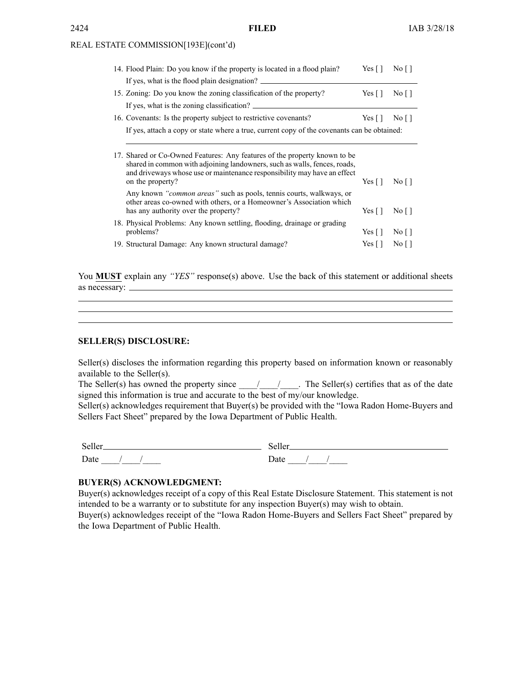## REAL ESTATE COMMISSION[193E](cont'd)

| 14. Flood Plain: Do you know if the property is located in a flood plain?                                                                                                                                                                              | Yes $\lceil \cdot \rceil$ | No []                     |
|--------------------------------------------------------------------------------------------------------------------------------------------------------------------------------------------------------------------------------------------------------|---------------------------|---------------------------|
| If yes, what is the flood plain designation?                                                                                                                                                                                                           |                           |                           |
| 15. Zoning: Do you know the zoning classification of the property?                                                                                                                                                                                     | Yes $\lceil \cdot \rceil$ | No []                     |
| If yes, what is the zoning classification?                                                                                                                                                                                                             |                           |                           |
| 16. Covenants: Is the property subject to restrictive covenants?                                                                                                                                                                                       | Yes $\lceil \cdot \rceil$ | No []                     |
| If yes, attach a copy or state where a true, current copy of the covenants can be obtained:                                                                                                                                                            |                           |                           |
|                                                                                                                                                                                                                                                        |                           |                           |
| 17. Shared or Co-Owned Features: Any features of the property known to be<br>shared in common with adjoining landowners, such as walls, fences, roads,<br>and driveways whose use or maintenance responsibility may have an effect<br>on the property? | Yes $\lceil \cdot \rceil$ | $\overline{N}$ o [ ]      |
| Any known " <i>common areas</i> " such as pools, tennis courts, walkways, or<br>other areas co-owned with others, or a Homeowner's Association which<br>has any authority over the property?                                                           | Yes $\lceil \rceil$       | No []                     |
| 18. Physical Problems: Any known settling, flooding, drainage or grading<br>problems?                                                                                                                                                                  | Yes $\lceil \rceil$       | $\text{No} \lceil \rceil$ |
| 19. Structural Damage: Any known structural damage?                                                                                                                                                                                                    | Yes $\lceil \cdot \rceil$ | No []                     |

You **MUST** explain any *"YES"* response(s) above. Use the back of this statement or additional sheets as necessary:

#### **SELLER(S) DISCLOSURE:**

Seller(s) discloses the information regarding this property based on information known or reasonably available to the Seller(s).

The Seller(s) has owned the property since  $\frac{1}{\sqrt{2}}$ . The Seller(s) certifies that as of the date signed this information is true and accurate to the best of my/our knowledge.

Seller(s) acknowledges requirement that Buyer(s) be provided with the "Iowa Radon Home-Buyers and Sellers Fact Sheet" prepared by the Iowa Department of Public Health.

| Seller | ۱۱۵۲        |
|--------|-------------|
| Date   | <b>Date</b> |

### **BUYER(S) ACKNOWLEDGMENT:**

Buyer(s) acknowledges receipt of <sup>a</sup> copy of this Real Estate Disclosure Statement. This statement is not intended to be <sup>a</sup> warranty or to substitute for any inspection Buyer(s) may wish to obtain. Buyer(s) acknowledges receipt of the "Iowa Radon Home-Buyers and Sellers Fact Sheet" prepared by the Iowa Department of Public Health.